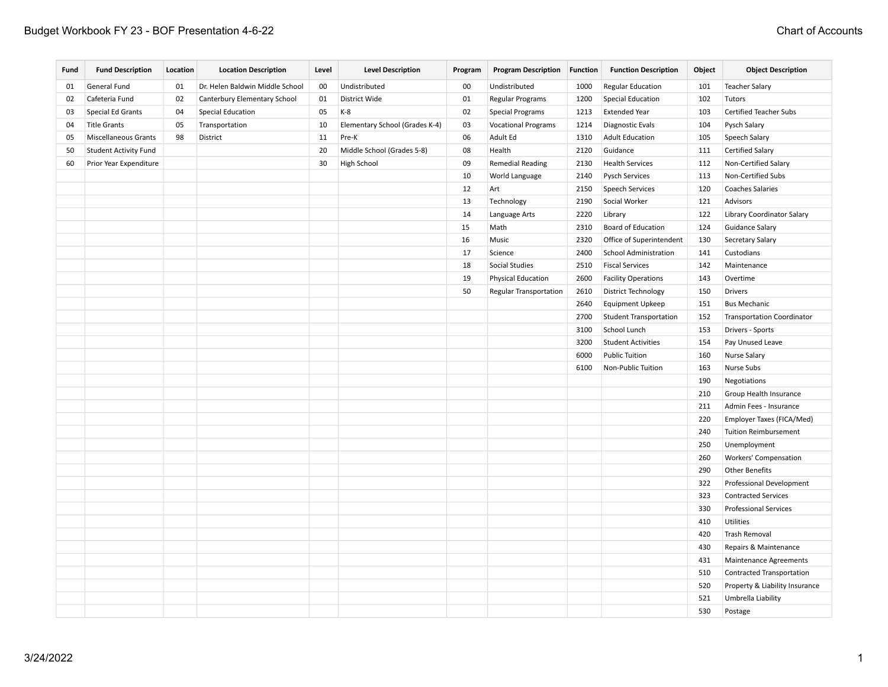| Fund | <b>Fund Description</b>      | Location | <b>Location Description</b>     | Level | <b>Level Description</b>       | Program | <b>Program Description Function</b> |      | <b>Function Description</b>   | Object | <b>Object Description</b>         |
|------|------------------------------|----------|---------------------------------|-------|--------------------------------|---------|-------------------------------------|------|-------------------------------|--------|-----------------------------------|
| 01   | General Fund                 | 01       | Dr. Helen Baldwin Middle School | 00    | Undistributed                  | $00\,$  | Undistributed                       | 1000 | <b>Regular Education</b>      | 101    | <b>Teacher Salary</b>             |
| 02   | Cafeteria Fund               | 02       | Canterbury Elementary School    | 01    | District Wide                  | 01      | Regular Programs                    | 1200 | <b>Special Education</b>      | 102    | Tutors                            |
| 03   | Special Ed Grants            | 04       | <b>Special Education</b>        | 05    | K-8                            | 02      | <b>Special Programs</b>             | 1213 | <b>Extended Year</b>          | 103    | <b>Certified Teacher Subs</b>     |
| 04   | <b>Title Grants</b>          | 05       | Transportation                  | 10    | Elementary School (Grades K-4) | 03      | <b>Vocational Programs</b>          | 1214 | Diagnostic Evals              | 104    | Pysch Salary                      |
| 05   | <b>Miscellaneous Grants</b>  | 98       | District                        | 11    | Pre-K                          | 06      | Adult Ed                            | 1310 | <b>Adult Education</b>        | 105    | Speech Salary                     |
| 50   | <b>Student Activity Fund</b> |          |                                 | 20    | Middle School (Grades 5-8)     | 08      | Health                              | 2120 | Guidance                      | 111    | <b>Certified Salary</b>           |
| 60   | Prior Year Expenditure       |          |                                 | 30    | High School                    | 09      | <b>Remedial Reading</b>             | 2130 | <b>Health Services</b>        | 112    | Non-Certified Salary              |
|      |                              |          |                                 |       |                                | 10      | World Language                      | 2140 | <b>Pysch Services</b>         | 113    | Non-Certified Subs                |
|      |                              |          |                                 |       |                                | 12      | Art                                 | 2150 | <b>Speech Services</b>        | 120    | <b>Coaches Salaries</b>           |
|      |                              |          |                                 |       |                                | 13      | Technology                          | 2190 | Social Worker                 | 121    | Advisors                          |
|      |                              |          |                                 |       |                                | 14      | Language Arts                       | 2220 | Library                       | 122    | Library Coordinator Salary        |
|      |                              |          |                                 |       |                                | 15      | Math                                | 2310 | <b>Board of Education</b>     | 124    | <b>Guidance Salary</b>            |
|      |                              |          |                                 |       |                                | 16      | Music                               | 2320 | Office of Superintendent      | 130    | Secretary Salary                  |
|      |                              |          |                                 |       |                                | 17      | Science                             | 2400 | <b>School Administration</b>  | 141    | Custodians                        |
|      |                              |          |                                 |       |                                | 18      | Social Studies                      | 2510 | <b>Fiscal Services</b>        | 142    | Maintenance                       |
|      |                              |          |                                 |       |                                | 19      | Physical Education                  | 2600 | <b>Facility Operations</b>    | 143    | Overtime                          |
|      |                              |          |                                 |       |                                | 50      | Regular Transportation              | 2610 | District Technology           | 150    | <b>Drivers</b>                    |
|      |                              |          |                                 |       |                                |         |                                     | 2640 | <b>Equipment Upkeep</b>       | 151    | <b>Bus Mechanic</b>               |
|      |                              |          |                                 |       |                                |         |                                     | 2700 | <b>Student Transportation</b> | 152    | <b>Transportation Coordinator</b> |
|      |                              |          |                                 |       |                                |         |                                     | 3100 | School Lunch                  | 153    | Drivers - Sports                  |
|      |                              |          |                                 |       |                                |         |                                     | 3200 | <b>Student Activities</b>     | 154    | Pay Unused Leave                  |
|      |                              |          |                                 |       |                                |         |                                     | 6000 | <b>Public Tuition</b>         | 160    | <b>Nurse Salary</b>               |
|      |                              |          |                                 |       |                                |         |                                     | 6100 | Non-Public Tuition            | 163    | Nurse Subs                        |
|      |                              |          |                                 |       |                                |         |                                     |      |                               | 190    | Negotiations                      |
|      |                              |          |                                 |       |                                |         |                                     |      |                               | 210    | Group Health Insurance            |
|      |                              |          |                                 |       |                                |         |                                     |      |                               | 211    | Admin Fees - Insurance            |
|      |                              |          |                                 |       |                                |         |                                     |      |                               | 220    | Employer Taxes (FICA/Med)         |
|      |                              |          |                                 |       |                                |         |                                     |      |                               | 240    | <b>Tuition Reimbursement</b>      |
|      |                              |          |                                 |       |                                |         |                                     |      |                               | 250    | Unemployment                      |
|      |                              |          |                                 |       |                                |         |                                     |      |                               | 260    | Workers' Compensation             |
|      |                              |          |                                 |       |                                |         |                                     |      |                               | 290    | <b>Other Benefits</b>             |
|      |                              |          |                                 |       |                                |         |                                     |      |                               | 322    | Professional Development          |
|      |                              |          |                                 |       |                                |         |                                     |      |                               | 323    | <b>Contracted Services</b>        |
|      |                              |          |                                 |       |                                |         |                                     |      |                               | 330    | <b>Professional Services</b>      |
|      |                              |          |                                 |       |                                |         |                                     |      |                               | 410    | Utilities                         |
|      |                              |          |                                 |       |                                |         |                                     |      |                               | 420    | Trash Removal                     |
|      |                              |          |                                 |       |                                |         |                                     |      |                               | 430    | Repairs & Maintenance             |
|      |                              |          |                                 |       |                                |         |                                     |      |                               | 431    | <b>Maintenance Agreements</b>     |
|      |                              |          |                                 |       |                                |         |                                     |      |                               | 510    | Contracted Transportation         |
|      |                              |          |                                 |       |                                |         |                                     |      |                               | 520    | Property & Liability Insurance    |
|      |                              |          |                                 |       |                                |         |                                     |      |                               | 521    | Umbrella Liability                |
|      |                              |          |                                 |       |                                |         |                                     |      |                               | 530    | Postage                           |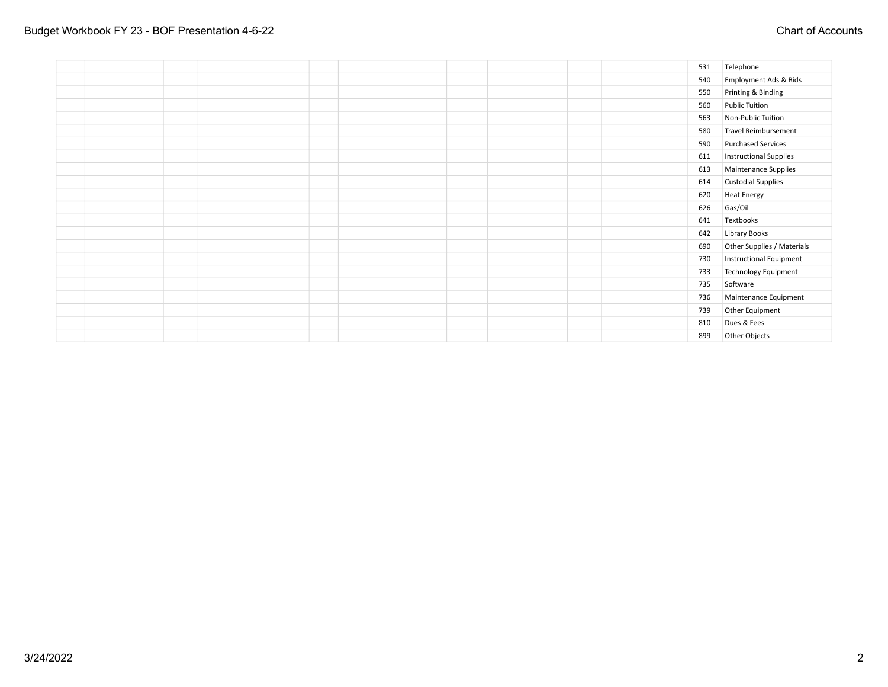|  |  |  |  |  | 531 | Telephone                     |
|--|--|--|--|--|-----|-------------------------------|
|  |  |  |  |  | 540 | Employment Ads & Bids         |
|  |  |  |  |  | 550 | Printing & Binding            |
|  |  |  |  |  | 560 | <b>Public Tuition</b>         |
|  |  |  |  |  | 563 | Non-Public Tuition            |
|  |  |  |  |  | 580 | Travel Reimbursement          |
|  |  |  |  |  | 590 | <b>Purchased Services</b>     |
|  |  |  |  |  | 611 | <b>Instructional Supplies</b> |
|  |  |  |  |  | 613 | Maintenance Supplies          |
|  |  |  |  |  | 614 | <b>Custodial Supplies</b>     |
|  |  |  |  |  | 620 | <b>Heat Energy</b>            |
|  |  |  |  |  | 626 | Gas/Oil                       |
|  |  |  |  |  | 641 | Textbooks                     |
|  |  |  |  |  | 642 | Library Books                 |
|  |  |  |  |  | 690 | Other Supplies / Materials    |
|  |  |  |  |  | 730 | Instructional Equipment       |
|  |  |  |  |  | 733 | Technology Equipment          |
|  |  |  |  |  | 735 | Software                      |
|  |  |  |  |  | 736 | Maintenance Equipment         |
|  |  |  |  |  | 739 | Other Equipment               |
|  |  |  |  |  | 810 | Dues & Fees                   |
|  |  |  |  |  | 899 | Other Objects                 |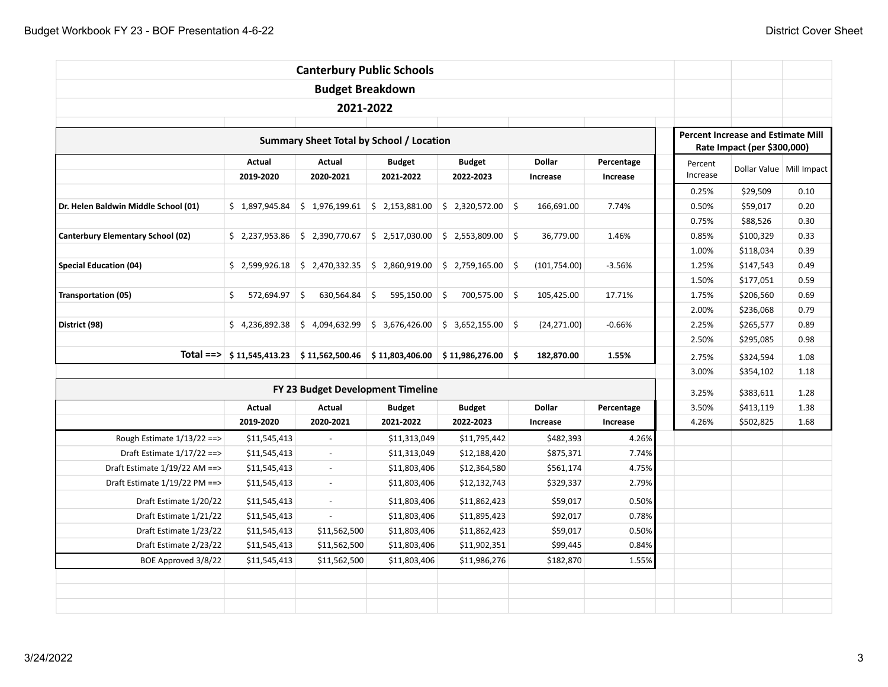|                                          |                  | <b>Canterbury Public Schools</b>                |                  |                  |     |               |            |          |                                                                          |                            |  |  |  |
|------------------------------------------|------------------|-------------------------------------------------|------------------|------------------|-----|---------------|------------|----------|--------------------------------------------------------------------------|----------------------------|--|--|--|
|                                          |                  | <b>Budget Breakdown</b>                         |                  |                  |     |               |            |          |                                                                          |                            |  |  |  |
|                                          |                  | 2021-2022                                       |                  |                  |     |               |            |          |                                                                          |                            |  |  |  |
|                                          |                  |                                                 |                  |                  |     |               |            |          |                                                                          |                            |  |  |  |
|                                          |                  | <b>Summary Sheet Total by School / Location</b> |                  |                  |     |               |            |          | <b>Percent Increase and Estimate Mill</b><br>Rate Impact (per \$300,000) |                            |  |  |  |
|                                          | Actual           | Actual                                          | <b>Budget</b>    | <b>Budget</b>    |     | <b>Dollar</b> | Percentage | Percent  |                                                                          | Dollar Value   Mill Impact |  |  |  |
|                                          | 2019-2020        | 2020-2021                                       | 2021-2022        | 2022-2023        |     | Increase      | Increase   | Increase |                                                                          |                            |  |  |  |
|                                          |                  |                                                 |                  |                  |     |               |            | 0.25%    | \$29,509                                                                 | 0.10                       |  |  |  |
| Dr. Helen Baldwin Middle School (01)     | \$1,897,945.84   | \$1,976,199.61                                  | \$2,153,881.00   | \$2,320,572.00   | -\$ | 166,691.00    | 7.74%      | 0.50%    | \$59,017                                                                 | 0.20                       |  |  |  |
|                                          |                  |                                                 |                  |                  |     |               |            | 0.75%    | \$88,526                                                                 | 0.30                       |  |  |  |
| <b>Canterbury Elementary School (02)</b> | \$2,237,953.86   | \$2,390,770.67                                  | \$2,517,030.00   | \$2,553,809.00   | \$  | 36,779.00     | 1.46%      | 0.85%    | \$100,329                                                                | 0.33                       |  |  |  |
|                                          |                  |                                                 |                  |                  |     |               |            |          |                                                                          |                            |  |  |  |
| <b>Special Education (04)</b>            | \$2,599,926.18   | \$2,470,332.35                                  | \$2,860,919.00   | \$2,759,165.00   | \$  | (101, 754.00) | $-3.56%$   | 1.25%    | \$147,543                                                                | 0.49                       |  |  |  |
|                                          |                  |                                                 |                  |                  |     |               |            | 1.50%    | \$177,051                                                                | 0.59                       |  |  |  |
| <b>Transportation (05)</b>               | 572,694.97<br>\$ | \$<br>630,564.84                                | \$<br>595,150.00 | \$<br>700,575.00 | \$  | 105,425.00    | 17.71%     | 1.75%    | \$206,560                                                                | 0.69                       |  |  |  |
|                                          |                  |                                                 |                  |                  |     |               |            | 2.00%    | \$236,068                                                                | 0.79                       |  |  |  |
| District (98)                            | \$4,236,892.38   | \$4,094,632.99                                  | \$3,676,426.00   | \$3,652,155.00   | \$  | (24, 271.00)  | $-0.66%$   | 2.25%    | \$265,577                                                                | 0.89                       |  |  |  |
|                                          |                  |                                                 |                  |                  |     |               |            | 2.50%    | \$295,085                                                                | 0.98                       |  |  |  |
| $Total \nightharpoonup$                  | \$11,545,413.23  | \$11,562,500.46                                 | \$11,803,406.00  | \$11,986,276.00  | \$  | 182,870.00    | 1.55%      | 2.75%    | \$324,594                                                                | 1.08                       |  |  |  |
|                                          |                  |                                                 |                  |                  |     |               |            | 3.00%    | \$354,102                                                                | 1.18                       |  |  |  |
|                                          |                  | FY 23 Budget Development Timeline               |                  |                  |     |               |            | 3.25%    | \$383,611                                                                | 1.28                       |  |  |  |
|                                          | Actual           | Actual                                          | <b>Budget</b>    | <b>Budget</b>    |     | <b>Dollar</b> | Percentage | 3.50%    | \$413,119                                                                | 1.38                       |  |  |  |
|                                          | 2019-2020        | 2020-2021                                       | 2021-2022        | 2022-2023        |     | Increase      | Increase   | 4.26%    | \$502,825                                                                | 1.68                       |  |  |  |
| Rough Estimate $1/13/22 ==$              | \$11,545,413     | $\overline{\phantom{a}}$                        | \$11,313,049     | \$11,795,442     |     | \$482,393     | 4.26%      |          |                                                                          |                            |  |  |  |
| Draft Estimate $1/17/22 ==$              | \$11,545,413     | $\sim$                                          | \$11,313,049     | \$12,188,420     |     | \$875,371     | 7.74%      |          |                                                                          |                            |  |  |  |
| Draft Estimate 1/19/22 AM ==>            | \$11,545,413     | $\overline{a}$                                  | \$11,803,406     | \$12,364,580     |     | \$561,174     | 4.75%      |          |                                                                          |                            |  |  |  |
| Draft Estimate 1/19/22 PM ==>            | \$11,545,413     | $\blacksquare$                                  | \$11,803,406     | \$12,132,743     |     | \$329,337     | 2.79%      |          |                                                                          |                            |  |  |  |
| Draft Estimate 1/20/22                   | \$11,545,413     | $\sim$                                          | \$11,803,406     | \$11,862,423     |     | \$59,017      | 0.50%      |          |                                                                          |                            |  |  |  |
| Draft Estimate 1/21/22                   | \$11,545,413     | $\overline{\phantom{a}}$                        | \$11,803,406     | \$11,895,423     |     | \$92,017      | 0.78%      |          |                                                                          |                            |  |  |  |
| Draft Estimate 1/23/22                   | \$11,545,413     | \$11,562,500                                    | \$11,803,406     | \$11,862,423     |     | \$59,017      | 0.50%      |          |                                                                          |                            |  |  |  |
| Draft Estimate 2/23/22                   | \$11,545,413     | \$11,562,500                                    | \$11,803,406     | \$11,902,351     |     | \$99,445      | 0.84%      |          |                                                                          |                            |  |  |  |
| BOE Approved 3/8/22                      | \$11,545,413     | \$11,562,500                                    | \$11,803,406     | \$11,986,276     |     | \$182,870     | 1.55%      |          |                                                                          |                            |  |  |  |
|                                          |                  |                                                 |                  |                  |     |               |            |          |                                                                          |                            |  |  |  |
|                                          |                  |                                                 |                  |                  |     |               |            |          |                                                                          |                            |  |  |  |
|                                          |                  |                                                 |                  |                  |     |               |            |          |                                                                          |                            |  |  |  |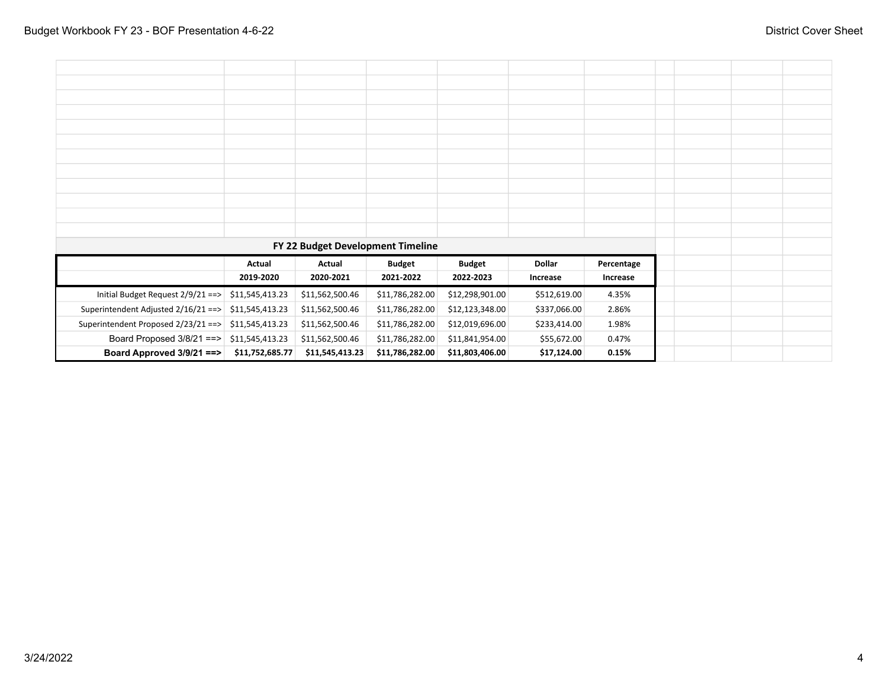|                                     |                 | FY 22 Budget Development Timeline |                 |                 |               |            |  |  |
|-------------------------------------|-----------------|-----------------------------------|-----------------|-----------------|---------------|------------|--|--|
|                                     | Actual          | Actual                            | <b>Budget</b>   | <b>Budget</b>   | <b>Dollar</b> | Percentage |  |  |
|                                     | 2019-2020       | 2020-2021                         | 2021-2022       | 2022-2023       | Increase      | Increase   |  |  |
| Initial Budget Request 2/9/21 ==>   | \$11,545,413.23 | \$11,562,500.46                   | \$11,786,282.00 | \$12,298,901.00 | \$512,619.00  | 4.35%      |  |  |
| Superintendent Adjusted 2/16/21 ==> | \$11,545,413.23 | \$11,562,500.46                   | \$11,786,282.00 | \$12,123,348.00 | \$337,066.00  | 2.86%      |  |  |
| Superintendent Proposed 2/23/21 ==> | \$11,545,413.23 | \$11,562,500.46                   | \$11,786,282.00 | \$12,019,696.00 | \$233,414.00  | 1.98%      |  |  |
| Board Proposed 3/8/21 ==>           | \$11,545,413.23 | \$11,562,500.46                   | \$11,786,282.00 | \$11,841,954.00 | \$55,672.00   | 0.47%      |  |  |
| Board Approved 3/9/21 ==>           | \$11,752,685.77 | \$11,545,413.23                   | \$11,786,282.00 | \$11,803,406.00 | \$17,124.00   | 0.15%      |  |  |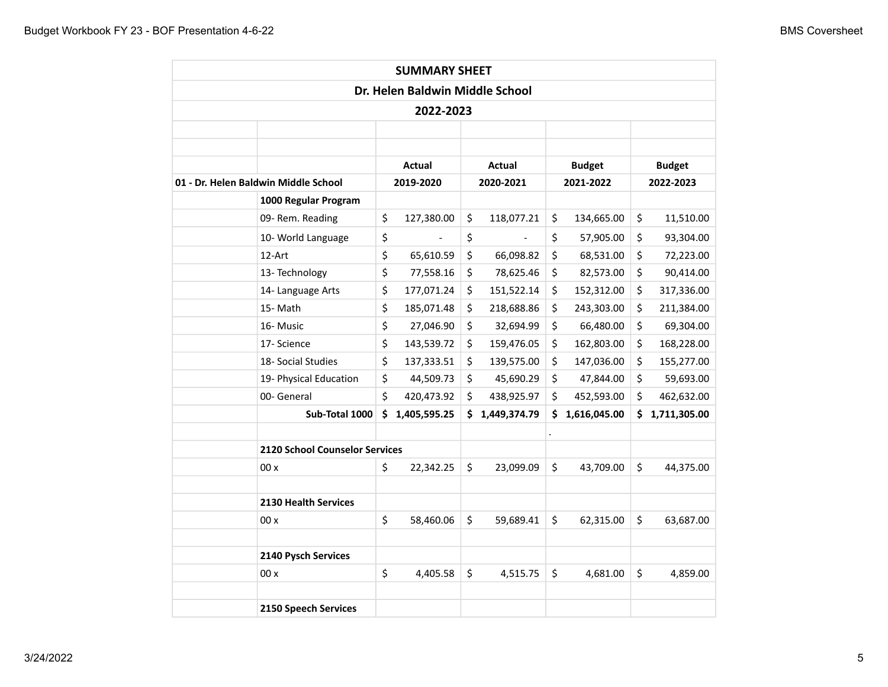|                                      |                                |    | <b>SUMMARY SHEET</b>            |    |              |    |               |     |               |
|--------------------------------------|--------------------------------|----|---------------------------------|----|--------------|----|---------------|-----|---------------|
|                                      |                                |    | Dr. Helen Baldwin Middle School |    |              |    |               |     |               |
|                                      |                                |    | 2022-2023                       |    |              |    |               |     |               |
|                                      |                                |    |                                 |    |              |    |               |     |               |
|                                      |                                |    |                                 |    |              |    |               |     |               |
|                                      |                                |    | Actual                          |    | Actual       |    | <b>Budget</b> |     | <b>Budget</b> |
| 01 - Dr. Helen Baldwin Middle School |                                |    | 2019-2020                       |    | 2020-2021    |    | 2021-2022     |     | 2022-2023     |
|                                      | 1000 Regular Program           |    |                                 |    |              |    |               |     |               |
|                                      | 09- Rem. Reading               | \$ | 127,380.00                      | \$ | 118,077.21   | \$ | 134,665.00    | \$  | 11,510.00     |
|                                      | 10- World Language             | \$ |                                 | \$ |              | \$ | 57,905.00     | \$  | 93,304.00     |
| 12-Art                               |                                | \$ | 65,610.59                       | \$ | 66,098.82    | \$ | 68,531.00     | \$  | 72,223.00     |
|                                      | 13- Technology                 | \$ | 77,558.16                       | \$ | 78,625.46    | \$ | 82,573.00     | \$  | 90,414.00     |
|                                      | 14- Language Arts              | \$ | 177,071.24                      | \$ | 151,522.14   | \$ | 152,312.00    | \$  | 317,336.00    |
| 15-Math                              |                                | \$ | 185,071.48                      | \$ | 218,688.86   | \$ | 243,303.00    | \$  | 211,384.00    |
| 16- Music                            |                                | \$ | 27,046.90                       | \$ | 32,694.99    | \$ | 66,480.00     | \$  | 69,304.00     |
| 17- Science                          |                                | \$ | 143,539.72                      | \$ | 159,476.05   | \$ | 162,803.00    | \$  | 168,228.00    |
|                                      | 18- Social Studies             | \$ | 137,333.51                      | \$ | 139,575.00   | \$ | 147,036.00    | \$  | 155,277.00    |
|                                      | 19- Physical Education         | \$ | 44,509.73                       | \$ | 45,690.29    | \$ | 47,844.00     | \$  | 59,693.00     |
| 00- General                          |                                | \$ | 420,473.92                      | \$ | 438,925.97   | \$ | 452,593.00    | \$  | 462,632.00    |
|                                      | Sub-Total 1000                 | Ś. | 1,405,595.25                    | Ś. | 1,449,374.79 | Ś  | 1,616,045.00  | \$. | 1,711,305.00  |
|                                      |                                |    |                                 |    |              |    |               |     |               |
|                                      | 2120 School Counselor Services |    |                                 |    |              |    |               |     |               |
| 00x                                  |                                | \$ | 22,342.25                       | \$ | 23,099.09    | \$ | 43,709.00     | \$  | 44,375.00     |
|                                      |                                |    |                                 |    |              |    |               |     |               |
|                                      | <b>2130 Health Services</b>    |    |                                 |    |              |    |               |     |               |
| 00x                                  |                                | \$ | 58,460.06                       | \$ | 59,689.41    | \$ | 62,315.00     | \$  | 63,687.00     |
|                                      |                                |    |                                 |    |              |    |               |     |               |
|                                      | 2140 Pysch Services            |    |                                 |    |              |    |               |     |               |
| 00x                                  |                                | \$ | 4,405.58                        | \$ | 4,515.75     | \$ | 4,681.00      | \$  | 4,859.00      |
|                                      |                                |    |                                 |    |              |    |               |     |               |
|                                      | <b>2150 Speech Services</b>    |    |                                 |    |              |    |               |     |               |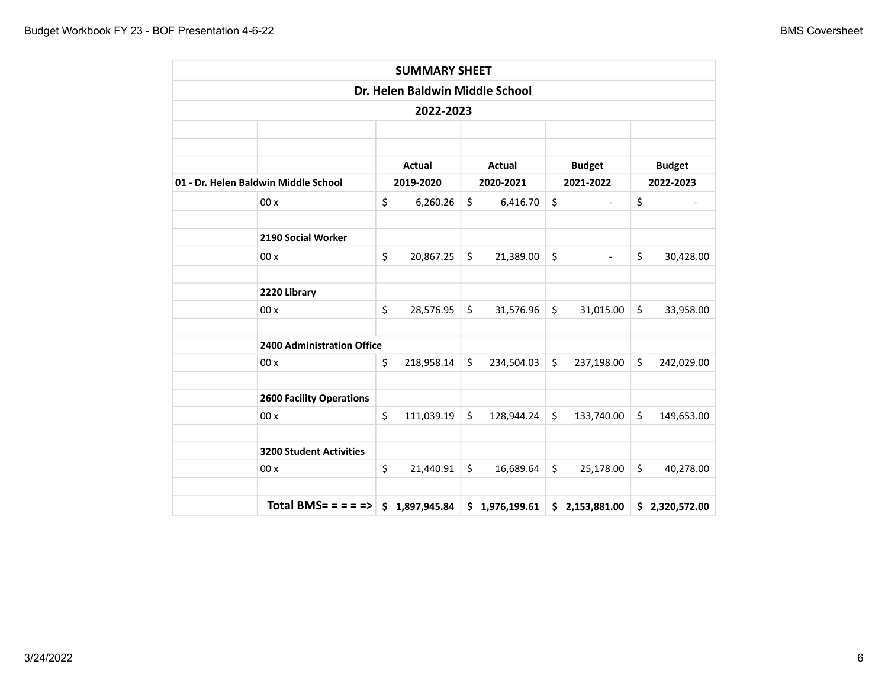|                                                                             |         | <b>SUMMARY SHEET</b>            |         |            |         |                          |                  |
|-----------------------------------------------------------------------------|---------|---------------------------------|---------|------------|---------|--------------------------|------------------|
|                                                                             |         | Dr. Helen Baldwin Middle School |         |            |         |                          |                  |
|                                                                             |         | 2022-2023                       |         |            |         |                          |                  |
|                                                                             |         |                                 |         |            |         |                          |                  |
|                                                                             |         |                                 |         |            |         |                          |                  |
|                                                                             |         | <b>Actual</b>                   |         | Actual     |         | <b>Budget</b>            | <b>Budget</b>    |
| 01 - Dr. Helen Baldwin Middle School                                        |         | 2019-2020                       |         | 2020-2021  |         | 2021-2022                | 2022-2023        |
| 00x                                                                         | \$      | 6,260.26                        | \$      | 6,416.70   | \$      | $\overline{\phantom{a}}$ | \$               |
| 2190 Social Worker                                                          |         |                                 |         |            |         |                          |                  |
| 00x                                                                         | \$      | 20,867.25                       | $\zeta$ | 21,389.00  | \$      | $\overline{\phantom{a}}$ | \$<br>30,428.00  |
|                                                                             |         |                                 |         |            |         |                          |                  |
| 2220 Library                                                                |         |                                 |         |            |         |                          |                  |
| 00x                                                                         | \$      | 28,576.95                       | \$      | 31,576.96  | \$      | 31,015.00                | \$<br>33,958.00  |
| 2400 Administration Office                                                  |         |                                 |         |            |         |                          |                  |
| 00x                                                                         | \$      | 218,958.14                      | \$      | 234,504.03 | \$      | 237,198.00               | \$<br>242,029.00 |
| <b>2600 Facility Operations</b>                                             |         |                                 |         |            |         |                          |                  |
| 00x                                                                         | $\zeta$ | 111,039.19                      | \$      | 128,944.24 | $\zeta$ | 133,740.00               | \$<br>149,653.00 |
|                                                                             |         |                                 |         |            |         |                          |                  |
| <b>3200 Student Activities</b>                                              |         |                                 |         |            |         |                          |                  |
| 00x                                                                         | \$      | 21,440.91                       | \$      | 16,689.64  | $\zeta$ | 25,178.00                | \$<br>40,278.00  |
|                                                                             |         |                                 |         |            |         |                          |                  |
| Total BMS= = = = => $\vert$ \$ 1,897,945.84 $\vert$ \$ 1,976,199.61 $\vert$ |         |                                 |         |            |         | \$2,153,881.00           | \$2,320,572.00   |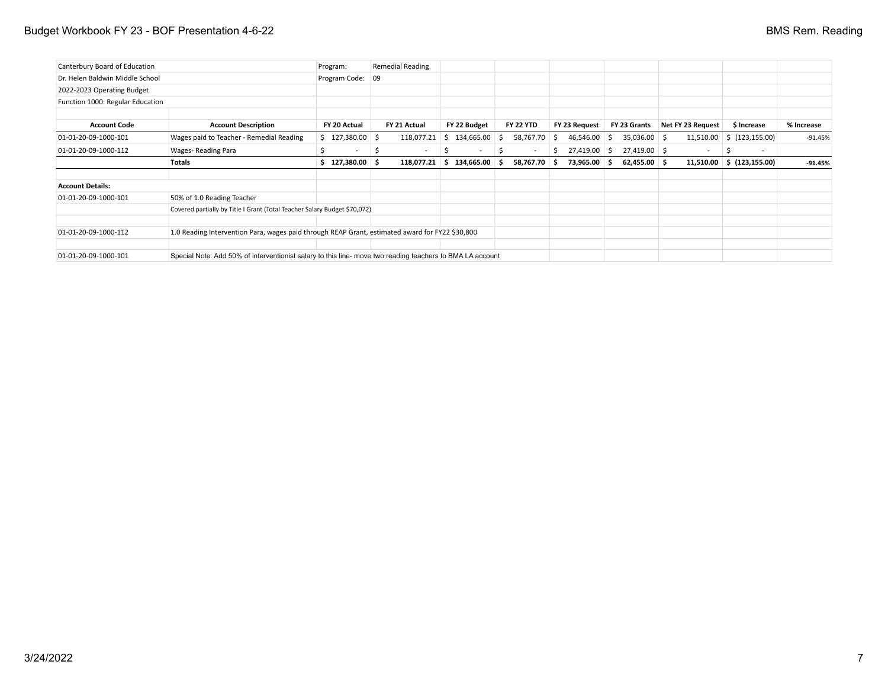# Budget Workbook FY 23 - BOF Presentation 4-6-22 **BMS Rem.** Reading

| Canterbury Board of Education                                                                                                     |                                                                                                 | Program:                 | <b>Remedial Reading</b> |                     |                  |                    |                |                   |                  |            |
|-----------------------------------------------------------------------------------------------------------------------------------|-------------------------------------------------------------------------------------------------|--------------------------|-------------------------|---------------------|------------------|--------------------|----------------|-------------------|------------------|------------|
| Dr. Helen Baldwin Middle School                                                                                                   |                                                                                                 | Program Code: 09         |                         |                     |                  |                    |                |                   |                  |            |
| 2022-2023 Operating Budget                                                                                                        |                                                                                                 |                          |                         |                     |                  |                    |                |                   |                  |            |
| Function 1000: Regular Education                                                                                                  |                                                                                                 |                          |                         |                     |                  |                    |                |                   |                  |            |
|                                                                                                                                   |                                                                                                 |                          |                         |                     |                  |                    |                |                   |                  |            |
| <b>Account Code</b>                                                                                                               | <b>Account Description</b>                                                                      | FY 20 Actual             | FY 21 Actual            | FY 22 Budget        | <b>FY 22 YTD</b> | FY 23 Request      | FY 23 Grants   | Net FY 23 Request | \$ Increase      | % Increase |
| 01-01-20-09-1000-101                                                                                                              | Wages paid to Teacher - Remedial Reading                                                        | $$127,380.00$ $$$        | 118,077.21              | 134,665.00 \$<br>S. | 58,767.70        | 46,546.00 \$<br>-S | $35,036.00$ \$ | 11,510.00         | \$(123, 155.00)  | $-91.45%$  |
| 01-01-20-09-1000-112                                                                                                              | Wages-Reading Para                                                                              | $\overline{\phantom{a}}$ | $\sim$                  | $\sim$              | -S<br>$\sim$     | 27,419.00 \$<br>S. | 27,419.00 \$   | $\sim$            | $\sim$           |            |
|                                                                                                                                   | <b>Totals</b>                                                                                   | \$127,380.00\$           | 118,077.21              | 134,665.00 \$<br>s. | 58,767.70 \$     | 73,965.00 \$       | $62,455.00$ \$ | 11,510.00         | \$ (123, 155.00) | $-91.45%$  |
| <b>Account Details:</b>                                                                                                           |                                                                                                 |                          |                         |                     |                  |                    |                |                   |                  |            |
| 01-01-20-09-1000-101                                                                                                              | 50% of 1.0 Reading Teacher                                                                      |                          |                         |                     |                  |                    |                |                   |                  |            |
|                                                                                                                                   | Covered partially by Title I Grant (Total Teacher Salary Budget \$70,072)                       |                          |                         |                     |                  |                    |                |                   |                  |            |
| 01-01-20-09-1000-112                                                                                                              | 1.0 Reading Intervention Para, wages paid through REAP Grant, estimated award for FY22 \$30,800 |                          |                         |                     |                  |                    |                |                   |                  |            |
| 01-01-20-09-1000-101<br>Special Note: Add 50% of interventionist salary to this line- move two reading teachers to BMA LA account |                                                                                                 |                          |                         |                     |                  |                    |                |                   |                  |            |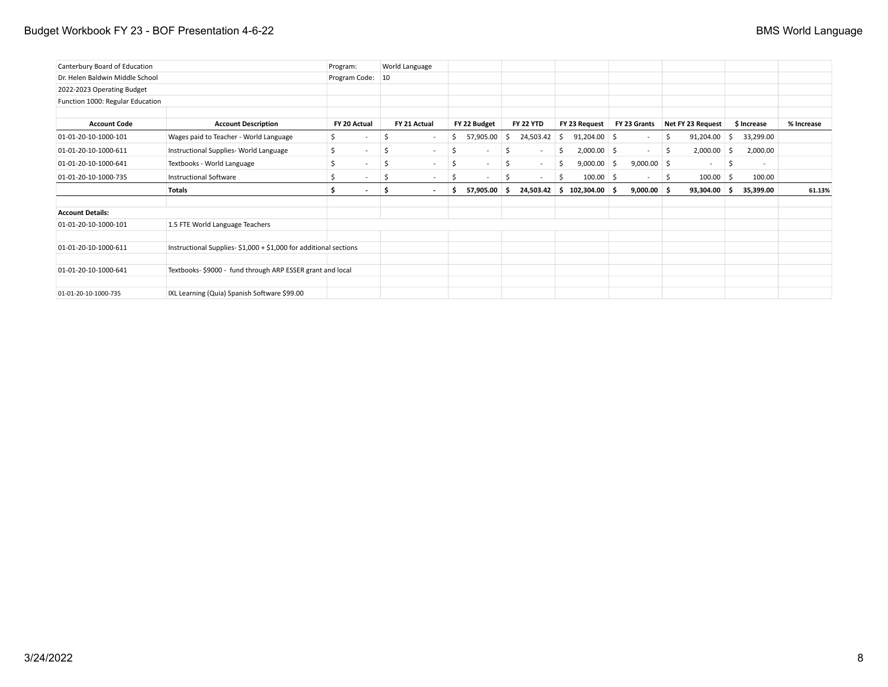## Budget Workbook FY 23 - BOF Presentation 4-6-22 **BMS World Language** BMS World Language

| Canterbury Board of Education    |                                                                   | Program:                       | World Language                  |                    |                    |                              |                          |                     |                 |            |
|----------------------------------|-------------------------------------------------------------------|--------------------------------|---------------------------------|--------------------|--------------------|------------------------------|--------------------------|---------------------|-----------------|------------|
| Dr. Helen Baldwin Middle School  |                                                                   | Program Code:                  | 10                              |                    |                    |                              |                          |                     |                 |            |
| 2022-2023 Operating Budget       |                                                                   |                                |                                 |                    |                    |                              |                          |                     |                 |            |
| Function 1000: Regular Education |                                                                   |                                |                                 |                    |                    |                              |                          |                     |                 |            |
|                                  |                                                                   |                                |                                 |                    |                    |                              |                          |                     |                 |            |
| <b>Account Code</b>              | <b>Account Description</b>                                        | FY 20 Actual                   | FY 21 Actual                    | FY 22 Budget       | <b>FY 22 YTD</b>   | FY 23 Request                | FY 23 Grants             | Net FY 23 Request   | \$ Increase     | % Increase |
| 01-01-20-10-1000-101             | Wages paid to Teacher - World Language                            | S.<br>$\overline{\phantom{a}}$ | \$<br>$\sim$                    | 57,905.00<br>\$    | 24,503.42 \$<br>S. | $91,204.00$ \$               | $\overline{\phantom{a}}$ | 91,204.00<br>\$     | 33,299.00<br>-Ş |            |
| 01-01-20-10-1000-611             | Instructional Supplies- World Language                            | \$<br>$\sim$                   | \$<br>$\sim$                    | -\$<br>$\sim$      | \$<br>$\sim$       | $2,000.00$ \$<br>Ś           | $\sim$                   | $2,000.00$ \$<br>\$ | 2,000.00        |            |
| 01-01-20-10-1000-641             | Textbooks - World Language                                        | <sup>\$</sup><br>$\sim$        | \$<br>$\sim$                    | -\$<br>$\sim$      | \$<br>$\sim$       | $9,000.00$ \$<br>\$          | $9,000.00$ \$            | $\sim$              | -\$<br>$\sim$   |            |
| 01-01-20-10-1000-735             | <b>Instructional Software</b>                                     |                                | $\overline{\phantom{a}}$        | S<br>$\sim$        | $\sim$             | $100.00$ \$<br>Ś             | $\sim$                   | $100.00$ \$<br>-S   | 100.00          |            |
|                                  | Totals                                                            | \$.<br>$\sim$                  | \$.<br>$\overline{\phantom{a}}$ | 57,905.00 \$<br>Ŝ. |                    | $24,503.42$ \$ 102,304.00 \$ | $9,000.00$ \$            | 93,304.00 \$        | 35,399.00       | 61.13%     |
| <b>Account Details:</b>          |                                                                   |                                |                                 |                    |                    |                              |                          |                     |                 |            |
| 01-01-20-10-1000-101             | 1.5 FTE World Language Teachers                                   |                                |                                 |                    |                    |                              |                          |                     |                 |            |
| 01-01-20-10-1000-611             | Instructional Supplies- $$1,000 + $1,000$ for additional sections |                                |                                 |                    |                    |                              |                          |                     |                 |            |
| 01-01-20-10-1000-641             | Textbooks-\$9000 - fund through ARP ESSER grant and local         |                                |                                 |                    |                    |                              |                          |                     |                 |            |
| 01-01-20-10-1000-735             | IXL Learning (Quia) Spanish Software \$99.00                      |                                |                                 |                    |                    |                              |                          |                     |                 |            |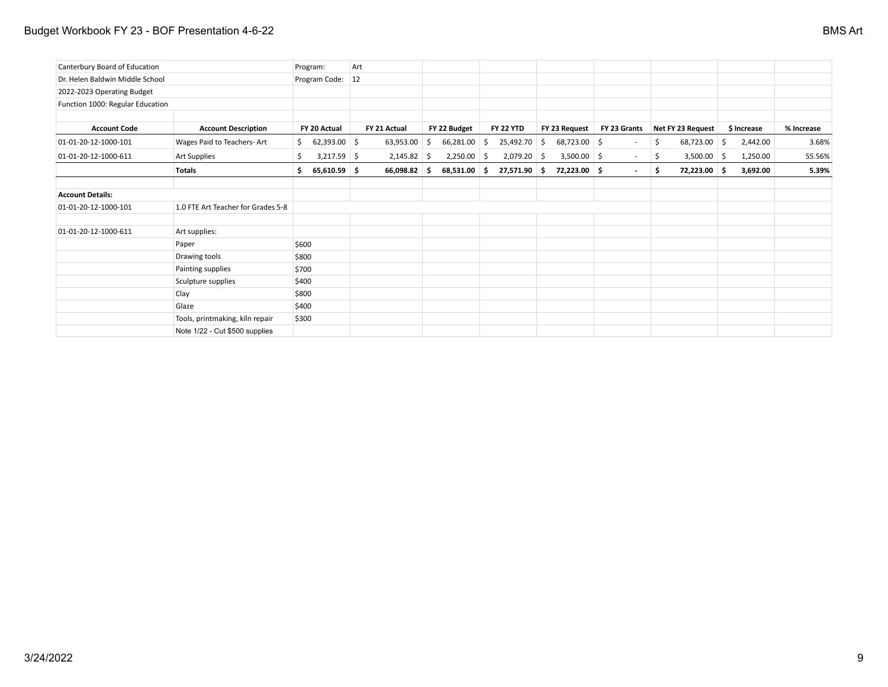## Budget Workbook FY 23 - BOF Presentation 4-6-22 BMS Art

| Canterbury Board of Education    |                                    | Program:              | Art |               |      |               |     |                  |    |                |                          |    |                   |                |            |
|----------------------------------|------------------------------------|-----------------------|-----|---------------|------|---------------|-----|------------------|----|----------------|--------------------------|----|-------------------|----------------|------------|
| Dr. Helen Baldwin Middle School  |                                    | Program Code: 12      |     |               |      |               |     |                  |    |                |                          |    |                   |                |            |
| 2022-2023 Operating Budget       |                                    |                       |     |               |      |               |     |                  |    |                |                          |    |                   |                |            |
| Function 1000: Regular Education |                                    |                       |     |               |      |               |     |                  |    |                |                          |    |                   |                |            |
| <b>Account Code</b>              | <b>Account Description</b>         | FY 20 Actual          |     | FY 21 Actual  |      | FY 22 Budget  |     | <b>FY 22 YTD</b> |    | FY 23 Request  | FY 23 Grants             |    | Net FY 23 Request | \$ Increase    | % Increase |
| 01-01-20-12-1000-101             | Wages Paid to Teachers-Art         | $62,393.00$ \$<br>\$  |     | 63,953.00     | - \$ | 66,281.00     | \$  | 25,492.70        | S. | $68,723.00$ \$ | $\overline{\phantom{a}}$ | -S | 68,723.00         | \$<br>2,442.00 | 3.68%      |
| 01-01-20-12-1000-611             | Art Supplies                       | $3,217.59$ \$<br>\$   |     | $2,145.82$ \$ |      | $2,250.00$ \$ |     | $2,079.20$ \$    |    | $3,500.00$ \$  | $\sim$                   | S  | $3,500.00$ \$     | 1,250.00       | 55.56%     |
|                                  | Totals                             | $65,610.59$ \$<br>\$. |     | 66,098.82 \$  |      | 68,531.00     | - Ś | $27,571.90$ \$   |    | 72,223.00 \$   | $\overline{\phantom{a}}$ | -S | 72,223.00 \$      | 3,692.00       | 5.39%      |
| <b>Account Details:</b>          |                                    |                       |     |               |      |               |     |                  |    |                |                          |    |                   |                |            |
| 01-01-20-12-1000-101             | 1.0 FTE Art Teacher for Grades 5-8 |                       |     |               |      |               |     |                  |    |                |                          |    |                   |                |            |
| 01-01-20-12-1000-611             | Art supplies:                      |                       |     |               |      |               |     |                  |    |                |                          |    |                   |                |            |
|                                  | Paper                              | \$600                 |     |               |      |               |     |                  |    |                |                          |    |                   |                |            |
|                                  | Drawing tools                      | \$800                 |     |               |      |               |     |                  |    |                |                          |    |                   |                |            |
|                                  | Painting supplies                  | \$700                 |     |               |      |               |     |                  |    |                |                          |    |                   |                |            |
|                                  | Sculpture supplies                 | \$400                 |     |               |      |               |     |                  |    |                |                          |    |                   |                |            |
|                                  | Clay                               | \$800                 |     |               |      |               |     |                  |    |                |                          |    |                   |                |            |
|                                  | Glaze                              | \$400                 |     |               |      |               |     |                  |    |                |                          |    |                   |                |            |
|                                  | Tools, printmaking, kiln repair    | \$300                 |     |               |      |               |     |                  |    |                |                          |    |                   |                |            |
|                                  | Note 1/22 - Cut \$500 supplies     |                       |     |               |      |               |     |                  |    |                |                          |    |                   |                |            |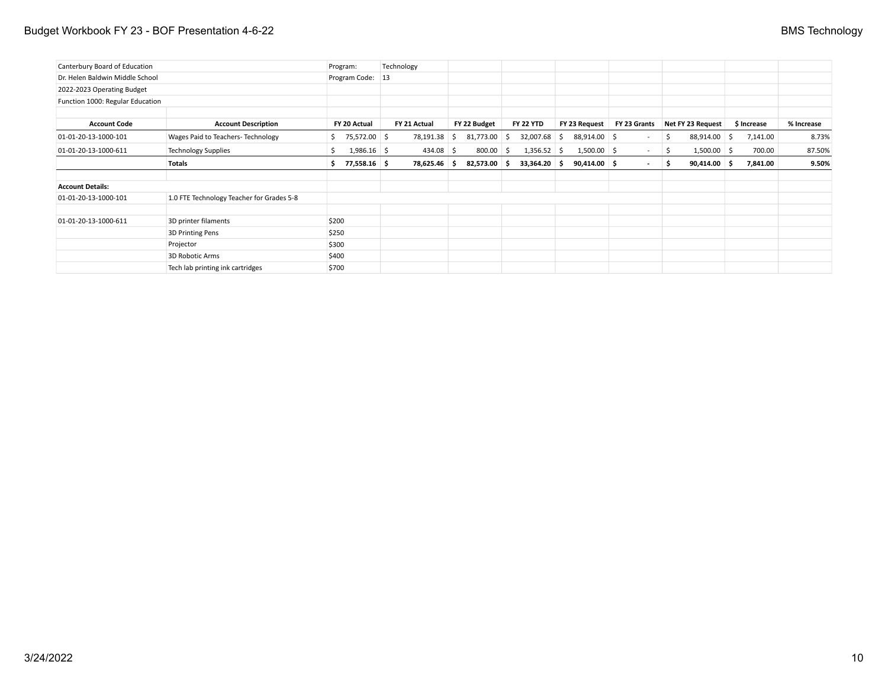## Budget Workbook FY 23 - BOF Presentation 4-6-22 **BMS** Technology

| Canterbury Board of Education    |                                           | Program:         |               | Technology   |    |              |              |                  |                |                 |    |                   |             |            |
|----------------------------------|-------------------------------------------|------------------|---------------|--------------|----|--------------|--------------|------------------|----------------|-----------------|----|-------------------|-------------|------------|
| Dr. Helen Baldwin Middle School  |                                           | Program Code: 13 |               |              |    |              |              |                  |                |                 |    |                   |             |            |
| 2022-2023 Operating Budget       |                                           |                  |               |              |    |              |              |                  |                |                 |    |                   |             |            |
| Function 1000: Regular Education |                                           |                  |               |              |    |              |              |                  |                |                 |    |                   |             |            |
| <b>Account Code</b>              | <b>Account Description</b>                | FY 20 Actual     |               | FY 21 Actual |    | FY 22 Budget |              | <b>FY 22 YTD</b> | FY 23 Request  | FY 23 Grants    |    | Net FY 23 Request | \$ Increase | % Increase |
| 01-01-20-13-1000-101             | Wages Paid to Teachers- Technology        | S.               | 75,572.00 \$  | 78,191.38    | -S | 81,773.00    | S.           | $32,007.68$ \$   | 88,914.00 \$   | $\sim$          | S. | 88,914.00 \$      | 7,141.00    | 8.73%      |
| 01-01-20-13-1000-611             | <b>Technology Supplies</b>                |                  | $1,986.16$ \$ | $434.08$ \$  |    | 800.00       | <sub>S</sub> | $1,356.52$ \$    | $1,500.00$ \$  | $\sim$ 10 $\pm$ | -S | $1,500.00$ \$     | 700.00      | 87.50%     |
|                                  | Totals                                    |                  | 77,558.16 \$  | 78,625.46 \$ |    | 82,573.00 \$ |              | $33,364.20$ \$   | $90,414.00$ \$ | $\sim$          | s. | $90,414.00$ \$    | 7,841.00    | 9.50%      |
| <b>Account Details:</b>          |                                           |                  |               |              |    |              |              |                  |                |                 |    |                   |             |            |
| 01-01-20-13-1000-101             | 1.0 FTE Technology Teacher for Grades 5-8 |                  |               |              |    |              |              |                  |                |                 |    |                   |             |            |
| 01-01-20-13-1000-611             | 3D printer filaments                      | \$200            |               |              |    |              |              |                  |                |                 |    |                   |             |            |
|                                  | 3D Printing Pens                          | \$250            |               |              |    |              |              |                  |                |                 |    |                   |             |            |
|                                  | Projector                                 | \$300            |               |              |    |              |              |                  |                |                 |    |                   |             |            |
|                                  | 3D Robotic Arms                           | \$400            |               |              |    |              |              |                  |                |                 |    |                   |             |            |
|                                  | Tech lab printing ink cartridges          | \$700            |               |              |    |              |              |                  |                |                 |    |                   |             |            |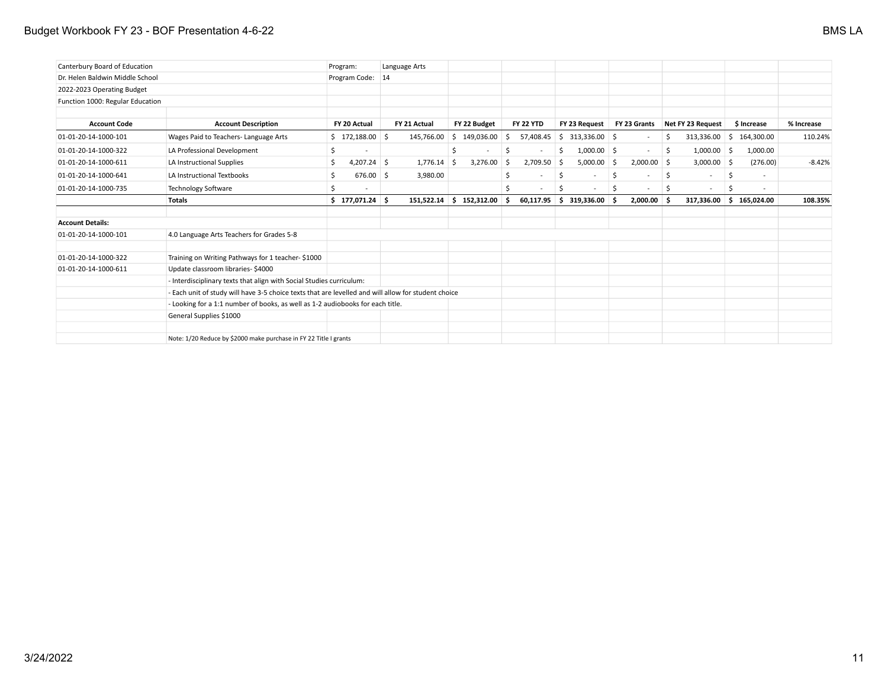## Budget Workbook FY 23 - BOF Presentation 4-6-22 BMS LA

| Canterbury Board of Education    |                                                                                                     | Program:            | Language Arts |                 |                     |                                |               |                      |                                |            |
|----------------------------------|-----------------------------------------------------------------------------------------------------|---------------------|---------------|-----------------|---------------------|--------------------------------|---------------|----------------------|--------------------------------|------------|
| Dr. Helen Baldwin Middle School  |                                                                                                     | Program Code: 14    |               |                 |                     |                                |               |                      |                                |            |
| 2022-2023 Operating Budget       |                                                                                                     |                     |               |                 |                     |                                |               |                      |                                |            |
| Function 1000: Regular Education |                                                                                                     |                     |               |                 |                     |                                |               |                      |                                |            |
|                                  |                                                                                                     |                     |               |                 |                     |                                |               |                      |                                |            |
| <b>Account Code</b>              | <b>Account Description</b>                                                                          | FY 20 Actual        | FY 21 Actual  | FY 22 Budget    | <b>FY 22 YTD</b>    | FY 23 Request                  | FY 23 Grants  | Net FY 23 Request    | \$ Increase                    | % Increase |
| 01-01-20-14-1000-101             | Wages Paid to Teachers-Language Arts                                                                | $$172,188.00$ \$    | 145,766.00    | \$149,036.00    | 57,408.45<br>Ŝ.     | $$313,336.00$ \$               |               | \$                   | 313,336.00 \$ 164,300.00       | 110.24%    |
| 01-01-20-14-1000-322             | LA Professional Development                                                                         | Ŝ.                  |               | \$              |                     | $1,000.00$ \$<br>Ŝ             | $\sim$        | $1,000.00$ \$<br>-\$ | 1,000.00                       |            |
| 01-01-20-14-1000-611             | LA Instructional Supplies                                                                           | \$<br>$4,207.24$ \$ | 1,776.14      | 3,276.00<br>- Ś | $2,709.50$ \$<br>-Ś | $5,000.00$ \$                  | $2,000.00$ \$ | $3,000.00$ \$        | (276.00)                       | $-8.42%$   |
| 01-01-20-14-1000-641             | <b>LA Instructional Textbooks</b>                                                                   | Ś<br>676.00 \$      | 3,980.00      |                 | Š.                  | \$<br>$\overline{\phantom{a}}$ | Ś.            | .s<br>$\sim$         | Ŝ<br>$\overline{\phantom{a}}$  |            |
| 01-01-20-14-1000-735             | <b>Technology Software</b>                                                                          | Ŝ.                  |               |                 |                     | Ŝ                              |               | -S<br>$\sim$         | .S<br>$\overline{\phantom{a}}$ |            |
|                                  | <b>Totals</b>                                                                                       | $$177,071.24$ \$    | 151,522.14    | \$152,312.00    | Ŝ.<br>60,117.95     | $\frac{1}{2}$ \$ 319,336.00 \$ | $2,000.00$ \$ | 317,336.00           | \$165,024.00                   | 108.35%    |
| <b>Account Details:</b>          |                                                                                                     |                     |               |                 |                     |                                |               |                      |                                |            |
| 01-01-20-14-1000-101             | 4.0 Language Arts Teachers for Grades 5-8                                                           |                     |               |                 |                     |                                |               |                      |                                |            |
| 01-01-20-14-1000-322             | Training on Writing Pathways for 1 teacher-\$1000                                                   |                     |               |                 |                     |                                |               |                      |                                |            |
| 01-01-20-14-1000-611             | Update classroom libraries-\$4000                                                                   |                     |               |                 |                     |                                |               |                      |                                |            |
|                                  | - Interdisciplinary texts that align with Social Studies curriculum:                                |                     |               |                 |                     |                                |               |                      |                                |            |
|                                  | - Each unit of study will have 3-5 choice texts that are levelled and will allow for student choice |                     |               |                 |                     |                                |               |                      |                                |            |
|                                  | - Looking for a 1:1 number of books, as well as 1-2 audiobooks for each title.                      |                     |               |                 |                     |                                |               |                      |                                |            |
|                                  | General Supplies \$1000                                                                             |                     |               |                 |                     |                                |               |                      |                                |            |
|                                  |                                                                                                     |                     |               |                 |                     |                                |               |                      |                                |            |
|                                  | Note: 1/20 Reduce by \$2000 make purchase in FY 22 Title I grants                                   |                     |               |                 |                     |                                |               |                      |                                |            |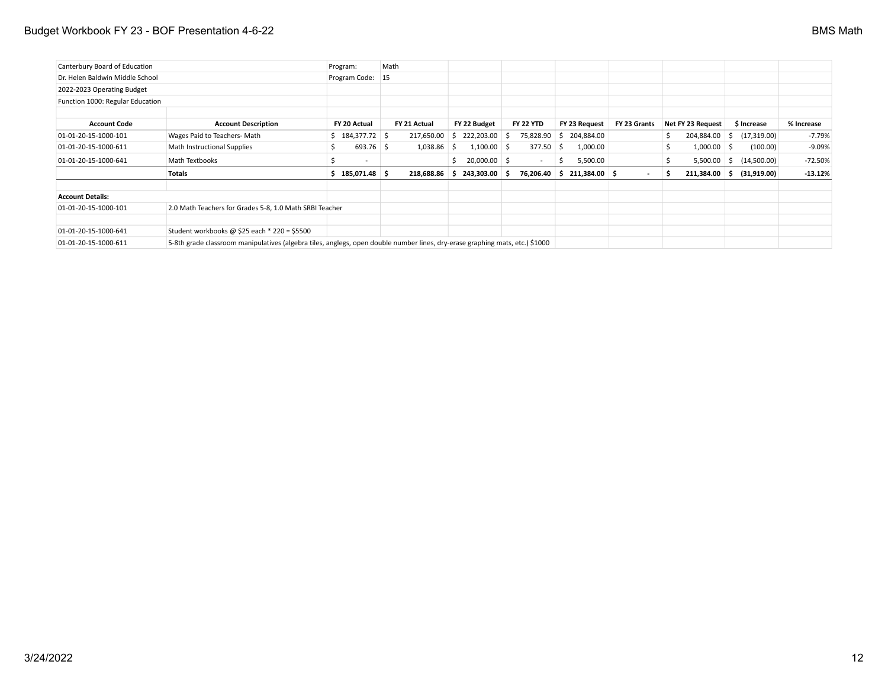## Budget Workbook FY 23 - BOF Presentation 4-6-22 **BMS Math**

| Canterbury Board of Education    |                                                         |                                                                                                                              | Math          |                     |                          |                         |              |                       |                             |            |
|----------------------------------|---------------------------------------------------------|------------------------------------------------------------------------------------------------------------------------------|---------------|---------------------|--------------------------|-------------------------|--------------|-----------------------|-----------------------------|------------|
| Dr. Helen Baldwin Middle School  |                                                         | Program Code: 15                                                                                                             |               |                     |                          |                         |              |                       |                             |            |
| 2022-2023 Operating Budget       |                                                         |                                                                                                                              |               |                     |                          |                         |              |                       |                             |            |
| Function 1000: Regular Education |                                                         |                                                                                                                              |               |                     |                          |                         |              |                       |                             |            |
|                                  |                                                         |                                                                                                                              |               |                     |                          |                         |              |                       |                             |            |
| <b>Account Code</b>              | <b>Account Description</b>                              | FY 20 Actual                                                                                                                 | FY 21 Actual  | FY 22 Budget        | <b>FY 22 YTD</b>         | FY 23 Request           | FY 23 Grants | Net FY 23 Request     | \$ Increase                 | % Increase |
| 01-01-20-15-1000-101             | Wages Paid to Teachers-Math                             | $$184,377.72$ \$                                                                                                             | 217,650.00    | 222,203.00 \$<br>S. |                          | 75,828.90 \$ 204,884.00 |              | 204,884.00<br>S.      | (17, 319.00)<br>S.          | -7.79%     |
| 01-01-20-15-1000-611             | Math Instructional Supplies                             | $693.76$ \$<br>S                                                                                                             | $1,038.86$ \$ | $1,100.00$ \$       | 377.50                   | 1,000.00<br>-S          |              | $1,000.00$ \$         | (100.00)                    | $-9.09%$   |
| 01-01-20-15-1000-641             | Math Textbooks                                          | S<br>$\overline{\phantom{a}}$                                                                                                |               | $20,000.00$ \$      | $\overline{\phantom{0}}$ | 5,500.00<br>5           |              |                       | $5,500.00$ \$ $(14,500.00)$ | $-72.50%$  |
|                                  | Totals                                                  | $$185,071.48$ \$                                                                                                             | 218,688.86    | 243,303.00 \$<br>-S | 76,206.40                | 211,384.00 \$<br>S      |              | $211,384.00$ \$<br>-5 | (31,919.00)                 | $-13.12%$  |
| <b>Account Details:</b>          |                                                         |                                                                                                                              |               |                     |                          |                         |              |                       |                             |            |
| 01-01-20-15-1000-101             | 2.0 Math Teachers for Grades 5-8, 1.0 Math SRBI Teacher |                                                                                                                              |               |                     |                          |                         |              |                       |                             |            |
| 01-01-20-15-1000-641             | Student workbooks @ \$25 each $*$ 220 = \$5500          |                                                                                                                              |               |                     |                          |                         |              |                       |                             |            |
| 01-01-20-15-1000-611             |                                                         | 5-8th grade classroom manipulatives (algebra tiles, anglegs, open double number lines, dry-erase graphing mats, etc.) \$1000 |               |                     |                          |                         |              |                       |                             |            |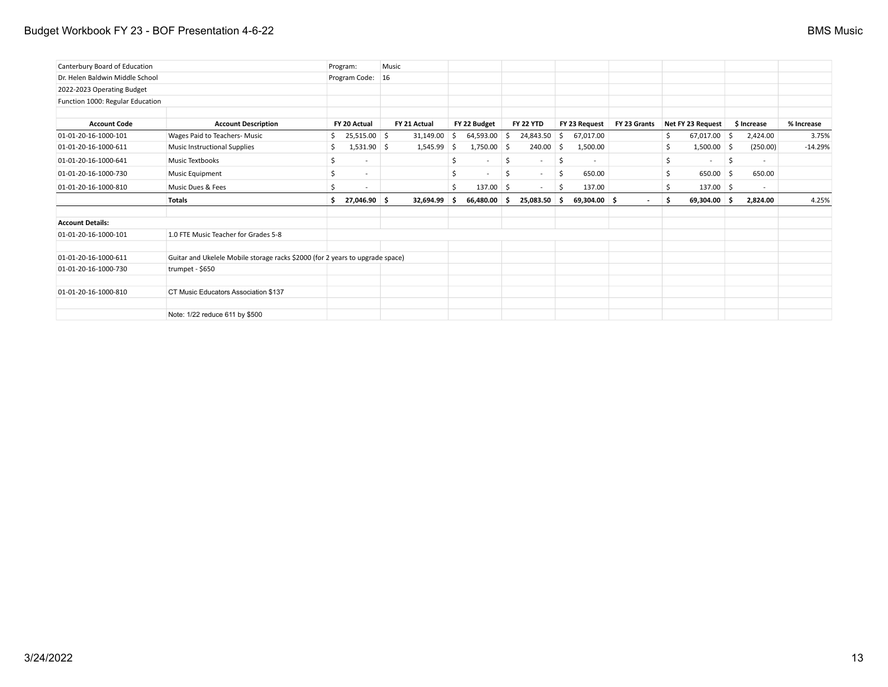## Budget Workbook FY 23 - BOF Presentation 4-6-22 **BMS** Music

| Canterbury Board of Education    |                                                                               |    | Program:                 | Music |              |     |                          |    |                  |    |                          |                |    |                          |     |                          |            |
|----------------------------------|-------------------------------------------------------------------------------|----|--------------------------|-------|--------------|-----|--------------------------|----|------------------|----|--------------------------|----------------|----|--------------------------|-----|--------------------------|------------|
| Dr. Helen Baldwin Middle School  |                                                                               |    | Program Code:            | 16    |              |     |                          |    |                  |    |                          |                |    |                          |     |                          |            |
| 2022-2023 Operating Budget       |                                                                               |    |                          |       |              |     |                          |    |                  |    |                          |                |    |                          |     |                          |            |
| Function 1000: Regular Education |                                                                               |    |                          |       |              |     |                          |    |                  |    |                          |                |    |                          |     |                          |            |
| <b>Account Code</b>              | <b>Account Description</b>                                                    |    | FY 20 Actual             |       | FY 21 Actual |     | FY 22 Budget             |    | <b>FY 22 YTD</b> |    | FY 23 Request            | FY 23 Grants   |    | Net FY 23 Request        |     | \$ Increase              | % Increase |
| 01-01-20-16-1000-101             | Wages Paid to Teachers- Music                                                 | Ś. | 25,515.00 \$             |       | 31,149.00    | 5   | 64,593.00                | \$ | 24,843.50        | S. | 67,017.00                |                | \$ | $67,017.00$ \$           |     | 2,424.00                 | 3.75%      |
| 01-01-20-16-1000-611             | <b>Music Instructional Supplies</b>                                           | S  | $1,531.90$ \$            |       | 1,545.99     | ∣\$ | 1,750.00                 | Ŝ. | 240.00           | Ŝ. | 1,500.00                 |                | Ŝ. | $1,500.00$ \$            |     | (250.00)                 | $-14.29%$  |
| 01-01-20-16-1000-641             | Music Textbooks                                                               | Ŝ. |                          |       |              | \$  | $\sim$                   | S. | $\sim$           | S. | $\overline{\phantom{a}}$ |                | \$ | $\overline{\phantom{a}}$ | -\$ | $\overline{\phantom{a}}$ |            |
| 01-01-20-16-1000-730             | Music Equipment                                                               | Ŝ. | $\overline{\phantom{a}}$ |       |              | \$  | $\overline{\phantom{a}}$ | \$ | $\sim$           | \$ | 650.00                   |                | \$ | $650.00$ \$              |     | 650.00                   |            |
| 01-01-20-16-1000-810             | Music Dues & Fees                                                             |    |                          |       |              | Ś   | 137.00                   | -S | $\sim$           | S  | 137.00                   |                | Ś  | 137.00 \$                |     | $\sim$                   |            |
|                                  | <b>Totals</b>                                                                 | Ŝ. | 27,046.90 \$             |       | 32,694.99    | -S  | 66,480.00                | .s | $25,083.50$ \$   |    | $69,304.00$ \$           | $\blacksquare$ | \$ | $69,304.00$ \$           |     | 2,824.00                 | 4.25%      |
| <b>Account Details:</b>          |                                                                               |    |                          |       |              |     |                          |    |                  |    |                          |                |    |                          |     |                          |            |
| 01-01-20-16-1000-101             | 1.0 FTE Music Teacher for Grades 5-8                                          |    |                          |       |              |     |                          |    |                  |    |                          |                |    |                          |     |                          |            |
| 01-01-20-16-1000-611             | Guitar and Ukelele Mobile storage racks \$2000 (for 2 years to upgrade space) |    |                          |       |              |     |                          |    |                  |    |                          |                |    |                          |     |                          |            |
| 01-01-20-16-1000-730             | trumpet - \$650                                                               |    |                          |       |              |     |                          |    |                  |    |                          |                |    |                          |     |                          |            |
| 01-01-20-16-1000-810             | CT Music Educators Association \$137                                          |    |                          |       |              |     |                          |    |                  |    |                          |                |    |                          |     |                          |            |
|                                  | Note: 1/22 reduce 611 by \$500                                                |    |                          |       |              |     |                          |    |                  |    |                          |                |    |                          |     |                          |            |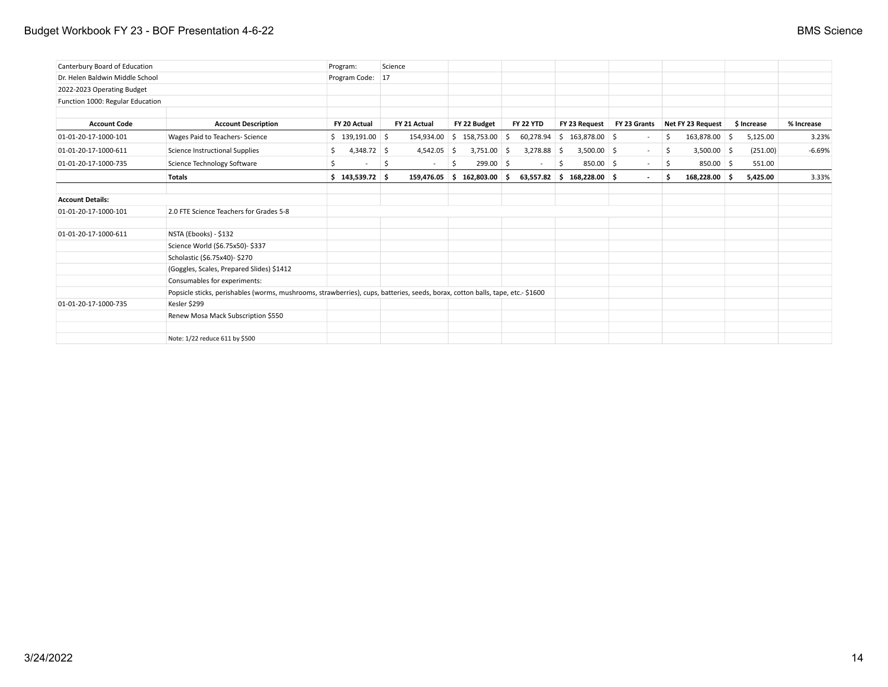## Budget Workbook FY 23 - BOF Presentation 4-6-22 **BMS** Science

| Canterbury Board of Education    |                                                                                                                                | Program:            | Science |               |     |                               |                      |    |                              |              |    |                   |             |            |
|----------------------------------|--------------------------------------------------------------------------------------------------------------------------------|---------------------|---------|---------------|-----|-------------------------------|----------------------|----|------------------------------|--------------|----|-------------------|-------------|------------|
| Dr. Helen Baldwin Middle School  |                                                                                                                                | Program Code: 17    |         |               |     |                               |                      |    |                              |              |    |                   |             |            |
| 2022-2023 Operating Budget       |                                                                                                                                |                     |         |               |     |                               |                      |    |                              |              |    |                   |             |            |
| Function 1000: Regular Education |                                                                                                                                |                     |         |               |     |                               |                      |    |                              |              |    |                   |             |            |
|                                  |                                                                                                                                |                     |         |               |     |                               |                      |    |                              |              |    |                   |             |            |
| <b>Account Code</b>              | <b>Account Description</b>                                                                                                     | FY 20 Actual        |         | FY 21 Actual  |     | FY 22 Budget                  | <b>FY 22 YTD</b>     |    | FY 23 Request                | FY 23 Grants |    | Net FY 23 Request | \$ Increase | % Increase |
| 01-01-20-17-1000-101             | Wages Paid to Teachers- Science                                                                                                | $$139,191.00$ \$    |         |               |     | $154,934.00$ \$ 158,753.00 \$ |                      |    | $60,278.94$ \$ 163,878.00 \$ |              | \$ | 163,878.00 \$     | 5,125.00    | 3.23%      |
| 01-01-20-17-1000-611             | Science Instructional Supplies                                                                                                 | $4,348.72$ \$<br>\$ |         | $4,542.05$ \$ |     | 3,751.00                      | $3,278.88$ \$<br>-\$ |    | $3,500.00$ \$                | $\sim$       | \$ | $3,500.00$ \$     | (251.00)    | $-6.69%$   |
| 01-01-20-17-1000-735             | Science Technology Software                                                                                                    | Ŝ.                  | -\$     | $\sim$        | -\$ | 299.00 \$                     | $\sim$               | S. | 850.00 \$                    | $\sim$       | \$ | $850.00$ \$       | 551.00      |            |
|                                  | <b>Totals</b>                                                                                                                  | \$143,539.72\$      |         | 159,476.05    |     | \$162,803.00                  | - Ś                  |    | $63,557.82$ \$ 168,228.00 \$ | $\sim$       | Ŝ  | 168,228.00 \$     | 5,425.00    | 3.33%      |
| <b>Account Details:</b>          |                                                                                                                                |                     |         |               |     |                               |                      |    |                              |              |    |                   |             |            |
| 01-01-20-17-1000-101             | 2.0 FTE Science Teachers for Grades 5-8                                                                                        |                     |         |               |     |                               |                      |    |                              |              |    |                   |             |            |
| 01-01-20-17-1000-611             | NSTA (Ebooks) - \$132                                                                                                          |                     |         |               |     |                               |                      |    |                              |              |    |                   |             |            |
|                                  | Science World (\$6.75x50)- \$337                                                                                               |                     |         |               |     |                               |                      |    |                              |              |    |                   |             |            |
|                                  | Scholastic (\$6.75x40)-\$270                                                                                                   |                     |         |               |     |                               |                      |    |                              |              |    |                   |             |            |
|                                  | (Goggles, Scales, Prepared Slides) \$1412                                                                                      |                     |         |               |     |                               |                      |    |                              |              |    |                   |             |            |
|                                  | Consumables for experiments:                                                                                                   |                     |         |               |     |                               |                      |    |                              |              |    |                   |             |            |
|                                  | Popsicle sticks, perishables (worms, mushrooms, strawberries), cups, batteries, seeds, borax, cotton balls, tape, etc.- \$1600 |                     |         |               |     |                               |                      |    |                              |              |    |                   |             |            |
| 01-01-20-17-1000-735             | Kesler \$299                                                                                                                   |                     |         |               |     |                               |                      |    |                              |              |    |                   |             |            |
|                                  | Renew Mosa Mack Subscription \$550                                                                                             |                     |         |               |     |                               |                      |    |                              |              |    |                   |             |            |
|                                  | Note: 1/22 reduce 611 by \$500                                                                                                 |                     |         |               |     |                               |                      |    |                              |              |    |                   |             |            |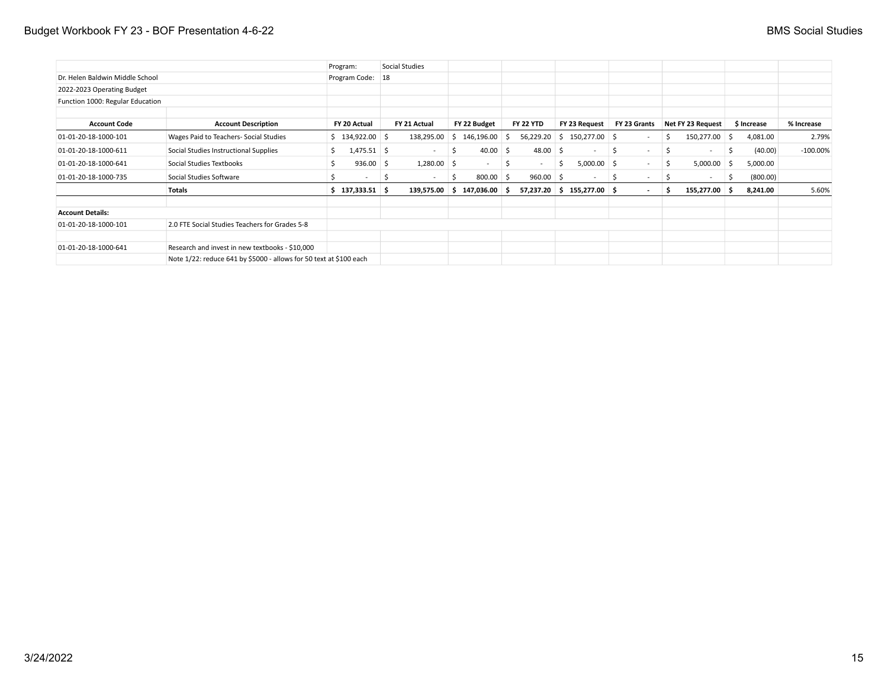|                                  |                                                                    | Program:                 | Social Studies |     |                            |                                |   |                              |    |                          |     |                          |     |             |             |
|----------------------------------|--------------------------------------------------------------------|--------------------------|----------------|-----|----------------------------|--------------------------------|---|------------------------------|----|--------------------------|-----|--------------------------|-----|-------------|-------------|
| Dr. Helen Baldwin Middle School  |                                                                    | Program Code:            | 18             |     |                            |                                |   |                              |    |                          |     |                          |     |             |             |
| 2022-2023 Operating Budget       |                                                                    |                          |                |     |                            |                                |   |                              |    |                          |     |                          |     |             |             |
| Function 1000: Regular Education |                                                                    |                          |                |     |                            |                                |   |                              |    |                          |     |                          |     |             |             |
| <b>Account Code</b>              | <b>Account Description</b>                                         | FY 20 Actual             | FY 21 Actual   |     | FY 22 Budget               | <b>FY 22 YTD</b>               |   | FY 23 Request                |    | FY 23 Grants             |     | Net FY 23 Request        |     | \$ Increase | % Increase  |
| 01-01-20-18-1000-101             | Wages Paid to Teachers- Social Studies                             | \$134,922.00\$           | 138,295.00     | -S  | 146,196.00                 | Ŝ.                             |   | $56,229.20$ \$ 150,277.00 \$ |    |                          | \$  | 150,277.00 \$            |     | 4,081.00    | 2.79%       |
| 01-01-20-18-1000-611             | Social Studies Instructional Supplies                              | $1,475.51$ \$            | $\sim$         | -\$ | 40.00                      | $48.00$ \$<br>Ŝ.               |   |                              |    | $\overline{\phantom{a}}$ | \$. | $\overline{\phantom{a}}$ | S.  | (40.00)     | $-100.00\%$ |
| 01-01-20-18-1000-641             | Social Studies Textbooks                                           | $936.00$ \$              | $1,280.00$ \$  |     | $\sim$                     | -S<br>$\overline{\phantom{a}}$ | S | $5,000.00$ \$                |    | $\sim$                   | \$  | 5,000.00                 | - S | 5,000.00    |             |
| 01-01-20-18-1000-735             | Social Studies Software                                            | $\overline{\phantom{a}}$ | -S<br>$\sim$   | -S  | 800.00                     | $960.00$ \$<br>∣S.             |   | $\sim$                       | -S | $\sim$                   | \$. | $\sim$                   | -S  | (800.00)    |             |
|                                  | Totals                                                             | $$137,333.51$ \$         |                |     | $139,575.00$ \$ 147,036.00 | ۰S.                            |   | $57,237.20$ \$ 155,277.00 \$ |    | $\sim$                   | S   | 155,277.00 \$            |     | 8,241.00    | 5.60%       |
| <b>Account Details:</b>          |                                                                    |                          |                |     |                            |                                |   |                              |    |                          |     |                          |     |             |             |
| 01-01-20-18-1000-101             | 2.0 FTE Social Studies Teachers for Grades 5-8                     |                          |                |     |                            |                                |   |                              |    |                          |     |                          |     |             |             |
| 01-01-20-18-1000-641             | Research and invest in new textbooks - \$10,000                    |                          |                |     |                            |                                |   |                              |    |                          |     |                          |     |             |             |
|                                  | Note 1/22: reduce 641 by \$5000 - allows for 50 text at \$100 each |                          |                |     |                            |                                |   |                              |    |                          |     |                          |     |             |             |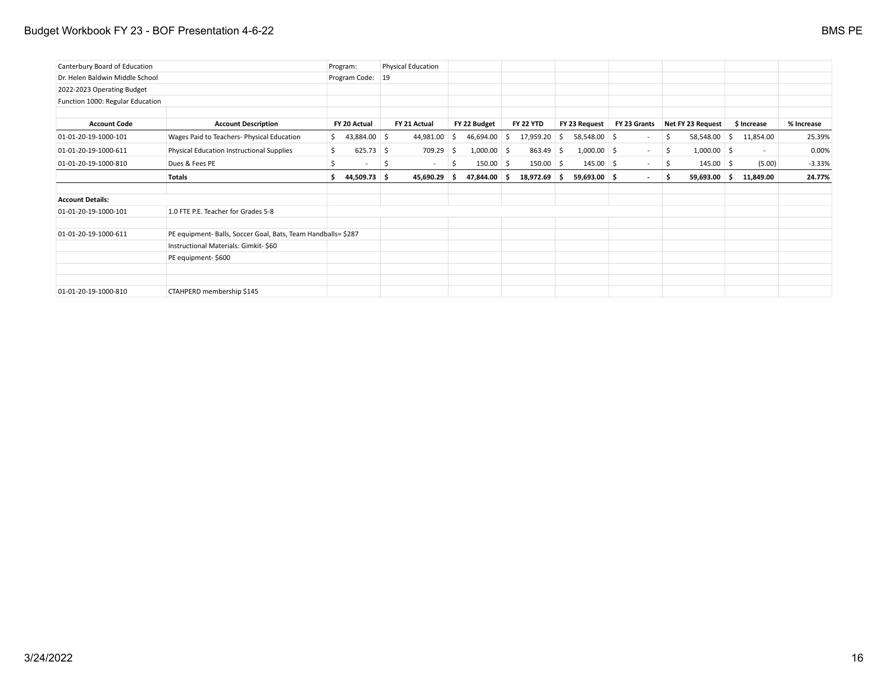## Budget Workbook FY 23 - BOF Presentation 4-6-22 BMS PE

| Canterbury Board of Education    |                                                               |    | Program:                 |     | <b>Physical Education</b> |    |               |                   |    |                |              |     |                   |             |            |
|----------------------------------|---------------------------------------------------------------|----|--------------------------|-----|---------------------------|----|---------------|-------------------|----|----------------|--------------|-----|-------------------|-------------|------------|
| Dr. Helen Baldwin Middle School  |                                                               |    | Program Code: 19         |     |                           |    |               |                   |    |                |              |     |                   |             |            |
| 2022-2023 Operating Budget       |                                                               |    |                          |     |                           |    |               |                   |    |                |              |     |                   |             |            |
| Function 1000: Regular Education |                                                               |    |                          |     |                           |    |               |                   |    |                |              |     |                   |             |            |
| <b>Account Code</b>              | <b>Account Description</b>                                    |    | FY 20 Actual             |     | FY 21 Actual              |    | FY 22 Budget  | <b>FY 22 YTD</b>  |    | FY 23 Request  | FY 23 Grants |     | Net FY 23 Request | \$ Increase | % Increase |
| 01-01-20-19-1000-101             | Wages Paid to Teachers- Physical Education                    | S. | 43,884.00 \$             |     | 44,981.00                 | -S | 46,694.00     | ا \$<br>17,959.20 | S. | 58,548.00 \$   | $\sim$       | S.  | $58,548.00$ \$    | 11,854.00   | 25.39%     |
| 01-01-20-19-1000-611             | Physical Education Instructional Supplies                     | \$ | $625.73$ \$              |     | 709.29                    | -S | $1,000.00$ \$ | 863.49            | S. | $1,000.00$ \$  | $\sim$       | \$  | $1,000.00$ \$     | $\sim$      | 0.00%      |
| 01-01-20-19-1000-810             | Dues & Fees PE                                                | Ŝ. | $\overline{\phantom{a}}$ | \$. | $\sim$                    | \$ | $150.00$ \$   | $150.00$ \$       |    | $145.00$ \$    | $\sim$       | \$  | $145.00 \pm 5$    | (5.00)      | $-3.33%$   |
|                                  | <b>Totals</b>                                                 | Ŝ. | 44,509.73 \$             |     | 45,690.29                 | -S | 47,844.00 \$  | 18,972.69 \$      |    | $59,693.00$ \$ | $\sim$       | \$. | $59,693.00$ \$    | 11,849.00   | 24.77%     |
| <b>Account Details:</b>          |                                                               |    |                          |     |                           |    |               |                   |    |                |              |     |                   |             |            |
| 01-01-20-19-1000-101             | 1.0 FTE P.E. Teacher for Grades 5-8                           |    |                          |     |                           |    |               |                   |    |                |              |     |                   |             |            |
| 01-01-20-19-1000-611             | PE equipment- Balls, Soccer Goal, Bats, Team Handballs= \$287 |    |                          |     |                           |    |               |                   |    |                |              |     |                   |             |            |
|                                  | Instructional Materials: Gimkit-\$60                          |    |                          |     |                           |    |               |                   |    |                |              |     |                   |             |            |
|                                  | PE equipment-\$600                                            |    |                          |     |                           |    |               |                   |    |                |              |     |                   |             |            |
|                                  |                                                               |    |                          |     |                           |    |               |                   |    |                |              |     |                   |             |            |
| 01-01-20-19-1000-810             | CTAHPERD membership \$145                                     |    |                          |     |                           |    |               |                   |    |                |              |     |                   |             |            |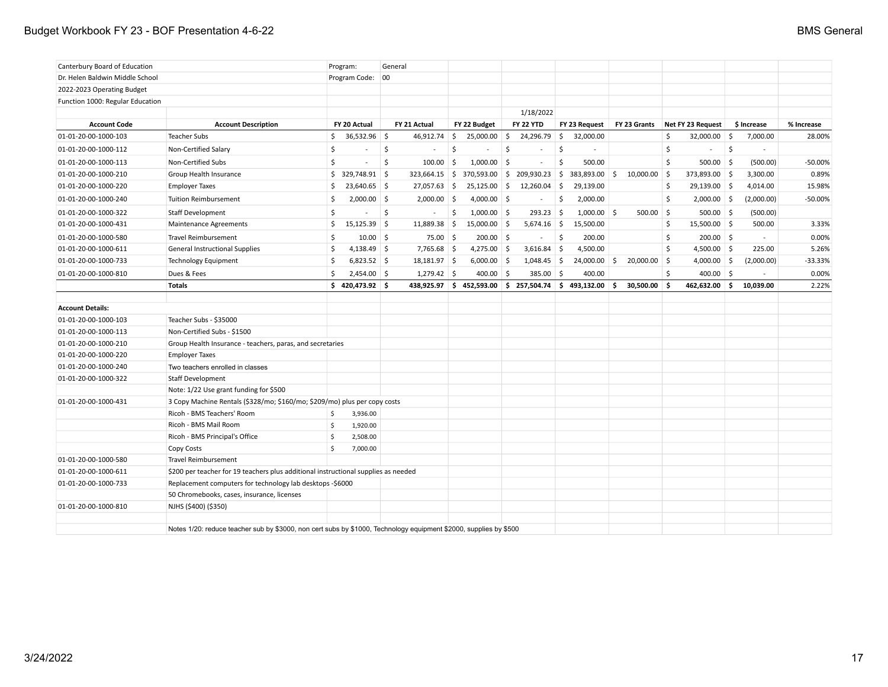| Canterbury Board of Education    |                                                                                                                   | Program:                       | General                      |                            |                                                   |                           |                      |                      |                        |            |
|----------------------------------|-------------------------------------------------------------------------------------------------------------------|--------------------------------|------------------------------|----------------------------|---------------------------------------------------|---------------------------|----------------------|----------------------|------------------------|------------|
| Dr. Helen Baldwin Middle School  |                                                                                                                   | Program Code: 00               |                              |                            |                                                   |                           |                      |                      |                        |            |
| 2022-2023 Operating Budget       |                                                                                                                   |                                |                              |                            |                                                   |                           |                      |                      |                        |            |
| Function 1000: Regular Education |                                                                                                                   |                                |                              |                            |                                                   |                           |                      |                      |                        |            |
|                                  |                                                                                                                   |                                |                              |                            | 1/18/2022                                         |                           |                      |                      |                        |            |
| <b>Account Code</b>              | <b>Account Description</b>                                                                                        | FY 20 Actual                   | FY 21 Actual                 | FY 22 Budget               | <b>FY 22 YTD</b>                                  | FY 23 Request             | FY 23 Grants         | Net FY 23 Request    | \$ Increase            | % Increase |
| 01-01-20-00-1000-103             | <b>Teacher Subs</b>                                                                                               | $36,532.96$ \$<br>\$           | 46,912.74                    | \$<br>25,000.00            | 24,296.79<br>-\$                                  | $\mathsf{S}$<br>32,000.00 |                      | \$<br>32,000.00      | $\vert$ \$<br>7,000.00 | 28.00%     |
| 01-01-20-00-1000-112             | Non-Certified Salary                                                                                              | \$<br>$\overline{\phantom{a}}$ | \$                           | \$<br>$\sim$               | \$<br>$\sim$                                      | \$<br>$\sim$              |                      | \$<br>$\sim$         | -\$                    |            |
| 01-01-20-00-1000-113             | Non-Certified Subs                                                                                                | \$                             | $100.00$ \$<br>Ŝ.            | $1,000.00$ \$              | $\sim$                                            | \$<br>500.00              |                      | \$<br>$500.00$ \$    | (500.00)               | $-50.00%$  |
| 01-01-20-00-1000-210             | Group Health Insurance                                                                                            | $$329,748.91$ \$               | 323,664.15                   | \$<br>370,593.00           | 209,930.23<br>\$                                  | \$<br>383,893.00          | $10,000.00$ \$<br>-S | 373,893.00 \$        | 3,300.00               | 0.89%      |
| 01-01-20-00-1000-220             | <b>Employer Taxes</b>                                                                                             | \$<br>$23,640.65$ \$           | 27,057.63                    | $\frac{1}{2}$<br>25,125.00 | 12,260.04<br>-\$                                  | \$<br>29,139.00           |                      | \$<br>29,139.00 \$   | 4,014.00               | 15.98%     |
| 01-01-20-00-1000-240             | <b>Tuition Reimbursement</b>                                                                                      | \$<br>$2,000.00$ \$            | 2,000.00                     | -\$<br>$4,000.00$ \$       | $\overline{\phantom{a}}$                          | \$<br>2,000.00            |                      | \$<br>$2,000.00$ \$  | (2,000.00)             | $-50.00%$  |
| 01-01-20-00-1000-322             | <b>Staff Development</b>                                                                                          | \$                             | $\ddot{\varsigma}$<br>$\sim$ | \$<br>$1,000.00$ \$        | 293.23                                            | -\$<br>$1,000.00$ \$      | $500.00$ \$          | $500.00$ \$          | (500.00)               |            |
| 01-01-20-00-1000-431             | Maintenance Agreements                                                                                            | \$<br>$15,125.39$ \$           | 11,889.38 \$                 | 15,000.00                  | \$<br>$5,674.16$ \$                               | 15,500.00                 |                      | \$<br>$15,500.00$ \$ | 500.00                 | 3.33%      |
| 01-01-20-00-1000-580             | <b>Travel Reimbursement</b>                                                                                       | \$<br>$10.00$ \$               | 75.00%                       | $200.00$ \$                | $\sim$                                            | \$<br>200.00              |                      | \$<br>$200.00$ \$    | $\mathbf{r}$           | 0.00%      |
| 01-01-20-00-1000-611             | <b>General Instructional Supplies</b>                                                                             | \$<br>4,138.49 \$              | $7,765.68$ \$                | $4,275.00$ \$              | 3,616.84                                          | -\$<br>4,500.00           |                      | \$<br>$4,500.00$ \$  | 225.00                 | 5.26%      |
| 01-01-20-00-1000-733             | <b>Technology Equipment</b>                                                                                       | \$<br>$6,823.52$ \$            | $18,181.97$ \$               | $6,000.00$ \$              | $1,048.45$ \$                                     | $24,000.00$ \$            | $20,000.00$ \$       | $4,000.00$ \$        | (2,000.00)             | $-33.33%$  |
| 01-01-20-00-1000-810             | Dues & Fees                                                                                                       | Ś<br>$2,454.00$ \$             | $1,279.42$ \$                | 400.00                     | -\$<br>385.00                                     | 5<br>400.00               |                      | \$<br>$400.00$ \$    |                        | 0.00%      |
|                                  | <b>Totals</b>                                                                                                     | $$420,473.92$ \$               |                              |                            | 438,925.97 \$452,593.00 \$257,504.74 \$493,132.00 |                           | \$<br>30,500.00      | \$<br>462,632.00     | \$ا<br>10,039.00       | 2.22%      |
|                                  |                                                                                                                   |                                |                              |                            |                                                   |                           |                      |                      |                        |            |
| <b>Account Details:</b>          |                                                                                                                   |                                |                              |                            |                                                   |                           |                      |                      |                        |            |
| 01-01-20-00-1000-103             | Teacher Subs - \$35000                                                                                            |                                |                              |                            |                                                   |                           |                      |                      |                        |            |
| 01-01-20-00-1000-113             | Non-Certified Subs - \$1500                                                                                       |                                |                              |                            |                                                   |                           |                      |                      |                        |            |
| 01-01-20-00-1000-210             | Group Health Insurance - teachers, paras, and secretaries                                                         |                                |                              |                            |                                                   |                           |                      |                      |                        |            |
| 01-01-20-00-1000-220             | <b>Employer Taxes</b>                                                                                             |                                |                              |                            |                                                   |                           |                      |                      |                        |            |
| 01-01-20-00-1000-240             | Two teachers enrolled in classes                                                                                  |                                |                              |                            |                                                   |                           |                      |                      |                        |            |
| 01-01-20-00-1000-322             | Staff Development                                                                                                 |                                |                              |                            |                                                   |                           |                      |                      |                        |            |
|                                  | Note: 1/22 Use grant funding for \$500                                                                            |                                |                              |                            |                                                   |                           |                      |                      |                        |            |
| 01-01-20-00-1000-431             | 3 Copy Machine Rentals (\$328/mo; \$160/mo; \$209/mo) plus per copy costs                                         |                                |                              |                            |                                                   |                           |                      |                      |                        |            |
|                                  | Ricoh - BMS Teachers' Room                                                                                        | 3,936.00<br>\$                 |                              |                            |                                                   |                           |                      |                      |                        |            |
|                                  | Ricoh - BMS Mail Room                                                                                             | \$<br>1,920.00                 |                              |                            |                                                   |                           |                      |                      |                        |            |
|                                  | Ricoh - BMS Principal's Office                                                                                    | \$<br>2,508.00                 |                              |                            |                                                   |                           |                      |                      |                        |            |
|                                  | Copy Costs                                                                                                        | Ś<br>7,000.00                  |                              |                            |                                                   |                           |                      |                      |                        |            |
| 01-01-20-00-1000-580             | <b>Travel Reimbursement</b>                                                                                       |                                |                              |                            |                                                   |                           |                      |                      |                        |            |
| 01-01-20-00-1000-611             | \$200 per teacher for 19 teachers plus additional instructional supplies as needed                                |                                |                              |                            |                                                   |                           |                      |                      |                        |            |
| 01-01-20-00-1000-733             | Replacement computers for technology lab desktops -\$6000                                                         |                                |                              |                            |                                                   |                           |                      |                      |                        |            |
|                                  | 50 Chromebooks, cases, insurance, licenses                                                                        |                                |                              |                            |                                                   |                           |                      |                      |                        |            |
| 01-01-20-00-1000-810             | NJHS (\$400) (\$350)                                                                                              |                                |                              |                            |                                                   |                           |                      |                      |                        |            |
|                                  |                                                                                                                   |                                |                              |                            |                                                   |                           |                      |                      |                        |            |
|                                  | Notes 1/20: reduce teacher sub by \$3000, non cert subs by \$1000, Technology equipment \$2000, supplies by \$500 |                                |                              |                            |                                                   |                           |                      |                      |                        |            |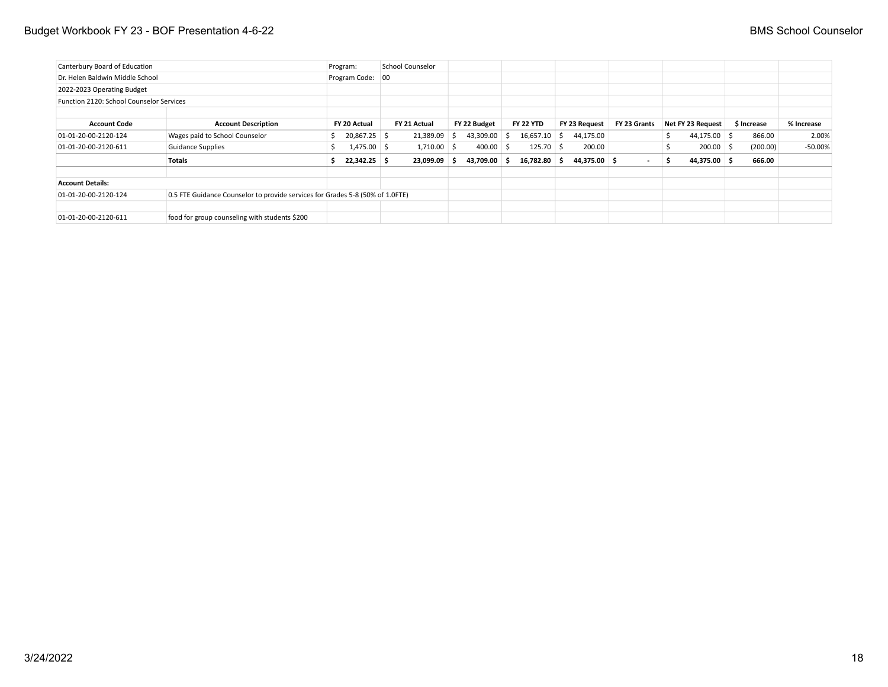## Budget Workbook FY 23 - BOF Presentation 4-6-22 **BMS** School Counselor

| Canterbury Board of Education            |                                                                               | Program:         | School Counselor |              |                  |               |              |    |                   |             |            |
|------------------------------------------|-------------------------------------------------------------------------------|------------------|------------------|--------------|------------------|---------------|--------------|----|-------------------|-------------|------------|
| Dr. Helen Baldwin Middle School          |                                                                               | Program Code: 00 |                  |              |                  |               |              |    |                   |             |            |
| 2022-2023 Operating Budget               |                                                                               |                  |                  |              |                  |               |              |    |                   |             |            |
| Function 2120: School Counselor Services |                                                                               |                  |                  |              |                  |               |              |    |                   |             |            |
|                                          |                                                                               |                  |                  |              |                  |               |              |    |                   |             |            |
| <b>Account Code</b>                      | <b>Account Description</b>                                                    | FY 20 Actual     | FY 21 Actual     | FY 22 Budget | <b>FY 22 YTD</b> | FY 23 Request | FY 23 Grants |    | Net FY 23 Request | \$ Increase | % Increase |
| 01-01-20-00-2120-124                     | Wages paid to School Counselor                                                | 20,867.25 \$     | $21,389.09$ \$   | 43,309.00 \$ | $16,657.10$ \$   | 44,175.00     |              |    | $44,175.00$ \$    | 866.00      | 2.00%      |
| 01-01-20-00-2120-611                     | <b>Guidance Supplies</b>                                                      | $1,475.00$ \$    | $1,710.00$ \$    | $400.00$ \$  | $125.70$ \$      | 200.00        |              |    | $200.00$ \$       | (200.00)    | -50.00%    |
|                                          | Totals                                                                        | 22,342.25 \$     | $23,099.09$ \$   | 43,709.00 \$ | 16,782.80 \$     | 44,375.00 \$  | $\sim$       | -5 | 44,375.00 \$      | 666.00      |            |
| <b>Account Details:</b>                  |                                                                               |                  |                  |              |                  |               |              |    |                   |             |            |
| 01-01-20-00-2120-124                     | 0.5 FTE Guidance Counselor to provide services for Grades 5-8 (50% of 1.0FTE) |                  |                  |              |                  |               |              |    |                   |             |            |
| 01-01-20-00-2120-611                     | food for group counseling with students \$200                                 |                  |                  |              |                  |               |              |    |                   |             |            |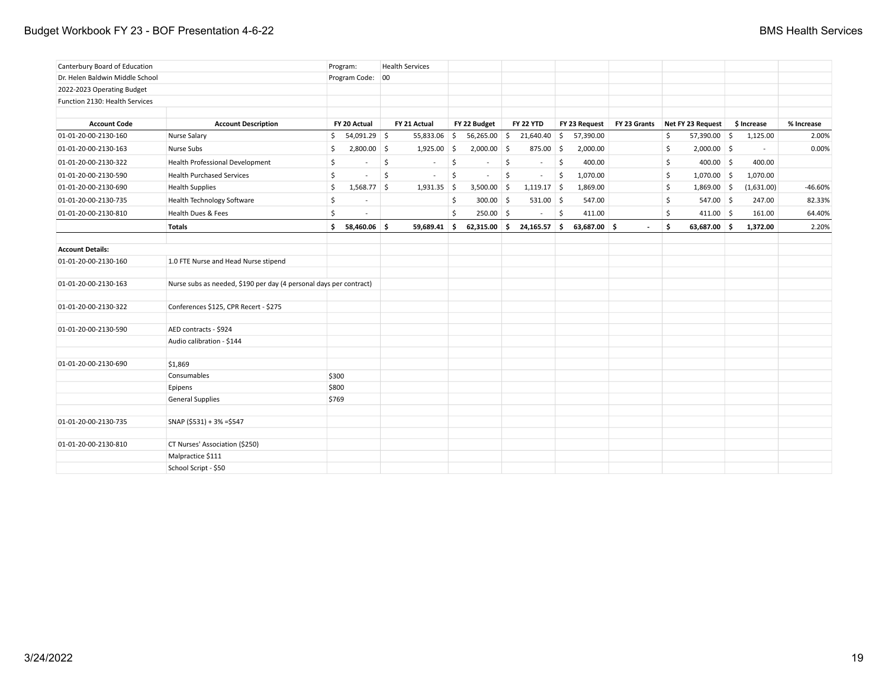## Budget Workbook FY 23 - BOF Presentation 4-6-22 **BMS Health Services** BMS Health Services

| Canterbury Board of Education   |                                                                    |       | Program:                 | <b>Health Services</b> |               |                     |                |                    |                  |              |               |              |                     |                          |            |
|---------------------------------|--------------------------------------------------------------------|-------|--------------------------|------------------------|---------------|---------------------|----------------|--------------------|------------------|--------------|---------------|--------------|---------------------|--------------------------|------------|
| Dr. Helen Baldwin Middle School |                                                                    |       | Program Code: 00         |                        |               |                     |                |                    |                  |              |               |              |                     |                          |            |
| 2022-2023 Operating Budget      |                                                                    |       |                          |                        |               |                     |                |                    |                  |              |               |              |                     |                          |            |
| Function 2130: Health Services  |                                                                    |       |                          |                        |               |                     |                |                    |                  |              |               |              |                     |                          |            |
|                                 |                                                                    |       |                          |                        |               |                     |                |                    |                  |              |               |              |                     |                          |            |
| <b>Account Code</b>             | <b>Account Description</b>                                         |       | FY 20 Actual             | FY 21 Actual           |               |                     | FY 22 Budget   |                    | <b>FY 22 YTD</b> |              | FY 23 Request | FY 23 Grants | Net FY 23 Request   | \$ Increase              | % Increase |
| 01-01-20-00-2130-160            | <b>Nurse Salary</b>                                                |       | \$54,091.29              |                        | 55,833.06     | $\vert$ \$          | 56,265.00      | \$                 | 21,640.40 \$     |              | 57,390.00     |              | \$<br>57,390.00 \$  | 1,125.00                 | 2.00%      |
| 01-01-20-00-2130-163            | Nurse Subs                                                         | Ŝ.    | $2,800.00$ \$            |                        | $1,925.00$ \$ |                     | $2,000.00$ \$  |                    | $875.00$ \$      |              | 2,000.00      |              | \$<br>$2,000.00$ \$ | $\overline{\phantom{a}}$ | 0.00%      |
| 01-01-20-00-2130-322            | Health Professional Development                                    | \$    | $\overline{\phantom{a}}$ | \$                     | $\sim$        | $\ddot{\mathsf{S}}$ | $\sim$         | $\mathsf{\hat{S}}$ | $\sim$           | $\zeta$      | 400.00        |              | \$<br>$400.00$ \$   | 400.00                   |            |
| 01-01-20-00-2130-590            | <b>Health Purchased Services</b>                                   | \$    | $\sim$                   | \$                     | $\sim$        | $\ddot{\varsigma}$  | $\sim$         | \$                 | $\sim$           | $\zeta$      | 1,070.00      |              | \$<br>$1,070.00$ \$ | 1,070.00                 |            |
| 01-01-20-00-2130-690            | <b>Health Supplies</b>                                             | \$    | $1,568.77$ \$            |                        | $1,931.35$ \$ |                     | $3,500.00$ \$  |                    | $1,119.17$ \$    |              | 1,869.00      |              | \$<br>$1,869.00$ \$ | (1,631.00)               | $-46.60%$  |
| 01-01-20-00-2130-735            | <b>Health Technology Software</b>                                  | \$    |                          |                        |               | \$                  | $300.00$ \$    |                    | $531.00$ \$      |              | 547.00        |              | \$<br>547.00 \$     | 247.00                   | 82.33%     |
| 01-01-20-00-2130-810            | Health Dues & Fees                                                 | Ś     |                          |                        |               | \$                  | $250.00$ \$    |                    | $\sim$           | $\mathsf{S}$ | 411.00        |              | \$<br>$411.00$ \$   | 161.00                   | 64.40%     |
|                                 | <b>Totals</b>                                                      |       | \$58,460.06              |                        | 59,689.41 \$  |                     | $62,315.00$ \$ |                    | 24,165.57 \$     |              | 63,687.00 \$  |              | \$<br>63,687.00 \$  | 1,372.00                 | 2.20%      |
|                                 |                                                                    |       |                          |                        |               |                     |                |                    |                  |              |               |              |                     |                          |            |
| <b>Account Details:</b>         |                                                                    |       |                          |                        |               |                     |                |                    |                  |              |               |              |                     |                          |            |
| 01-01-20-00-2130-160            | 1.0 FTE Nurse and Head Nurse stipend                               |       |                          |                        |               |                     |                |                    |                  |              |               |              |                     |                          |            |
| 01-01-20-00-2130-163            | Nurse subs as needed, \$190 per day (4 personal days per contract) |       |                          |                        |               |                     |                |                    |                  |              |               |              |                     |                          |            |
| 01-01-20-00-2130-322            | Conferences \$125, CPR Recert - \$275                              |       |                          |                        |               |                     |                |                    |                  |              |               |              |                     |                          |            |
| 01-01-20-00-2130-590            | AED contracts - \$924                                              |       |                          |                        |               |                     |                |                    |                  |              |               |              |                     |                          |            |
|                                 | Audio calibration - \$144                                          |       |                          |                        |               |                     |                |                    |                  |              |               |              |                     |                          |            |
| 01-01-20-00-2130-690            | \$1,869                                                            |       |                          |                        |               |                     |                |                    |                  |              |               |              |                     |                          |            |
|                                 | Consumables                                                        | \$300 |                          |                        |               |                     |                |                    |                  |              |               |              |                     |                          |            |
|                                 | Epipens                                                            | \$800 |                          |                        |               |                     |                |                    |                  |              |               |              |                     |                          |            |
|                                 | <b>General Supplies</b>                                            | \$769 |                          |                        |               |                     |                |                    |                  |              |               |              |                     |                          |            |
| 01-01-20-00-2130-735            | SNAP (\$531) + 3% = \$547                                          |       |                          |                        |               |                     |                |                    |                  |              |               |              |                     |                          |            |
|                                 |                                                                    |       |                          |                        |               |                     |                |                    |                  |              |               |              |                     |                          |            |
| 01-01-20-00-2130-810            | CT Nurses' Association (\$250)                                     |       |                          |                        |               |                     |                |                    |                  |              |               |              |                     |                          |            |
|                                 | Malpractice \$111<br>School Script - \$50                          |       |                          |                        |               |                     |                |                    |                  |              |               |              |                     |                          |            |
|                                 |                                                                    |       |                          |                        |               |                     |                |                    |                  |              |               |              |                     |                          |            |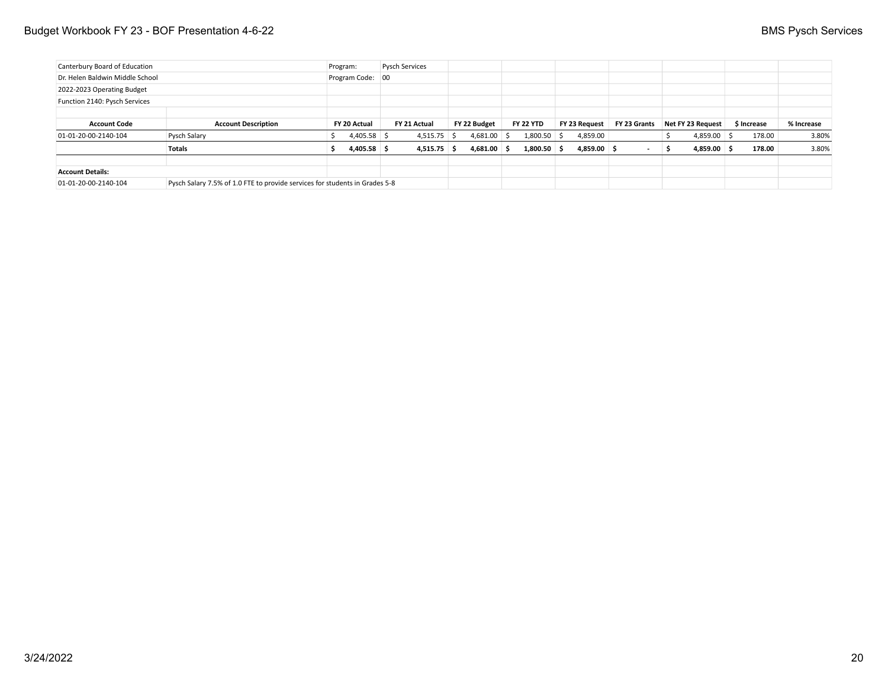| Canterbury Board of Education   |                                                                             | Program: |                  | <b>Pysch Services</b> |  |               |                  |               |              |     |                   |             |            |
|---------------------------------|-----------------------------------------------------------------------------|----------|------------------|-----------------------|--|---------------|------------------|---------------|--------------|-----|-------------------|-------------|------------|
| Dr. Helen Baldwin Middle School |                                                                             |          | Program Code: 00 |                       |  |               |                  |               |              |     |                   |             |            |
| 2022-2023 Operating Budget      |                                                                             |          |                  |                       |  |               |                  |               |              |     |                   |             |            |
| Function 2140: Pysch Services   |                                                                             |          |                  |                       |  |               |                  |               |              |     |                   |             |            |
|                                 |                                                                             |          |                  |                       |  |               |                  |               |              |     |                   |             |            |
| <b>Account Code</b>             | <b>Account Description</b>                                                  |          | FY 20 Actual     | FY 21 Actual          |  | FY 22 Budget  | <b>FY 22 YTD</b> | FY 23 Request | FY 23 Grants |     | Net FY 23 Request | \$ Increase | % Increase |
| 01-01-20-00-2140-104            | Pysch Salary                                                                |          | $4,405.58$ \$    | $4,515.75$ \$         |  | $4,681.00$ \$ | $1,800.50$ \$    | 4,859.00      |              |     | $4,859.00$ \$     | 178.00      | 3.80%      |
|                                 | Totals                                                                      |          | $4,405.58$ \$    | $4,515.75$ \$         |  | $4,681.00$ \$ | $1,800.50$ \$    | $4,859.00$ \$ |              | - 5 | $4,859.00$ \$     | 178.00      | 3.80%      |
|                                 |                                                                             |          |                  |                       |  |               |                  |               |              |     |                   |             |            |
| <b>Account Details:</b>         |                                                                             |          |                  |                       |  |               |                  |               |              |     |                   |             |            |
| 01-01-20-00-2140-104            | Pysch Salary 7.5% of 1.0 FTE to provide services for students in Grades 5-8 |          |                  |                       |  |               |                  |               |              |     |                   |             |            |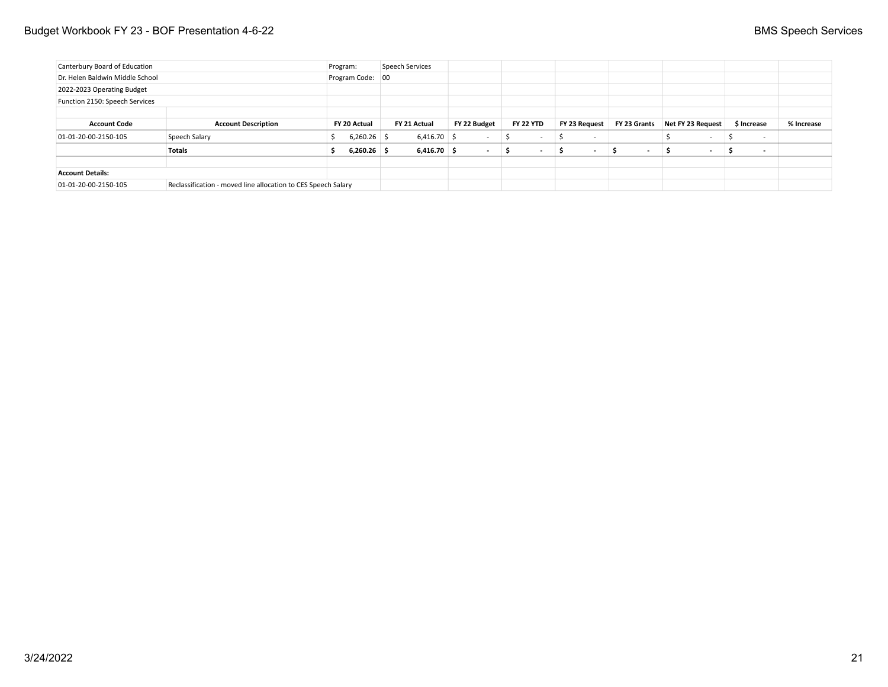| Canterbury Board of Education   |                                                               | Program:           | Speech Services |                          |                  |                          |                          |                          |                          |            |
|---------------------------------|---------------------------------------------------------------|--------------------|-----------------|--------------------------|------------------|--------------------------|--------------------------|--------------------------|--------------------------|------------|
| Dr. Helen Baldwin Middle School |                                                               | Program Code: 00   |                 |                          |                  |                          |                          |                          |                          |            |
| 2022-2023 Operating Budget      |                                                               |                    |                 |                          |                  |                          |                          |                          |                          |            |
| Function 2150: Speech Services  |                                                               |                    |                 |                          |                  |                          |                          |                          |                          |            |
|                                 |                                                               |                    |                 |                          |                  |                          |                          |                          |                          |            |
| <b>Account Code</b>             | <b>Account Description</b>                                    | FY 20 Actual       | FY 21 Actual    | FY 22 Budget             | <b>FY 22 YTD</b> | FY 23 Request            | FY 23 Grants             | Net FY 23 Request        | \$ Increase              | % Increase |
| 01-01-20-00-2150-105            | Speech Salary                                                 | $6,260.26$ \$<br>ь | $6,416.70$ \$   | $\overline{\phantom{a}}$ |                  | $\overline{\phantom{a}}$ |                          |                          | . .                      |            |
|                                 | <b>Totals</b>                                                 | $6,260.26$ \$      | $6,416.70$ \$   | $\sim$                   |                  |                          | $\overline{\phantom{a}}$ | $\overline{\phantom{a}}$ | $\overline{\phantom{a}}$ |            |
|                                 |                                                               |                    |                 |                          |                  |                          |                          |                          |                          |            |
| <b>Account Details:</b>         |                                                               |                    |                 |                          |                  |                          |                          |                          |                          |            |
| 01-01-20-00-2150-105            | Reclassification - moved line allocation to CES Speech Salary |                    |                 |                          |                  |                          |                          |                          |                          |            |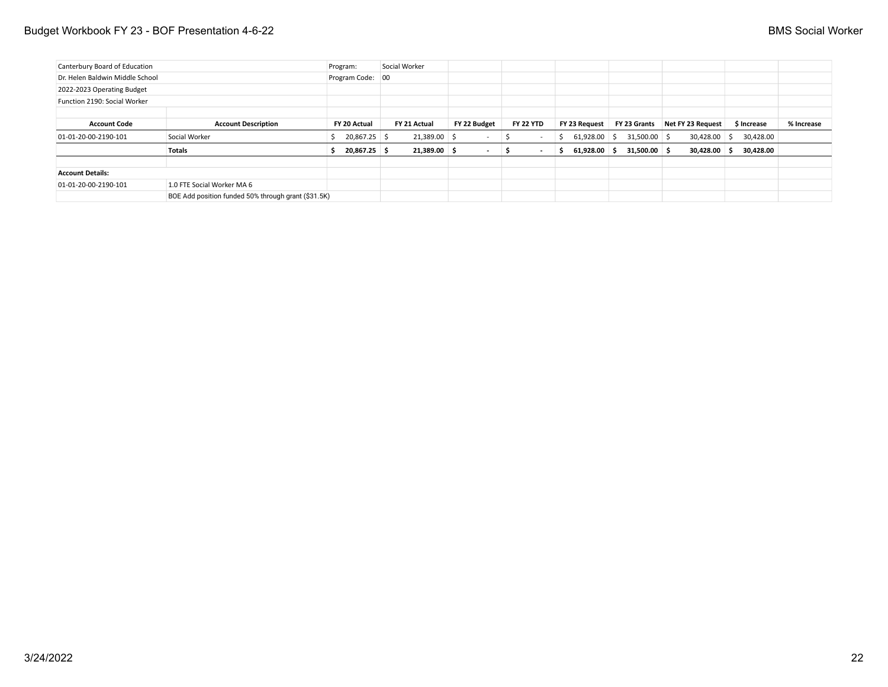| Canterbury Board of Education   |                                                     | Program:         | Social Worker  |                          |                  |                |                |                   |             |            |
|---------------------------------|-----------------------------------------------------|------------------|----------------|--------------------------|------------------|----------------|----------------|-------------------|-------------|------------|
| Dr. Helen Baldwin Middle School |                                                     | Program Code: 00 |                |                          |                  |                |                |                   |             |            |
| 2022-2023 Operating Budget      |                                                     |                  |                |                          |                  |                |                |                   |             |            |
| Function 2190: Social Worker    |                                                     |                  |                |                          |                  |                |                |                   |             |            |
|                                 |                                                     |                  |                |                          |                  |                |                |                   |             |            |
| <b>Account Code</b>             | <b>Account Description</b>                          | FY 20 Actual     | FY 21 Actual   | FY 22 Budget             | <b>FY 22 YTD</b> | FY 23 Request  | FY 23 Grants   | Net FY 23 Request | \$ Increase | % Increase |
| 01-01-20-00-2190-101            | Social Worker                                       | 20,867.25 \$     | 21,389.00 \$   |                          |                  | $61,928.00$ \$ | $31,500.00$ \$ | 30,428.00 \$      | 30,428.00   |            |
|                                 | <b>Totals</b>                                       | $20,867.25$ \$   | $21,389.00$ \$ | $\overline{\phantom{a}}$ |                  | $61,928.00$ \$ | $31,500.00$ \$ | $30,428.00$ \$    | 30,428.00   |            |
|                                 |                                                     |                  |                |                          |                  |                |                |                   |             |            |
| <b>Account Details:</b>         |                                                     |                  |                |                          |                  |                |                |                   |             |            |
| 01-01-20-00-2190-101            | 1.0 FTE Social Worker MA 6                          |                  |                |                          |                  |                |                |                   |             |            |
|                                 | BOE Add position funded 50% through grant (\$31.5K) |                  |                |                          |                  |                |                |                   |             |            |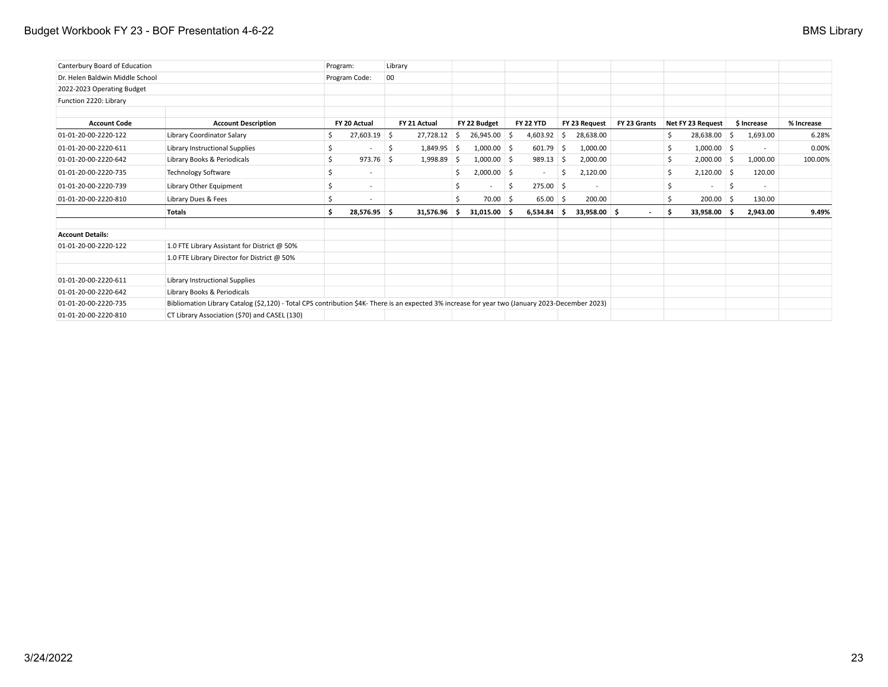## Budget Workbook FY 23 - BOF Presentation 4-6-22 **BMS** Library

| Canterbury Board of Education   |                                                                                                                                                  | Program: |                          | Library |              |              |                |    |                          |      |               |              |    |                   |    |             |            |
|---------------------------------|--------------------------------------------------------------------------------------------------------------------------------------------------|----------|--------------------------|---------|--------------|--------------|----------------|----|--------------------------|------|---------------|--------------|----|-------------------|----|-------------|------------|
| Dr. Helen Baldwin Middle School |                                                                                                                                                  |          | Program Code:            | $00\,$  |              |              |                |    |                          |      |               |              |    |                   |    |             |            |
| 2022-2023 Operating Budget      |                                                                                                                                                  |          |                          |         |              |              |                |    |                          |      |               |              |    |                   |    |             |            |
| Function 2220: Library          |                                                                                                                                                  |          |                          |         |              |              |                |    |                          |      |               |              |    |                   |    |             |            |
| <b>Account Code</b>             | <b>Account Description</b>                                                                                                                       |          | FY 20 Actual             |         | FY 21 Actual |              | FY 22 Budget   |    | <b>FY 22 YTD</b>         |      | FY 23 Request | FY 23 Grants |    | Net FY 23 Request |    | \$ Increase | % Increase |
| 01-01-20-00-2220-122            | Library Coordinator Salary                                                                                                                       | \$       | 27,603.19 \$             |         | 27,728.12    | <sub>S</sub> | $26,945.00$ \$ |    | 4,603.92                 | -S   | 28,638.00     |              |    | 28,638.00         | -S | 1,693.00    | 6.28%      |
| 01-01-20-00-2220-611            | Library Instructional Supplies                                                                                                                   | \$       |                          | -S      | 1,849.95     | -Ś           | $1,000.00$ \$  |    | $601.79$ \$              |      | 1,000.00      |              |    | $1,000.00$ \$     |    | $\sim$      | 0.00%      |
| 01-01-20-00-2220-642            | Library Books & Periodicals                                                                                                                      | \$       | 973.76                   | -Ś      | 1,998.89     | -\$          | $1,000.00$ \$  |    | 989.13                   | - \$ | 2,000.00      |              |    | $2,000.00$ \$     |    | 1,000.00    | 100.00%    |
| 01-01-20-00-2220-735            | <b>Technology Software</b>                                                                                                                       | \$       | $\sim$                   |         |              | S            | $2,000.00$ \$  |    | $\overline{\phantom{a}}$ | S.   | 2,120.00      |              | Ŝ  | $2,120.00$ \$     |    | 120.00      |            |
| 01-01-20-00-2220-739            | Library Other Equipment                                                                                                                          | \$       | $\overline{\phantom{a}}$ |         |              | Ŝ            | $\sim$         | -Ś | $275.00$ \$              |      | $\sim$        |              | Ś. | $\sim$            | \$ | $\sim$      |            |
| 01-01-20-00-2220-810            | Library Dues & Fees                                                                                                                              | Ś        |                          |         |              | Ŝ.           | $70.00$ \$     |    | $65.00$ \$               |      | 200.00        |              |    | $200.00$ \$       |    | 130.00      |            |
|                                 | <b>Totals</b>                                                                                                                                    | Ś.       | 28,576.95 \$             |         | 31,576.96    | -S           | $31.015.00$ \$ |    | $6.534.84$ \$            |      | 33.958.00 \$  | $\sim$       | Ŝ. | 33.958.00         |    | 2.943.00    | 9.49%      |
| <b>Account Details:</b>         |                                                                                                                                                  |          |                          |         |              |              |                |    |                          |      |               |              |    |                   |    |             |            |
| 01-01-20-00-2220-122            | 1.0 FTE Library Assistant for District @ 50%                                                                                                     |          |                          |         |              |              |                |    |                          |      |               |              |    |                   |    |             |            |
|                                 | 1.0 FTE Library Director for District @ 50%                                                                                                      |          |                          |         |              |              |                |    |                          |      |               |              |    |                   |    |             |            |
| 01-01-20-00-2220-611            | Library Instructional Supplies                                                                                                                   |          |                          |         |              |              |                |    |                          |      |               |              |    |                   |    |             |            |
| 01-01-20-00-2220-642            | Library Books & Periodicals                                                                                                                      |          |                          |         |              |              |                |    |                          |      |               |              |    |                   |    |             |            |
| 01-01-20-00-2220-735            | Bibliomation Library Catalog (\$2,120) - Total CPS contribution \$4K- There is an expected 3% increase for year two (January 2023-December 2023) |          |                          |         |              |              |                |    |                          |      |               |              |    |                   |    |             |            |
| 01-01-20-00-2220-810            | CT Library Association (\$70) and CASEL (130)                                                                                                    |          |                          |         |              |              |                |    |                          |      |               |              |    |                   |    |             |            |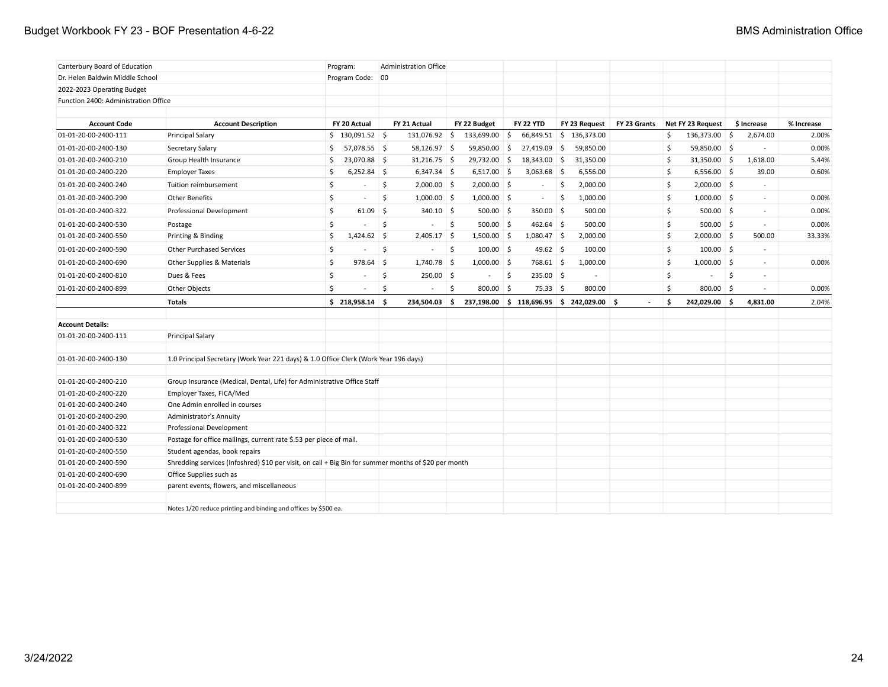## Budget Workbook FY 23 - BOF Presentation 4-6-22 **BMS** Administration Office

| Canterbury Board of Education        |                                                                                                      | Program:             |         | <b>Administration Office</b> |                    |               |                   |     |                                           |              |    |                   |                          |            |
|--------------------------------------|------------------------------------------------------------------------------------------------------|----------------------|---------|------------------------------|--------------------|---------------|-------------------|-----|-------------------------------------------|--------------|----|-------------------|--------------------------|------------|
| Dr. Helen Baldwin Middle School      |                                                                                                      | Program Code: 00     |         |                              |                    |               |                   |     |                                           |              |    |                   |                          |            |
| 2022-2023 Operating Budget           |                                                                                                      |                      |         |                              |                    |               |                   |     |                                           |              |    |                   |                          |            |
| Function 2400: Administration Office |                                                                                                      |                      |         |                              |                    |               |                   |     |                                           |              |    |                   |                          |            |
|                                      |                                                                                                      |                      |         |                              |                    |               |                   |     |                                           |              |    |                   |                          |            |
| <b>Account Code</b>                  | <b>Account Description</b>                                                                           | FY 20 Actual         |         | FY 21 Actual                 |                    | FY 22 Budget  | <b>FY 22 YTD</b>  |     | FY 23 Request                             | FY 23 Grants |    | Net FY 23 Request | \$ Increase              | % Increase |
| 01-01-20-00-2400-111                 | <b>Principal Salary</b>                                                                              | $$130,091.52$ \ \$   |         | 131,076.92 \$                |                    | 133,699.00 \$ | 66,849.51         |     | \$136,373.00                              |              | \$ | 136,373.00 \$     | 2,674.00                 | 2.00%      |
| 01-01-20-00-2400-130                 | Secretary Salary                                                                                     | \$<br>$57,078.55$ \$ |         | 58,126.97 \$                 |                    | 59,850.00 \$  | 27,419.09         | -\$ | 59,850.00                                 |              | \$ | 59,850.00 \$      | $\sim$                   | 0.00%      |
| 01-01-20-00-2400-210                 | Group Health Insurance                                                                               | 23,070.88 \$<br>\$   |         | $31,216.75$ \$               |                    | 29,732.00 \$  | 18,343.00 \$      |     | 31,350.00                                 |              | Ś. | $31,350.00$ \$    | 1,618.00                 | 5.44%      |
| 01-01-20-00-2400-220                 | <b>Employer Taxes</b>                                                                                | \$<br>$6,252.84$ \$  |         | $6,347.34$ \$                |                    | $6,517.00$ \$ | $3,063.68$ \$     |     | 6,556.00                                  |              | \$ | $6,556.00$ \$     | 39.00                    | 0.60%      |
| 01-01-20-00-2400-240                 | Tuition reimbursement                                                                                | \$                   | \$      | $2,000.00$ \$                |                    | $2,000.00$ \$ | $\sim$            | \$  | 2,000.00                                  |              | \$ | $2,000.00$ \$     | $\sim$                   |            |
| 01-01-20-00-2400-290                 | <b>Other Benefits</b>                                                                                | \$<br>$\sim$         | Ŝ.      | $1,000.00$ \$                |                    | $1,000.00$ \$ | $\sim$            | -\$ | 1,000.00                                  |              | \$ | $1,000.00$ \$     | $\sim$                   | 0.00%      |
| 01-01-20-00-2400-322                 | Professional Development                                                                             | \$<br>$61.09$ \$     |         | $340.10$ \$                  |                    | $500.00$ \$   | $350.00$ \$       |     | 500.00                                    |              | \$ | $500.00$ \$       | $\sim$                   | 0.00%      |
| 01-01-20-00-2400-530                 | Postage                                                                                              | \$                   | \$.     |                              | $\mathsf{\hat{S}}$ | $500.00$ \$   | $462.64$ \$       |     | 500.00                                    |              | \$ | $500.00$ \$       | $\omega$                 | 0.00%      |
| 01-01-20-00-2400-550                 | Printing & Binding                                                                                   | \$<br>$1,424.62$ \$  |         | $2,405.17$ \$                |                    | $1,500.00$ \$ | $1,080.47$ \$     |     | 2,000.00                                  |              | \$ | $2,000.00$ \$     | 500.00                   | 33.33%     |
| 01-01-20-00-2400-590                 | <b>Other Purchased Services</b>                                                                      | \$                   | \$.     | $\blacksquare$               | 5                  | $100.00$ \$   | 49.62 \$          |     | 100.00                                    |              | \$ | $100.00$ \$       | $\overline{\phantom{a}}$ |            |
| 01-01-20-00-2400-690                 | Other Supplies & Materials                                                                           | \$<br>978.64         | \$.     | $1,740.78$ \$                |                    | $1,000.00$ \$ | 768.61 \$         |     | 1,000.00                                  |              | \$ | $1,000.00$ \$     | $\sim$                   | 0.00%      |
| 01-01-20-00-2400-810                 | Dues & Fees                                                                                          | \$                   | Ś       | $250.00$ \$                  |                    | $\sim$        | \$<br>$235.00$ \$ |     |                                           |              | \$ | $\sim$            | \$<br>$\sim$             |            |
| 01-01-20-00-2400-899                 | Other Objects                                                                                        | \$                   | $\zeta$ | $\overline{\phantom{a}}$     | $\mathsf{\hat{S}}$ | 800.00 \$     | $75.33$ \$        |     | 800.00                                    |              | Ś  | 800.00 \$         |                          | 0.00%      |
|                                      | <b>Totals</b>                                                                                        | $$218,958.14$ \$     |         | 234,504.03                   | - Ś                |               |                   |     | 237,198.00 \$ 118,696.95 \$ 242,029.00 \$ |              | Ś. | 242,029.00 \$     | 4,831.00                 | 2.04%      |
|                                      |                                                                                                      |                      |         |                              |                    |               |                   |     |                                           |              |    |                   |                          |            |
| <b>Account Details:</b>              |                                                                                                      |                      |         |                              |                    |               |                   |     |                                           |              |    |                   |                          |            |
| 01-01-20-00-2400-111                 | <b>Principal Salary</b>                                                                              |                      |         |                              |                    |               |                   |     |                                           |              |    |                   |                          |            |
| 01-01-20-00-2400-130                 | 1.0 Principal Secretary (Work Year 221 days) & 1.0 Office Clerk (Work Year 196 days)                 |                      |         |                              |                    |               |                   |     |                                           |              |    |                   |                          |            |
| 01-01-20-00-2400-210                 | Group Insurance (Medical, Dental, Life) for Administrative Office Staff                              |                      |         |                              |                    |               |                   |     |                                           |              |    |                   |                          |            |
| 01-01-20-00-2400-220                 | Employer Taxes, FICA/Med                                                                             |                      |         |                              |                    |               |                   |     |                                           |              |    |                   |                          |            |
| 01-01-20-00-2400-240                 | One Admin enrolled in courses                                                                        |                      |         |                              |                    |               |                   |     |                                           |              |    |                   |                          |            |
| 01-01-20-00-2400-290                 | <b>Administrator's Annuity</b>                                                                       |                      |         |                              |                    |               |                   |     |                                           |              |    |                   |                          |            |
| 01-01-20-00-2400-322                 | Professional Development                                                                             |                      |         |                              |                    |               |                   |     |                                           |              |    |                   |                          |            |
| 01-01-20-00-2400-530                 | Postage for office mailings, current rate \$.53 per piece of mail.                                   |                      |         |                              |                    |               |                   |     |                                           |              |    |                   |                          |            |
| 01-01-20-00-2400-550                 | Student agendas, book repairs                                                                        |                      |         |                              |                    |               |                   |     |                                           |              |    |                   |                          |            |
| 01-01-20-00-2400-590                 | Shredding services (Infoshred) \$10 per visit, on call + Big Bin for summer months of \$20 per month |                      |         |                              |                    |               |                   |     |                                           |              |    |                   |                          |            |
| 01-01-20-00-2400-690                 | Office Supplies such as                                                                              |                      |         |                              |                    |               |                   |     |                                           |              |    |                   |                          |            |
| 01-01-20-00-2400-899                 | parent events, flowers, and miscellaneous                                                            |                      |         |                              |                    |               |                   |     |                                           |              |    |                   |                          |            |
|                                      | Notes 1/20 reduce printing and binding and offices by \$500 ea.                                      |                      |         |                              |                    |               |                   |     |                                           |              |    |                   |                          |            |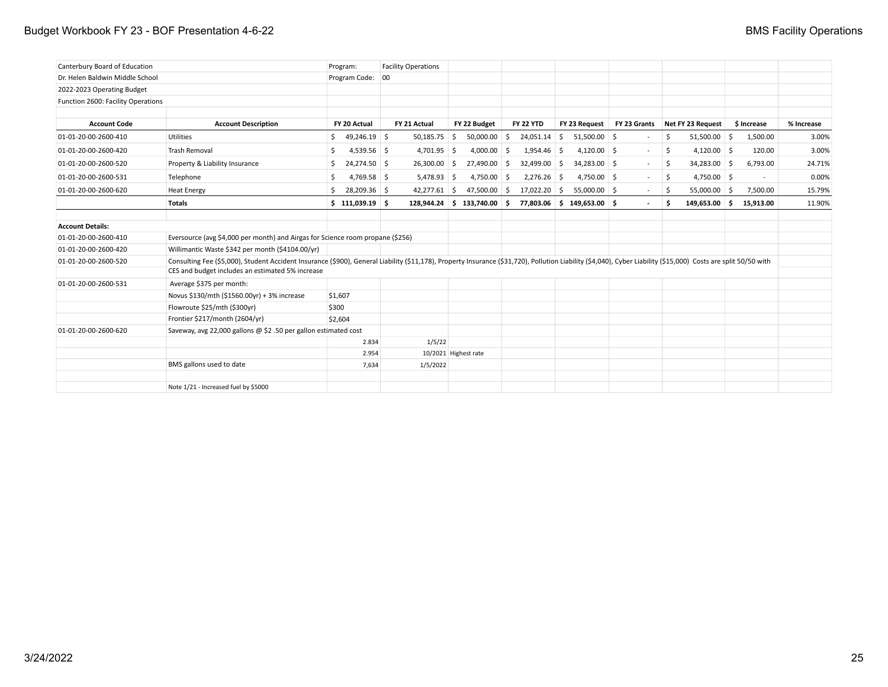| Canterbury Board of Education      |                                                                                                                                                                                                                                                                     | Program:            | <b>Facility Operations</b> |                |                               |                  |               |   |                           |              |     |                   |             |            |
|------------------------------------|---------------------------------------------------------------------------------------------------------------------------------------------------------------------------------------------------------------------------------------------------------------------|---------------------|----------------------------|----------------|-------------------------------|------------------|---------------|---|---------------------------|--------------|-----|-------------------|-------------|------------|
| Dr. Helen Baldwin Middle School    |                                                                                                                                                                                                                                                                     | Program Code: 00    |                            |                |                               |                  |               |   |                           |              |     |                   |             |            |
| 2022-2023 Operating Budget         |                                                                                                                                                                                                                                                                     |                     |                            |                |                               |                  |               |   |                           |              |     |                   |             |            |
| Function 2600: Facility Operations |                                                                                                                                                                                                                                                                     |                     |                            |                |                               |                  |               |   |                           |              |     |                   |             |            |
|                                    |                                                                                                                                                                                                                                                                     |                     |                            |                |                               |                  |               |   |                           |              |     |                   |             |            |
| <b>Account Code</b>                | <b>Account Description</b>                                                                                                                                                                                                                                          | FY 20 Actual        | FY 21 Actual               |                | FY 22 Budget                  | <b>FY 22 YTD</b> |               |   | FY 23 Request             | FY 23 Grants |     | Net FY 23 Request | \$ Increase | % Increase |
| 01-01-20-00-2600-410               | <b>Utilities</b>                                                                                                                                                                                                                                                    | \$49,246.19         |                            | $50,185.75$ \$ | $50,000.00$ \$                |                  | 24,051.14     | 5 | $51,500.00$ \$            |              | \$  | $51,500.00$ \$    | 1,500.00    | 3.00%      |
| 01-01-20-00-2600-420               | <b>Trash Removal</b>                                                                                                                                                                                                                                                | $4,539.56$ \$<br>\$ |                            | $4,701.95$ \$  | 4,000.00                      | -\$              | $1,954.46$ \$ |   | $4,120.00$ \$             | $\sim$       | S.  | $4,120.00$ \$     | 120.00      | 3.00%      |
| 01-01-20-00-2600-520               | Property & Liability Insurance                                                                                                                                                                                                                                      | 24,274.50 \$<br>\$. |                            | $26,300.00$ \$ | 27,490.00 \$                  |                  | 32,499.00 \$  |   | 34,283.00 \$              | $\sim$       | S.  | 34,283.00 \$      | 6,793.00    | 24.71%     |
| 01-01-20-00-2600-531               | Telephone                                                                                                                                                                                                                                                           | 4,769.58 \$<br>\$   |                            | $5,478.93$ \$  | 4,750.00 \$                   |                  | $2,276.26$ \$ |   | 4,750.00 \$               | $\sim$       | S.  | 4,750.00 \$       | $\sim$      | 0.00%      |
| 01-01-20-00-2600-620               | <b>Heat Energy</b>                                                                                                                                                                                                                                                  | 28,209.36 \$<br>Ŝ.  |                            | $42,277.61$ \$ | 47,500.00 \$                  |                  | 17,022.20 \$  |   | $55,000.00$ \$            | $\sim$       | -\$ | $55,000.00$ \$    | 7,500.00    | 15.79%     |
|                                    | <b>Totals</b>                                                                                                                                                                                                                                                       | \$111,039.19        |                            |                | $128,944.24$ \$ 133,740.00 \$ |                  |               |   | 77,803.06 \$149,653.00 \$ |              | Ŝ   | 149,653.00 \$     | 15,913.00   | 11.90%     |
| <b>Account Details:</b>            |                                                                                                                                                                                                                                                                     |                     |                            |                |                               |                  |               |   |                           |              |     |                   |             |            |
| 01-01-20-00-2600-410               | Eversource (avg \$4,000 per month) and Airgas for Science room propane (\$256)                                                                                                                                                                                      |                     |                            |                |                               |                  |               |   |                           |              |     |                   |             |            |
| 01-01-20-00-2600-420               | Willimantic Waste \$342 per month (\$4104.00/yr)                                                                                                                                                                                                                    |                     |                            |                |                               |                  |               |   |                           |              |     |                   |             |            |
| 01-01-20-00-2600-520               | Consulting Fee (\$5,000), Student Accident Insurance (\$900), General Liability (\$11,178), Property Insurance (\$31,720), Pollution Liability (\$4,040), Cyber Liability (\$15,000) Costs are split 50/50 with<br>CES and budget includes an estimated 5% increase |                     |                            |                |                               |                  |               |   |                           |              |     |                   |             |            |
| 01-01-20-00-2600-531               | Average \$375 per month:                                                                                                                                                                                                                                            |                     |                            |                |                               |                  |               |   |                           |              |     |                   |             |            |
|                                    | Novus \$130/mth (\$1560.00yr) + 3% increase                                                                                                                                                                                                                         | \$1,607             |                            |                |                               |                  |               |   |                           |              |     |                   |             |            |
|                                    | Flowroute \$25/mth (\$300yr)                                                                                                                                                                                                                                        | \$300               |                            |                |                               |                  |               |   |                           |              |     |                   |             |            |
|                                    | Frontier \$217/month (2604/yr)                                                                                                                                                                                                                                      | \$2,604             |                            |                |                               |                  |               |   |                           |              |     |                   |             |            |
| 01-01-20-00-2600-620               | Saveway, avg 22,000 gallons @ \$2.50 per gallon estimated cost                                                                                                                                                                                                      |                     |                            |                |                               |                  |               |   |                           |              |     |                   |             |            |
|                                    |                                                                                                                                                                                                                                                                     | 2.834               |                            | 1/5/22         |                               |                  |               |   |                           |              |     |                   |             |            |
|                                    |                                                                                                                                                                                                                                                                     | 2.954               |                            |                | 10/2021 Highest rate          |                  |               |   |                           |              |     |                   |             |            |
|                                    | BMS gallons used to date                                                                                                                                                                                                                                            | 7,634               |                            | 1/5/2022       |                               |                  |               |   |                           |              |     |                   |             |            |
|                                    | Note 1/21 - Increased fuel by \$5000                                                                                                                                                                                                                                |                     |                            |                |                               |                  |               |   |                           |              |     |                   |             |            |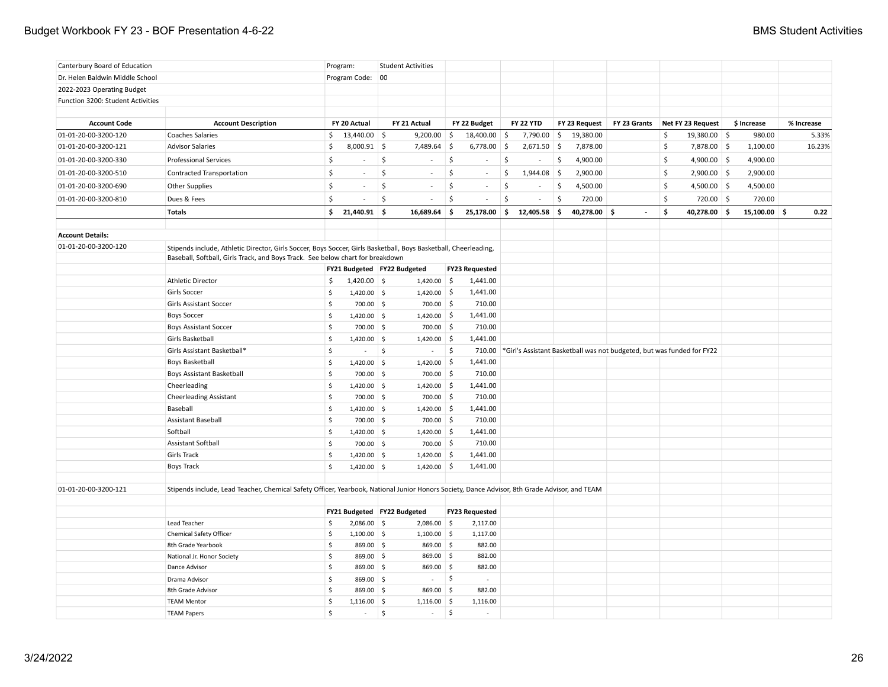| Canterbury Board of Education     |                                                                                                                                                                                                    |                     | Program:                                     |                  | <b>Student Activities</b> |                    |                                   |                     |                          |     |               |                                                                               |                      |             |    |            |
|-----------------------------------|----------------------------------------------------------------------------------------------------------------------------------------------------------------------------------------------------|---------------------|----------------------------------------------|------------------|---------------------------|--------------------|-----------------------------------|---------------------|--------------------------|-----|---------------|-------------------------------------------------------------------------------|----------------------|-------------|----|------------|
| Dr. Helen Baldwin Middle School   |                                                                                                                                                                                                    |                     | Program Code: 00                             |                  |                           |                    |                                   |                     |                          |     |               |                                                                               |                      |             |    |            |
| 2022-2023 Operating Budget        |                                                                                                                                                                                                    |                     |                                              |                  |                           |                    |                                   |                     |                          |     |               |                                                                               |                      |             |    |            |
| Function 3200: Student Activities |                                                                                                                                                                                                    |                     |                                              |                  |                           |                    |                                   |                     |                          |     |               |                                                                               |                      |             |    |            |
| <b>Account Code</b>               | <b>Account Description</b>                                                                                                                                                                         |                     | FY 20 Actual                                 |                  | FY 21 Actual              |                    | FY 22 Budget                      |                     | <b>FY 22 YTD</b>         |     | FY 23 Request | FY 23 Grants                                                                  | Net FY 23 Request    | \$ Increase |    | % Increase |
| 01-01-20-00-3200-120              | <b>Coaches Salaries</b>                                                                                                                                                                            | \$                  | $13,440.00$ \$                               |                  | 9,200.00                  | $\ddot{\varsigma}$ | 18,400.00                         | -\$                 | 7,790.00                 | \$  | 19,380.00     |                                                                               | \$<br>$19,380.00$ \$ | 980.00      |    | 5.33%      |
| 01-01-20-00-3200-121              | <b>Advisor Salaries</b>                                                                                                                                                                            | \$                  | $8,000.91$ \$                                |                  | 7,489.64                  | $\vert$ \$         | 6,778.00                          | $\vert$ \$          | $2,671.50$ \$            |     | 7,878.00      |                                                                               | \$<br>7,878.00 \$    | 1,100.00    |    | 16.23%     |
| 01-01-20-00-3200-330              | <b>Professional Services</b>                                                                                                                                                                       | \$                  |                                              | \$               |                           | $\mathsf{\hat{S}}$ |                                   | \$                  | ä,                       | \$  | 4,900.00      |                                                                               | \$<br>4,900.00 \$    | 4,900.00    |    |            |
|                                   |                                                                                                                                                                                                    |                     | $\sim$                                       |                  | $\sim$                    |                    |                                   |                     |                          |     |               |                                                                               |                      |             |    |            |
| 01-01-20-00-3200-510              | <b>Contracted Transportation</b>                                                                                                                                                                   | \$                  |                                              | \$               |                           | \$                 | $\omega$                          | \$                  | 1,944.08                 | ∣\$ | 2,900.00      |                                                                               | \$<br>$2,900.00$ \$  | 2,900.00    |    |            |
| 01-01-20-00-3200-690              | <b>Other Supplies</b>                                                                                                                                                                              | \$                  | $\sim$                                       | \$               | $\sim$                    | $\zeta$            | $\sim$                            | $\ddot{\mathsf{S}}$ | $\blacksquare$           | \$  | 4,500.00      |                                                                               | \$<br>$4,500.00$ \$  | 4,500.00    |    |            |
| 01-01-20-00-3200-810              | Dues & Fees                                                                                                                                                                                        | \$                  | $\sim$                                       | \$               | $\sim$                    | \$                 | $\sim$                            | \$                  | $\overline{\phantom{a}}$ | \$. | 720.00        |                                                                               | \$<br>720.00 \$      | 720.00      |    |            |
|                                   | <b>Totals</b>                                                                                                                                                                                      | \$                  | 21,440.91 \$                                 |                  | 16,689.64                 | -\$                | 25,178.00                         | \$                  | 12,405.58                | \$  | 40,278.00 \$  | $\overline{a}$                                                                | \$<br>40,278.00 \$   | 15,100.00   | ۱Ś | 0.22       |
| <b>Account Details:</b>           |                                                                                                                                                                                                    |                     |                                              |                  |                           |                    |                                   |                     |                          |     |               |                                                                               |                      |             |    |            |
| 01-01-20-00-3200-120              | Stipends include, Athletic Director, Girls Soccer, Boys Soccer, Girls Basketball, Boys Basketball, Cheerleading,<br>Baseball, Softball, Girls Track, and Boys Track. See below chart for breakdown |                     |                                              |                  |                           |                    |                                   |                     |                          |     |               |                                                                               |                      |             |    |            |
|                                   |                                                                                                                                                                                                    |                     | FY21 Budgeted FY22 Budgeted                  |                  |                           |                    | <b>FY23 Requested</b>             |                     |                          |     |               |                                                                               |                      |             |    |            |
|                                   | Athletic Director                                                                                                                                                                                  | \$                  | $1,420.00$ \$                                |                  | $1,420.00$ \$             |                    | 1,441.00                          |                     |                          |     |               |                                                                               |                      |             |    |            |
|                                   | Girls Soccer                                                                                                                                                                                       | \$                  | $1,420.00$ \$                                |                  | $1,420.00$ \$             |                    | 1,441.00                          |                     |                          |     |               |                                                                               |                      |             |    |            |
|                                   | <b>Girls Assistant Soccer</b>                                                                                                                                                                      | \$                  | 700.00 \$                                    |                  | 700.00 \$                 |                    | 710.00                            |                     |                          |     |               |                                                                               |                      |             |    |            |
|                                   | <b>Boys Soccer</b>                                                                                                                                                                                 | $\ddot{\mathsf{S}}$ | $1,420.00$ \$                                |                  | $1,420.00$ \$             |                    | 1,441.00                          |                     |                          |     |               |                                                                               |                      |             |    |            |
|                                   | <b>Boys Assistant Soccer</b>                                                                                                                                                                       | \$                  | 700.00 \$                                    |                  | 700.00 \$                 |                    | 710.00                            |                     |                          |     |               |                                                                               |                      |             |    |            |
|                                   | Girls Basketball                                                                                                                                                                                   | \$                  | $1,420.00$ \$                                |                  | $1,420.00$ \$             |                    | 1,441.00                          |                     |                          |     |               |                                                                               |                      |             |    |            |
|                                   | Girls Assistant Basketball*                                                                                                                                                                        | \$                  | $\sim$                                       | $\mathfrak{S}^+$ | $\sim$                    | 5                  |                                   |                     |                          |     |               | 710.00 *Girl's Assistant Basketball was not budgeted, but was funded for FY22 |                      |             |    |            |
|                                   | <b>Boys Basketball</b>                                                                                                                                                                             | \$                  | $1,420.00$ \$                                |                  | $1,420.00$ \$             |                    | 1,441.00                          |                     |                          |     |               |                                                                               |                      |             |    |            |
|                                   | <b>Boys Assistant Basketball</b>                                                                                                                                                                   | \$                  | 700.00 \$                                    |                  | 700.00 \$                 |                    | 710.00                            |                     |                          |     |               |                                                                               |                      |             |    |            |
|                                   | Cheerleading                                                                                                                                                                                       | \$                  | $1,420.00$ \$                                |                  | $1,420.00$ \$             |                    | 1,441.00                          |                     |                          |     |               |                                                                               |                      |             |    |            |
|                                   | <b>Cheerleading Assistant</b>                                                                                                                                                                      | \$                  | 700.00 \$                                    |                  | 700.00 \$                 |                    | 710.00                            |                     |                          |     |               |                                                                               |                      |             |    |            |
|                                   | Baseball                                                                                                                                                                                           | \$                  | $1,420.00$ \$                                |                  | $1,420.00$ \$             |                    | 1,441.00                          |                     |                          |     |               |                                                                               |                      |             |    |            |
|                                   | <b>Assistant Baseball</b>                                                                                                                                                                          | \$                  | 700.00 \$                                    |                  | 700.00 \$                 |                    | 710.00                            |                     |                          |     |               |                                                                               |                      |             |    |            |
|                                   | Softball                                                                                                                                                                                           | \$                  | $1,420.00$ \$                                |                  | $1,420.00$ \$             |                    | 1,441.00                          |                     |                          |     |               |                                                                               |                      |             |    |            |
|                                   | <b>Assistant Softball</b>                                                                                                                                                                          | \$                  | $700.00$ \$                                  |                  | 700.00 \$                 |                    | 710.00                            |                     |                          |     |               |                                                                               |                      |             |    |            |
|                                   | <b>Girls Track</b>                                                                                                                                                                                 | \$                  | $1,420.00$ \$                                |                  | $1,420.00$ \$             |                    | 1,441.00                          |                     |                          |     |               |                                                                               |                      |             |    |            |
|                                   | <b>Boys Track</b>                                                                                                                                                                                  | \$                  | $1,420.00$ \$                                |                  | $1,420.00$ \$             |                    | 1,441.00                          |                     |                          |     |               |                                                                               |                      |             |    |            |
| 01-01-20-00-3200-121              | Stipends include, Lead Teacher, Chemical Safety Officer, Yearbook, National Junior Honors Society, Dance Advisor, 8th Grade Advisor, and TEAM                                                      |                     |                                              |                  |                           |                    |                                   |                     |                          |     |               |                                                                               |                      |             |    |            |
|                                   |                                                                                                                                                                                                    |                     |                                              |                  |                           |                    |                                   |                     |                          |     |               |                                                                               |                      |             |    |            |
|                                   | Lead Teacher                                                                                                                                                                                       | \$                  | FY21 Budgeted FY22 Budgeted<br>$2,086.00$ \$ |                  | 2,086.00 \$               |                    | <b>FY23 Requested</b><br>2,117.00 |                     |                          |     |               |                                                                               |                      |             |    |            |
|                                   | <b>Chemical Safety Officer</b>                                                                                                                                                                     | \$                  | $1,100.00$ \$                                |                  | $1,100.00$ \$             |                    | 1,117.00                          |                     |                          |     |               |                                                                               |                      |             |    |            |
|                                   | 8th Grade Yearbook                                                                                                                                                                                 | \$                  | 869.00 \$                                    |                  | 869.00 \$                 |                    | 882.00                            |                     |                          |     |               |                                                                               |                      |             |    |            |
|                                   | National Jr. Honor Society                                                                                                                                                                         | \$                  | 869.00 \$                                    |                  | 869.00 \$                 |                    | 882.00                            |                     |                          |     |               |                                                                               |                      |             |    |            |
|                                   | Dance Advisor                                                                                                                                                                                      | \$                  | 869.00 \$                                    |                  | 869.00 \$                 |                    | 882.00                            |                     |                          |     |               |                                                                               |                      |             |    |            |
|                                   | Drama Advisor                                                                                                                                                                                      | \$                  | 869.00 \$                                    |                  | $\sim$                    | $\zeta$            | ÷                                 |                     |                          |     |               |                                                                               |                      |             |    |            |
|                                   | 8th Grade Advisor                                                                                                                                                                                  | \$                  | 869.00 \$                                    |                  | 869.00 \$                 |                    | 882.00                            |                     |                          |     |               |                                                                               |                      |             |    |            |
|                                   | <b>TEAM Mentor</b>                                                                                                                                                                                 | \$                  | $1,116.00$ \$                                |                  | $1,116.00$ \$             |                    | 1,116.00                          |                     |                          |     |               |                                                                               |                      |             |    |            |
|                                   | <b>TEAM Papers</b>                                                                                                                                                                                 | Ŝ.                  | $\sim$                                       | \$               | $\sim$                    | $\mathsf{S}$       | ÷.                                |                     |                          |     |               |                                                                               |                      |             |    |            |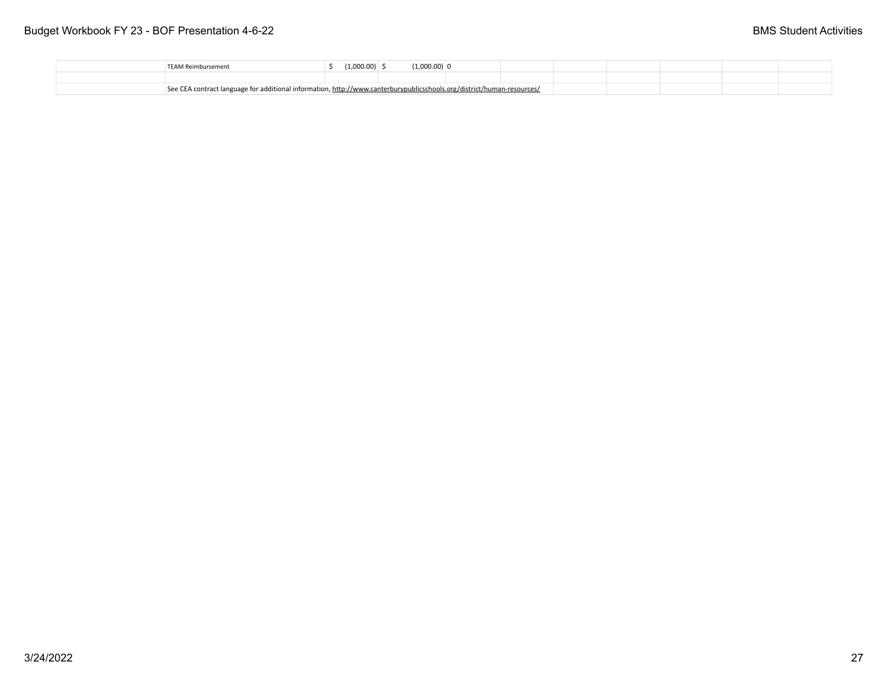|  | TFAM Reimbursement                                                                                                     | (1,000.00) | $(1,000.00)$ 0 |  |  |  |  |
|--|------------------------------------------------------------------------------------------------------------------------|------------|----------------|--|--|--|--|
|  |                                                                                                                        |            |                |  |  |  |  |
|  | See CEA contract language for additional information, http://www.canterburypublicschools.org/district/human-resources/ |            |                |  |  |  |  |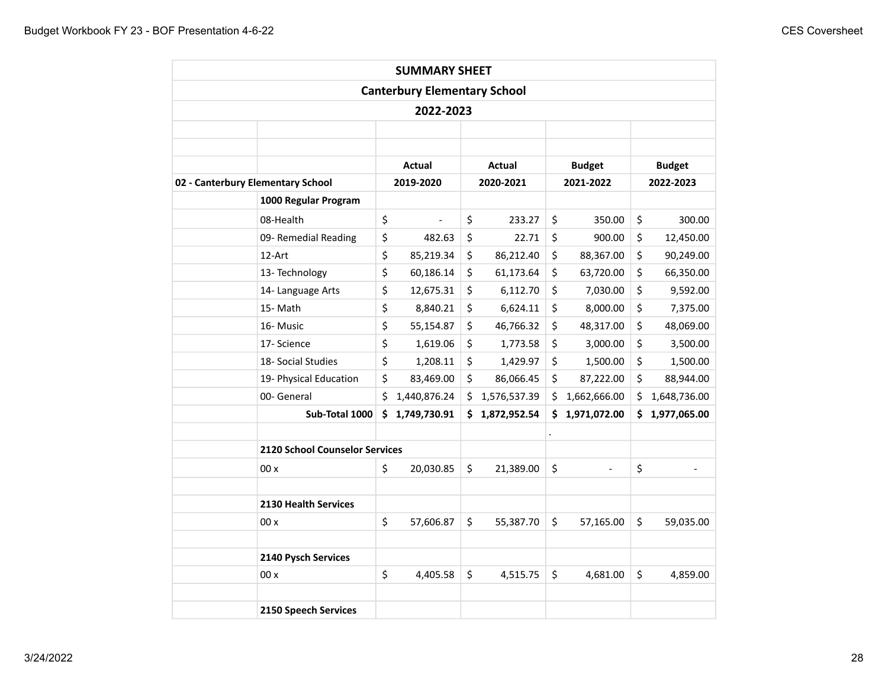|                                   |                                       |     | <b>SUMMARY SHEET</b>                |                    |                    |                    |
|-----------------------------------|---------------------------------------|-----|-------------------------------------|--------------------|--------------------|--------------------|
|                                   |                                       |     | <b>Canterbury Elementary School</b> |                    |                    |                    |
|                                   |                                       |     | 2022-2023                           |                    |                    |                    |
|                                   |                                       |     |                                     |                    |                    |                    |
|                                   |                                       |     |                                     |                    |                    |                    |
|                                   |                                       |     | Actual                              | Actual             | <b>Budget</b>      | <b>Budget</b>      |
| 02 - Canterbury Elementary School |                                       |     | 2019-2020                           | 2020-2021          | 2021-2022          | 2022-2023          |
|                                   | 1000 Regular Program                  |     |                                     |                    |                    |                    |
| 08-Health                         |                                       | \$  |                                     | \$<br>233.27       | \$<br>350.00       | \$<br>300.00       |
|                                   | 09- Remedial Reading                  | \$  | 482.63                              | \$<br>22.71        | \$<br>900.00       | \$<br>12,450.00    |
| 12-Art                            |                                       | \$  | 85,219.34                           | \$<br>86,212.40    | \$<br>88,367.00    | \$<br>90,249.00    |
|                                   | 13- Technology                        | \$  | 60,186.14                           | \$<br>61,173.64    | \$<br>63,720.00    | \$<br>66,350.00    |
|                                   | 14- Language Arts                     | \$  | 12,675.31                           | \$<br>6,112.70     | \$<br>7,030.00     | \$<br>9,592.00     |
| 15-Math                           |                                       | \$  | 8,840.21                            | \$<br>6,624.11     | \$<br>8,000.00     | \$<br>7,375.00     |
| 16-Music                          |                                       | \$  | 55,154.87                           | \$<br>46,766.32    | \$<br>48,317.00    | \$<br>48,069.00    |
| 17- Science                       |                                       | \$  | 1,619.06                            | \$<br>1,773.58     | \$<br>3,000.00     | \$<br>3,500.00     |
|                                   | 18- Social Studies                    | \$  | 1,208.11                            | \$<br>1,429.97     | \$<br>1,500.00     | \$<br>1,500.00     |
|                                   | 19- Physical Education                | \$  | 83,469.00                           | \$<br>86,066.45    | \$<br>87,222.00    | \$<br>88,944.00    |
| 00- General                       |                                       | \$  | 1,440,876.24                        | \$<br>1,576,537.39 | \$<br>1,662,666.00 | \$<br>1,648,736.00 |
|                                   | Sub-Total 1000                        | \$. | 1,749,730.91                        | \$<br>1,872,952.54 | \$<br>1,971,072.00 | \$<br>1,977,065.00 |
|                                   |                                       |     |                                     |                    |                    |                    |
|                                   | <b>2120 School Counselor Services</b> |     |                                     |                    |                    |                    |
| 00x                               |                                       | \$  | 20,030.85                           | \$<br>21,389.00    | \$                 | \$                 |
|                                   |                                       |     |                                     |                    |                    |                    |
|                                   | <b>2130 Health Services</b>           |     |                                     |                    |                    |                    |
| 00x                               |                                       | \$  | 57,606.87                           | \$<br>55,387.70    | \$<br>57,165.00    | \$<br>59,035.00    |
|                                   |                                       |     |                                     |                    |                    |                    |
|                                   | 2140 Pysch Services                   |     |                                     |                    |                    |                    |
| 00x                               |                                       | \$  | 4,405.58                            | \$<br>4,515.75     | \$<br>4,681.00     | \$<br>4,859.00     |
|                                   |                                       |     |                                     |                    |                    |                    |
|                                   | 2150 Speech Services                  |     |                                     |                    |                    |                    |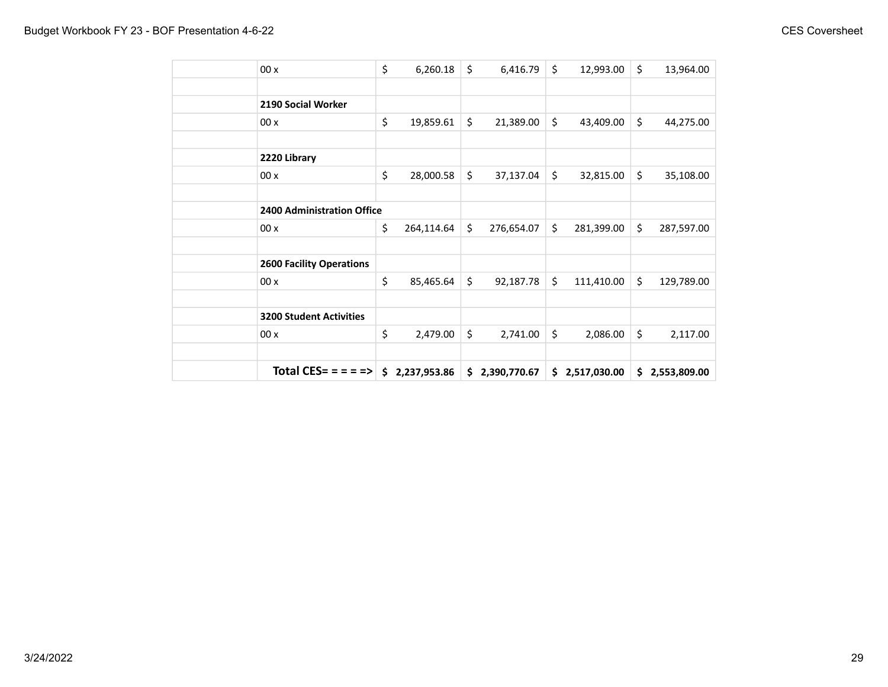| 00x                             | \$<br>6,260.18     | \$<br>6,416.79   | \$<br>12,993.00  | \$<br>13,964.00  |
|---------------------------------|--------------------|------------------|------------------|------------------|
|                                 |                    |                  |                  |                  |
| 2190 Social Worker              |                    |                  |                  |                  |
| 00x                             | \$<br>19,859.61    | \$<br>21,389.00  | \$<br>43,409.00  | \$<br>44,275.00  |
|                                 |                    |                  |                  |                  |
| 2220 Library                    |                    |                  |                  |                  |
| 00x                             | \$<br>28,000.58    | \$<br>37,137.04  | \$<br>32,815.00  | \$<br>35,108.00  |
|                                 |                    |                  |                  |                  |
| 2400 Administration Office      |                    |                  |                  |                  |
| 00x                             | \$<br>264,114.64   | \$<br>276,654.07 | \$<br>281,399.00 | \$<br>287,597.00 |
|                                 |                    |                  |                  |                  |
| <b>2600 Facility Operations</b> |                    |                  |                  |                  |
| 00x                             | \$<br>85,465.64    | \$<br>92,187.78  | \$<br>111,410.00 | \$<br>129,789.00 |
|                                 |                    |                  |                  |                  |
| <b>3200 Student Activities</b>  |                    |                  |                  |                  |
| 00x                             | \$<br>2,479.00     | \$<br>2,741.00   | \$<br>2,086.00   | \$<br>2,117.00   |
|                                 |                    |                  |                  |                  |
| <b>Total CES= = = = =&gt;  </b> | \$<br>2,237,953.86 | \$2,390,770.67   | \$2,517,030.00   | \$2,553,809.00   |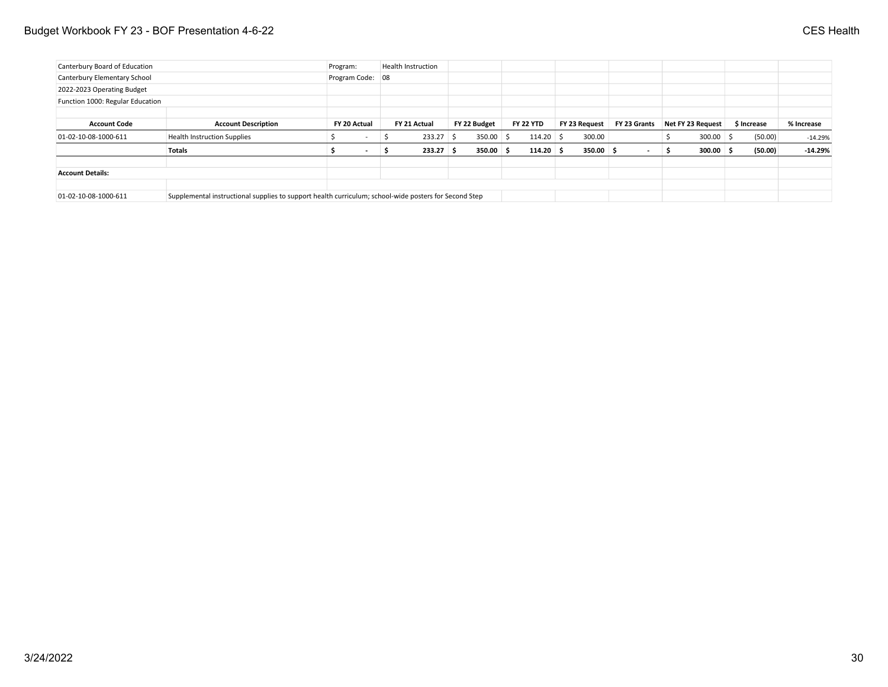## Budget Workbook FY 23 - BOF Presentation 4-6-22 CES Health

| Canterbury Board of Education    |                                                                                                       | Program:                 |    | <b>Health Instruction</b> |    |              |                  |               |              |     |                          |             |            |
|----------------------------------|-------------------------------------------------------------------------------------------------------|--------------------------|----|---------------------------|----|--------------|------------------|---------------|--------------|-----|--------------------------|-------------|------------|
| Canterbury Elementary School     |                                                                                                       | Program Code: 08         |    |                           |    |              |                  |               |              |     |                          |             |            |
| 2022-2023 Operating Budget       |                                                                                                       |                          |    |                           |    |              |                  |               |              |     |                          |             |            |
| Function 1000: Regular Education |                                                                                                       |                          |    |                           |    |              |                  |               |              |     |                          |             |            |
|                                  |                                                                                                       |                          |    |                           |    |              |                  |               |              |     |                          |             |            |
| <b>Account Code</b>              | <b>Account Description</b>                                                                            | FY 20 Actual             |    | FY 21 Actual              |    | FY 22 Budget | <b>FY 22 YTD</b> | FY 23 Request | FY 23 Grants |     | <b>Net FY 23 Request</b> | \$ Increase | % Increase |
| 01-02-10-08-1000-611             | <b>Health Instruction Supplies</b>                                                                    | $\overline{\phantom{a}}$ | -2 | 233.27                    | S. | $350.00$ \$  | $114.20$ \$      | 300.00        |              |     | $300.00$ \$              | (50.00)     | $-14.29%$  |
|                                  | <b>Totals</b>                                                                                         | $\sim$                   | 5  | $233.27$ \$               |    | 350.00%      | $114.20$ \$      | 350.00%       |              | - S | $300.00$ \$              | (50.00)     | $-14.29%$  |
|                                  |                                                                                                       |                          |    |                           |    |              |                  |               |              |     |                          |             |            |
| <b>Account Details:</b>          |                                                                                                       |                          |    |                           |    |              |                  |               |              |     |                          |             |            |
|                                  |                                                                                                       |                          |    |                           |    |              |                  |               |              |     |                          |             |            |
| 01-02-10-08-1000-611             | Supplemental instructional supplies to support health curriculum; school-wide posters for Second Step |                          |    |                           |    |              |                  |               |              |     |                          |             |            |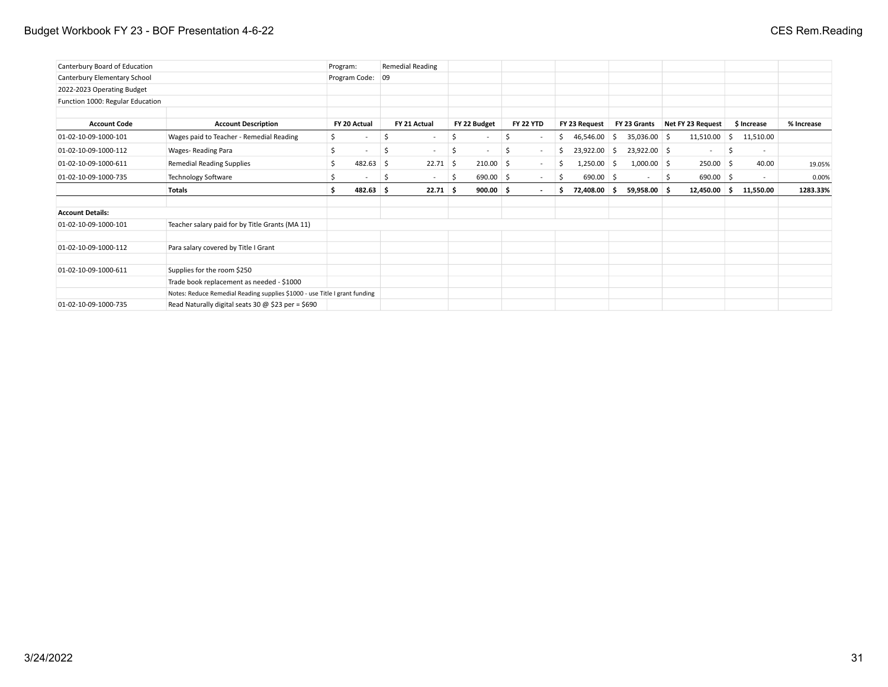## Budget Workbook FY 23 - BOF Presentation 4-6-22 **CES Rem.Reading** CES Rem.Reading

| Canterbury Board of Education    |                                                                            | Program: |                  |    | <b>Remedial Reading</b>  |     |                          |    |                          |   |               |     |                          |    |                   |     |             |            |
|----------------------------------|----------------------------------------------------------------------------|----------|------------------|----|--------------------------|-----|--------------------------|----|--------------------------|---|---------------|-----|--------------------------|----|-------------------|-----|-------------|------------|
| Canterbury Elementary School     |                                                                            |          | Program Code: 09 |    |                          |     |                          |    |                          |   |               |     |                          |    |                   |     |             |            |
| 2022-2023 Operating Budget       |                                                                            |          |                  |    |                          |     |                          |    |                          |   |               |     |                          |    |                   |     |             |            |
| Function 1000: Regular Education |                                                                            |          |                  |    |                          |     |                          |    |                          |   |               |     |                          |    |                   |     |             |            |
|                                  |                                                                            |          |                  |    |                          |     |                          |    |                          |   |               |     |                          |    |                   |     |             |            |
| <b>Account Code</b>              | <b>Account Description</b>                                                 |          | FY 20 Actual     |    | FY 21 Actual             |     | FY 22 Budget             |    | <b>FY 22 YTD</b>         |   | FY 23 Request |     | FY 23 Grants             |    | Net FY 23 Request |     | \$ Increase | % Increase |
| 01-02-10-09-1000-101             | Wages paid to Teacher - Remedial Reading                                   | \$       |                  | Ŝ. | $\overline{\phantom{a}}$ | \$  | $\overline{\phantom{a}}$ |    | $\sim$                   | Ś | 46,546.00     | -S  | 35,036.00 \$             |    | 11,510.00         | S.  | 11,510.00   |            |
| 01-02-10-09-1000-112             | Wages-Reading Para                                                         | \$       | $\sim$           | S  | $\sim$                   | \$  | $\sim$                   | Ŝ. | $\sim$                   |   | 23,922.00     | - S | $23,922.00$ \$           |    | $\sim$            | -\$ | $\sim$      |            |
| 01-02-10-09-1000-611             | <b>Remedial Reading Supplies</b>                                           | Ŝ.       | $482.63$ \$      |    | 22.71                    | 5   | 210.00                   | -S | $\overline{\phantom{a}}$ | Ś | $1,250.00$ \$ |     | $1,000.00$ \$            |    | $250.00$ \$       |     | 40.00       | 19.05%     |
| 01-02-10-09-1000-735             | <b>Technology Software</b>                                                 |          |                  | S  | $\sim$                   | -\$ | $690.00$ \$              |    | $\sim$                   | Ŝ | 690.00 \$     |     | $\overline{\phantom{a}}$ | -S | 690.00 \$         |     | $\sim$      | 0.00%      |
|                                  | <b>Totals</b>                                                              | Ŝ.       | $482.63$ \$      |    | 22.71S                   |     | $900.00$ \$              |    | . .                      | Ś | 72,408.00 \$  |     | 59,958.00 \$             |    | $12,450.00$ \$    |     | 11,550.00   | 1283.33%   |
| <b>Account Details:</b>          |                                                                            |          |                  |    |                          |     |                          |    |                          |   |               |     |                          |    |                   |     |             |            |
| 01-02-10-09-1000-101             | Teacher salary paid for by Title Grants (MA 11)                            |          |                  |    |                          |     |                          |    |                          |   |               |     |                          |    |                   |     |             |            |
| 01-02-10-09-1000-112             | Para salary covered by Title I Grant                                       |          |                  |    |                          |     |                          |    |                          |   |               |     |                          |    |                   |     |             |            |
| 01-02-10-09-1000-611             | Supplies for the room \$250                                                |          |                  |    |                          |     |                          |    |                          |   |               |     |                          |    |                   |     |             |            |
|                                  | Trade book replacement as needed - \$1000                                  |          |                  |    |                          |     |                          |    |                          |   |               |     |                          |    |                   |     |             |            |
|                                  | Notes: Reduce Remedial Reading supplies \$1000 - use Title I grant funding |          |                  |    |                          |     |                          |    |                          |   |               |     |                          |    |                   |     |             |            |
| 01-02-10-09-1000-735             | Read Naturally digital seats 30 $\omega$ \$23 per = \$690                  |          |                  |    |                          |     |                          |    |                          |   |               |     |                          |    |                   |     |             |            |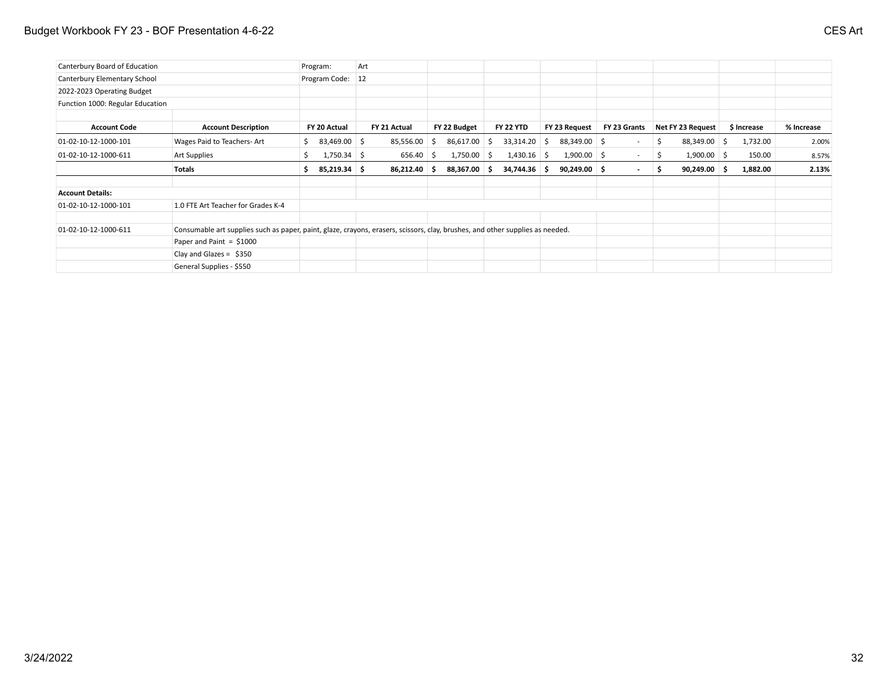## Budget Workbook FY 23 - BOF Presentation 4-6-22 CES Art

| Canterbury Board of Education    |                                                                                                                               |    | Program:           | Art |              |    |                |                  |    |                |                          |    |                   |     |             |            |
|----------------------------------|-------------------------------------------------------------------------------------------------------------------------------|----|--------------------|-----|--------------|----|----------------|------------------|----|----------------|--------------------------|----|-------------------|-----|-------------|------------|
| Canterbury Elementary School     |                                                                                                                               |    | Program Code:   12 |     |              |    |                |                  |    |                |                          |    |                   |     |             |            |
| 2022-2023 Operating Budget       |                                                                                                                               |    |                    |     |              |    |                |                  |    |                |                          |    |                   |     |             |            |
| Function 1000: Regular Education |                                                                                                                               |    |                    |     |              |    |                |                  |    |                |                          |    |                   |     |             |            |
| <b>Account Code</b>              | <b>Account Description</b>                                                                                                    |    | FY 20 Actual       |     | FY 21 Actual |    | FY 22 Budget   | <b>FY 22 YTD</b> |    | FY 23 Request  | FY 23 Grants             |    | Net FY 23 Request |     | \$ Increase | % Increase |
| 01-02-10-12-1000-101             | Wages Paid to Teachers-Art                                                                                                    | S. | 83,469.00 \$       |     | 85,556.00    | -S | $86,617.00$ \$ | 33,314.20        | -S | 88,349.00 \$   | $\overline{\phantom{a}}$ | -S | 88,349.00         | - S | 1,732.00    | 2.00%      |
| 01-02-10-12-1000-611             | Art Supplies                                                                                                                  |    | $1,750.34$ \ \$    |     | 656.40       | -S | $1,750.00$ \$  | 1,430.16         | -S | $1,900.00$ \$  | $\sim$                   |    | $1,900.00$ \$     |     | 150.00      | 8.57%      |
|                                  | Totals                                                                                                                        | S. | 85,219.34 \$       |     | 86,212.40    |    | 88,367.00 \$   | 34,744.36        | -S | $90,249.00$ \$ | $\sim$                   | -S | $90,249.00$ \$    |     | 1,882.00    | 2.13%      |
| <b>Account Details:</b>          |                                                                                                                               |    |                    |     |              |    |                |                  |    |                |                          |    |                   |     |             |            |
| 01-02-10-12-1000-101             | 1.0 FTE Art Teacher for Grades K-4                                                                                            |    |                    |     |              |    |                |                  |    |                |                          |    |                   |     |             |            |
| 01-02-10-12-1000-611             | Consumable art supplies such as paper, paint, glaze, crayons, erasers, scissors, clay, brushes, and other supplies as needed. |    |                    |     |              |    |                |                  |    |                |                          |    |                   |     |             |            |
|                                  | Paper and Paint = $$1000$                                                                                                     |    |                    |     |              |    |                |                  |    |                |                          |    |                   |     |             |            |
|                                  | Clay and Glazes = $$350$                                                                                                      |    |                    |     |              |    |                |                  |    |                |                          |    |                   |     |             |            |
|                                  | General Supplies - \$550                                                                                                      |    |                    |     |              |    |                |                  |    |                |                          |    |                   |     |             |            |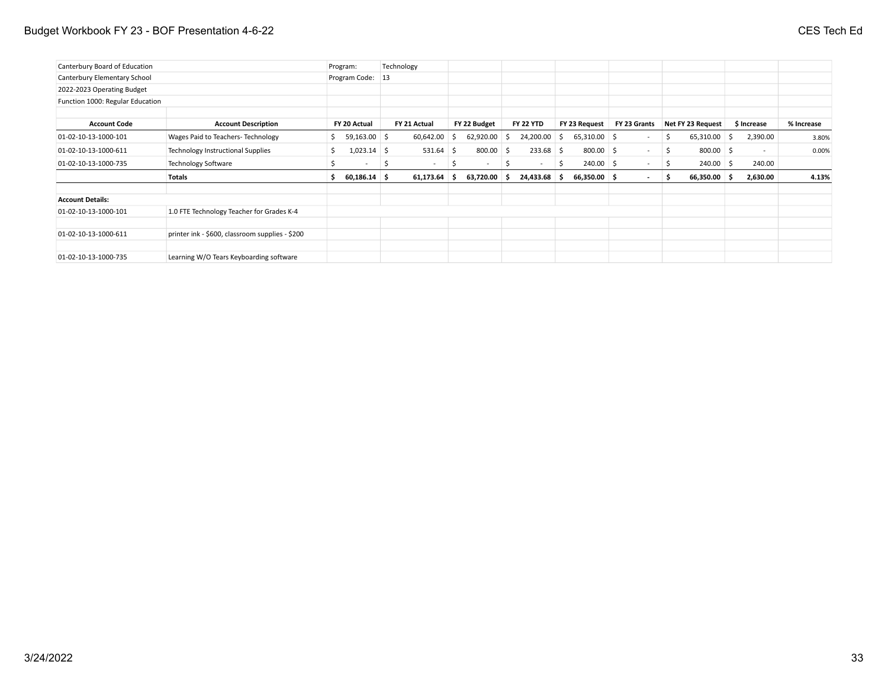## Budget Workbook FY 23 - BOF Presentation 4-6-22 **CES Tech Education 4-6-22** CES Tech Education 4-6-22

| Canterbury Board of Education    |                                                 | Program:         |    | Technology   |    |                          |              |                  |    |                |              |     |                   |             |            |
|----------------------------------|-------------------------------------------------|------------------|----|--------------|----|--------------------------|--------------|------------------|----|----------------|--------------|-----|-------------------|-------------|------------|
| Canterbury Elementary School     |                                                 | Program Code: 13 |    |              |    |                          |              |                  |    |                |              |     |                   |             |            |
| 2022-2023 Operating Budget       |                                                 |                  |    |              |    |                          |              |                  |    |                |              |     |                   |             |            |
| Function 1000: Regular Education |                                                 |                  |    |              |    |                          |              |                  |    |                |              |     |                   |             |            |
|                                  |                                                 |                  |    |              |    |                          |              |                  |    |                |              |     |                   |             |            |
| <b>Account Code</b>              | <b>Account Description</b>                      | FY 20 Actual     |    | FY 21 Actual |    | FY 22 Budget             |              | <b>FY 22 YTD</b> |    | FY 23 Request  | FY 23 Grants |     | Net FY 23 Request | \$ Increase | % Increase |
| 01-02-10-13-1000-101             | Wages Paid to Teachers- Technology              | $59,163.00$ \$   |    | 60,642.00    | -S | 62,920.00                | -S           | 24,200.00        | S. | $65,310.00$ \$ |              | S.  | $65,310.00$ \$    | 2,390.00    | 3.80%      |
| 01-02-10-13-1000-611             | <b>Technology Instructional Supplies</b>        | $1,023.14$ \$    |    | $531.64$ \$  |    | 800.00                   | -S           | $233.68$ \$      |    | $800.00$ \$    | $\sim$       | \$. | $800.00$ \$       | $\sim$      | 0.00%      |
| 01-02-10-13-1000-735             | <b>Technology Software</b>                      |                  | -S | $\sim$       |    | $\overline{\phantom{a}}$ | <sub>S</sub> | $\sim$           | S  | $240.00$ \$    |              | -S  | $240.00$ \$       | 240.00      |            |
|                                  | <b>Totals</b>                                   | $60,186.14$ \$   |    | 61,173.64    | -S | 63,720.00                | s.           | 24,433.68 \$     |    | $66,350.00$ \$ | $\sim$       | -S  | $66,350.00$ \$    | 2,630.00    | 4.13%      |
| <b>Account Details:</b>          |                                                 |                  |    |              |    |                          |              |                  |    |                |              |     |                   |             |            |
| 01-02-10-13-1000-101             | 1.0 FTE Technology Teacher for Grades K-4       |                  |    |              |    |                          |              |                  |    |                |              |     |                   |             |            |
| 01-02-10-13-1000-611             | printer ink - \$600, classroom supplies - \$200 |                  |    |              |    |                          |              |                  |    |                |              |     |                   |             |            |
| 01-02-10-13-1000-735             | Learning W/O Tears Keyboarding software         |                  |    |              |    |                          |              |                  |    |                |              |     |                   |             |            |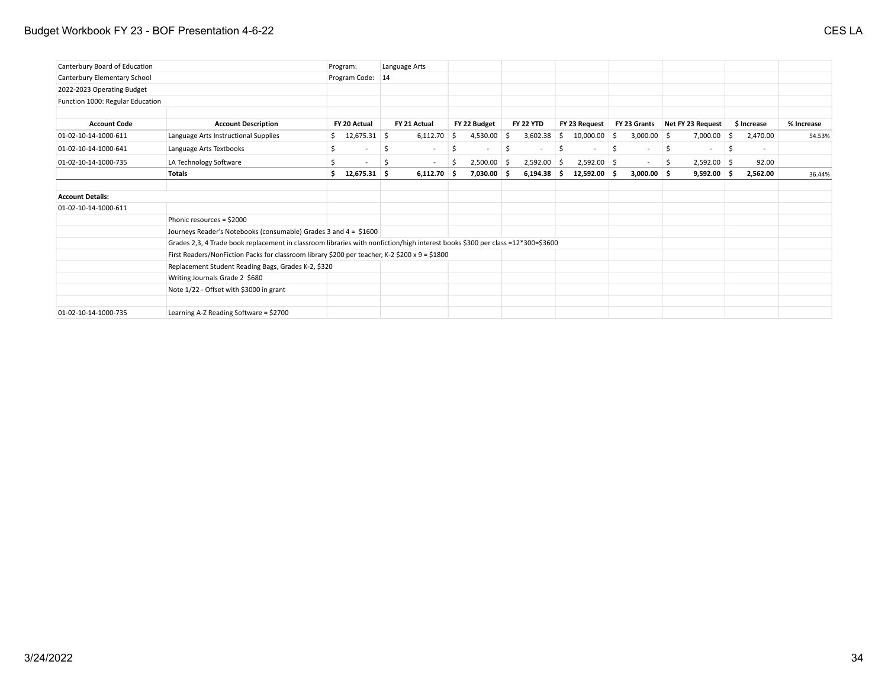## Budget Workbook FY 23 - BOF Presentation 4-6-22 CES LA

| Canterbury Board of Education    |                                                                                                                                | Program:                        |    | Language Arts            |    |               |     |                          |    |                |     |                          |     |                   |    |             |            |
|----------------------------------|--------------------------------------------------------------------------------------------------------------------------------|---------------------------------|----|--------------------------|----|---------------|-----|--------------------------|----|----------------|-----|--------------------------|-----|-------------------|----|-------------|------------|
| Canterbury Elementary School     |                                                                                                                                | Program Code: 14                |    |                          |    |               |     |                          |    |                |     |                          |     |                   |    |             |            |
| 2022-2023 Operating Budget       |                                                                                                                                |                                 |    |                          |    |               |     |                          |    |                |     |                          |     |                   |    |             |            |
| Function 1000: Regular Education |                                                                                                                                |                                 |    |                          |    |               |     |                          |    |                |     |                          |     |                   |    |             |            |
| <b>Account Code</b>              | <b>Account Description</b>                                                                                                     | FY 20 Actual                    |    | FY 21 Actual             |    | FY 22 Budget  |     | <b>FY 22 YTD</b>         |    | FY 23 Request  |     | FY 23 Grants             |     | Net FY 23 Request |    | \$ Increase | % Increase |
| 01-02-10-14-1000-611             | Language Arts Instructional Supplies                                                                                           | $$12,675.31$ \$                 |    | 6,112.70                 | -S | 4,530.00      | -Ŝ  | 3,602.38                 | S. | 10,000.00      | - S | $3,000.00$ \$            |     | 7,000.00          | S  | 2,470.00    | 54.53%     |
| 01-02-10-14-1000-641             | Language Arts Textbooks                                                                                                        | \$.<br>$\overline{\phantom{a}}$ | \$ | $\overline{\phantom{a}}$ | Ŝ  |               | S   | $\overline{\phantom{a}}$ | \$ |                | S   | $\sim$                   | \$  | $\sim$            | \$ | $\sim$      |            |
| 01-02-10-14-1000-735             | LA Technology Software                                                                                                         | $\overline{\phantom{a}}$        | S  | $\sim$                   | S. | 2,500.00      | ∣\$ | $2,592.00$ \$            |    | $2,592.00$ \$  |     | $\overline{\phantom{a}}$ | \$. | $2,592.00$ \$     |    | 92.00       |            |
|                                  | <b>Totals</b>                                                                                                                  | 12,675.31 \$<br>' \$ ∴          |    | $6,112.70$ \$            |    | $7,030.00$ \$ |     | $6,194.38$ \$            |    | $12,592.00$ \$ |     | $3,000.00$ \$            |     | $9,592.00$ \$     |    | 2,562.00    | 36.44%     |
| <b>Account Details:</b>          |                                                                                                                                |                                 |    |                          |    |               |     |                          |    |                |     |                          |     |                   |    |             |            |
| 01-02-10-14-1000-611             |                                                                                                                                |                                 |    |                          |    |               |     |                          |    |                |     |                          |     |                   |    |             |            |
|                                  | Phonic resources = \$2000                                                                                                      |                                 |    |                          |    |               |     |                          |    |                |     |                          |     |                   |    |             |            |
|                                  | Journeys Reader's Notebooks (consumable) Grades 3 and 4 = \$1600                                                               |                                 |    |                          |    |               |     |                          |    |                |     |                          |     |                   |    |             |            |
|                                  | Grades 2,3, 4 Trade book replacement in classroom libraries with nonfiction/high interest books \$300 per class =12*300=\$3600 |                                 |    |                          |    |               |     |                          |    |                |     |                          |     |                   |    |             |            |
|                                  | First Readers/NonFiction Packs for classroom library \$200 per teacher, K-2 \$200 x 9 = \$1800                                 |                                 |    |                          |    |               |     |                          |    |                |     |                          |     |                   |    |             |            |
|                                  | Replacement Student Reading Bags, Grades K-2, \$320                                                                            |                                 |    |                          |    |               |     |                          |    |                |     |                          |     |                   |    |             |            |
|                                  | Writing Journals Grade 2 \$680                                                                                                 |                                 |    |                          |    |               |     |                          |    |                |     |                          |     |                   |    |             |            |
|                                  | Note 1/22 - Offset with \$3000 in grant                                                                                        |                                 |    |                          |    |               |     |                          |    |                |     |                          |     |                   |    |             |            |
| 01-02-10-14-1000-735             | Learning A-Z Reading Software = \$2700                                                                                         |                                 |    |                          |    |               |     |                          |    |                |     |                          |     |                   |    |             |            |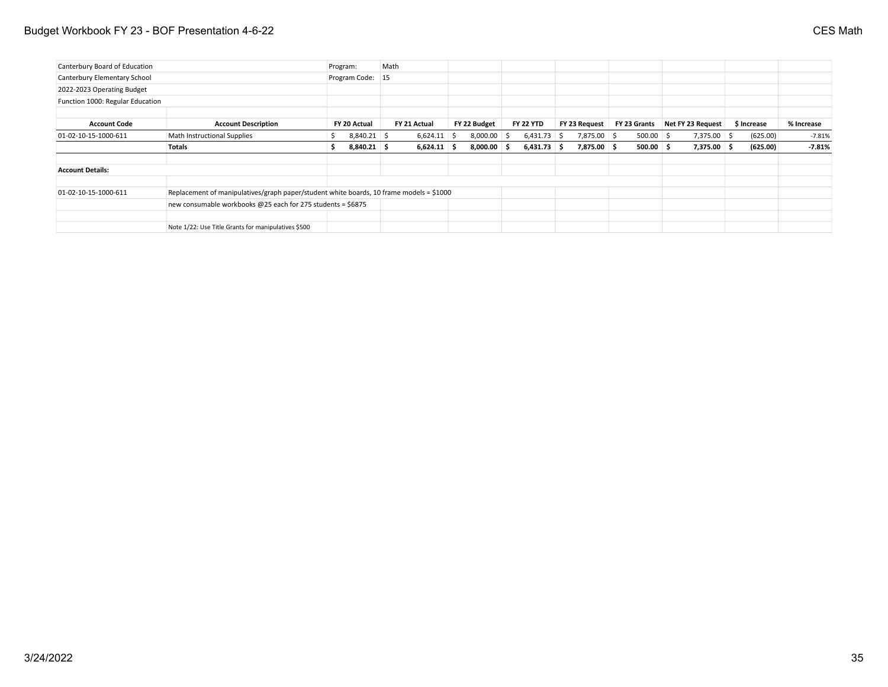## Budget Workbook FY 23 - BOF Presentation 4-6-22 CES Math

| Canterbury Board of Education    |                                                                                         |   | Program:         | Math |               |               |                  |               |              |                   |             |            |
|----------------------------------|-----------------------------------------------------------------------------------------|---|------------------|------|---------------|---------------|------------------|---------------|--------------|-------------------|-------------|------------|
| Canterbury Elementary School     |                                                                                         |   | Program Code: 15 |      |               |               |                  |               |              |                   |             |            |
| 2022-2023 Operating Budget       |                                                                                         |   |                  |      |               |               |                  |               |              |                   |             |            |
| Function 1000: Regular Education |                                                                                         |   |                  |      |               |               |                  |               |              |                   |             |            |
|                                  |                                                                                         |   |                  |      |               |               |                  |               |              |                   |             |            |
| <b>Account Code</b>              | <b>Account Description</b>                                                              |   | FY 20 Actual     |      | FY 21 Actual  | FY 22 Budget  | <b>FY 22 YTD</b> | FY 23 Request | FY 23 Grants | Net FY 23 Request | \$ Increase | % Increase |
| 01-02-10-15-1000-611             | Math Instructional Supplies                                                             | S | $8,840.21$ \$    |      | $6,624.11$ \$ | $8,000.00$ \$ | $6,431.73$ \$    | 7,875.00 \$   | $500.00$ \$  | $7,375.00$ \$     | (625.00)    | $-7.81%$   |
|                                  | Totals                                                                                  | S | $8,840.21$ \$    |      | $6,624.11$ \$ | $8,000.00$ \$ | $6,431.73$ \$    | 7,875.00 \$   | $500.00$ \$  | 7,375.00 \$       | (625.00)    | $-7.81%$   |
| <b>Account Details:</b>          |                                                                                         |   |                  |      |               |               |                  |               |              |                   |             |            |
| $01-02-10-15-1000-611$           | Replacement of manipulatives/graph paper/student white boards, 10 frame models = \$1000 |   |                  |      |               |               |                  |               |              |                   |             |            |
|                                  | new consumable workbooks @25 each for 275 students = \$6875                             |   |                  |      |               |               |                  |               |              |                   |             |            |
|                                  | Note 1/22: Use Title Grants for manipulatives \$500                                     |   |                  |      |               |               |                  |               |              |                   |             |            |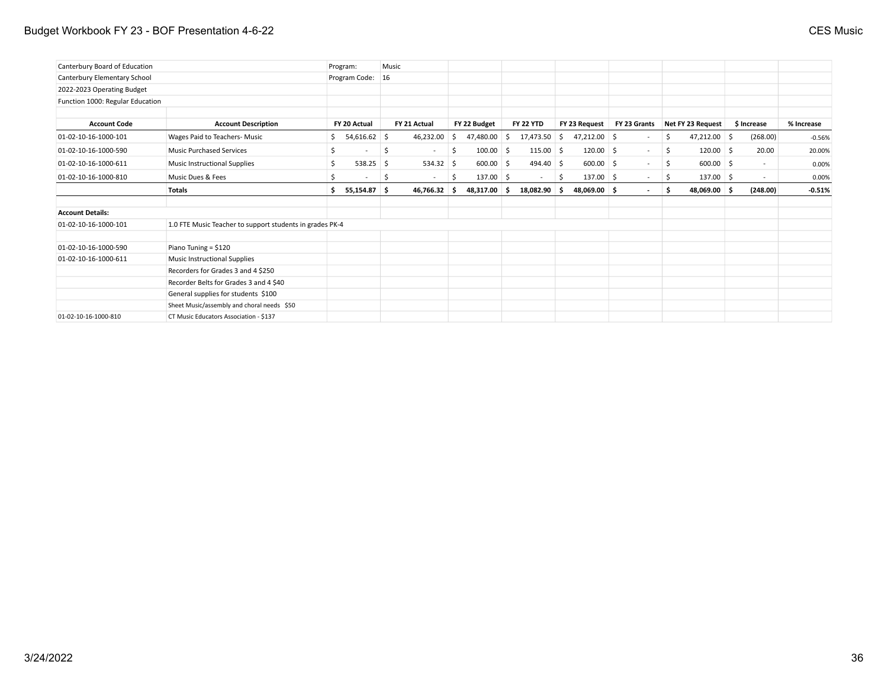## Budget Workbook FY 23 - BOF Presentation 4-6-22 CES Music

| Canterbury Board of Education    |                                                          | Program:                      | Music |              |     |              |     |                          |     |                |              |     |                   |             |            |
|----------------------------------|----------------------------------------------------------|-------------------------------|-------|--------------|-----|--------------|-----|--------------------------|-----|----------------|--------------|-----|-------------------|-------------|------------|
| Canterbury Elementary School     |                                                          | Program Code: 16              |       |              |     |              |     |                          |     |                |              |     |                   |             |            |
| 2022-2023 Operating Budget       |                                                          |                               |       |              |     |              |     |                          |     |                |              |     |                   |             |            |
| Function 1000: Regular Education |                                                          |                               |       |              |     |              |     |                          |     |                |              |     |                   |             |            |
| <b>Account Code</b>              | <b>Account Description</b>                               | FY 20 Actual                  |       | FY 21 Actual |     | FY 22 Budget |     | <b>FY 22 YTD</b>         |     | FY 23 Request  | FY 23 Grants |     | Net FY 23 Request | \$ Increase | % Increase |
| 01-02-10-16-1000-101             | Wages Paid to Teachers- Music                            | 54,616.62 \$<br>S.            |       | 46,232.00    | -S  | 47,480.00    | Ŝ.  | 17,473.50                | S.  | $47,212.00$ \$ |              | \$  | $47,212.00$ \$    | (268.00)    | $-0.56%$   |
| 01-02-10-16-1000-590             | <b>Music Purchased Services</b>                          | Ŝ<br>$\overline{\phantom{a}}$ | \$    | $\sim$       | .s  | 100.00       | -S  | $115.00$ \$              |     | $120.00$ \$    | $\sim$       | S.  | $120.00$ \$       | 20.00       | 20.00%     |
| 01-02-10-16-1000-611             | Music Instructional Supplies                             | $538.25$ \$<br>\$             |       | $534.32$ \$  |     | 600.00       | \$. | $494.40$ \$              |     | $600.00$ \$    | $\sim$       | -\$ | $600.00$ \$       | $\sim$      | 0.00%      |
| 01-02-10-16-1000-810             | Music Dues & Fees                                        |                               | -S    | $\sim$       | -S  | 137.00       | - Ś | $\overline{\phantom{a}}$ | -\$ | 137.00 \$      | $\sim$       | -\$ | $137.00$ \$       | $\sim$      | 0.00%      |
|                                  | <b>Totals</b>                                            | 55,154.87 \$<br>Ŝ.            |       | 46,766.32    | - S | 48,317.00    | s.  | 18,082.90 \$             |     | 48,069.00 \$   | $\sim$       | s   | 48,069.00 \$      | (248.00)    | $-0.51%$   |
|                                  |                                                          |                               |       |              |     |              |     |                          |     |                |              |     |                   |             |            |
| <b>Account Details:</b>          |                                                          |                               |       |              |     |              |     |                          |     |                |              |     |                   |             |            |
| 01-02-10-16-1000-101             | 1.0 FTE Music Teacher to support students in grades PK-4 |                               |       |              |     |              |     |                          |     |                |              |     |                   |             |            |
| 01-02-10-16-1000-590             | Piano Tuning = \$120                                     |                               |       |              |     |              |     |                          |     |                |              |     |                   |             |            |
| 01-02-10-16-1000-611             | Music Instructional Supplies                             |                               |       |              |     |              |     |                          |     |                |              |     |                   |             |            |
|                                  | Recorders for Grades 3 and 4 \$250                       |                               |       |              |     |              |     |                          |     |                |              |     |                   |             |            |
|                                  | Recorder Belts for Grades 3 and 4 \$40                   |                               |       |              |     |              |     |                          |     |                |              |     |                   |             |            |
|                                  | General supplies for students \$100                      |                               |       |              |     |              |     |                          |     |                |              |     |                   |             |            |
|                                  | Sheet Music/assembly and choral needs \$50               |                               |       |              |     |              |     |                          |     |                |              |     |                   |             |            |
| 01-02-10-16-1000-810             | CT Music Educators Association - \$137                   |                               |       |              |     |              |     |                          |     |                |              |     |                   |             |            |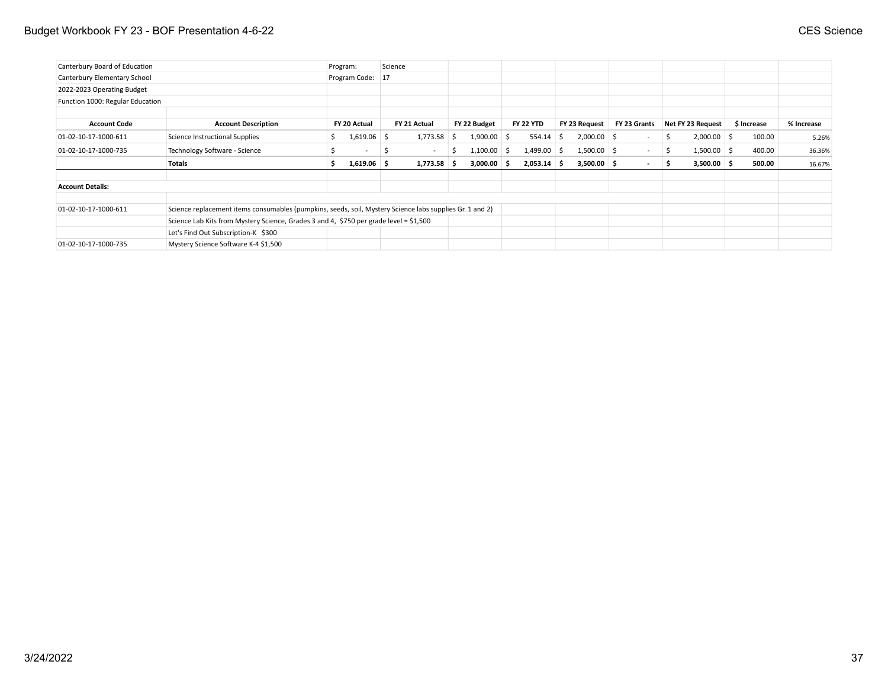### Budget Workbook FY 23 - BOF Presentation 4-6-22 CES Science

| Canterbury Board of Education    |                                                                                                          |    | Program:         | Science |               |   |               |                  |               |              |     |                   |             |            |
|----------------------------------|----------------------------------------------------------------------------------------------------------|----|------------------|---------|---------------|---|---------------|------------------|---------------|--------------|-----|-------------------|-------------|------------|
| Canterbury Elementary School     |                                                                                                          |    | Program Code: 17 |         |               |   |               |                  |               |              |     |                   |             |            |
| 2022-2023 Operating Budget       |                                                                                                          |    |                  |         |               |   |               |                  |               |              |     |                   |             |            |
| Function 1000: Regular Education |                                                                                                          |    |                  |         |               |   |               |                  |               |              |     |                   |             |            |
|                                  |                                                                                                          |    |                  |         |               |   |               |                  |               |              |     |                   |             |            |
| <b>Account Code</b>              | <b>Account Description</b>                                                                               |    | FY 20 Actual     |         | FY 21 Actual  |   | FY 22 Budget  | <b>FY 22 YTD</b> | FY 23 Request | FY 23 Grants |     | Net FY 23 Request | \$ Increase | % Increase |
| 01-02-10-17-1000-611             | Science Instructional Supplies                                                                           |    | $1,619.06$ \$    |         | 1,773.58      | S | $1,900.00$ \$ | $554.14$ \$      | $2,000.00$ \$ | $\sim$       | \$. | $2,000.00$ \$     | 100.00      | 5.26%      |
| 01-02-10-17-1000-735             | Technology Software - Science                                                                            |    | $\sim$           |         | $\sim$        | S | $1,100.00$ \$ | $1,499.00$ \$    | $1,500.00$ \$ | $\sim$       | S.  | $1,500.00$ \$     | 400.00      | 36.36%     |
|                                  | Totals                                                                                                   | Ŝ. | $1,619.06$ \$    |         | $1,773.58$ \$ |   | $3,000.00$ \$ | $2,053.14$ \$    | $3,500.00$ \$ | $\sim$       | s.  | $3,500.00$ \$     | 500.00      | 16.67%     |
| <b>Account Details:</b>          |                                                                                                          |    |                  |         |               |   |               |                  |               |              |     |                   |             |            |
| 01-02-10-17-1000-611             | Science replacement items consumables (pumpkins, seeds, soil, Mystery Science labs supplies Gr. 1 and 2) |    |                  |         |               |   |               |                  |               |              |     |                   |             |            |
|                                  | Science Lab Kits from Mystery Science, Grades 3 and 4, \$750 per grade level = \$1,500                   |    |                  |         |               |   |               |                  |               |              |     |                   |             |            |
|                                  | Let's Find Out Subscription-K \$300                                                                      |    |                  |         |               |   |               |                  |               |              |     |                   |             |            |
| 01-02-10-17-1000-735             | Mystery Science Software K-4 \$1,500                                                                     |    |                  |         |               |   |               |                  |               |              |     |                   |             |            |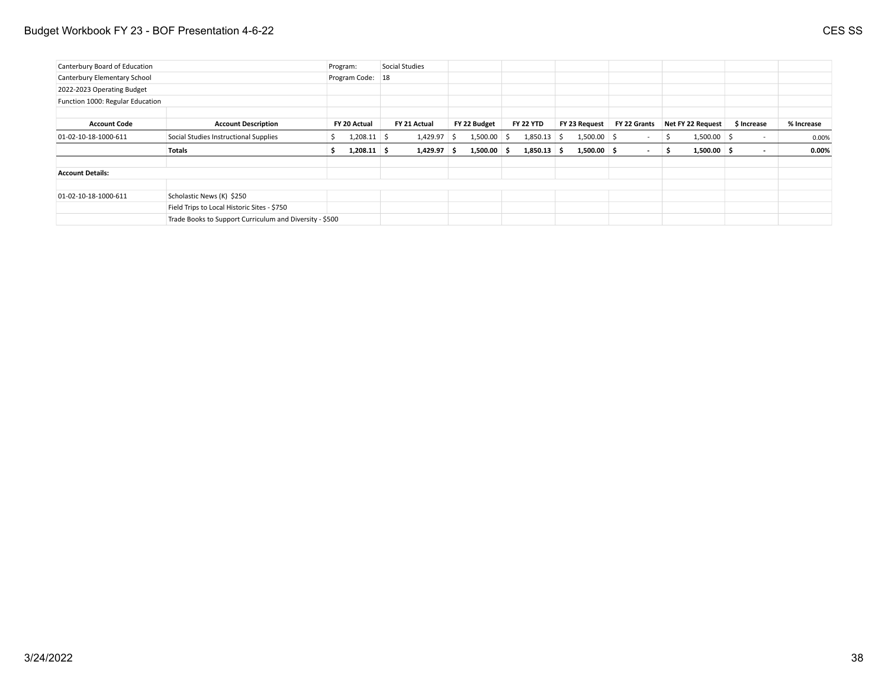### Budget Workbook FY 23 - BOF Presentation 4-6-22 CES SS

| Canterbury Board of Education    |                                                         | Program:         | Social Studies |    |               |                  |               |              |    |                   |                          |            |
|----------------------------------|---------------------------------------------------------|------------------|----------------|----|---------------|------------------|---------------|--------------|----|-------------------|--------------------------|------------|
| Canterbury Elementary School     |                                                         | Program Code: 18 |                |    |               |                  |               |              |    |                   |                          |            |
| 2022-2023 Operating Budget       |                                                         |                  |                |    |               |                  |               |              |    |                   |                          |            |
| Function 1000: Regular Education |                                                         |                  |                |    |               |                  |               |              |    |                   |                          |            |
|                                  |                                                         |                  |                |    |               |                  |               |              |    |                   |                          |            |
| <b>Account Code</b>              | <b>Account Description</b>                              | FY 20 Actual     | FY 21 Actual   |    | FY 22 Budget  | <b>FY 22 YTD</b> | FY 23 Request | FY 22 Grants |    | Net FY 22 Request | \$ Increase              | % Increase |
| 01-02-10-18-1000-611             | Social Studies Instructional Supplies                   | $1,208.11$ \$    | 1,429.97       | -S | $1,500.00$ \$ | $1,850.13$ \$    | $1,500.00$ \$ | $\sim$       | -S | $1,500.00$ \$     | $\sim$                   | 0.00%      |
|                                  | <b>Totals</b>                                           | $1,208.11$ \$    | $1,429.97$ \$  |    | $1,500.00$ \$ | $1,850.13$ \$    | $1,500.00$ \$ | $\sim$       | -S | $1,500.00$ \$     | $\overline{\phantom{a}}$ | $0.00\%$   |
| <b>Account Details:</b>          |                                                         |                  |                |    |               |                  |               |              |    |                   |                          |            |
| 01-02-10-18-1000-611             | Scholastic News (K) \$250                               |                  |                |    |               |                  |               |              |    |                   |                          |            |
|                                  | Field Trips to Local Historic Sites - \$750             |                  |                |    |               |                  |               |              |    |                   |                          |            |
|                                  | Trade Books to Support Curriculum and Diversity - \$500 |                  |                |    |               |                  |               |              |    |                   |                          |            |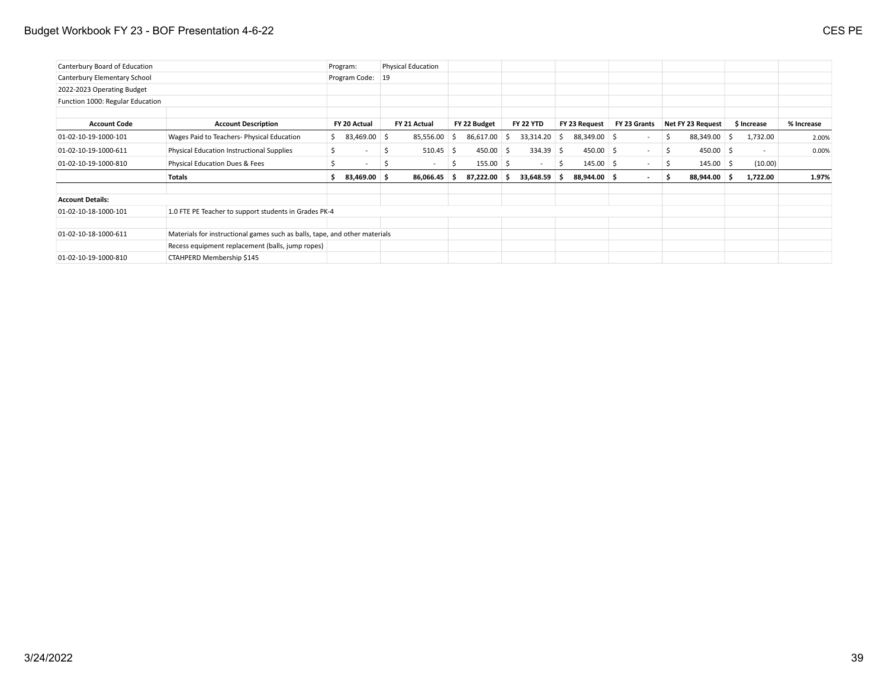### Budget Workbook FY 23 - BOF Presentation 4-6-22 CES PE

| Canterbury Board of Education    |                                                                            | Program:                      |               | <b>Physical Education</b> |    |              |    |                          |     |               |                          |    |                   |             |            |
|----------------------------------|----------------------------------------------------------------------------|-------------------------------|---------------|---------------------------|----|--------------|----|--------------------------|-----|---------------|--------------------------|----|-------------------|-------------|------------|
| Canterbury Elementary School     |                                                                            | Program Code:                 | <sup>19</sup> |                           |    |              |    |                          |     |               |                          |    |                   |             |            |
| 2022-2023 Operating Budget       |                                                                            |                               |               |                           |    |              |    |                          |     |               |                          |    |                   |             |            |
| Function 1000: Regular Education |                                                                            |                               |               |                           |    |              |    |                          |     |               |                          |    |                   |             |            |
| <b>Account Code</b>              | <b>Account Description</b>                                                 | FY 20 Actual                  |               | FY 21 Actual              |    | FY 22 Budget |    | <b>FY 22 YTD</b>         |     | FY 23 Request | FY 23 Grants             |    | Net FY 23 Request | \$ Increase | % Increase |
| 01-02-10-19-1000-101             | Wages Paid to Teachers- Physical Education                                 | \$83,469.00                   |               | 85,556.00                 | -S | 86,617.00    | -S | 33,314.20                | S   | 88,349.00 \$  | $\overline{\phantom{a}}$ | S. | 88,349.00 \$      | 1,732.00    | 2.00%      |
| 01-02-10-19-1000-611             | Physical Education Instructional Supplies                                  | 5<br>$\overline{\phantom{a}}$ | 5             | $510.45$ \$               |    | $450.00$ \$  |    | $334.39$ \$              |     | $450.00$ \$   | $\sim$ $-$               | S. | $450.00$ \$       | $\sim$      | 0.00%      |
| 01-02-10-19-1000-810             | Physical Education Dues & Fees                                             | $\overline{\phantom{0}}$      |               | $\overline{\phantom{a}}$  | \$ | $155.00$ \$  |    | $\overline{\phantom{a}}$ | \$  | $145.00$ \$   | $\overline{\phantom{a}}$ | S. | $145.00$ \$       | (10.00)     |            |
|                                  | <b>Totals</b>                                                              | 83,469.00 \$<br>s             |               | 86,066.45                 | s  | 87,222.00 \$ |    | 33,648.59                | - S | 88,944.00 \$  | $\blacksquare$           | s. | 88,944.00 \$      | 1,722.00    | 1.97%      |
| <b>Account Details:</b>          |                                                                            |                               |               |                           |    |              |    |                          |     |               |                          |    |                   |             |            |
| 01-02-10-18-1000-101             | 1.0 FTE PE Teacher to support students in Grades PK-4                      |                               |               |                           |    |              |    |                          |     |               |                          |    |                   |             |            |
| 01-02-10-18-1000-611             | Materials for instructional games such as balls, tape, and other materials |                               |               |                           |    |              |    |                          |     |               |                          |    |                   |             |            |
|                                  | Recess equipment replacement (balls, jump ropes)                           |                               |               |                           |    |              |    |                          |     |               |                          |    |                   |             |            |
| 01-02-10-19-1000-810             | CTAHPERD Membership \$145                                                  |                               |               |                           |    |              |    |                          |     |               |                          |    |                   |             |            |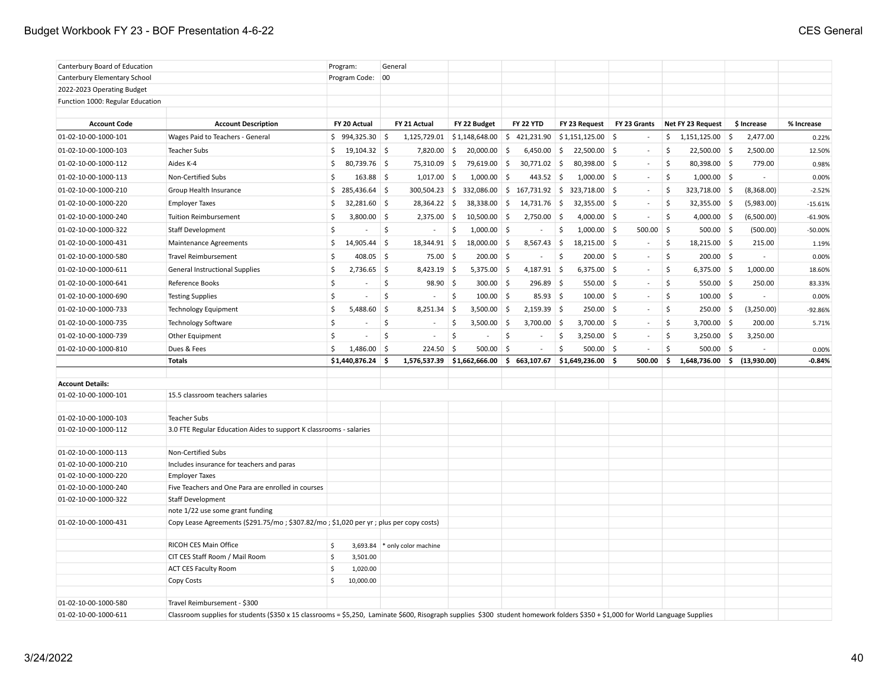### Budget Workbook FY 23 - BOF Presentation 4-6-22 CES General

| Canterbury Board of Education                |                                                                                                                                                                                 | Program:                       |              | General                       |                     |                               |               |                  |                     |                                            |              |              |                   |     |                             |            |
|----------------------------------------------|---------------------------------------------------------------------------------------------------------------------------------------------------------------------------------|--------------------------------|--------------|-------------------------------|---------------------|-------------------------------|---------------|------------------|---------------------|--------------------------------------------|--------------|--------------|-------------------|-----|-----------------------------|------------|
| Canterbury Elementary School                 |                                                                                                                                                                                 | Program Code: 00               |              |                               |                     |                               |               |                  |                     |                                            |              |              |                   |     |                             |            |
| 2022-2023 Operating Budget                   |                                                                                                                                                                                 |                                |              |                               |                     |                               |               |                  |                     |                                            |              |              |                   |     |                             |            |
| Function 1000: Regular Education             |                                                                                                                                                                                 |                                |              |                               |                     |                               |               |                  |                     |                                            |              |              |                   |     |                             |            |
|                                              |                                                                                                                                                                                 |                                |              |                               |                     |                               |               |                  |                     |                                            |              |              |                   |     |                             |            |
| <b>Account Code</b>                          | <b>Account Description</b>                                                                                                                                                      | FY 20 Actual                   |              | FY 21 Actual                  |                     | FY 22 Budget                  |               | <b>FY 22 YTD</b> |                     | FY 23 Request                              | FY 23 Grants |              | Net FY 23 Request |     | \$ Increase                 | % Increase |
| 01-02-10-00-1000-101                         | Wages Paid to Teachers - General                                                                                                                                                | $$994,325.30$ \$               |              | 1,125,729.01                  |                     | \$1,148,648.00                |               | \$421,231.90     |                     | $\frac{1}{2}$ \$1,151,125.00 $\frac{1}{2}$ |              |              | \$1,151,125.00    | ∣\$ | 2,477.00                    | 0.22%      |
| 01-02-10-00-1000-103                         | <b>Teacher Subs</b>                                                                                                                                                             | 19,104.32 \$<br>\$             |              | 7,820.00                      | 5                   | 20,000.00                     | -\$           | 6,450.00         | - \$                | $22,500.00$ \$                             | $\sim$       | Ś            | $22,500.00$ \$    |     | 2,500.00                    | 12.50%     |
| 01-02-10-00-1000-112                         | Aides K-4                                                                                                                                                                       | 80,739.76 \$<br>\$             |              | 75,310.09                     | ∣\$                 | 79,619.00 \$                  |               | 30,771.02        | $\frac{1}{2}$       | 80,398.00 \$                               | $\sim$       | \$           | 80,398.00 \$      |     | 779.00                      | 0.98%      |
| 01-02-10-00-1000-113                         | Non-Certified Subs                                                                                                                                                              | \$<br>$163.88$ \$              |              | 1,017.00                      | -\$                 | 1,000.00                      | Ŝ.            | 443.52           | $\ddot{\mathsf{S}}$ | $1,000.00$ \$                              | $\sim$       | \$           | $1,000.00$ \$     |     | $\sim$                      | 0.00%      |
| 01-02-10-00-1000-210                         | Group Health Insurance                                                                                                                                                          | $$285,436.64$ \$               |              | $300,504.23$ \$               |                     | $332,086.00$ \$ 167,731.92 \$ |               |                  |                     | 323,718.00 \$                              | $\sim$       | \$           | 323,718.00 \$     |     | (8,368.00)                  | $-2.52%$   |
| 01-02-10-00-1000-220                         | <b>Employer Taxes</b>                                                                                                                                                           | $32,281.60$ \$<br>\$           |              | $28,364.22$ \$                |                     | 38,338.00                     | ∣\$           | 14,731.76        | ∣\$                 | $32,355.00$ \$                             | $\sim$       | Š.           | $32,355.00$ \$    |     | (5,983.00)                  | $-15.61%$  |
| 01-02-10-00-1000-240                         | Tuition Reimbursement                                                                                                                                                           | \$<br>$3,800.00$ \$            |              | $2,375.00$ \$                 |                     | $10,500.00$ \$                |               | 2,750.00         | -\$                 | $4,000.00$ \$                              | $\sim$       | \$           | 4,000.00 \$       |     | (6,500.00)                  | $-61.90%$  |
| 01-02-10-00-1000-322                         | <b>Staff Development</b>                                                                                                                                                        | \$<br>$\overline{\phantom{a}}$ | \$           | $\sim$                        | \$                  | $1,000.00$ \$                 |               | $\sim$           | \$                  | $1,000.00$ \$                              | $500.00$ \$  |              | $500.00$ \$       |     | (500.00)                    | $-50.00%$  |
| 01-02-10-00-1000-431                         | Maintenance Agreements                                                                                                                                                          | $14,905.44$ \$<br>\$           |              | 18,344.91                     | $\vert$ \$          | $18,000.00$ \$                |               | 8,567.43         | 5                   | $18,215.00$ \$                             |              | \$           | 18,215.00 \$      |     | 215.00                      | 1.19%      |
| 01-02-10-00-1000-580                         | <b>Travel Reimbursement</b>                                                                                                                                                     | \$<br>$408.05$ \$              |              | $75.00$ \$                    |                     | $200.00$ \$                   |               | $\sim$           | $\ddot{\mathsf{S}}$ | $200.00$ \$                                | $\sim$       | \$           | $200.00$ \$       |     | $\mathbf{r}$                | 0.00%      |
| 01-02-10-00-1000-611                         | General Instructional Supplies                                                                                                                                                  | \$<br>$2,736.65$ \$            |              | 8,423.19 \$                   |                     | $5,375.00$ \$                 |               | 4,187.91 \$      |                     | $6,375.00$ \$                              | $\sim$       | \$           | $6,375.00$ \$     |     | 1,000.00                    | 18.60%     |
| 01-02-10-00-1000-641                         | Reference Books                                                                                                                                                                 | \$<br>$\overline{\phantom{a}}$ | \$           | $98.90$ \$                    |                     | $300.00$ \$                   |               | $296.89$ \$      |                     | $550.00$ \$                                | $\sim$       | \$           | $550.00$ \$       |     | 250.00                      | 83.33%     |
| 01-02-10-00-1000-690                         | <b>Testing Supplies</b>                                                                                                                                                         | \$<br>$\sim$                   | \$           | $\sim$                        | \$                  | $100.00$ \$                   |               | $85.93$ \$       |                     | $100.00$ \$                                | $\sim$       | \$           | $100.00$ \$       |     | $\mathcal{L}_{\mathcal{A}}$ | 0.00%      |
| 01-02-10-00-1000-733                         | <b>Technology Equipment</b>                                                                                                                                                     | \$<br>$5,488.60$ \$            |              | 8,251.34                      | 5                   | $3,500.00$ \$                 |               | $2,159.39$ \$    |                     | $250.00$ \$                                | $\sim$       | \$           | $250.00$ \$       |     | (3,250.00)                  | $-92.86%$  |
| 01-02-10-00-1000-735                         | <b>Technology Software</b>                                                                                                                                                      | \$<br>$\sim$                   | \$           | $\sim$                        | -\$                 | 3,500.00                      | ∣\$           | $3,700.00$ \$    |                     | $3,700.00$ \$                              | $\sim$       | \$           | $3,700.00$ \$     |     | 200.00                      | 5.71%      |
| 01-02-10-00-1000-739                         | Other Equipment                                                                                                                                                                 | \$                             | $\mathsf{S}$ |                               | $\ddot{\mathsf{S}}$ | $\overline{a}$                | $\mathsf{\$}$ | $\sim$           | \$                  | $3,250.00$ \$                              | $\sim$       | $\mathsf{S}$ | $3,250.00$ \$     |     | 3,250.00                    |            |
| 01-02-10-00-1000-810                         | Dues & Fees                                                                                                                                                                     | \$<br>1,486.00                 | \$           | 224.50                        | 5                   | 500.00                        | \$            |                  | \$                  | $500.00$ \$                                | $\sim$       | \$           | 500.00            | 5   |                             | 0.00%      |
|                                              | <b>Totals</b>                                                                                                                                                                   | \$1,440,876.24                 | -\$          | 1,576,537.39                  |                     | \$1,662,666.00                |               | \$663,107.67     |                     | $$1,649,236.00$ \$                         | 500.00       | \$           | 1,648,736.00      | \$  | (13,930.00)                 | $-0.84%$   |
|                                              |                                                                                                                                                                                 |                                |              |                               |                     |                               |               |                  |                     |                                            |              |              |                   |     |                             |            |
| <b>Account Details:</b>                      |                                                                                                                                                                                 |                                |              |                               |                     |                               |               |                  |                     |                                            |              |              |                   |     |                             |            |
| 01-02-10-00-1000-101                         | 15.5 classroom teachers salaries                                                                                                                                                |                                |              |                               |                     |                               |               |                  |                     |                                            |              |              |                   |     |                             |            |
|                                              |                                                                                                                                                                                 |                                |              |                               |                     |                               |               |                  |                     |                                            |              |              |                   |     |                             |            |
| 01-02-10-00-1000-103                         | Teacher Subs                                                                                                                                                                    |                                |              |                               |                     |                               |               |                  |                     |                                            |              |              |                   |     |                             |            |
| 01-02-10-00-1000-112                         | 3.0 FTE Regular Education Aides to support K classrooms - salaries                                                                                                              |                                |              |                               |                     |                               |               |                  |                     |                                            |              |              |                   |     |                             |            |
|                                              |                                                                                                                                                                                 |                                |              |                               |                     |                               |               |                  |                     |                                            |              |              |                   |     |                             |            |
| 01-02-10-00-1000-113<br>01-02-10-00-1000-210 | Non-Certified Subs<br>Includes insurance for teachers and paras                                                                                                                 |                                |              |                               |                     |                               |               |                  |                     |                                            |              |              |                   |     |                             |            |
| 01-02-10-00-1000-220                         | <b>Employer Taxes</b>                                                                                                                                                           |                                |              |                               |                     |                               |               |                  |                     |                                            |              |              |                   |     |                             |            |
| 01-02-10-00-1000-240                         | Five Teachers and One Para are enrolled in courses                                                                                                                              |                                |              |                               |                     |                               |               |                  |                     |                                            |              |              |                   |     |                             |            |
| 01-02-10-00-1000-322                         | Staff Development                                                                                                                                                               |                                |              |                               |                     |                               |               |                  |                     |                                            |              |              |                   |     |                             |            |
|                                              | note 1/22 use some grant funding                                                                                                                                                |                                |              |                               |                     |                               |               |                  |                     |                                            |              |              |                   |     |                             |            |
| 01-02-10-00-1000-431                         | Copy Lease Agreements (\$291.75/mo; \$307.82/mo; \$1,020 per yr; plus per copy costs)                                                                                           |                                |              |                               |                     |                               |               |                  |                     |                                            |              |              |                   |     |                             |            |
|                                              |                                                                                                                                                                                 |                                |              |                               |                     |                               |               |                  |                     |                                            |              |              |                   |     |                             |            |
|                                              | RICOH CES Main Office                                                                                                                                                           | \$                             |              | 3,693.84 * only color machine |                     |                               |               |                  |                     |                                            |              |              |                   |     |                             |            |
|                                              | CIT CES Staff Room / Mail Room                                                                                                                                                  | Ś<br>3,501.00                  |              |                               |                     |                               |               |                  |                     |                                            |              |              |                   |     |                             |            |
|                                              | <b>ACT CES Faculty Room</b>                                                                                                                                                     | 1,020.00<br>\$                 |              |                               |                     |                               |               |                  |                     |                                            |              |              |                   |     |                             |            |
|                                              | Copy Costs                                                                                                                                                                      | \$<br>10,000.00                |              |                               |                     |                               |               |                  |                     |                                            |              |              |                   |     |                             |            |
| 01-02-10-00-1000-580                         | Travel Reimbursement - \$300                                                                                                                                                    |                                |              |                               |                     |                               |               |                  |                     |                                            |              |              |                   |     |                             |            |
| 01-02-10-00-1000-611                         | Classroom supplies for students (\$350 x 15 classrooms = \$5,250, Laminate \$600, Risograph supplies \$300 student homework folders \$350 + \$1,000 for World Language Supplies |                                |              |                               |                     |                               |               |                  |                     |                                            |              |              |                   |     |                             |            |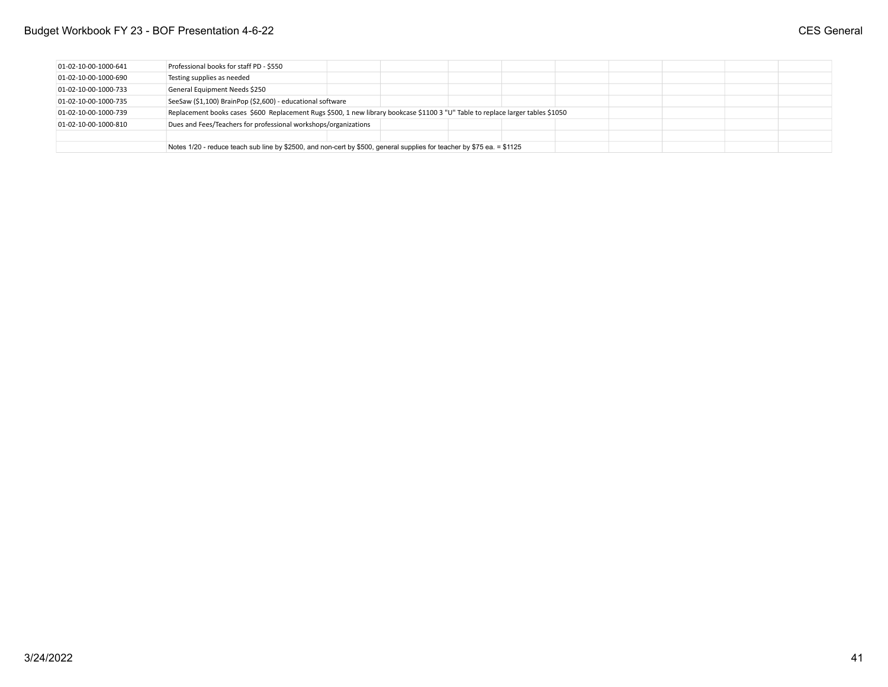### Budget Workbook FY 23 - BOF Presentation 4-6-22 **CES** General

| 01-02-10-00-1000-641   | Professional books for staff PD - \$550                                                                                         |  |  |  |  |  |
|------------------------|---------------------------------------------------------------------------------------------------------------------------------|--|--|--|--|--|
| $01-02-10-00-1000-690$ | Testing supplies as needed                                                                                                      |  |  |  |  |  |
| 01-02-10-00-1000-733   | General Equipment Needs \$250                                                                                                   |  |  |  |  |  |
| 01-02-10-00-1000-735   | SeeSaw (\$1,100) BrainPop (\$2,600) - educational software                                                                      |  |  |  |  |  |
| 01-02-10-00-1000-739   | Replacement books cases \$600 Replacement Rugs \$500, 1 new library bookcase \$1100 3 "U" Table to replace larger tables \$1050 |  |  |  |  |  |
| 01-02-10-00-1000-810   | Dues and Fees/Teachers for professional workshops/organizations                                                                 |  |  |  |  |  |
|                        |                                                                                                                                 |  |  |  |  |  |
|                        | Notes 1/20 - reduce teach sub line by \$2500, and non-cert by \$500, general supplies for teacher by \$75 ea. = \$1125          |  |  |  |  |  |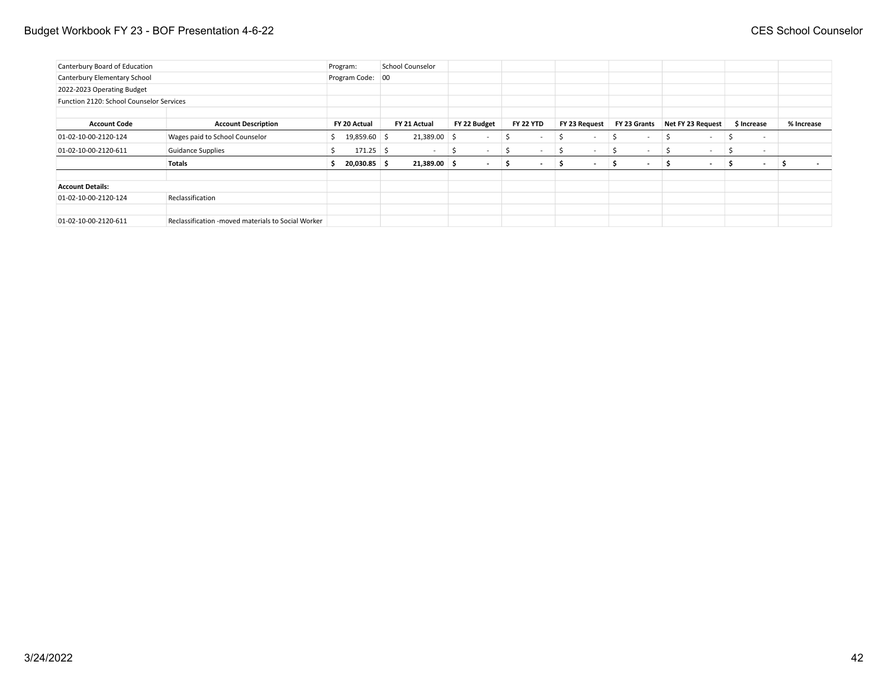### Budget Workbook FY 23 - BOF Presentation 4-6-22 **CES** School Counselor

| Canterbury Board of Education            |                                                    | Program:            | School Counselor |                |              |                               |                          |                          |                               |   |                   |             |                          |
|------------------------------------------|----------------------------------------------------|---------------------|------------------|----------------|--------------|-------------------------------|--------------------------|--------------------------|-------------------------------|---|-------------------|-------------|--------------------------|
| Canterbury Elementary School             |                                                    | Program Code: 00    |                  |                |              |                               |                          |                          |                               |   |                   |             |                          |
| 2022-2023 Operating Budget               |                                                    |                     |                  |                |              |                               |                          |                          |                               |   |                   |             |                          |
| Function 2120: School Counselor Services |                                                    |                     |                  |                |              |                               |                          |                          |                               |   |                   |             |                          |
|                                          |                                                    |                     |                  |                |              |                               |                          |                          |                               |   |                   |             |                          |
| <b>Account Code</b>                      | <b>Account Description</b>                         | FY 20 Actual        | FY 21 Actual     |                | FY 22 Budget | <b>FY 22 YTD</b>              | FY 23 Request            |                          | FY 23 Grants                  |   | Net FY 23 Request | \$ Increase | % Increase               |
| 01-02-10-00-2120-124                     | Wages paid to School Counselor                     | 19,859.60 \$<br>S.  |                  | 21,389.00 \$   | $\sim$       | Ŝ<br>$\overline{\phantom{0}}$ | 5                        | $\overline{\phantom{a}}$ | $\sim$                        |   | $\sim$            | Ś<br>$\sim$ |                          |
| 01-02-10-00-2120-611                     | <b>Guidance Supplies</b>                           | $171.25$ \$         |                  | $\sim$         | $\sim$<br>5  | S<br>$\sim$                   | $\overline{\phantom{a}}$ | $\overline{\phantom{a}}$ | $\sim$                        |   | $\sim$            | $\sim$      |                          |
|                                          | <b>Totals</b>                                      | $20,030.85$ \$<br>э |                  | $21,389.00$ \$ | $\sim$       | S.<br>$\sim$                  | 5                        | $\sim$                   | s<br>$\overline{\phantom{a}}$ | s | $\sim$            | S<br>$\sim$ | $\overline{\phantom{a}}$ |
|                                          |                                                    |                     |                  |                |              |                               |                          |                          |                               |   |                   |             |                          |
| <b>Account Details:</b>                  |                                                    |                     |                  |                |              |                               |                          |                          |                               |   |                   |             |                          |
| 01-02-10-00-2120-124                     | Reclassification                                   |                     |                  |                |              |                               |                          |                          |                               |   |                   |             |                          |
|                                          |                                                    |                     |                  |                |              |                               |                          |                          |                               |   |                   |             |                          |
| 01-02-10-00-2120-611                     | Reclassification -moved materials to Social Worker |                     |                  |                |              |                               |                          |                          |                               |   |                   |             |                          |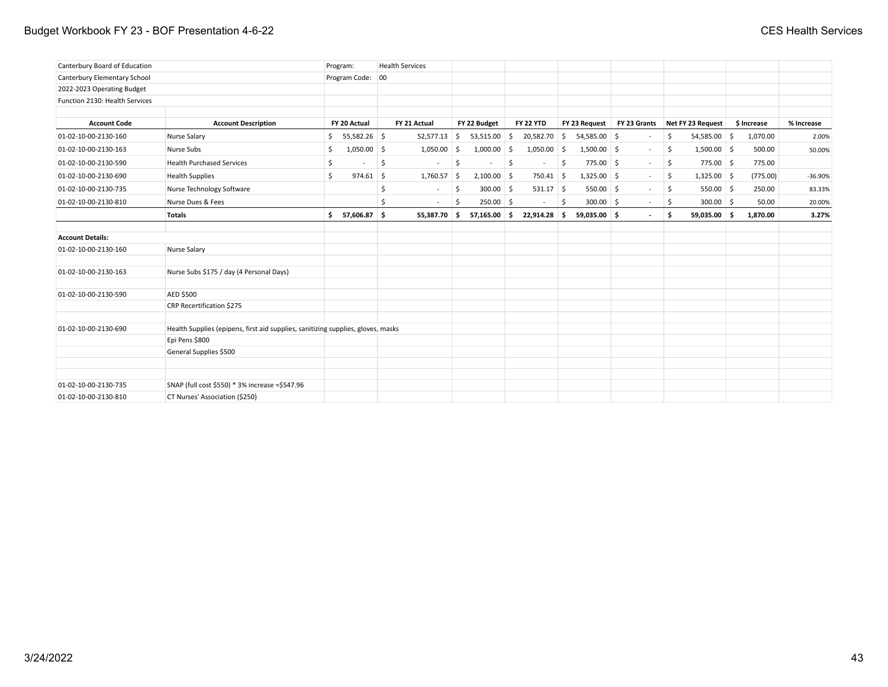### Budget Workbook FY 23 - BOF Presentation 4-6-22 **CES Health Services** CES Health Services

| Canterbury Board of Education  |                                                                                  | Program:             | <b>Health Services</b> |                   |                  |                            |              |                      |             |            |
|--------------------------------|----------------------------------------------------------------------------------|----------------------|------------------------|-------------------|------------------|----------------------------|--------------|----------------------|-------------|------------|
| Canterbury Elementary School   |                                                                                  | Program Code: 00     |                        |                   |                  |                            |              |                      |             |            |
| 2022-2023 Operating Budget     |                                                                                  |                      |                        |                   |                  |                            |              |                      |             |            |
| Function 2130: Health Services |                                                                                  |                      |                        |                   |                  |                            |              |                      |             |            |
| <b>Account Code</b>            | <b>Account Description</b>                                                       | FY 20 Actual         | FY 21 Actual           | FY 22 Budget      | <b>FY 22 YTD</b> | FY 23 Request              | FY 23 Grants | Net FY 23 Request    | \$ Increase | % Increase |
| 01-02-10-00-2130-160           | Nurse Salary                                                                     | 55,582.26 \$<br>\$   | $52,577.13$ \$         | $53,515.00$ \$    | $20,582.70$ \$   | 54,585.00 \$               | $\sim$       | \$<br>$54,585.00$ \$ | 1,070.00    | 2.00%      |
| 01-02-10-00-2130-163           | Nurse Subs                                                                       | $1,050.00$ \$<br>\$. | $1,050.00$ \$          | $1,000.00$ \$     | $1,050.00$ \$    | $1,500.00$ \$              | $\sim$       | \$<br>$1,500.00$ \$  | 500.00      | 50.00%     |
|                                |                                                                                  |                      |                        |                   |                  |                            |              |                      |             |            |
| 01-02-10-00-2130-590           | <b>Health Purchased Services</b>                                                 | \$                   | \$<br>$\sim$           | \$                | S.<br>$\sim$     | \$<br>775.00 \$            | $\sim 10$    | \$<br>775.00 \$      | 775.00      |            |
| 01-02-10-00-2130-690           | <b>Health Supplies</b>                                                           | Ŝ.<br>$974.61$ \$    | $1,760.57$ \$          | $2,100.00$ \$     |                  | $1,325.00$ \$<br>750.41 \$ | $\sim$       | \$.<br>$1,325.00$ \$ | (775.00)    | $-36.90%$  |
| 01-02-10-00-2130-735           | Nurse Technology Software                                                        |                      | \$<br>$\sim$           | \$<br>$300.00$ \$ |                  | $531.17$ \$<br>$550.00$ \$ | $\sim$       | \$.<br>550.00 \$     | 250.00      | 83.33%     |
| 01-02-10-00-2130-810           | Nurse Dues & Fees                                                                |                      | Ś<br>$\sim$            | $250.00$ \$<br>Ŝ  | $\sim$           | $300.00$ \$<br>5           | $\sim$       | S.<br>$300.00$ \$    | 50.00       | 20.00%     |
|                                | <b>Totals</b>                                                                    | 57,606.87 \$<br>Ś.   | 55,387.70 \$           | 57,165.00 \$      | $22,914.28$ \$   | $59,035.00$ \$             | $\sim$       | \$<br>59,035.00 \$   | 1,870.00    | 3.27%      |
| <b>Account Details:</b>        |                                                                                  |                      |                        |                   |                  |                            |              |                      |             |            |
| 01-02-10-00-2130-160           | Nurse Salary                                                                     |                      |                        |                   |                  |                            |              |                      |             |            |
| 01-02-10-00-2130-163           | Nurse Subs \$175 / day (4 Personal Days)                                         |                      |                        |                   |                  |                            |              |                      |             |            |
| 01-02-10-00-2130-590           | AED \$500                                                                        |                      |                        |                   |                  |                            |              |                      |             |            |
|                                | CRP Recertification \$275                                                        |                      |                        |                   |                  |                            |              |                      |             |            |
| 01-02-10-00-2130-690           | Health Supplies (epipens, first aid supplies, sanitizing supplies, gloves, masks |                      |                        |                   |                  |                            |              |                      |             |            |
|                                | Epi Pens \$800                                                                   |                      |                        |                   |                  |                            |              |                      |             |            |
|                                | General Supplies \$500                                                           |                      |                        |                   |                  |                            |              |                      |             |            |
|                                |                                                                                  |                      |                        |                   |                  |                            |              |                      |             |            |
| 01-02-10-00-2130-735           | SNAP (full cost \$550) * 3% increase = \$547.96                                  |                      |                        |                   |                  |                            |              |                      |             |            |
| 01-02-10-00-2130-810           | CT Nurses' Association (\$250)                                                   |                      |                        |                   |                  |                            |              |                      |             |            |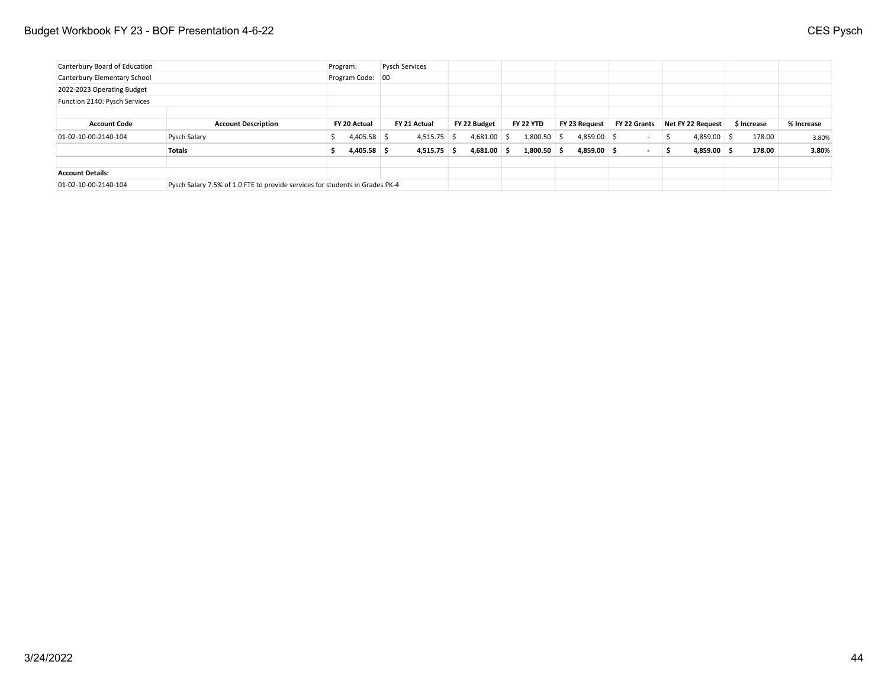| Canterbury Board of Education |                                                                              | Program: |                  | <b>Pysch Services</b> |               |               |                  |               |              |     |                   |             |            |
|-------------------------------|------------------------------------------------------------------------------|----------|------------------|-----------------------|---------------|---------------|------------------|---------------|--------------|-----|-------------------|-------------|------------|
| Canterbury Elementary School  |                                                                              |          | Program Code: 00 |                       |               |               |                  |               |              |     |                   |             |            |
| 2022-2023 Operating Budget    |                                                                              |          |                  |                       |               |               |                  |               |              |     |                   |             |            |
| Function 2140: Pysch Services |                                                                              |          |                  |                       |               |               |                  |               |              |     |                   |             |            |
|                               |                                                                              |          |                  |                       |               |               |                  |               |              |     |                   |             |            |
| <b>Account Code</b>           | <b>Account Description</b>                                                   |          | FY 20 Actual     | FY 21 Actual          |               | FY 22 Budget  | <b>FY 22 YTD</b> | FY 23 Request | FY 22 Grants |     | Net FY 22 Request | \$ Increase | % Increase |
| 01-02-10-00-2140-104          | Pysch Salary                                                                 |          | $4,405.58$ \$    |                       | $4,515.75$ \$ | $4,681.00$ \$ | $1,800.50$ \$    | $4,859.00$ \$ |              | -S  | $4,859.00$ \$     | 178.00      | 3.80%      |
|                               | <b>Totals</b>                                                                |          | $4,405.58$ \$    |                       | $4,515.75$ \$ | $4,681.00$ \$ | $1,800.50$ \$    | $4,859.00$ \$ |              | - 5 | $4,859.00$ \$     | 178.00      | 3.80%      |
| <b>Account Details:</b>       |                                                                              |          |                  |                       |               |               |                  |               |              |     |                   |             |            |
| 01-02-10-00-2140-104          | Pysch Salary 7.5% of 1.0 FTE to provide services for students in Grades PK-4 |          |                  |                       |               |               |                  |               |              |     |                   |             |            |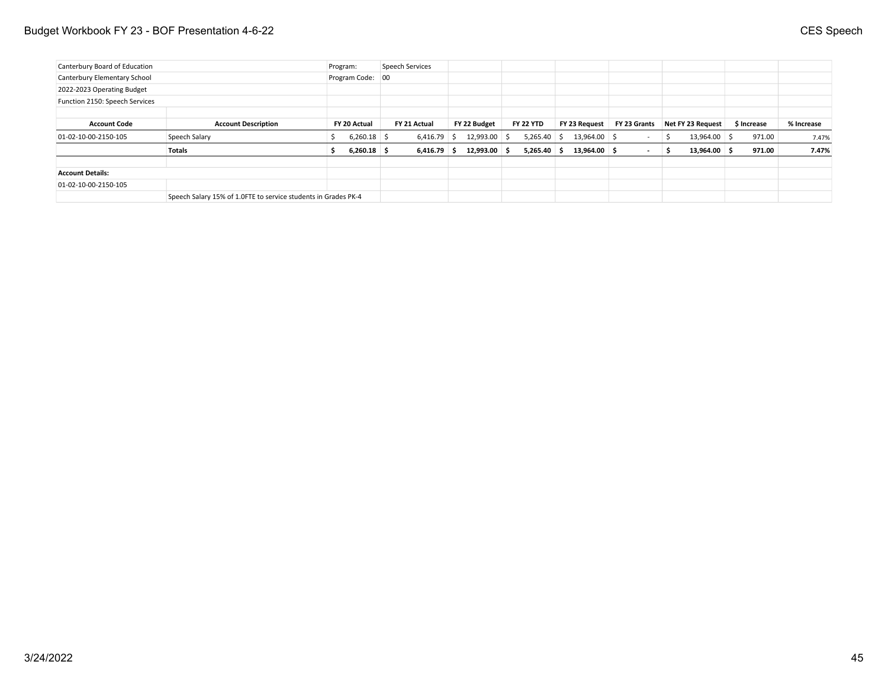| Canterbury Board of Education  |                                                                | Program: |                  | Speech Services |                |                  |                |              |     |                          |             |            |
|--------------------------------|----------------------------------------------------------------|----------|------------------|-----------------|----------------|------------------|----------------|--------------|-----|--------------------------|-------------|------------|
| Canterbury Elementary School   |                                                                |          | Program Code: 00 |                 |                |                  |                |              |     |                          |             |            |
| 2022-2023 Operating Budget     |                                                                |          |                  |                 |                |                  |                |              |     |                          |             |            |
| Function 2150: Speech Services |                                                                |          |                  |                 |                |                  |                |              |     |                          |             |            |
|                                |                                                                |          |                  |                 |                |                  |                |              |     |                          |             |            |
| <b>Account Code</b>            | <b>Account Description</b>                                     |          | FY 20 Actual     | FY 21 Actual    | FY 22 Budget   | <b>FY 22 YTD</b> | FY 23 Request  | FY 23 Grants |     | <b>Net FY 23 Request</b> | \$ Increase | % Increase |
| 01-02-10-00-2150-105           | Speech Salary                                                  |          | $6,260.18$ \$    | $6,416.79$ \$   | $12,993.00$ \$ | $5,265.40$ \$    | 13,964.00 \$   | $\sim$       | - S | 13,964.00 \$             | 971.00      | 7.47%      |
|                                | <b>Totals</b>                                                  |          | $6,260.18$ \$    | $6,416.79$ \$   | $12,993.00$ \$ | $5,265.40$ \$    | $13,964.00$ \$ | $\sim$       | S   | $13,964.00$ \$           | 971.00      | 7.47%      |
| <b>Account Details:</b>        |                                                                |          |                  |                 |                |                  |                |              |     |                          |             |            |
| 01-02-10-00-2150-105           |                                                                |          |                  |                 |                |                  |                |              |     |                          |             |            |
|                                | Speech Salary 15% of 1.0FTE to service students in Grades PK-4 |          |                  |                 |                |                  |                |              |     |                          |             |            |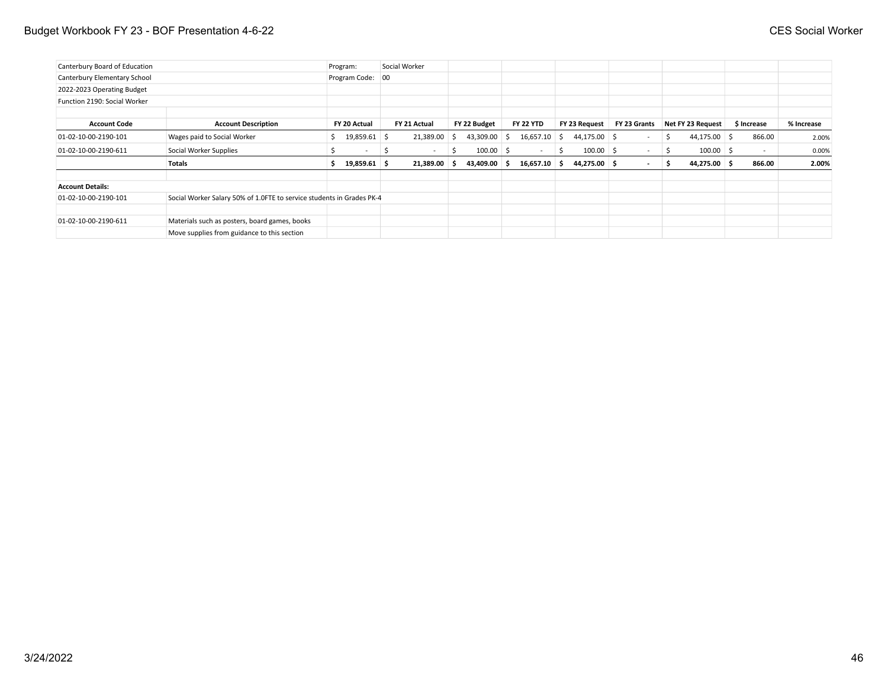| Canterbury Board of Education |                                                                       | Program:                 |    | Social Worker |     |              |    |                  |    |               |                          |    |                   |             |            |
|-------------------------------|-----------------------------------------------------------------------|--------------------------|----|---------------|-----|--------------|----|------------------|----|---------------|--------------------------|----|-------------------|-------------|------------|
| Canterbury Elementary School  |                                                                       | Program Code: 00         |    |               |     |              |    |                  |    |               |                          |    |                   |             |            |
| 2022-2023 Operating Budget    |                                                                       |                          |    |               |     |              |    |                  |    |               |                          |    |                   |             |            |
| Function 2190: Social Worker  |                                                                       |                          |    |               |     |              |    |                  |    |               |                          |    |                   |             |            |
| <b>Account Code</b>           | <b>Account Description</b>                                            | FY 20 Actual             |    | FY 21 Actual  |     | FY 22 Budget |    | <b>FY 22 YTD</b> |    | FY 23 Request | FY 23 Grants             |    | Net FY 23 Request | \$ Increase | % Increase |
| 01-02-10-00-2190-101          | Wages paid to Social Worker                                           | 19,859.61 \$             |    | 21,389.00     | - S | 43,309.00    | -Ŝ | 16,657.10        | -S | 44,175.00 \$  | $\overline{\phantom{a}}$ | S  | $44,175.00$ \$    | 866.00      | 2.00%      |
| 01-02-10-00-2190-611          | Social Worker Supplies                                                | $\overline{\phantom{0}}$ | -S | $\sim$        | S   | $100.00$ \$  |    | $\sim$           | S  | $100.00$ \$   | $\overline{\phantom{0}}$ | -S | $100.00$ \$       | $\sim$      | 0.00%      |
|                               | <b>Totals</b>                                                         | $19,859.61$ \$           |    | 21,389.00     | - S | 43,409.00    | -S | $16,657.10$ \$   |    | 44,275.00 \$  |                          | s  | 44,275.00 \$      | 866.00      | 2.00%      |
| <b>Account Details:</b>       |                                                                       |                          |    |               |     |              |    |                  |    |               |                          |    |                   |             |            |
| 01-02-10-00-2190-101          | Social Worker Salary 50% of 1.0FTE to service students in Grades PK-4 |                          |    |               |     |              |    |                  |    |               |                          |    |                   |             |            |
| 01-02-10-00-2190-611          | Materials such as posters, board games, books                         |                          |    |               |     |              |    |                  |    |               |                          |    |                   |             |            |
|                               | Move supplies from guidance to this section                           |                          |    |               |     |              |    |                  |    |               |                          |    |                   |             |            |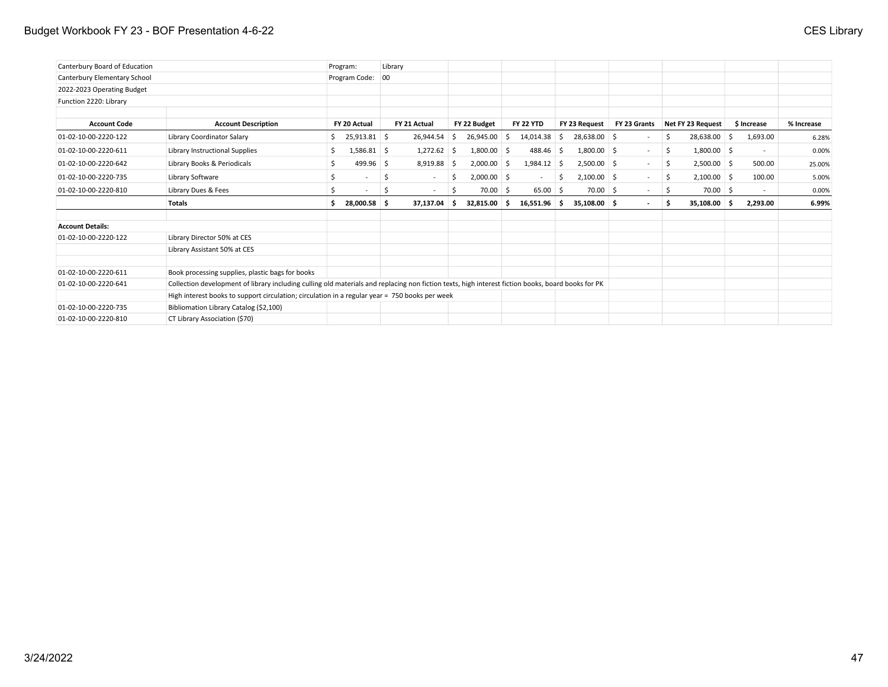| Canterbury Board of Education |                                                                                                                                                    | Program: |                  | Library |              |     |               |     |                  |      |                |              |     |                   |             |            |
|-------------------------------|----------------------------------------------------------------------------------------------------------------------------------------------------|----------|------------------|---------|--------------|-----|---------------|-----|------------------|------|----------------|--------------|-----|-------------------|-------------|------------|
| Canterbury Elementary School  |                                                                                                                                                    |          | Program Code: 00 |         |              |     |               |     |                  |      |                |              |     |                   |             |            |
| 2022-2023 Operating Budget    |                                                                                                                                                    |          |                  |         |              |     |               |     |                  |      |                |              |     |                   |             |            |
| Function 2220: Library        |                                                                                                                                                    |          |                  |         |              |     |               |     |                  |      |                |              |     |                   |             |            |
| <b>Account Code</b>           | <b>Account Description</b>                                                                                                                         |          | FY 20 Actual     |         | FY 21 Actual |     | FY 22 Budget  |     | <b>FY 22 YTD</b> |      | FY 23 Request  | FY 23 Grants |     | Net FY 23 Request | \$ Increase | % Increase |
| 01-02-10-00-2220-122          | Library Coordinator Salary                                                                                                                         | \$       | 25,913.81 \$     |         | 26,944.54    | -S  | 26,945.00     | \$  | $14,014.38$ \$   |      | 28,638.00 \$   |              | Ŝ   | 28,638.00 \$      | 1,693.00    | 6.28%      |
| 01-02-10-00-2220-611          | Library Instructional Supplies                                                                                                                     | \$       | $1,586.81$ \$    |         | 1,272.62     | - S | 1,800.00      | \$. | 488.46           | - \$ | $1,800.00$ \$  | $\sim$       | S.  | $1,800.00$ \$     | $\sim$      | 0.00%      |
| 01-02-10-00-2220-642          | Library Books & Periodicals                                                                                                                        | \$       | 499.96 \$        |         | 8,919.88     |     | 2,000.00      | Ŝ.  | 1,984.12         | -S   | $2,500.00$ \$  | $\sim$       | -\$ | $2,500.00$ \$     | 500.00      | 25.00%     |
| 01-02-10-00-2220-735          | Library Software                                                                                                                                   | \$       |                  | \$      | $\sim$       | -S  | $2,000.00$ \$ |     |                  | Ŝ    | $2,100.00$ \$  | $\sim$       | \$  | $2,100.00$ \$     | 100.00      | 5.00%      |
| 01-02-10-00-2220-810          | Library Dues & Fees                                                                                                                                | Ś        | $\sim$           | S       | $\sim$       | S   | $70.00$ \$    |     | $65.00$ \$       |      | $70.00$ \$     | $\sim$       | \$  | $70.00$ \$        | $\sim$      | 0.00%      |
|                               | <b>Totals</b>                                                                                                                                      | Ŝ.       | 28,000.58 \$     |         | 37,137.04    | -S  | 32,815.00     | \$. | $16,551.96$ \$   |      | $35,108.00$ \$ | $\sim$       | s   | 35,108.00 \$      | 2,293.00    | 6.99%      |
| <b>Account Details:</b>       |                                                                                                                                                    |          |                  |         |              |     |               |     |                  |      |                |              |     |                   |             |            |
| 01-02-10-00-2220-122          | Library Director 50% at CES                                                                                                                        |          |                  |         |              |     |               |     |                  |      |                |              |     |                   |             |            |
|                               | Library Assistant 50% at CES                                                                                                                       |          |                  |         |              |     |               |     |                  |      |                |              |     |                   |             |            |
| 01-02-10-00-2220-611          | Book processing supplies, plastic bags for books                                                                                                   |          |                  |         |              |     |               |     |                  |      |                |              |     |                   |             |            |
| 01-02-10-00-2220-641          | Collection development of library including culling old materials and replacing non fiction texts, high interest fiction books, board books for PK |          |                  |         |              |     |               |     |                  |      |                |              |     |                   |             |            |
|                               | High interest books to support circulation; circulation in a regular year = 750 books per week                                                     |          |                  |         |              |     |               |     |                  |      |                |              |     |                   |             |            |
| 01-02-10-00-2220-735          | Bibliomation Library Catalog (\$2,100)                                                                                                             |          |                  |         |              |     |               |     |                  |      |                |              |     |                   |             |            |
| 01-02-10-00-2220-810          | CT Library Association (\$70)                                                                                                                      |          |                  |         |              |     |               |     |                  |      |                |              |     |                   |             |            |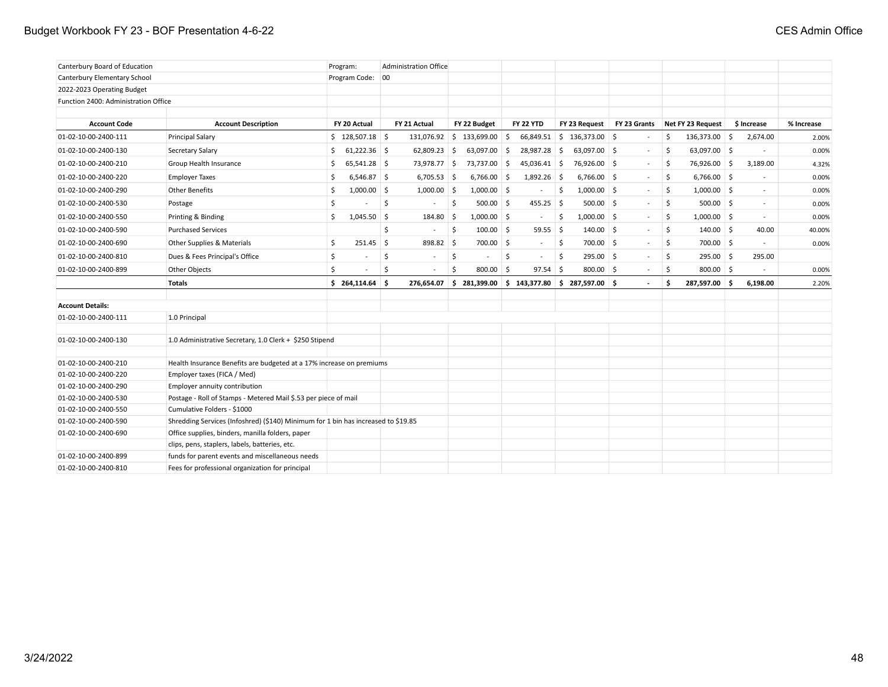### Budget Workbook FY 23 - BOF Presentation 4-6-22 **CES Admin Office**

| Canterbury Board of Education        |                                                                                   | Program:              |      | <b>Administration Office</b> |                    |               |                                                         |            |                             |                          |                     |                          |            |
|--------------------------------------|-----------------------------------------------------------------------------------|-----------------------|------|------------------------------|--------------------|---------------|---------------------------------------------------------|------------|-----------------------------|--------------------------|---------------------|--------------------------|------------|
| Canterbury Elementary School         |                                                                                   | Program Code: 00      |      |                              |                    |               |                                                         |            |                             |                          |                     |                          |            |
| 2022-2023 Operating Budget           |                                                                                   |                       |      |                              |                    |               |                                                         |            |                             |                          |                     |                          |            |
| Function 2400: Administration Office |                                                                                   |                       |      |                              |                    |               |                                                         |            |                             |                          |                     |                          |            |
|                                      |                                                                                   |                       |      |                              |                    |               |                                                         |            |                             |                          |                     |                          |            |
| <b>Account Code</b>                  | <b>Account Description</b>                                                        | FY 20 Actual          |      | FY 21 Actual                 |                    | FY 22 Budget  | <b>FY 22 YTD</b>                                        |            | FY 23 Request               | FY 23 Grants             | Net FY 23 Request   | \$ Increase              | % Increase |
| 01-02-10-00-2400-111                 | <b>Principal Salary</b>                                                           | \$128,507.18          |      | 131,076.92 \$ 133,699.00     |                    |               | <b>S</b><br>66,849.51                                   |            | $\frac{1}{2}$ 136,373.00 \$ | $\sim$                   | \$<br>136,373.00 \$ | 2,674.00                 | 2.00%      |
| 01-02-10-00-2400-130                 | Secretary Salary                                                                  | $61,222.36$ \$<br>\$. |      | $62,809.23$ \$               |                    | 63,097.00 \$  | 28,987.28 \$                                            |            | 63,097.00 \$                | $\sim$                   | \$<br>63,097.00 \$  | $\sim$                   | 0.00%      |
| 01-02-10-00-2400-210                 | Group Health Insurance                                                            | $65,541.28$ \$<br>\$  |      | 73,978.77 \$                 |                    | 73,737.00     | $45,036.41$ \$<br><b>S</b>                              |            | 76,926.00 \$                | $\sim$                   | \$<br>76,926.00 \$  | 3,189.00                 | 4.32%      |
| 01-02-10-00-2400-220                 | <b>Employer Taxes</b>                                                             | $6,546.87$ \$<br>Ŝ.   |      | $6,705.53$ \$                |                    | $6,766.00$ \$ | $1,892.26$ \$                                           |            | $6,766.00$ \$               | $\sim$                   | \$<br>$6,766.00$ \$ | $\overline{\phantom{a}}$ | 0.00%      |
| 01-02-10-00-2400-290                 | <b>Other Benefits</b>                                                             | $1,000.00$ \$<br>\$   |      | $1,000.00$ \$                |                    | $1,000.00$ \$ | $\sim$                                                  | \$         | $1,000.00$ \$               | $\sim$                   | \$<br>$1,000.00$ \$ | $\sim$                   | 0.00%      |
| 01-02-10-00-2400-530                 | Postage                                                                           | \$                    | - \$ |                              | \$                 | $500.00$ \$   | 455.25                                                  | $\vert$ \$ | $500.00$ \$                 | $\sim$                   | \$<br>$500.00$ \$   | $\sim$                   | 0.00%      |
| 01-02-10-00-2400-550                 | Printing & Binding                                                                | \$<br>$1,045.50$ \$   |      | 184.80 \$                    |                    | $1,000.00$ \$ | $\sim$                                                  | \$         | $1,000.00$ \$               | $\sim$                   | \$<br>$1,000.00$ \$ | $\sim$                   | 0.00%      |
| 01-02-10-00-2400-590                 | <b>Purchased Services</b>                                                         |                       | \$   | $\sim$                       | $\ddot{\varsigma}$ | $100.00$ \$   | $59.55$ \$                                              |            | $140.00$ \$                 | $\sim$                   | \$<br>$140.00$ \$   | 40.00                    | 40.00%     |
| 01-02-10-00-2400-690                 | Other Supplies & Materials                                                        | $251.45$ \$<br>\$     |      | 898.82 \$                    |                    | 700.00 \$     | $\sim$                                                  | 5          | 700.00 \$                   | $\sim$                   | \$<br>700.00 \$     | $\overline{\phantom{a}}$ | 0.00%      |
| 01-02-10-00-2400-810                 | Dues & Fees Principal's Office                                                    | \$                    | \$   | $\overline{\phantom{a}}$     | $\ddot{\varsigma}$ | $\sim$        | \$<br>$\sim$                                            | \$         | $295.00$ \$                 | $\sim$                   | \$<br>$295.00$ \$   | 295.00                   |            |
| 01-02-10-00-2400-899                 | Other Objects                                                                     | <sup>\$</sup>         | \$   | $\overline{\phantom{a}}$     | \$                 | $800.00$ \$   | $97.54$ \$                                              |            | 800.00 \$                   |                          | \$<br>$800.00$ \$   |                          | 0.00%      |
|                                      | <b>Totals</b>                                                                     | \$264,114.64          | ی ا  | 276,654.07                   |                    |               | $\frac{1}{2}$ 281,399.00 \$ 143,377.80 \$ 287,597.00 \$ |            |                             | $\overline{\phantom{a}}$ | \$<br>287,597.00 \$ | 6,198.00                 | 2.20%      |
|                                      |                                                                                   |                       |      |                              |                    |               |                                                         |            |                             |                          |                     |                          |            |
| <b>Account Details:</b>              |                                                                                   |                       |      |                              |                    |               |                                                         |            |                             |                          |                     |                          |            |
| 01-02-10-00-2400-111                 | 1.0 Principal                                                                     |                       |      |                              |                    |               |                                                         |            |                             |                          |                     |                          |            |
|                                      |                                                                                   |                       |      |                              |                    |               |                                                         |            |                             |                          |                     |                          |            |
| 01-02-10-00-2400-130                 | 1.0 Administrative Secretary, 1.0 Clerk + \$250 Stipend                           |                       |      |                              |                    |               |                                                         |            |                             |                          |                     |                          |            |
| 01-02-10-00-2400-210                 | Health Insurance Benefits are budgeted at a 17% increase on premiums              |                       |      |                              |                    |               |                                                         |            |                             |                          |                     |                          |            |
| 01-02-10-00-2400-220                 | Employer taxes (FICA / Med)                                                       |                       |      |                              |                    |               |                                                         |            |                             |                          |                     |                          |            |
| 01-02-10-00-2400-290                 | Employer annuity contribution                                                     |                       |      |                              |                    |               |                                                         |            |                             |                          |                     |                          |            |
| 01-02-10-00-2400-530                 | Postage - Roll of Stamps - Metered Mail \$.53 per piece of mail                   |                       |      |                              |                    |               |                                                         |            |                             |                          |                     |                          |            |
| 01-02-10-00-2400-550                 | Cumulative Folders - \$1000                                                       |                       |      |                              |                    |               |                                                         |            |                             |                          |                     |                          |            |
| 01-02-10-00-2400-590                 | Shredding Services (Infoshred) (\$140) Minimum for 1 bin has increased to \$19.85 |                       |      |                              |                    |               |                                                         |            |                             |                          |                     |                          |            |
| 01-02-10-00-2400-690                 | Office supplies, binders, manilla folders, paper                                  |                       |      |                              |                    |               |                                                         |            |                             |                          |                     |                          |            |
|                                      | clips, pens, staplers, labels, batteries, etc.                                    |                       |      |                              |                    |               |                                                         |            |                             |                          |                     |                          |            |
| 01-02-10-00-2400-899                 | funds for parent events and miscellaneous needs                                   |                       |      |                              |                    |               |                                                         |            |                             |                          |                     |                          |            |
| 01-02-10-00-2400-810                 | Fees for professional organization for principal                                  |                       |      |                              |                    |               |                                                         |            |                             |                          |                     |                          |            |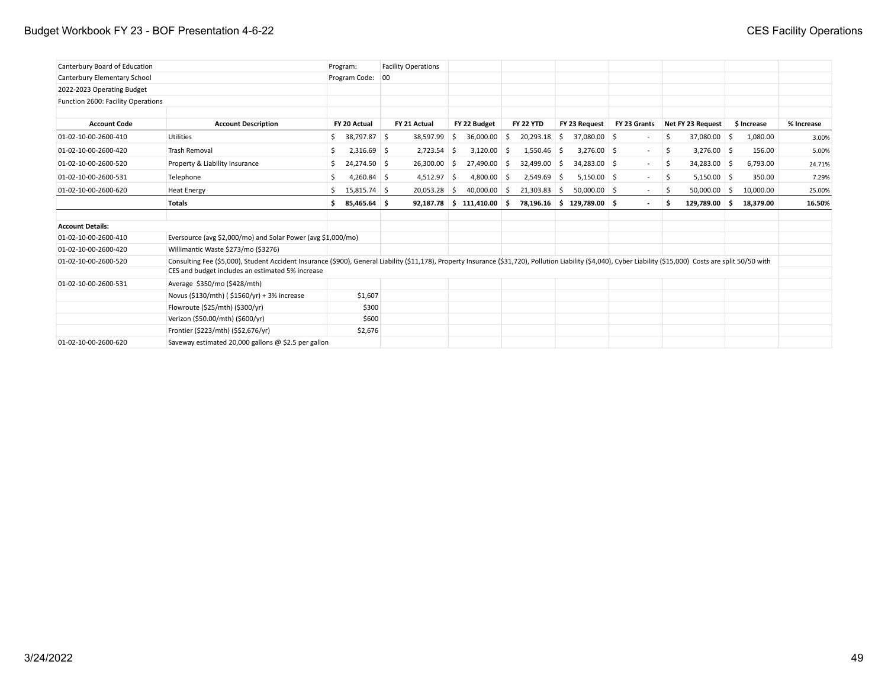| Canterbury Board of Education      |                                                                                                                                                                                                                                                                     | Program:                      |         | <b>Facility Operations</b> |     |                             |    |                  |    |                           |              |     |                   |     |             |            |
|------------------------------------|---------------------------------------------------------------------------------------------------------------------------------------------------------------------------------------------------------------------------------------------------------------------|-------------------------------|---------|----------------------------|-----|-----------------------------|----|------------------|----|---------------------------|--------------|-----|-------------------|-----|-------------|------------|
| Canterbury Elementary School       |                                                                                                                                                                                                                                                                     | Program Code: 00              |         |                            |     |                             |    |                  |    |                           |              |     |                   |     |             |            |
| 2022-2023 Operating Budget         |                                                                                                                                                                                                                                                                     |                               |         |                            |     |                             |    |                  |    |                           |              |     |                   |     |             |            |
| Function 2600: Facility Operations |                                                                                                                                                                                                                                                                     |                               |         |                            |     |                             |    |                  |    |                           |              |     |                   |     |             |            |
|                                    |                                                                                                                                                                                                                                                                     |                               |         |                            |     |                             |    |                  |    |                           |              |     |                   |     |             |            |
| <b>Account Code</b>                | <b>Account Description</b>                                                                                                                                                                                                                                          | FY 20 Actual                  |         | FY 21 Actual               |     | FY 22 Budget                |    | <b>FY 22 YTD</b> |    | FY 23 Request             | FY 23 Grants |     | Net FY 23 Request |     | \$ Increase | % Increase |
| 01-02-10-00-2600-410               | Utilities                                                                                                                                                                                                                                                           | 38,797.87 \$<br>Ś.            |         | 38,597.99                  | -S  | 36,000.00                   | Ŝ. | 20,293.18        | S. | 37,080.00 \$              |              | .S  | 37,080.00 \$      |     | 1,080.00    | 3.00%      |
| 01-02-10-00-2600-420               | Trash Removal                                                                                                                                                                                                                                                       | $2,316.69$ \$<br><sub>S</sub> |         | 2,723.54                   | - S | 3,120.00                    | -Ŝ | $1,550.46$ \$    |    | $3,276.00$ \$             | $\sim$       | \$. | $3,276.00$ \$     |     | 156.00      | 5.00%      |
| 01-02-10-00-2600-520               | Property & Liability Insurance                                                                                                                                                                                                                                      | 24,274.50 \$                  |         | 26,300.00                  | -S  | 27,490.00                   | S  | 32,499.00        | S. | 34,283.00 \$              | $\sim$       | -\$ | 34,283.00 \$      |     | 6,793.00    | 24.71%     |
| 01-02-10-00-2600-531               | Telephone                                                                                                                                                                                                                                                           | 4,260.84 \$<br>Ŝ              |         | 4,512.97                   | S   | 4,800.00                    | -Ŝ | $2,549.69$ \$    |    | $5,150.00$ \$             | $\sim$       | -\$ | $5,150.00$ \$     |     | 350.00      | 7.29%      |
| 01-02-10-00-2600-620               | <b>Heat Energy</b>                                                                                                                                                                                                                                                  | 15,815.74 \$                  |         | 20,053.28                  |     | 40,000.00                   | S  | 21,303.83        | -S | $50,000.00$ \$            |              | -S  | 50,000.00         | - S | 10,000.00   | 25.00%     |
|                                    | <b>Totals</b>                                                                                                                                                                                                                                                       | 85,465.64 \$<br>s.            |         |                            |     | $92,187.78$ \$111,410.00 \$ |    |                  |    | 78,196.16 \$129,789.00 \$ |              | S   | 129,789.00 \$     |     | 18,379.00   | 16.50%     |
|                                    |                                                                                                                                                                                                                                                                     |                               |         |                            |     |                             |    |                  |    |                           |              |     |                   |     |             |            |
| <b>Account Details:</b>            |                                                                                                                                                                                                                                                                     |                               |         |                            |     |                             |    |                  |    |                           |              |     |                   |     |             |            |
| 01-02-10-00-2600-410               | Eversource (avg \$2,000/mo) and Solar Power (avg \$1,000/mo)                                                                                                                                                                                                        |                               |         |                            |     |                             |    |                  |    |                           |              |     |                   |     |             |            |
| 01-02-10-00-2600-420               | Willimantic Waste \$273/mo (\$3276)                                                                                                                                                                                                                                 |                               |         |                            |     |                             |    |                  |    |                           |              |     |                   |     |             |            |
| 01-02-10-00-2600-520               | Consulting Fee (\$5,000), Student Accident Insurance (\$900), General Liability (\$11,178), Property Insurance (\$31,720), Pollution Liability (\$4,040), Cyber Liability (\$15,000) Costs are split 50/50 with<br>CES and budget includes an estimated 5% increase |                               |         |                            |     |                             |    |                  |    |                           |              |     |                   |     |             |            |
| 01-02-10-00-2600-531               | Average \$350/mo (\$428/mth)                                                                                                                                                                                                                                        |                               |         |                            |     |                             |    |                  |    |                           |              |     |                   |     |             |            |
|                                    | Novus (\$130/mth) (\$1560/yr) + 3% increase                                                                                                                                                                                                                         |                               | \$1,607 |                            |     |                             |    |                  |    |                           |              |     |                   |     |             |            |
|                                    | Flowroute (\$25/mth) (\$300/yr)                                                                                                                                                                                                                                     |                               | \$300   |                            |     |                             |    |                  |    |                           |              |     |                   |     |             |            |
|                                    | Verizon (\$50.00/mth) (\$600/yr)                                                                                                                                                                                                                                    |                               | \$600   |                            |     |                             |    |                  |    |                           |              |     |                   |     |             |            |
|                                    | Frontier (\$223/mth) (\$\$2,676/yr)                                                                                                                                                                                                                                 |                               | \$2,676 |                            |     |                             |    |                  |    |                           |              |     |                   |     |             |            |
| 01-02-10-00-2600-620               | Saveway estimated 20,000 gallons $\omega$ \$2.5 per gallon                                                                                                                                                                                                          |                               |         |                            |     |                             |    |                  |    |                           |              |     |                   |     |             |            |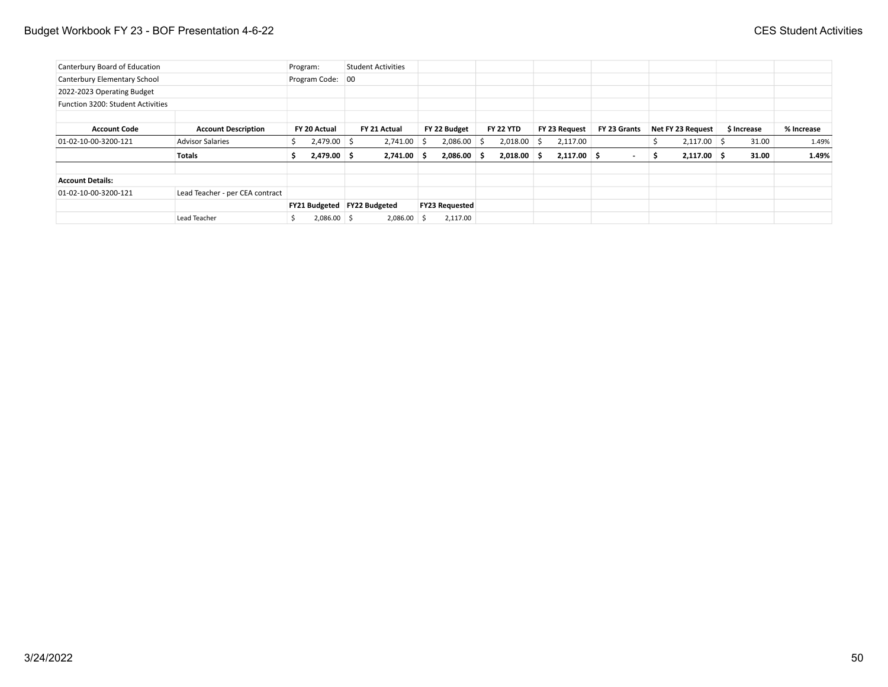| Canterbury Board of Education     |                                 | Program: |                             |    | <b>Student Activities</b> |                       |     |                  |               |                          |   |                   |             |            |
|-----------------------------------|---------------------------------|----------|-----------------------------|----|---------------------------|-----------------------|-----|------------------|---------------|--------------------------|---|-------------------|-------------|------------|
| Canterbury Elementary School      |                                 |          | Program Code:               | 00 |                           |                       |     |                  |               |                          |   |                   |             |            |
| 2022-2023 Operating Budget        |                                 |          |                             |    |                           |                       |     |                  |               |                          |   |                   |             |            |
| Function 3200: Student Activities |                                 |          |                             |    |                           |                       |     |                  |               |                          |   |                   |             |            |
| <b>Account Code</b>               | <b>Account Description</b>      |          | FY 20 Actual                |    | FY 21 Actual              | FY 22 Budget          |     | <b>FY 22 YTD</b> | FY 23 Request | FY 23 Grants             |   | Net FY 23 Request | \$ Increase | % Increase |
| 01-02-10-00-3200-121              | <b>Advisor Salaries</b>         |          | $2,479.00$ \$               |    | $2,741.00$ \$             | 2,086.00              | ∣S. | $2,018.00$ \$    | 2,117.00      |                          |   | $2,117.00$ \$     | 31.00       | 1.49%      |
|                                   | <b>Totals</b>                   | s.       | $2,479.00$ \$               |    | $2,741.00$ \$             | $2,086.00$ \$         |     | $2,018.00$ \$    | $2,117.00$ \$ | $\overline{\phantom{a}}$ | ъ | $2,117.00$ \$     | 31.00       | 1.49%      |
| <b>Account Details:</b>           |                                 |          |                             |    |                           |                       |     |                  |               |                          |   |                   |             |            |
| 01-02-10-00-3200-121              | Lead Teacher - per CEA contract |          |                             |    |                           |                       |     |                  |               |                          |   |                   |             |            |
|                                   |                                 |          | FY21 Budgeted FY22 Budgeted |    |                           | <b>FY23 Requested</b> |     |                  |               |                          |   |                   |             |            |
|                                   | Lead Teacher                    |          | $2,086.00$ \$               |    | 2,086.00 \$               | 2,117.00              |     |                  |               |                          |   |                   |             |            |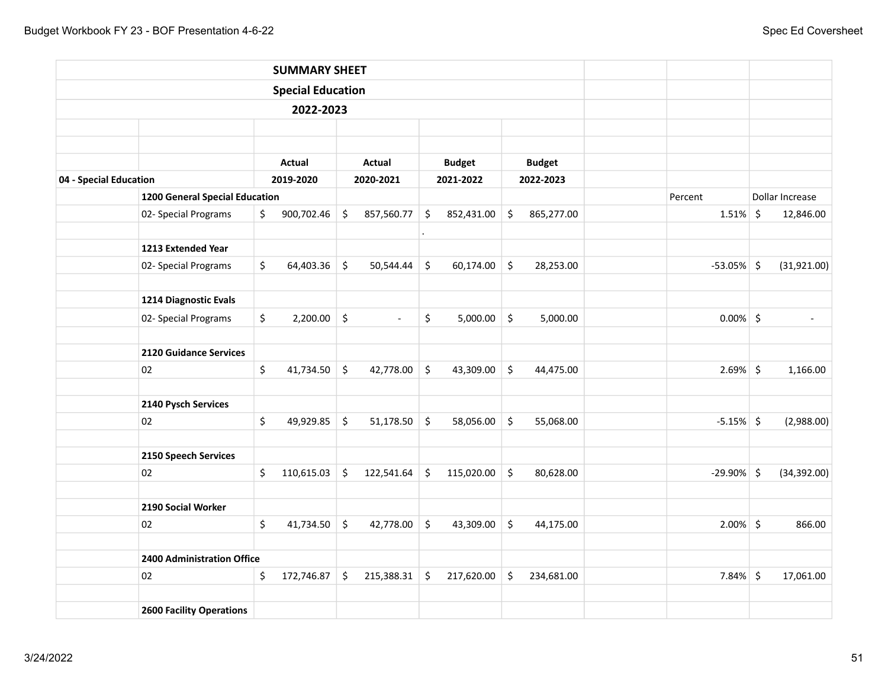|                        |                                 | <b>SUMMARY SHEET</b>     |         |                |                      |               |         |               |               |                 |
|------------------------|---------------------------------|--------------------------|---------|----------------|----------------------|---------------|---------|---------------|---------------|-----------------|
|                        |                                 | <b>Special Education</b> |         |                |                      |               |         |               |               |                 |
|                        |                                 | 2022-2023                |         |                |                      |               |         |               |               |                 |
|                        |                                 |                          |         |                |                      |               |         |               |               |                 |
|                        |                                 |                          |         |                |                      |               |         |               |               |                 |
|                        |                                 | <b>Actual</b>            |         | Actual         |                      | <b>Budget</b> |         | <b>Budget</b> |               |                 |
| 04 - Special Education |                                 | 2019-2020                |         | 2020-2021      |                      | 2021-2022     |         | 2022-2023     |               |                 |
|                        | 1200 General Special Education  |                          |         |                |                      |               |         |               | Percent       | Dollar Increase |
|                        | 02- Special Programs            | \$<br>900,702.46         | \$      | 857,560.77     | $\zeta$              | 852,431.00    | \$      | 865,277.00    | $1.51\%$ \$   | 12,846.00       |
|                        | 1213 Extended Year              |                          |         |                | $\ddot{\phantom{0}}$ |               |         |               |               |                 |
|                        | 02- Special Programs            | \$<br>64,403.36          | \$      | 50,544.44      | \$                   | 60,174.00     | $\zeta$ | 28,253.00     | $-53.05\%$ \$ | (31,921.00)     |
|                        |                                 |                          |         |                |                      |               |         |               |               |                 |
|                        | 1214 Diagnostic Evals           |                          |         |                |                      |               |         |               |               |                 |
|                        | 02- Special Programs            | \$<br>2,200.00           | $\zeta$ | $\mathbb{L}^2$ | \$                   | 5,000.00      | $\zeta$ | 5,000.00      | $0.00\%$ \$   | $\blacksquare$  |
|                        | <b>2120 Guidance Services</b>   |                          |         |                |                      |               |         |               |               |                 |
|                        | 02                              | \$<br>41,734.50          | \$      | 42,778.00      | \$                   | 43,309.00     | \$      | 44,475.00     | $2.69%$ \$    | 1,166.00        |
|                        | 2140 Pysch Services             |                          |         |                |                      |               |         |               |               |                 |
|                        | 02                              | \$<br>49,929.85          | \$      | 51,178.50      | $\zeta$              | 58,056.00     | \$      | 55,068.00     | $-5.15\%$ \$  | (2,988.00)      |
|                        | 2150 Speech Services            |                          |         |                |                      |               |         |               |               |                 |
|                        | 02                              | \$<br>110,615.03         | \$      | 122,541.64     | \$                   | 115,020.00    | \$      | 80,628.00     | $-29.90\%$ \$ | (34, 392.00)    |
|                        |                                 |                          |         |                |                      |               |         |               |               |                 |
|                        | 2190 Social Worker              |                          |         |                |                      |               |         |               |               |                 |
|                        | 02                              | \$<br>41,734.50          | \$      | 42,778.00      | \$                   | 43,309.00     | $\zeta$ | 44,175.00     | $2.00\%$ \$   | 866.00          |
|                        | 2400 Administration Office      |                          |         |                |                      |               |         |               |               |                 |
|                        | 02                              | \$<br>172,746.87         | \$      | 215,388.31     | \$                   | 217,620.00    | $\zeta$ | 234,681.00    | $7.84\%$ \$   | 17,061.00       |
|                        |                                 |                          |         |                |                      |               |         |               |               |                 |
|                        | <b>2600 Facility Operations</b> |                          |         |                |                      |               |         |               |               |                 |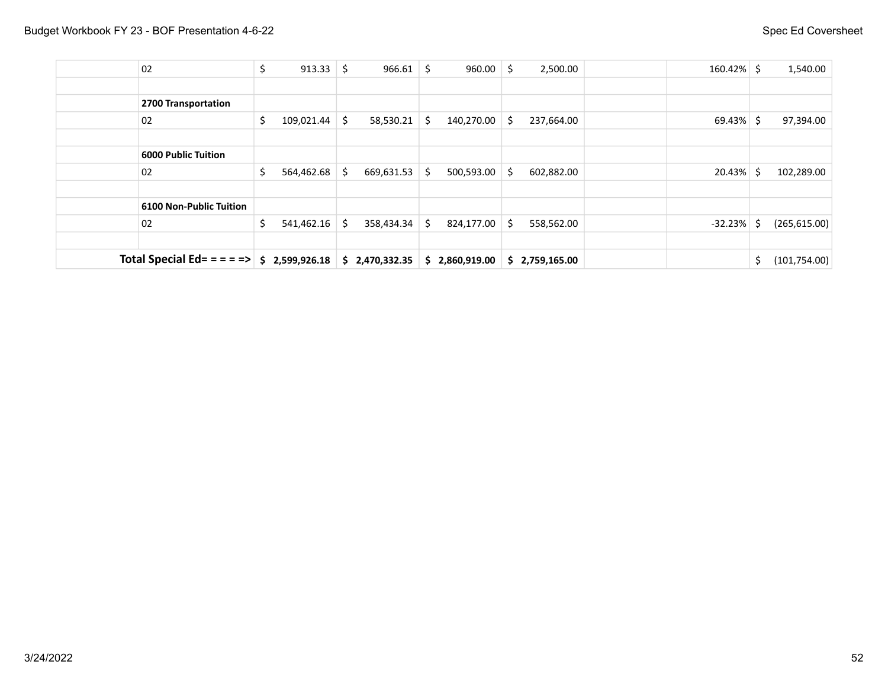| 02                             | \$  | $913.33$ \ \$ | 966.61           | \$. | 960.00         | Ŝ. | 2,500.00       | $160.42\%$ \$ |    | 1,540.00      |
|--------------------------------|-----|---------------|------------------|-----|----------------|----|----------------|---------------|----|---------------|
|                                |     |               |                  |     |                |    |                |               |    |               |
| 2700 Transportation            |     |               |                  |     |                |    |                |               |    |               |
| 02                             | \$  | 109,021.44    | \$<br>58,530.21  | \$  | 140,270.00     | S. | 237,664.00     | $69.43\%$ \$  |    | 97,394.00     |
|                                |     |               |                  |     |                |    |                |               |    |               |
| <b>6000 Public Tuition</b>     |     |               |                  |     |                |    |                |               |    |               |
| 02                             | \$  | 564,462.68    | \$<br>669,631.53 | Ŝ.  | 500,593.00     | S. | 602,882.00     | $20.43\%$ \$  |    | 102,289.00    |
|                                |     |               |                  |     |                |    |                |               |    |               |
| <b>6100 Non-Public Tuition</b> |     |               |                  |     |                |    |                |               |    |               |
| 02                             | \$  | 541,462.16    | \$<br>358,434.34 | Ŝ.  | 824,177.00     | Ŝ. | 558,562.00     | $-32.23%$     | -S | (265, 615.00) |
|                                |     |               |                  |     |                |    |                |               |    |               |
| Total Special Ed= = = = =>     | \$. | 2,599,926.18  | \$2,470,332.35   |     | \$2,860,919.00 |    | \$2,759,165.00 |               | \$ | (101, 754.00) |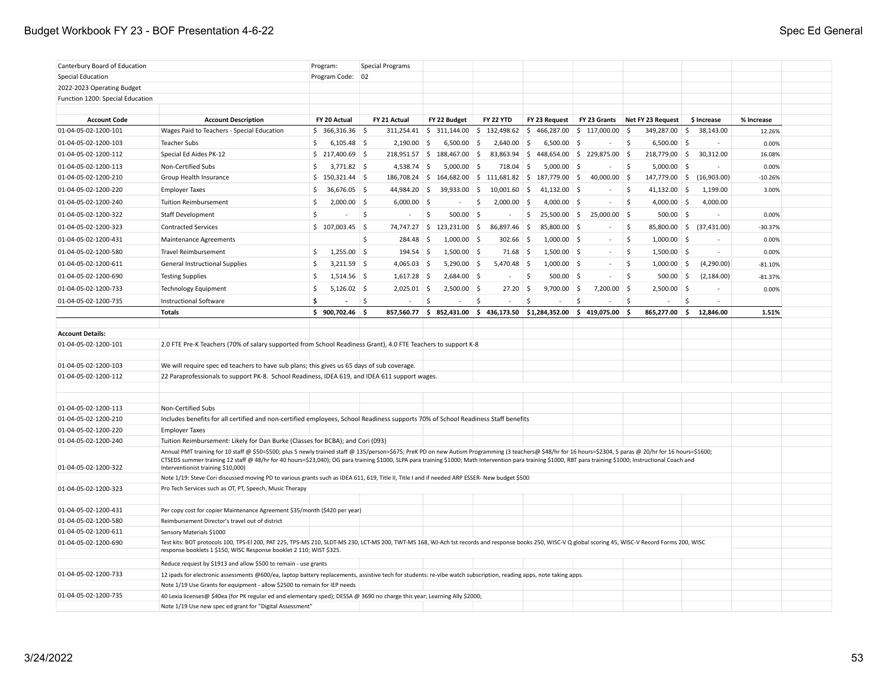### Budget Workbook FY 23 - BOF Presentation 4-6-22 Spec Ed General

| Canterbury Board of Education    |                                                                                                                                                                                                                | Program:             | <b>Special Programs</b> |                             |                          |                                                                               |                                  |                         |                  |            |  |
|----------------------------------|----------------------------------------------------------------------------------------------------------------------------------------------------------------------------------------------------------------|----------------------|-------------------------|-----------------------------|--------------------------|-------------------------------------------------------------------------------|----------------------------------|-------------------------|------------------|------------|--|
| Special Education                |                                                                                                                                                                                                                | Program Code: 02     |                         |                             |                          |                                                                               |                                  |                         |                  |            |  |
| 2022-2023 Operating Budget       |                                                                                                                                                                                                                |                      |                         |                             |                          |                                                                               |                                  |                         |                  |            |  |
| Function 1200: Special Education |                                                                                                                                                                                                                |                      |                         |                             |                          |                                                                               |                                  |                         |                  |            |  |
|                                  |                                                                                                                                                                                                                |                      |                         |                             |                          |                                                                               |                                  |                         |                  |            |  |
| <b>Account Code</b>              | <b>Account Description</b>                                                                                                                                                                                     | FY 20 Actual         | FY 21 Actual            | FY 22 Budget                | <b>FY 22 YTD</b>         | FY 23 Request                                                                 | FY 23 Grants                     | Net FY 23 Request       | \$ Increase      | % Increase |  |
| 01-04-05-02-1200-101             | Wages Paid to Teachers - Special Education                                                                                                                                                                     | \$366,316.36         | 311,254.41              | \$<br>311,144.00            | \$132,498.62             | \$<br>466,287.00                                                              | \$117,000.00                     | -\$<br>349,287.00       | -\$<br>38,143.00 | 12.26%     |  |
| 01-04-05-02-1200-103             | <b>Teacher Subs</b>                                                                                                                                                                                            | \$<br>$6,105.48$ \$  | 2,190.00                | 5<br>$6,500.00$ \$          | 2,640.00                 | $6,500.00$ \$<br>-\$                                                          |                                  | \$<br>$6,500.00$ \$     |                  | 0.00%      |  |
| 01-04-05-02-1200-112             | Special Ed Aides PK-12                                                                                                                                                                                         | $$217,400.69$ \$     | 218,951.57              | $\vert$ \$<br>188,467.00 \$ |                          | 83,863.94 \$448,654.00 \$229,875.00                                           |                                  | 218,779.00 \$<br>5      | 30,312.00        | 16.08%     |  |
| 01-04-05-02-1200-113             | Non-Certified Subs                                                                                                                                                                                             | \$<br>$3,771.82$ \$  | $4,538.74$ \$           | $5,000.00$ \$               | 718.04                   | \$<br>5,000.00                                                                | <b>S</b><br>$\sim$               | \$<br>$5,000.00$ \$     | ä,               | 0.00%      |  |
| 01-04-05-02-1200-210             | Group Health Insurance                                                                                                                                                                                         | $$150,321.44$ $$$    | 186,708.24 \$           |                             | 164,682.00 \$ 111,681.82 | $\frac{1}{2}$ 187,779.00                                                      | <b>S</b><br>40,000.00            | 5<br>147,779.00 \$      | (16,903.00)      | $-10.26%$  |  |
| 01-04-05-02-1200-220             | <b>Employer Taxes</b>                                                                                                                                                                                          | \$<br>$36,676.05$ \$ | 44,984.20               | 5<br>39,933.00              | \$<br>10,001.60          | 5<br>41,132.00                                                                | - \$<br>$\overline{\phantom{a}}$ | Ŝ.<br>41,132.00         | 1,199.00<br>∣\$  | 3.00%      |  |
| 01-04-05-02-1200-240             | <b>Tuition Reimbursement</b>                                                                                                                                                                                   | \$<br>$2,000.00$ \$  | $6,000.00$ \$           | $\sim$                      | $2,000.00$ \$<br>\$      | 4,000.00 \$                                                                   | $\sim$                           | \$<br>4,000.00 \$       | 4,000.00         |            |  |
| 01-04-05-02-1200-322             | <b>Staff Development</b>                                                                                                                                                                                       | Ŝ.                   | Ŝ.                      | Ŝ.<br>500.00 \$             |                          | \$<br>25,500.00 \$                                                            | 25,000.00                        | $500.00$ \$<br><b>S</b> |                  | 0.00%      |  |
| 01-04-05-02-1200-323             | <b>Contracted Services</b>                                                                                                                                                                                     | \$107,003.45         | 74,747.27               | $\frac{1}{2}$ 123,231.00 \$ | 86,897.46 \$             | 85,800.00                                                                     | ∣\$<br>$\overline{\phantom{a}}$  | \$<br>85,800.00 \$      | (37, 431.00)     | $-30.37%$  |  |
| 01-04-05-02-1200-431             | <b>Maintenance Agreements</b>                                                                                                                                                                                  |                      | Ŝ.<br>284.48            | $1,000.00$ \$<br>$\vert$ \$ | 302.66 \$                | $1,000.00$ \$                                                                 | $\sim$                           | \$<br>$1,000.00$ \$     | $\sim$           | 0.00%      |  |
| 01-04-05-02-1200-580             | <b>Travel Reimbursement</b>                                                                                                                                                                                    | $1,255.00$ \$<br>\$  | $194.54$ \$             | $1,500.00$ \$               | $71.68$ \$               | $1,500.00$ \$                                                                 | ÷.                               | \$<br>$1,500.00$ \$     | $\bar{a}$        | 0.00%      |  |
| 01-04-05-02-1200-611             | <b>General Instructional Supplies</b>                                                                                                                                                                          | \$<br>$3,211.59$ \$  | $4,065.03$ \$           | $5,290.00$ \$               | $5,470.48$ \$            | $1,000.00$ \$                                                                 | $\bar{a}$                        | \$<br>$1,000.00$ \$     | (4,290.00)       | $-81.10%$  |  |
| 01-04-05-02-1200-690             | <b>Testing Supplies</b>                                                                                                                                                                                        | \$<br>$1,514.56$ \$  | $1,617.28$ \$           | $2,684.00$ \$               | $\sim$                   | -\$<br>$500.00$ \$                                                            | ÷.                               | \$<br>500.00            | 5<br>(2, 184.00) | $-81.37%$  |  |
| 01-04-05-02-1200-733             | <b>Technology Equipment</b>                                                                                                                                                                                    | \$<br>$5,126.02$ \$  | $2,025.01$ \$           | $2,500.00$ \$               | 27.20%                   | $9,700.00$ \$                                                                 | 7,200.00                         | 5<br>$2,500.00$ \$      | ÷                | 0.00%      |  |
| 01-04-05-02-1200-735             | <b>Instructional Software</b>                                                                                                                                                                                  | \$                   | \$<br>$\sim$            | \$                          | \$                       | <sup>\$</sup><br>÷,                                                           | <sup>\$</sup>                    | \$<br>$\sim$            | \$<br>$\bar{a}$  |            |  |
|                                  | <b>Totals</b>                                                                                                                                                                                                  | \$900,702.46         |                         | 857,560.77 \$ 852,431.00    |                          | $\frac{1}{2}$ 436,173.50 $\frac{1}{2}$ 51,284,352.00 $\frac{1}{2}$ 419,075.00 |                                  | \$<br>865,277.00        | s.<br>12,846.00  | 1.51%      |  |
|                                  |                                                                                                                                                                                                                |                      |                         |                             |                          |                                                                               |                                  |                         |                  |            |  |
| <b>Account Details:</b>          |                                                                                                                                                                                                                |                      |                         |                             |                          |                                                                               |                                  |                         |                  |            |  |
| 01-04-05-02-1200-101             | 2.0 FTE Pre-K Teachers (70% of salary supported from School Readiness Grant), 4.0 FTE Teachers to support K-8                                                                                                  |                      |                         |                             |                          |                                                                               |                                  |                         |                  |            |  |
|                                  |                                                                                                                                                                                                                |                      |                         |                             |                          |                                                                               |                                  |                         |                  |            |  |
| 01-04-05-02-1200-103             | We will require spec ed teachers to have sub plans; this gives us 65 days of sub coverage.                                                                                                                     |                      |                         |                             |                          |                                                                               |                                  |                         |                  |            |  |
| 01-04-05-02-1200-112             | 22 Paraprofessionals to support PK-8. School Readiness, IDEA 619, and IDEA 611 support wages.                                                                                                                  |                      |                         |                             |                          |                                                                               |                                  |                         |                  |            |  |
|                                  |                                                                                                                                                                                                                |                      |                         |                             |                          |                                                                               |                                  |                         |                  |            |  |
| 01-04-05-02-1200-113             | Non-Certified Subs                                                                                                                                                                                             |                      |                         |                             |                          |                                                                               |                                  |                         |                  |            |  |
| 01-04-05-02-1200-210             | Includes benefits for all certified and non-certified employees, School Readiness supports 70% of School Readiness Staff benefits                                                                              |                      |                         |                             |                          |                                                                               |                                  |                         |                  |            |  |
| 01-04-05-02-1200-220             | <b>Employer Taxes</b>                                                                                                                                                                                          |                      |                         |                             |                          |                                                                               |                                  |                         |                  |            |  |
| 01-04-05-02-1200-240             | Tuition Reimbursement: Likely for Dan Burke (Classes for BCBA); and Cori (093)                                                                                                                                 |                      |                         |                             |                          |                                                                               |                                  |                         |                  |            |  |
|                                  | Annual PMT training for 10 staff @ \$50=\$500; plus 5 newly trained staff @ 135/person=\$675; PreK PD on new Autism Programming (3 teachers@ \$48/hr for 16 hours=\$2304, 5 paras @ 20/hr for 16 hours=\$1600; |                      |                         |                             |                          |                                                                               |                                  |                         |                  |            |  |
|                                  | CTSEDS summer training 12 staff @ 48/hr for 40 hours=\$23,040); OG para training \$1000, SLPA para training \$1000; Math Intervention para training \$1000, RBT para training \$1000; Instructional Coach and  |                      |                         |                             |                          |                                                                               |                                  |                         |                  |            |  |
| 01-04-05-02-1200-322             | Interventionist training \$10,000)                                                                                                                                                                             |                      |                         |                             |                          |                                                                               |                                  |                         |                  |            |  |
| 01-04-05-02-1200-323             | Note 1/19: Steve Cori discussed moving PD to various grants such as IDEA 611, 619, Title II, Title I and if needed ARP ESSER-New budget \$500                                                                  |                      |                         |                             |                          |                                                                               |                                  |                         |                  |            |  |
|                                  | Pro Tech Services such as OT, PT, Speech, Music Therapy                                                                                                                                                        |                      |                         |                             |                          |                                                                               |                                  |                         |                  |            |  |
| 01-04-05-02-1200-431             | Per copy cost for copier Maintenance Agreement \$35/month (\$420 per year)                                                                                                                                     |                      |                         |                             |                          |                                                                               |                                  |                         |                  |            |  |
| 01-04-05-02-1200-580             | Reimbursement Director's travel out of district                                                                                                                                                                |                      |                         |                             |                          |                                                                               |                                  |                         |                  |            |  |
| 01-04-05-02-1200-611             | Sensory Materials \$1000                                                                                                                                                                                       |                      |                         |                             |                          |                                                                               |                                  |                         |                  |            |  |
| 01-04-05-02-1200-690             | Test kits: BOT protocols 100, TPS-El 200, PAT 225, TPS-MS 210, SLDT-MS 230, LCT-MS 200, TWT-MS 168, WJ-Ach tst records and response books 250, WISC-V Q global scoring 45, WISC-V Record Forms 200, WISC       |                      |                         |                             |                          |                                                                               |                                  |                         |                  |            |  |
|                                  | response booklets 1 \$150, WISC Response booklet 2 110; WIST \$325.                                                                                                                                            |                      |                         |                             |                          |                                                                               |                                  |                         |                  |            |  |
|                                  | Reduce request by \$1913 and allow \$500 to remain - use grants                                                                                                                                                |                      |                         |                             |                          |                                                                               |                                  |                         |                  |            |  |
| 01-04-05-02-1200-733             | 12 ipads for electronic assessments @600/ea, laptop battery replacements, assistive tech for students: re-vibe watch subscription, reading apps, note taking apps.                                             |                      |                         |                             |                          |                                                                               |                                  |                         |                  |            |  |
|                                  | Note 1/19 Use Grants for equipment - allow \$2500 to remain for IEP needs                                                                                                                                      |                      |                         |                             |                          |                                                                               |                                  |                         |                  |            |  |
| 01-04-05-02-1200-735             | 40 Lexia licenses@ \$40ea (for PK regular ed and elementary sped); DESSA @ 3690 no charge this year; Learning Ally \$2000;                                                                                     |                      |                         |                             |                          |                                                                               |                                  |                         |                  |            |  |
|                                  | Note 1/19 Use new spec ed grant for "Digital Assessment'                                                                                                                                                       |                      |                         |                             |                          |                                                                               |                                  |                         |                  |            |  |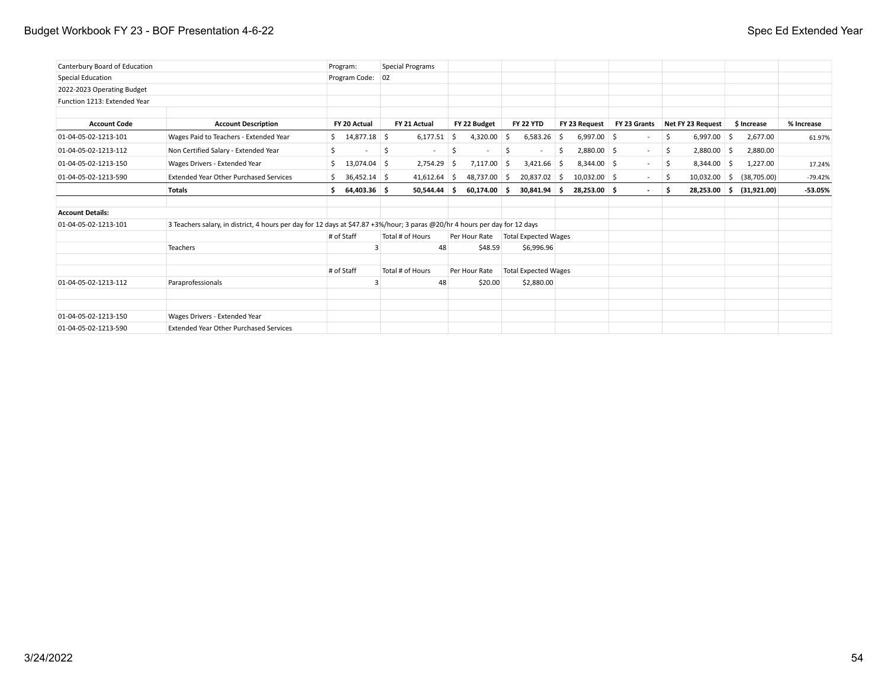### Budget Workbook FY 23 - BOF Presentation 4-6-22 Spec Ed Extended Year

| Canterbury Board of Education |                                                                                                                             | Program:             | Special Programs                |                       |                             |                      |              |                       |             |            |
|-------------------------------|-----------------------------------------------------------------------------------------------------------------------------|----------------------|---------------------------------|-----------------------|-----------------------------|----------------------|--------------|-----------------------|-------------|------------|
| Special Education             |                                                                                                                             | Program Code: 02     |                                 |                       |                             |                      |              |                       |             |            |
| 2022-2023 Operating Budget    |                                                                                                                             |                      |                                 |                       |                             |                      |              |                       |             |            |
| Function 1213: Extended Year  |                                                                                                                             |                      |                                 |                       |                             |                      |              |                       |             |            |
| <b>Account Code</b>           | <b>Account Description</b>                                                                                                  | FY 20 Actual         | FY 21 Actual                    | FY 22 Budget          | <b>FY 22 YTD</b>            | FY 23 Request        | FY 23 Grants | Net FY 23 Request     | \$ Increase | % Increase |
| 01-04-05-02-1213-101          | Wages Paid to Teachers - Extended Year                                                                                      | \$14,877.18          | $6,177.51$ \$                   | 4,320.00              | 6,583.26<br>Ŝ.              | $6,997.00$ \$<br>5   |              | \$<br>$6,997.00$ \$   | 2,677.00    | 61.97%     |
| 01-04-05-02-1213-112          | Non Certified Salary - Extended Year                                                                                        | \$                   | \$.<br>$\overline{\phantom{a}}$ | \$<br>$\sim$          | \$                          | $2,880.00$ \$<br>\$. | $\sim$       | $2,880.00$ \$<br>-\$  | 2,880.00    |            |
| 01-04-05-02-1213-150          | Wages Drivers - Extended Year                                                                                               | $13,074.04$ \$<br>Ŝ. | 2,754.29                        | 7,117.00<br>5         | $3,421.66$ \$<br>Ŝ.         | $8,344.00$ \$        | $\sim$       | $8,344.00$ \$<br>\$   | 1,227.00    | 17.24%     |
| 01-04-05-02-1213-590          | <b>Extended Year Other Purchased Services</b>                                                                               | $36,452.14$ \$       | $41,612.64$ \$                  | 48,737.00 \$          | 20,837.02 \$                | $10,032.00$ \$       | $\sim$       | $10,032.00$ \$<br>-\$ | (38,705.00) | $-79.42%$  |
|                               | <b>Totals</b>                                                                                                               | 64,403.36 \$<br>Ŝ.   | 50,544.44                       | $60,174.00$ \$<br>۱Ś. | 30,841.94 \$                | 28,253.00 \$         | $\sim$       | $28,253.00$ \$<br>Ś.  | (31,921.00) | $-53.05%$  |
| <b>Account Details:</b>       |                                                                                                                             |                      |                                 |                       |                             |                      |              |                       |             |            |
| 01-04-05-02-1213-101          | 3 Teachers salary, in district, 4 hours per day for 12 days at \$47.87 +3%/hour; 3 paras @20/hr 4 hours per day for 12 days |                      |                                 |                       |                             |                      |              |                       |             |            |
|                               |                                                                                                                             | # of Staff           | Total # of Hours                | Per Hour Rate         | <b>Total Expected Wages</b> |                      |              |                       |             |            |
|                               | Teachers                                                                                                                    |                      |                                 | 48<br>\$48.59         | \$6,996.96                  |                      |              |                       |             |            |
|                               |                                                                                                                             | # of Staff           | Total # of Hours                | Per Hour Rate         | <b>Total Expected Wages</b> |                      |              |                       |             |            |
| 01-04-05-02-1213-112          | Paraprofessionals                                                                                                           |                      |                                 | 48<br>\$20.00         | \$2,880.00                  |                      |              |                       |             |            |
|                               |                                                                                                                             |                      |                                 |                       |                             |                      |              |                       |             |            |
| 01-04-05-02-1213-150          | Wages Drivers - Extended Year                                                                                               |                      |                                 |                       |                             |                      |              |                       |             |            |
| 01-04-05-02-1213-590          | <b>Extended Year Other Purchased Services</b>                                                                               |                      |                                 |                       |                             |                      |              |                       |             |            |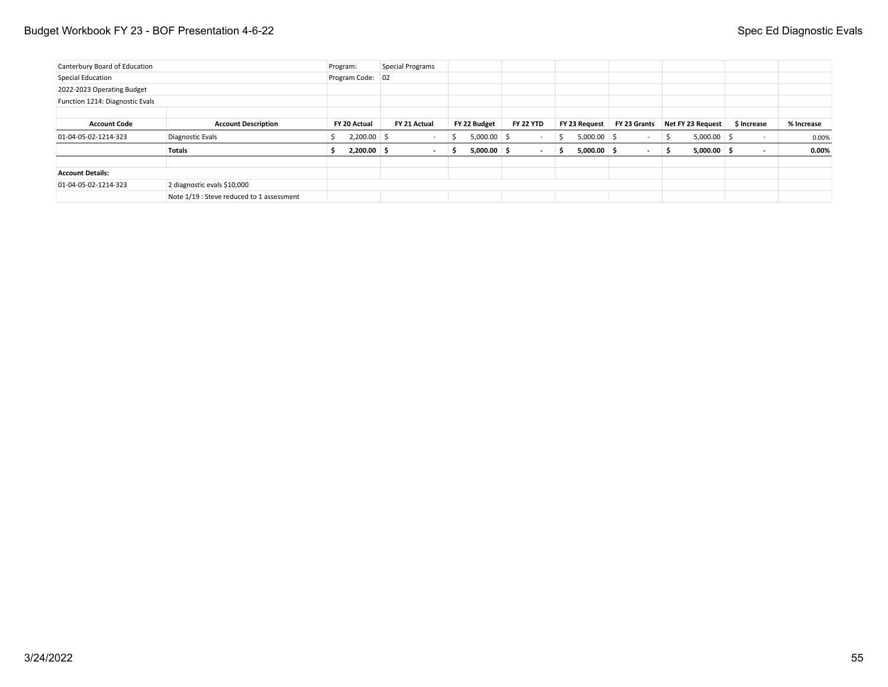### Budget Workbook FY 23 - BOF Presentation 4-6-22 Spec Ed Diagnostic Evals

| Canterbury Board of Education   |                                           | Program:         | Special Programs         |                     |                          |                     |                          |                               |                          |            |
|---------------------------------|-------------------------------------------|------------------|--------------------------|---------------------|--------------------------|---------------------|--------------------------|-------------------------------|--------------------------|------------|
| Special Education               |                                           | Program Code: 02 |                          |                     |                          |                     |                          |                               |                          |            |
| 2022-2023 Operating Budget      |                                           |                  |                          |                     |                          |                     |                          |                               |                          |            |
| Function 1214: Diagnostic Evals |                                           |                  |                          |                     |                          |                     |                          |                               |                          |            |
|                                 |                                           |                  |                          |                     |                          |                     |                          |                               |                          |            |
| <b>Account Code</b>             | <b>Account Description</b>                | FY 20 Actual     | FY 21 Actual             | FY 22 Budget        | <b>FY 22 YTD</b>         | FY 23 Request       | FY 23 Grants             | Net FY 23 Request             | \$ Increase              | % Increase |
| 01-04-05-02-1214-323            | Diagnostic Evals                          | $2,200.00$ \$    | $\sim$                   | $5,000.00$ \$<br>S  | $\sim$                   | $5,000.00$ \$<br>-S | $\sim$                   | $5,000.00$ \$<br>$\mathsf{S}$ | $\overline{\phantom{a}}$ | 0.00%      |
|                                 | <b>Totals</b>                             | $2,200.00$ \$    | $\overline{\phantom{a}}$ | $5,000.00$ \$<br>э. | $\overline{\phantom{a}}$ | $5,000.00$ \$<br>S. | $\overline{\phantom{a}}$ | $5,000.00$ \$<br>-S           |                          | $0.00\%$   |
| <b>Account Details:</b>         |                                           |                  |                          |                     |                          |                     |                          |                               |                          |            |
| 01-04-05-02-1214-323            | 2 diagnostic evals \$10,000               |                  |                          |                     |                          |                     |                          |                               |                          |            |
|                                 | Note 1/19 : Steve reduced to 1 assessment |                  |                          |                     |                          |                     |                          |                               |                          |            |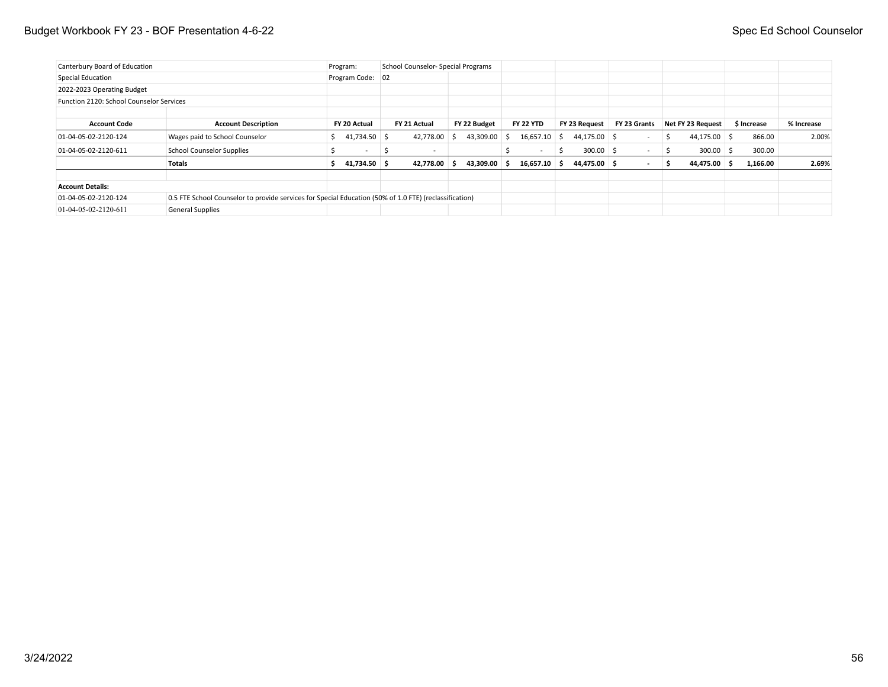### Budget Workbook FY 23 - BOF Presentation 4-6-22 Spec Ed School Counselor

| Canterbury Board of Education            |                                                                                                        | Program: |                  |   | School Counselor- Special Programs |    |              |   |                  |              |                |                          |    |                   |             |            |
|------------------------------------------|--------------------------------------------------------------------------------------------------------|----------|------------------|---|------------------------------------|----|--------------|---|------------------|--------------|----------------|--------------------------|----|-------------------|-------------|------------|
| Special Education                        |                                                                                                        |          | Program Code: 02 |   |                                    |    |              |   |                  |              |                |                          |    |                   |             |            |
| 2022-2023 Operating Budget               |                                                                                                        |          |                  |   |                                    |    |              |   |                  |              |                |                          |    |                   |             |            |
| Function 2120: School Counselor Services |                                                                                                        |          |                  |   |                                    |    |              |   |                  |              |                |                          |    |                   |             |            |
| <b>Account Code</b>                      | <b>Account Description</b>                                                                             |          | FY 20 Actual     |   | FY 21 Actual                       |    | FY 22 Budget |   | <b>FY 22 YTD</b> |              | FY 23 Request  | FY 23 Grants             |    | Net FY 23 Request | \$ Increase | % Increase |
| 01-04-05-02-2120-124                     | Wages paid to School Counselor                                                                         |          | 41,734.50 \$     |   | 42,778.00                          | -S | 43,309.00    | S | 16,657.10        | -S           | $44,175.00$ \$ |                          | S  | $44,175.00$ \$    | 866.00      | 2.00%      |
| 01-04-05-02-2120-611                     | <b>School Counselor Supplies</b>                                                                       |          | $\sim$           | 5 | $\sim$                             |    |              |   | $\sim$           | <sub>S</sub> | $300.00$ \$    | $\overline{\phantom{a}}$ | -S | $300.00$ \$       | 300.00      |            |
|                                          | Totals                                                                                                 |          | 41,734.50 \$     |   | 42,778.00 \$                       |    | 43,309.00 \$ |   | $16,657.10$ \$   |              | 44,475.00 \$   | $\overline{\phantom{a}}$ | 5  | 44,475.00 \$      | 1,166.00    | 2.69%      |
| <b>Account Details:</b>                  |                                                                                                        |          |                  |   |                                    |    |              |   |                  |              |                |                          |    |                   |             |            |
| 01-04-05-02-2120-124                     | 0.5 FTE School Counselor to provide services for Special Education (50% of 1.0 FTE) (reclassification) |          |                  |   |                                    |    |              |   |                  |              |                |                          |    |                   |             |            |
| $01-04-05-02-2120-611$                   | <b>General Supplies</b>                                                                                |          |                  |   |                                    |    |              |   |                  |              |                |                          |    |                   |             |            |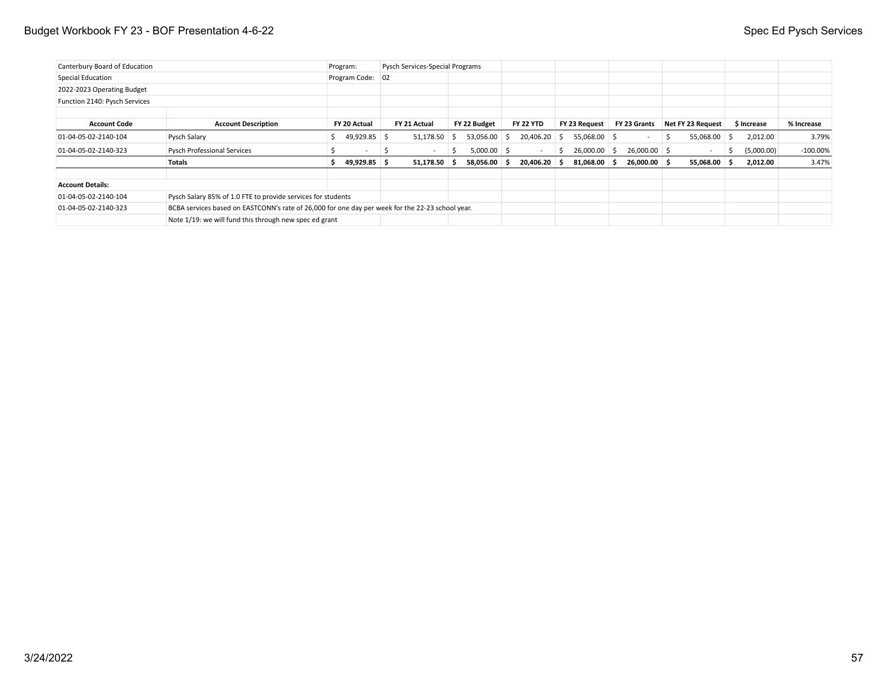### Budget Workbook FY 23 - BOF Presentation 4-6-22 Spec Ed Pysch Services

| Canterbury Board of Education |                                                                                                  | Program: |                          | Pysch Services-Special Programs |    |               |       |                          |              |                |              |    |                   |    |             |             |
|-------------------------------|--------------------------------------------------------------------------------------------------|----------|--------------------------|---------------------------------|----|---------------|-------|--------------------------|--------------|----------------|--------------|----|-------------------|----|-------------|-------------|
| Special Education             |                                                                                                  |          | Program Code: 02         |                                 |    |               |       |                          |              |                |              |    |                   |    |             |             |
| 2022-2023 Operating Budget    |                                                                                                  |          |                          |                                 |    |               |       |                          |              |                |              |    |                   |    |             |             |
| Function 2140: Pysch Services |                                                                                                  |          |                          |                                 |    |               |       |                          |              |                |              |    |                   |    |             |             |
|                               |                                                                                                  |          |                          |                                 |    |               |       |                          |              |                |              |    |                   |    |             |             |
| <b>Account Code</b>           | <b>Account Description</b>                                                                       |          | FY 20 Actual             | FY 21 Actual                    |    | FY 22 Budget  |       | <b>FY 22 YTD</b>         |              | FY 23 Request  | FY 23 Grants |    | Net FY 23 Request |    | \$ Increase | % Increase  |
| 01-04-05-02-2140-104          | Pysch Salary                                                                                     |          | 49,929.85 \$             | 51,178.50                       | -S | 53,056.00     | ' \$⊣ | 20,406.20 \$             |              | $55,068.00$ \$ | $\sim$       | -S | 55,068.00 \$      |    | 2,012.00    | 3.79%       |
| 01-04-05-02-2140-323          | <b>Pysch Professional Services</b>                                                               |          | $\overline{\phantom{a}}$ | $\sim$                          | S. | $5,000.00$ \$ |       | $\overline{\phantom{a}}$ | <sub>S</sub> | $26,000.00$ \$ | 26,000.00 \$ |    |                   | -5 | (5,000.00)  | $-100.00\%$ |
|                               | Totals                                                                                           |          | 49,929.85 \$             | $51,178.50$ \$                  |    | 58,056.00 \$  |       | $20,406.20$ \$           |              | $81,068.00$ \$ | 26,000.00 \$ |    | 55,068.00 \$      |    | 2,012.00    | 3.47%       |
| <b>Account Details:</b>       |                                                                                                  |          |                          |                                 |    |               |       |                          |              |                |              |    |                   |    |             |             |
| 01-04-05-02-2140-104          | Pysch Salary 85% of 1.0 FTE to provide services for students                                     |          |                          |                                 |    |               |       |                          |              |                |              |    |                   |    |             |             |
| 01-04-05-02-2140-323          | BCBA services based on EASTCONN's rate of 26,000 for one day per week for the 22-23 school year. |          |                          |                                 |    |               |       |                          |              |                |              |    |                   |    |             |             |
|                               | Note 1/19: we will fund this through new spec ed grant                                           |          |                          |                                 |    |               |       |                          |              |                |              |    |                   |    |             |             |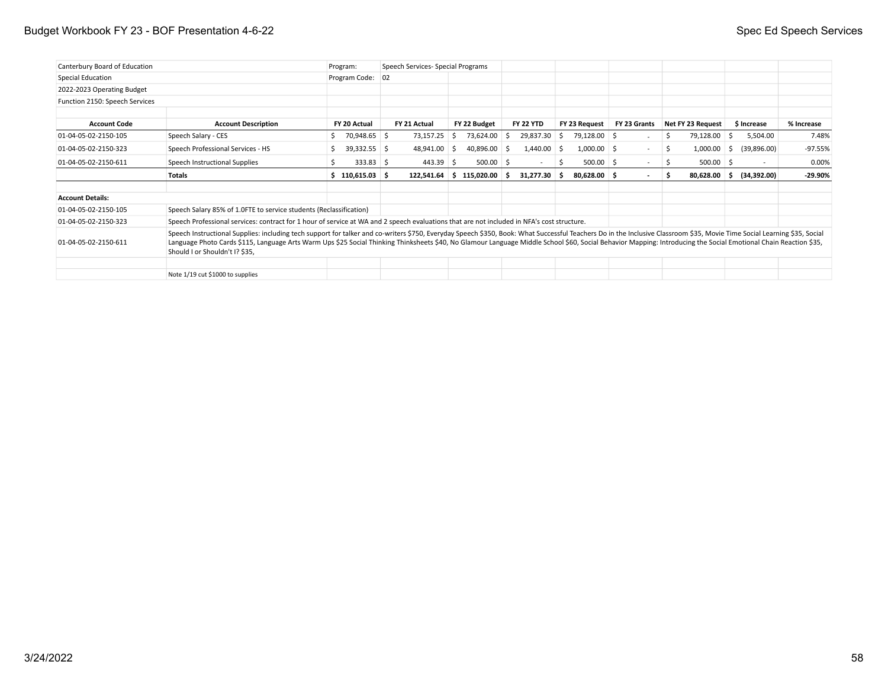### Budget Workbook FY 23 - BOF Presentation 4-6-22 Spec Ed Speech Services

| Canterbury Board of Education  |                                                                                                                                                                                                                                                                                                                                                                                                                                                                                | Program:           | Speech Services- Special Programs |   |                            |                       |    |                |              |    |                   |     |                          |            |
|--------------------------------|--------------------------------------------------------------------------------------------------------------------------------------------------------------------------------------------------------------------------------------------------------------------------------------------------------------------------------------------------------------------------------------------------------------------------------------------------------------------------------|--------------------|-----------------------------------|---|----------------------------|-----------------------|----|----------------|--------------|----|-------------------|-----|--------------------------|------------|
| Special Education              |                                                                                                                                                                                                                                                                                                                                                                                                                                                                                | Program Code: 02   |                                   |   |                            |                       |    |                |              |    |                   |     |                          |            |
| 2022-2023 Operating Budget     |                                                                                                                                                                                                                                                                                                                                                                                                                                                                                |                    |                                   |   |                            |                       |    |                |              |    |                   |     |                          |            |
| Function 2150: Speech Services |                                                                                                                                                                                                                                                                                                                                                                                                                                                                                |                    |                                   |   |                            |                       |    |                |              |    |                   |     |                          |            |
| <b>Account Code</b>            | <b>Account Description</b>                                                                                                                                                                                                                                                                                                                                                                                                                                                     | FY 20 Actual       | FY 21 Actual                      |   | FY 22 Budget               | <b>FY 22 YTD</b>      |    | FY 23 Request  | FY 23 Grants |    | Net FY 23 Request |     | \$ Increase              | % Increase |
| 01-04-05-02-2150-105           | Speech Salary - CES                                                                                                                                                                                                                                                                                                                                                                                                                                                            | 70,948.65 \$<br>S. | 73,157.25                         | S | 73,624.00 \$               | 29,837.30             | S  | 79,128.00 \$   |              | S. | 79,128.00 \$      |     | 5,504.00                 | 7.48%      |
| 01-04-05-02-2150-323           | Speech Professional Services - HS                                                                                                                                                                                                                                                                                                                                                                                                                                              | $39,332.55$ \$     | 48,941.00 \$                      |   | 40,896.00 \$               | $1,440.00$ \$         |    | $1,000.00$ \$  | $\sim$       | S. | 1,000.00          | 'Ş. | (39,896.00)              | $-97.55%$  |
| 01-04-05-02-2150-611           | Speech Instructional Supplies                                                                                                                                                                                                                                                                                                                                                                                                                                                  | $333.83$ \$        | $443.39$ \$                       |   | $500.00$ \$                | $\sim$                | \$ | $500.00$ \$    | $\sim$       | S  | $500.00$ \$       |     | $\overline{\phantom{a}}$ | 0.00%      |
|                                | Totals                                                                                                                                                                                                                                                                                                                                                                                                                                                                         | $$110,615.03$ $$$  |                                   |   | $122,541.64$ \$ 115,020.00 | $31,277.30$ \$<br>- S |    | $80,628.00$ \$ |              | s  | $80,628.00$ \$    |     | (34,392.00)              | $-29.90%$  |
| <b>Account Details:</b>        |                                                                                                                                                                                                                                                                                                                                                                                                                                                                                |                    |                                   |   |                            |                       |    |                |              |    |                   |     |                          |            |
| 01-04-05-02-2150-105           | Speech Salary 85% of 1.0FTE to service students (Reclassification)                                                                                                                                                                                                                                                                                                                                                                                                             |                    |                                   |   |                            |                       |    |                |              |    |                   |     |                          |            |
| 01-04-05-02-2150-323           | Speech Professional services: contract for 1 hour of service at WA and 2 speech evaluations that are not included in NFA's cost structure.                                                                                                                                                                                                                                                                                                                                     |                    |                                   |   |                            |                       |    |                |              |    |                   |     |                          |            |
| 01-04-05-02-2150-611           | Speech Instructional Supplies: including tech support for talker and co-writers \$750, Everyday Speech \$350, Book: What Successful Teachers Do in the Inclusive Classroom \$35, Movie Time Social Learning \$35, Social<br>Language Photo Cards \$115, Language Arts Warm Ups \$25 Social Thinking Thinksheets \$40, No Glamour Language Middle School \$60, Social Behavior Mapping: Introducing the Social Emotional Chain Reaction \$35,<br>Should I or Shouldn't I? \$35, |                    |                                   |   |                            |                       |    |                |              |    |                   |     |                          |            |
|                                | Note 1/19 cut \$1000 to supplies                                                                                                                                                                                                                                                                                                                                                                                                                                               |                    |                                   |   |                            |                       |    |                |              |    |                   |     |                          |            |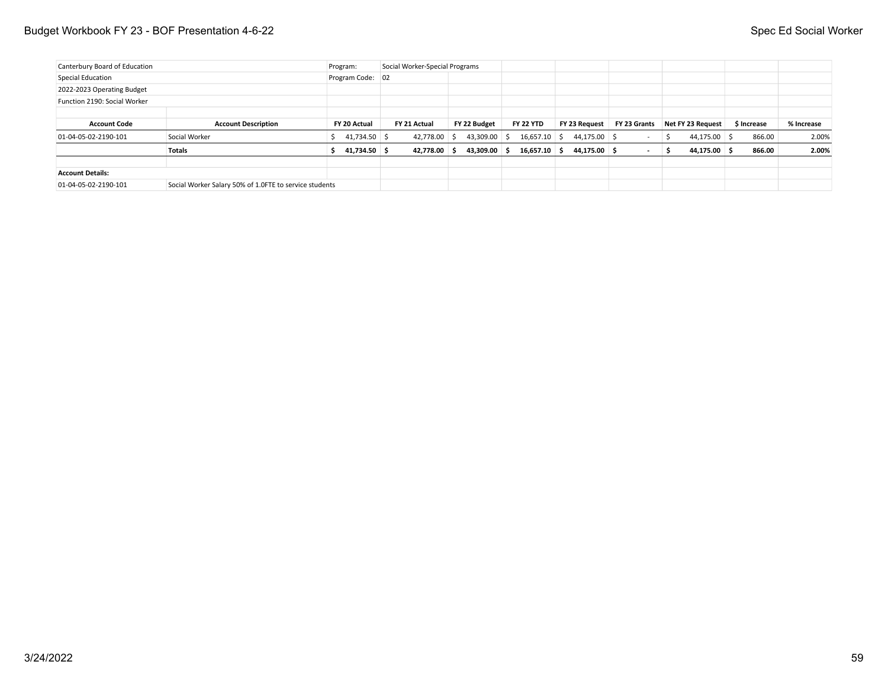| Canterbury Board of Education |                                                        | Program:         | Social Worker-Special Programs |              |                  |               |                          |                     |             |            |
|-------------------------------|--------------------------------------------------------|------------------|--------------------------------|--------------|------------------|---------------|--------------------------|---------------------|-------------|------------|
| Special Education             |                                                        | Program Code: 02 |                                |              |                  |               |                          |                     |             |            |
| 2022-2023 Operating Budget    |                                                        |                  |                                |              |                  |               |                          |                     |             |            |
| Function 2190: Social Worker  |                                                        |                  |                                |              |                  |               |                          |                     |             |            |
|                               |                                                        |                  |                                |              |                  |               |                          |                     |             |            |
| <b>Account Code</b>           | <b>Account Description</b>                             | FY 20 Actual     | FY 21 Actual                   | FY 22 Budget | <b>FY 22 YTD</b> | FY 23 Request | FY 23 Grants             | Net FY 23 Request   | \$ Increase | % Increase |
| $01-04-05-02-2190-101$        | Social Worker                                          | 41,734.50 \$     | 42,778.00 \$                   | 43,309.00 \$ | $16,657.10$ \$   | 44,175.00 \$  |                          | 44,175.00 \$<br>∣\$ | 866.00      | 2.00%      |
|                               | <b>Totals</b>                                          | 41,734.50 \$     | 42.778.00 \$                   | 43.309.00 S  | $16.657.10$ \$   | 44.175.00 \$  | $\overline{\phantom{a}}$ | 44.175.00 \$<br>- S | 866.00      | 2.00%      |
| <b>Account Details:</b>       |                                                        |                  |                                |              |                  |               |                          |                     |             |            |
| 01-04-05-02-2190-101          | Social Worker Salary 50% of 1.0FTE to service students |                  |                                |              |                  |               |                          |                     |             |            |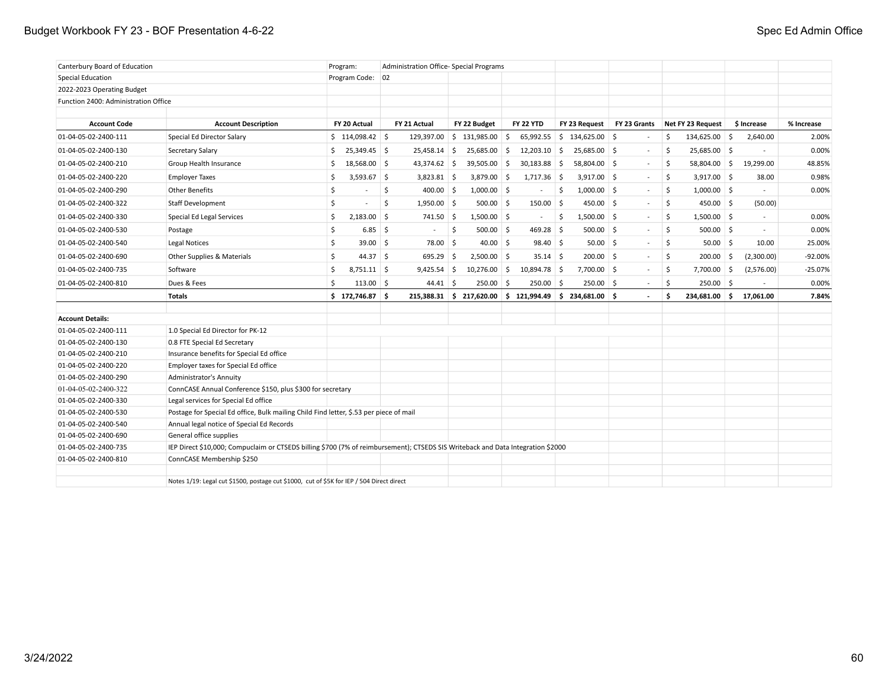### Budget Workbook FY 23 - BOF Presentation 4-6-22 Spec Ed Admin Office

| Canterbury Board of Education        |                                                                                                                                 | Program:                       | Administration Office- Special Programs |                                                           |                  |                              |                |                     |                   |            |
|--------------------------------------|---------------------------------------------------------------------------------------------------------------------------------|--------------------------------|-----------------------------------------|-----------------------------------------------------------|------------------|------------------------------|----------------|---------------------|-------------------|------------|
| Special Education                    |                                                                                                                                 | Program Code: 02               |                                         |                                                           |                  |                              |                |                     |                   |            |
| 2022-2023 Operating Budget           |                                                                                                                                 |                                |                                         |                                                           |                  |                              |                |                     |                   |            |
| Function 2400: Administration Office |                                                                                                                                 |                                |                                         |                                                           |                  |                              |                |                     |                   |            |
|                                      |                                                                                                                                 |                                |                                         |                                                           |                  |                              |                |                     |                   |            |
| <b>Account Code</b>                  | <b>Account Description</b>                                                                                                      | FY 20 Actual                   | FY 21 Actual                            | FY 22 Budget                                              | <b>FY 22 YTD</b> | FY 23 Request                | FY 23 Grants   | Net FY 23 Request   | \$ Increase       | % Increase |
| 01-04-05-02-2400-111                 | Special Ed Director Salary                                                                                                      | $$114,098.42$ \$               | 129,397.00                              | \$131,985.00                                              | 65,992.55<br>Ŝ.  | $$134,625.00$ \$             |                | \$<br>134,625.00 \$ | 2,640.00          | 2.00%      |
| 01-04-05-02-2400-130                 | Secretary Salary                                                                                                                | \$<br>25,349.45 \$             | $25,458.14$ \$                          | 25,685.00                                                 | 12,203.10<br>∣\$ | $\mathsf{S}$<br>25,685.00 \$ | $\sim$         | -\$<br>25,685.00 \$ | $\blacksquare$    | 0.00%      |
| 01-04-05-02-2400-210                 | Group Health Insurance                                                                                                          | 18,568.00 \$<br>\$             | 43,374.62 \$                            | 39,505.00                                                 | \$<br>30,183.88  | 5<br>58,804.00 \$            | $\sim$         | 58,804.00 \$<br>-\$ | 19,299.00         | 48.85%     |
| 01-04-05-02-2400-220                 | <b>Employer Taxes</b>                                                                                                           | Ŝ.<br>$3,593.67$ \$            | $3,823.81$ \$                           | $3,879.00$ \$                                             | $1,717.36$ \$    | $3,917.00$ \$                | $\sim$         | \$<br>$3,917.00$ \$ | 38.00             | 0.98%      |
| 01-04-05-02-2400-290                 | <b>Other Benefits</b>                                                                                                           | \$<br>$\overline{\phantom{a}}$ | \$<br>$400.00$ \$                       | $1,000.00$ \$                                             | $\sim$           | \$<br>$1,000.00$ \$          | $\sim$         | \$<br>$1,000.00$ \$ | $\sim$            | 0.00%      |
| 01-04-05-02-2400-322                 | <b>Staff Development</b>                                                                                                        | \$                             | \$<br>$1,950.00$ \$                     | $500.00$ \$                                               | $150.00$ \$      | $450.00$ \$                  |                | \$<br>$450.00$ \$   | (50.00)           |            |
| 01-04-05-02-2400-330                 | Special Ed Legal Services                                                                                                       | $2,183.00$ \$<br>\$            | 741.50 \$                               | $1,500.00$ \$                                             | $\sim$           | $1,500.00$ \$<br>5           | $\sim$         | \$<br>$1,500.00$ \$ | $\sim$            | 0.00%      |
| 01-04-05-02-2400-530                 | Postage                                                                                                                         | \$<br>$6.85$ \$                |                                         | \$<br>$500.00$ \$                                         | 469.28           | $\vert$ \$<br>$500.00$ \$    | $\sim$         | \$<br>$500.00$ \$   | $\sim$            | 0.00%      |
| 01-04-05-02-2400-540                 | Legal Notices                                                                                                                   | \$<br>$39.00$ \$               | 78.00 \$                                | $40.00$ \$                                                | $98.40 \,$ \$    | $50.00$ \$                   | $\sim$         | \$<br>$50.00$ \$    | 10.00             | 25.00%     |
| 01-04-05-02-2400-690                 | Other Supplies & Materials                                                                                                      | \$<br>$44.37 \quad$ \$         | $695.29$ \$                             | $2,500.00$ \$                                             | $35.14$ \$       | $200.00$ \$                  | $\sim$         | \$<br>200.00        | (2,300.00)<br>5 ا | $-92.00%$  |
| 01-04-05-02-2400-735                 | Software                                                                                                                        | \$<br>$8,751.11$ \$            | $9,425.54$ \$                           | $10,276.00$ \$                                            | 10,894.78 \$     | $7,700.00$ \$                | $\blacksquare$ | \$<br>7,700.00      | (2,576.00)<br>∣\$ | $-25.07%$  |
| 01-04-05-02-2400-810                 | Dues & Fees                                                                                                                     | Ś<br>$113.00$ \$               | $44.41 \pm 5$                           | $250.00$ \$                                               | $250.00$ \$      | $250.00$ \$                  |                | $250.00$ \$<br>\$   |                   | 0.00%      |
|                                      | <b>Totals</b>                                                                                                                   | $$172,746.87$ \$               |                                         | $215,388.31$ \$ 217,620.00 \$ 121,994.49 \$ 234,681.00 \$ |                  |                              |                | Ś<br>234,681.00     | \$ا<br>17,061.00  | 7.84%      |
|                                      |                                                                                                                                 |                                |                                         |                                                           |                  |                              |                |                     |                   |            |
| <b>Account Details:</b>              |                                                                                                                                 |                                |                                         |                                                           |                  |                              |                |                     |                   |            |
| 01-04-05-02-2400-111                 | 1.0 Special Ed Director for PK-12                                                                                               |                                |                                         |                                                           |                  |                              |                |                     |                   |            |
| 01-04-05-02-2400-130                 | 0.8 FTE Special Ed Secretary                                                                                                    |                                |                                         |                                                           |                  |                              |                |                     |                   |            |
| 01-04-05-02-2400-210                 | Insurance benefits for Special Ed office                                                                                        |                                |                                         |                                                           |                  |                              |                |                     |                   |            |
| 01-04-05-02-2400-220                 | Employer taxes for Special Ed office                                                                                            |                                |                                         |                                                           |                  |                              |                |                     |                   |            |
| 01-04-05-02-2400-290                 | Administrator's Annuity                                                                                                         |                                |                                         |                                                           |                  |                              |                |                     |                   |            |
| 01-04-05-02-2400-322                 | ConnCASE Annual Conference \$150, plus \$300 for secretary                                                                      |                                |                                         |                                                           |                  |                              |                |                     |                   |            |
| 01-04-05-02-2400-330                 | Legal services for Special Ed office                                                                                            |                                |                                         |                                                           |                  |                              |                |                     |                   |            |
| 01-04-05-02-2400-530                 | Postage for Special Ed office, Bulk mailing Child Find letter, \$.53 per piece of mail                                          |                                |                                         |                                                           |                  |                              |                |                     |                   |            |
| 01-04-05-02-2400-540                 | Annual legal notice of Special Ed Records                                                                                       |                                |                                         |                                                           |                  |                              |                |                     |                   |            |
| 01-04-05-02-2400-690                 | General office supplies                                                                                                         |                                |                                         |                                                           |                  |                              |                |                     |                   |            |
| 01-04-05-02-2400-735                 | IEP Direct \$10,000; Compuclaim or CTSEDS billing \$700 (7% of reimbursement); CTSEDS SIS Writeback and Data Integration \$2000 |                                |                                         |                                                           |                  |                              |                |                     |                   |            |
| 01-04-05-02-2400-810                 | ConnCASE Membership \$250                                                                                                       |                                |                                         |                                                           |                  |                              |                |                     |                   |            |
|                                      |                                                                                                                                 |                                |                                         |                                                           |                  |                              |                |                     |                   |            |
|                                      | Notes 1/19: Legal cut \$1500, postage cut \$1000, cut of \$5K for IEP / 504 Direct direct                                       |                                |                                         |                                                           |                  |                              |                |                     |                   |            |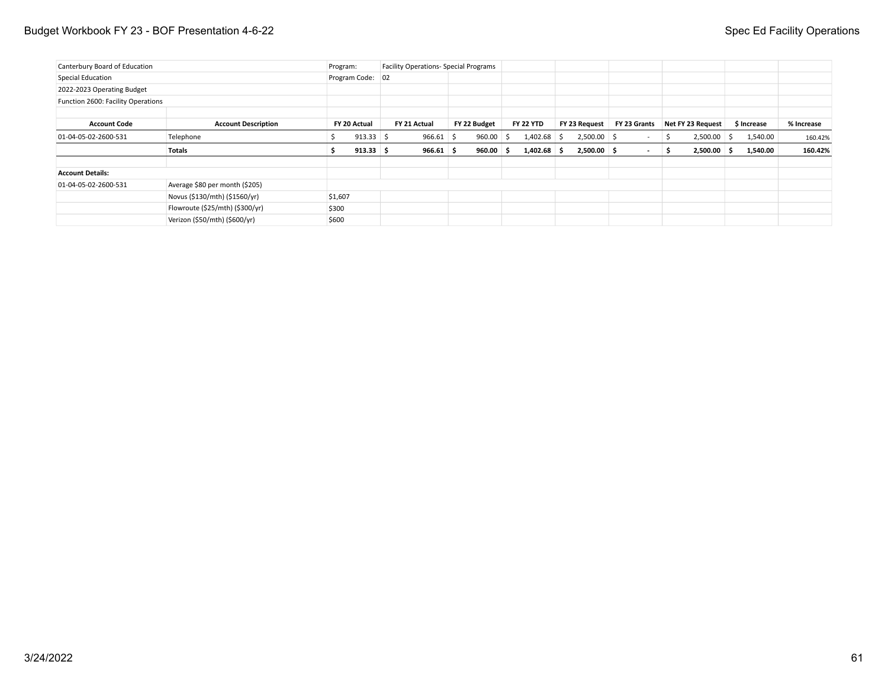### Budget Workbook FY 23 - BOF Presentation 4-6-22 Spec Ed Facility Operations

| Canterbury Board of Education      |                                 | Program: |                                                                            | <b>Facility Operations- Special Programs</b> |  |                  |               |               |        |                   |               |            |         |
|------------------------------------|---------------------------------|----------|----------------------------------------------------------------------------|----------------------------------------------|--|------------------|---------------|---------------|--------|-------------------|---------------|------------|---------|
| Special Education                  |                                 |          | Program Code: 02                                                           |                                              |  |                  |               |               |        |                   |               |            |         |
| 2022-2023 Operating Budget         |                                 |          |                                                                            |                                              |  |                  |               |               |        |                   |               |            |         |
| Function 2600: Facility Operations |                                 |          |                                                                            |                                              |  |                  |               |               |        |                   |               |            |         |
|                                    |                                 |          |                                                                            |                                              |  |                  |               |               |        |                   |               |            |         |
| <b>Account Code</b>                | <b>Account Description</b>      |          | FY 20 Actual<br>FY 22 Budget<br>FY 21 Actual<br>$913.33$ \$<br>$966.61$ \$ |                                              |  | <b>FY 22 YTD</b> | FY 23 Request | FY 23 Grants  |        | Net FY 23 Request | \$ Increase   | % Increase |         |
| 01-04-05-02-2600-531               | Telephone                       |          |                                                                            |                                              |  | $960.00$ \$      | $1,402.68$ \$ | $2,500.00$ \$ | $\sim$ | -S                | $2,500.00$ \$ | 1,540.00   | 160.42% |
|                                    | Totals                          |          | $913.33$ \$                                                                | $966.61$ \$                                  |  | $960.00$ \$      | $1,402.68$ \$ | $2,500.00$ \$ | $\sim$ | -S                | $2,500.00$ \$ | 1,540.00   | 160.42% |
| <b>Account Details:</b>            |                                 |          |                                                                            |                                              |  |                  |               |               |        |                   |               |            |         |
| 01-04-05-02-2600-531               | Average \$80 per month (\$205)  |          |                                                                            |                                              |  |                  |               |               |        |                   |               |            |         |
|                                    | Novus (\$130/mth) (\$1560/yr)   | \$1,607  |                                                                            |                                              |  |                  |               |               |        |                   |               |            |         |
|                                    | Flowroute (\$25/mth) (\$300/yr) | \$300    |                                                                            |                                              |  |                  |               |               |        |                   |               |            |         |
|                                    | Verizon (\$50/mth) (\$600/yr)   | \$600    |                                                                            |                                              |  |                  |               |               |        |                   |               |            |         |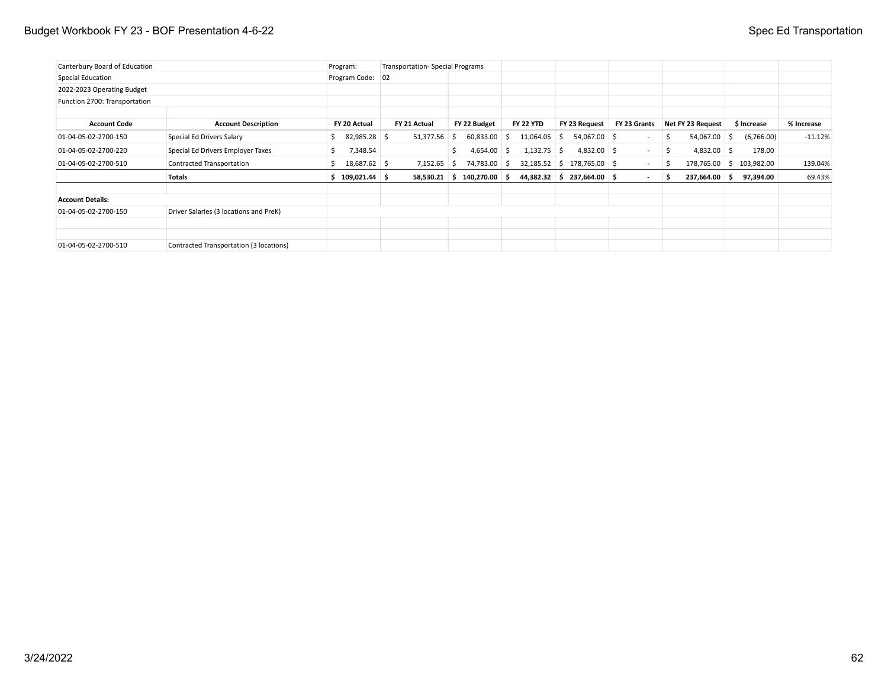### Budget Workbook FY 23 - BOF Presentation 4-6-22 Spec Ed Transportation

| Canterbury Board of Education |                                         | Program:          | Transportation-Special Programs |                              |                  |                              |              |                     |                          |            |
|-------------------------------|-----------------------------------------|-------------------|---------------------------------|------------------------------|------------------|------------------------------|--------------|---------------------|--------------------------|------------|
| Special Education             |                                         | Program Code:     | 02                              |                              |                  |                              |              |                     |                          |            |
| 2022-2023 Operating Budget    |                                         |                   |                                 |                              |                  |                              |              |                     |                          |            |
| Function 2700: Transportation |                                         |                   |                                 |                              |                  |                              |              |                     |                          |            |
| <b>Account Code</b>           | <b>Account Description</b>              | FY 20 Actual      | FY 21 Actual                    | FY 22 Budget                 | <b>FY 22 YTD</b> | FY 23 Request                | FY 23 Grants | Net FY 23 Request   | \$ Increase              | % Increase |
| 01-04-05-02-2700-150          | Special Ed Drivers Salary               | 82,985.28 \$      | $51,377.56$ \$                  | 60,833.00                    | 11,064.05<br>-S  | 54,067.00 \$<br>-S           | $\sim$       | 54,067.00 \$<br>S.  | (6,766.00)               | $-11.12%$  |
| 01-04-05-02-2700-220          | Special Ed Drivers Employer Taxes       | 7,348.54          |                                 | $4,654.00$ \$<br>\$.         | $1,132.75$ \$    | $4,832.00$ \$                | $\sim$       | $4,832.00$ \$<br>S. | 178.00                   |            |
| 01-04-05-02-2700-510          | Contracted Transportation               | 18,687.62 \$      | 7,152.65                        | 74,783.00 \$<br>∣S.          |                  | $32,185.52$ \$178,765.00 \$  |              | S.                  | 178,765.00 \$ 103,982.00 | 139.04%    |
|                               | Totals                                  | $$109,021.44$ $$$ |                                 | $58,530.21$ \$ 140,270.00 \$ |                  | $44,382.32$ \$ 237,664.00 \$ | $\sim$       | 237,664.00 \$<br>s  | 97,394.00                | 69.43%     |
| <b>Account Details:</b>       |                                         |                   |                                 |                              |                  |                              |              |                     |                          |            |
| 01-04-05-02-2700-150          | Driver Salaries (3 locations and PreK)  |                   |                                 |                              |                  |                              |              |                     |                          |            |
|                               |                                         |                   |                                 |                              |                  |                              |              |                     |                          |            |
| 01-04-05-02-2700-510          | Contracted Transportation (3 locations) |                   |                                 |                              |                  |                              |              |                     |                          |            |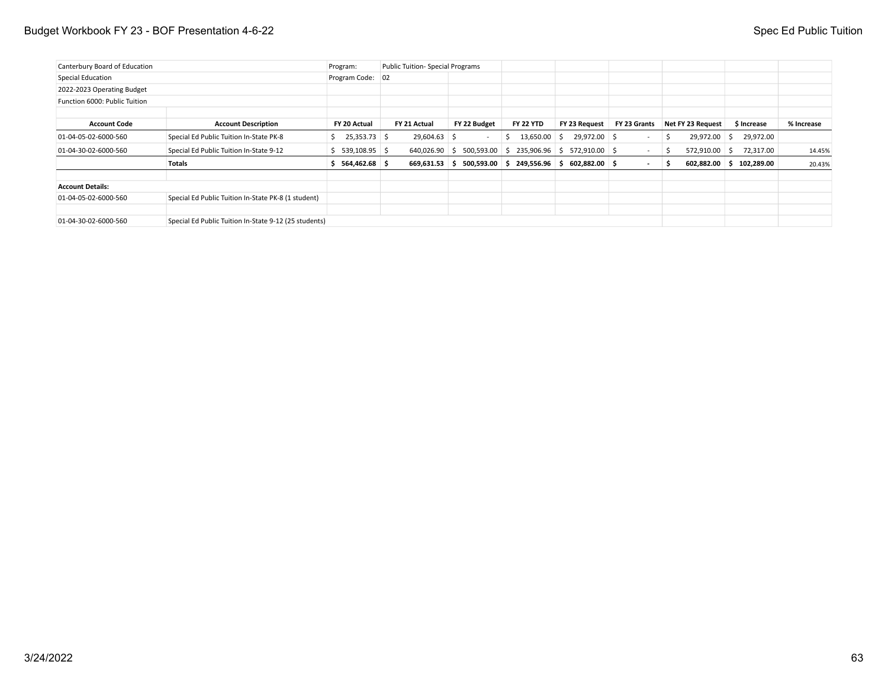## Budget Workbook FY 23 - BOF Presentation 4-6-22 Spec Ed Public Tuition

| Canterbury Board of Education<br>Program: |                                                       |                               | Public Tuition- Special Programs |                               |                                             |                     |                          |                       |                 |            |
|-------------------------------------------|-------------------------------------------------------|-------------------------------|----------------------------------|-------------------------------|---------------------------------------------|---------------------|--------------------------|-----------------------|-----------------|------------|
| Special Education                         |                                                       | Program Code: 02              |                                  |                               |                                             |                     |                          |                       |                 |            |
| 2022-2023 Operating Budget                |                                                       |                               |                                  |                               |                                             |                     |                          |                       |                 |            |
| Function 6000: Public Tuition             |                                                       |                               |                                  |                               |                                             |                     |                          |                       |                 |            |
|                                           |                                                       |                               |                                  |                               |                                             |                     |                          |                       |                 |            |
| <b>Account Code</b>                       | <b>Account Description</b>                            | FY 20 Actual                  | FY 21 Actual                     | FY 22 Budget                  | <b>FY 22 YTD</b>                            | FY 23 Request       | FY 23 Grants             | Net FY 23 Request     | \$ Increase     | % Increase |
| 01-04-05-02-6000-560                      | Special Ed Public Tuition In-State PK-8               | 25,353.73 \$<br>$\mathcal{P}$ | 29,604.63 \$                     | $\overline{\phantom{a}}$      | $13,650.00$ \$<br>b,                        | 29,972.00 \$        | $\overline{\phantom{a}}$ | 29,972.00<br>-S       | 29,972.00<br>S. |            |
| 01-04-30-02-6000-560                      | Special Ed Public Tuition In-State 9-12               | \$5, 539, 108.95              |                                  | 640,026.90<br>500,593.00<br>5 | 235,906.96<br>-S                            | 572,910.00 \$<br>S. |                          | 572,910.00 \$<br>5    | 72,317.00       | 14.45%     |
|                                           | Totals                                                | 564,462.68 \$                 | 669,631.53                       | s                             | $500,593.00$ \$ 249,556.96 \$ 602,882.00 \$ |                     | $\overline{\phantom{a}}$ | $602,882.00$ \$<br>-S | 102,289.00      | 20.43%     |
| <b>Account Details:</b>                   |                                                       |                               |                                  |                               |                                             |                     |                          |                       |                 |            |
| 01-04-05-02-6000-560                      | Special Ed Public Tuition In-State PK-8 (1 student)   |                               |                                  |                               |                                             |                     |                          |                       |                 |            |
| 01-04-30-02-6000-560                      | Special Ed Public Tuition In-State 9-12 (25 students) |                               |                                  |                               |                                             |                     |                          |                       |                 |            |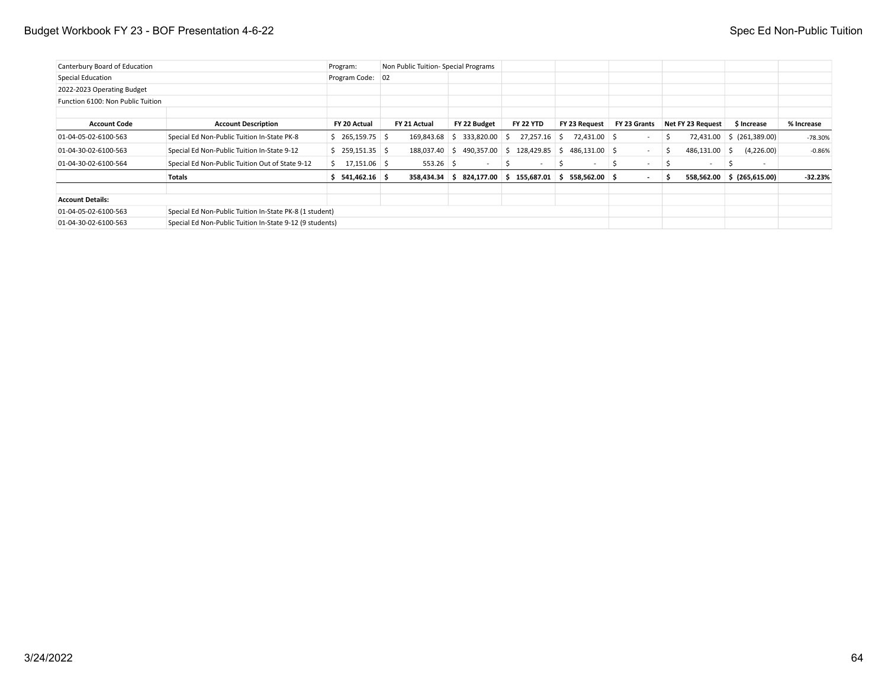### Budget Workbook FY 23 - BOF Presentation 4-6-22 Spec Ed Non-Public Tuition

| Canterbury Board of Education<br>Program: |                                                          |                     | Non Public Tuition-Special Programs |                                               |                         |                     |                          |                   |                            |            |
|-------------------------------------------|----------------------------------------------------------|---------------------|-------------------------------------|-----------------------------------------------|-------------------------|---------------------|--------------------------|-------------------|----------------------------|------------|
| Special Education                         |                                                          | Program Code: 02    |                                     |                                               |                         |                     |                          |                   |                            |            |
| 2022-2023 Operating Budget                |                                                          |                     |                                     |                                               |                         |                     |                          |                   |                            |            |
| Function 6100: Non Public Tuition         |                                                          |                     |                                     |                                               |                         |                     |                          |                   |                            |            |
| <b>Account Code</b>                       | <b>Account Description</b>                               | FY 20 Actual        | FY 21 Actual                        | FY 22 Budget                                  | <b>FY 22 YTD</b>        | FY 23 Request       | FY 23 Grants             | Net FY 23 Request | \$ Increase                | % Increase |
| 01-04-05-02-6100-563                      | Special Ed Non-Public Tuition In-State PK-8              | $$265,159.75$ \$    | 169,843.68                          | 333,820.00<br>S.                              | 27,257.16<br>-S         | 72,431.00 \$<br>S.  | $\sim$                   | 72,431.00<br>S.   | $\frac{1}{2}$ (261,389.00) | $-78.30%$  |
| 01-04-30-02-6100-563                      | Special Ed Non-Public Tuition In-State 9-12              | $$259,151.35$ $$$   | 188,037.40 \$                       | 490,357.00                                    | 128,429.85<br>-S        | 486,131.00 \$<br>S. | $\sim$                   | 486,131.00<br>S.  | (4,226.00)<br>- S          | $-0.86%$   |
| 01-04-30-02-6100-564                      | Special Ed Non-Public Tuition Out of State 9-12          | $17,151.06$ \$<br>S | $553.26$ \$                         | $\sim$                                        | $\mathcal{L}$<br>$\sim$ | S.<br>$\sim$        | $\overline{\phantom{0}}$ | -S<br>$\sim$      | - 5<br>$\sim$              |            |
|                                           | Totals                                                   | 541,462.16 \$       |                                     | $358,434.34$ \$ $824,177.00$ \$ 155,687.01 \$ |                         | 558,562.00 \$       | $\sim$                   | 5                 | 558,562.00 \$ (265,615.00) | $-32.23%$  |
| <b>Account Details:</b>                   |                                                          |                     |                                     |                                               |                         |                     |                          |                   |                            |            |
| 01-04-05-02-6100-563                      | Special Ed Non-Public Tuition In-State PK-8 (1 student)  |                     |                                     |                                               |                         |                     |                          |                   |                            |            |
| 01-04-30-02-6100-563                      | Special Ed Non-Public Tuition In-State 9-12 (9 students) |                     |                                     |                                               |                         |                     |                          |                   |                            |            |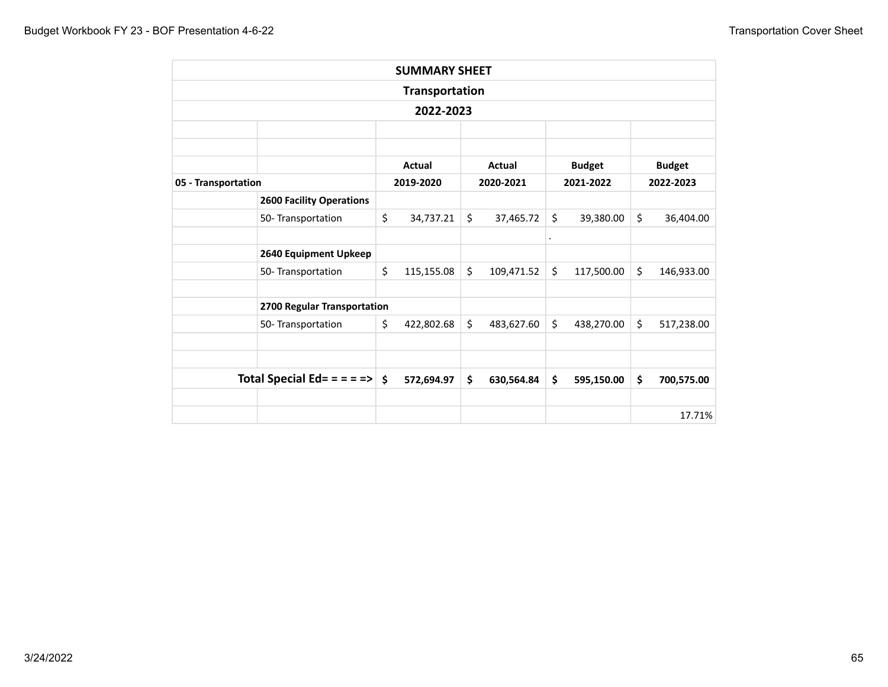| <b>SUMMARY SHEET</b><br><b>Transportation</b><br>2022-2023<br><b>Actual</b><br><b>Budget</b><br>Actual<br>2019-2020<br>2020-2021<br>2021-2022<br><b>2600 Facility Operations</b><br>\$<br>\$<br>\$<br>\$<br>39,380.00<br>50- Transportation<br>34,737.21<br>37,465.72<br>$\ddot{\phantom{a}}$<br>2640 Equipment Upkeep<br>\$<br>\$<br>\$<br>\$<br>115,155.08<br>109,471.52<br>117,500.00<br>50- Transportation<br>2700 Regular Transportation<br>\$<br>\$<br>\$<br>\$<br>50- Transportation<br>422,802.68<br>483,627.60<br>438,270.00<br>Total Special Ed= = = = = ><br>$\mathsf{\hat{S}}$<br>\$<br>\$<br>\$<br>572,694.97<br>630,564.84<br>595,150.00 |  |  |  |  |               |
|--------------------------------------------------------------------------------------------------------------------------------------------------------------------------------------------------------------------------------------------------------------------------------------------------------------------------------------------------------------------------------------------------------------------------------------------------------------------------------------------------------------------------------------------------------------------------------------------------------------------------------------------------------|--|--|--|--|---------------|
|                                                                                                                                                                                                                                                                                                                                                                                                                                                                                                                                                                                                                                                        |  |  |  |  |               |
|                                                                                                                                                                                                                                                                                                                                                                                                                                                                                                                                                                                                                                                        |  |  |  |  |               |
|                                                                                                                                                                                                                                                                                                                                                                                                                                                                                                                                                                                                                                                        |  |  |  |  |               |
|                                                                                                                                                                                                                                                                                                                                                                                                                                                                                                                                                                                                                                                        |  |  |  |  | <b>Budget</b> |
| 05 - Transportation                                                                                                                                                                                                                                                                                                                                                                                                                                                                                                                                                                                                                                    |  |  |  |  | 2022-2023     |
|                                                                                                                                                                                                                                                                                                                                                                                                                                                                                                                                                                                                                                                        |  |  |  |  |               |
|                                                                                                                                                                                                                                                                                                                                                                                                                                                                                                                                                                                                                                                        |  |  |  |  | 36,404.00     |
|                                                                                                                                                                                                                                                                                                                                                                                                                                                                                                                                                                                                                                                        |  |  |  |  |               |
|                                                                                                                                                                                                                                                                                                                                                                                                                                                                                                                                                                                                                                                        |  |  |  |  |               |
|                                                                                                                                                                                                                                                                                                                                                                                                                                                                                                                                                                                                                                                        |  |  |  |  | 146,933.00    |
|                                                                                                                                                                                                                                                                                                                                                                                                                                                                                                                                                                                                                                                        |  |  |  |  |               |
|                                                                                                                                                                                                                                                                                                                                                                                                                                                                                                                                                                                                                                                        |  |  |  |  | 517,238.00    |
|                                                                                                                                                                                                                                                                                                                                                                                                                                                                                                                                                                                                                                                        |  |  |  |  |               |
|                                                                                                                                                                                                                                                                                                                                                                                                                                                                                                                                                                                                                                                        |  |  |  |  | 700,575.00    |
|                                                                                                                                                                                                                                                                                                                                                                                                                                                                                                                                                                                                                                                        |  |  |  |  |               |
|                                                                                                                                                                                                                                                                                                                                                                                                                                                                                                                                                                                                                                                        |  |  |  |  | 17.71%        |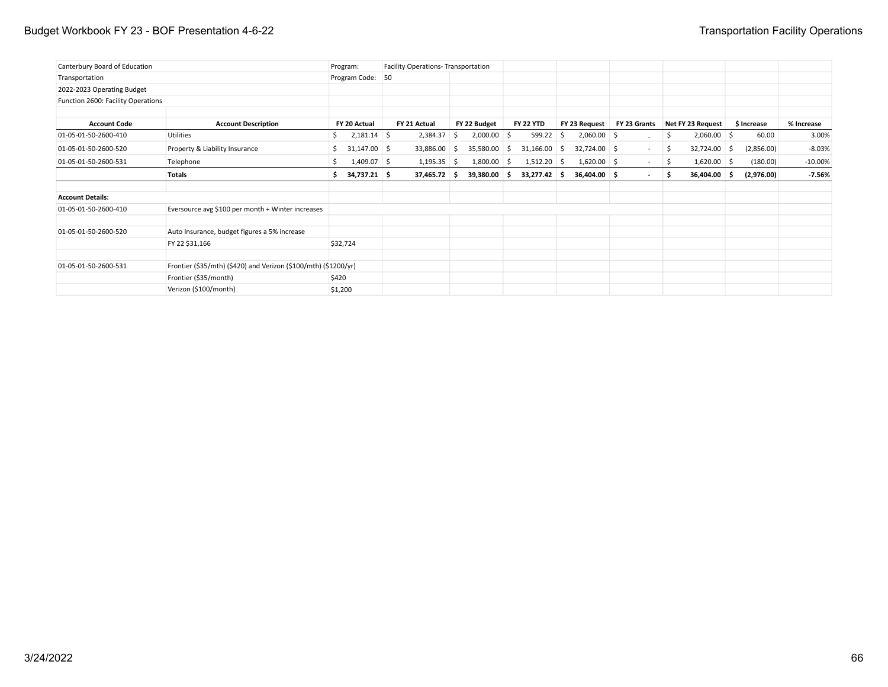### Budget Workbook FY 23 - BOF Presentation 4-6-22 Transportation Facility Operations

| Canterbury Board of Education      |                                                                 | Program:             | Facility Operations-Transportation |                     |                  |                     |              |                      |             |            |
|------------------------------------|-----------------------------------------------------------------|----------------------|------------------------------------|---------------------|------------------|---------------------|--------------|----------------------|-------------|------------|
| Transportation                     |                                                                 | Program Code: 50     |                                    |                     |                  |                     |              |                      |             |            |
| 2022-2023 Operating Budget         |                                                                 |                      |                                    |                     |                  |                     |              |                      |             |            |
| Function 2600: Facility Operations |                                                                 |                      |                                    |                     |                  |                     |              |                      |             |            |
| <b>Account Code</b>                | <b>Account Description</b>                                      | FY 20 Actual         | FY 21 Actual                       | FY 22 Budget        | <b>FY 22 YTD</b> | FY 23 Request       | FY 23 Grants | Net FY 23 Request    | \$ Increase | % Increase |
| 01-05-01-50-2600-410               | <b>Utilities</b>                                                | $2,181.14$ \$<br>S.  | 2,384.37                           | $2,000.00$ \$<br>S. | 599.22           | $2,060.00$ \$<br>-S |              | $2,060.00$ \$<br>\$  | 60.00       | 3.00%      |
| 01-05-01-50-2600-520               | Property & Liability Insurance                                  | $31,147.00$ \$<br>S. | 33,886.00 \$                       | 35,580.00 \$        | 31,166.00        | 32,724.00 \$<br>-S  | $\sim$       | $32,724.00$ \$<br>S. | (2,856.00)  | $-8.03%$   |
| 01-05-01-50-2600-531               | Telephone                                                       | $1,409.07$ \$<br>S.  | $1,195.35$ \$                      | $1,800.00$ \$       | $1,512.20$ \$    | $1,620.00$ \$       | $\sim$       | $1,620.00$ \$<br>\$  | (180.00)    | $-10.00\%$ |
|                                    | <b>Totals</b>                                                   | 34,737.21 \$<br>s.   | 37,465.72 \$                       | 39,380.00 \$        | 33,277.42 \$     | 36,404.00 \$        | $\sim$       | 36,404.00 \$<br>\$   | (2,976.00)  | $-7.56%$   |
| <b>Account Details:</b>            |                                                                 |                      |                                    |                     |                  |                     |              |                      |             |            |
| 01-05-01-50-2600-410               | Eversource avg \$100 per month + Winter increases               |                      |                                    |                     |                  |                     |              |                      |             |            |
| 01-05-01-50-2600-520               | Auto Insurance, budget figures a 5% increase                    |                      |                                    |                     |                  |                     |              |                      |             |            |
|                                    | FY 22 \$31,166                                                  | \$32,724             |                                    |                     |                  |                     |              |                      |             |            |
| 01-05-01-50-2600-531               | Frontier (\$35/mth) (\$420) and Verizon (\$100/mth) (\$1200/yr) |                      |                                    |                     |                  |                     |              |                      |             |            |
|                                    | Frontier (\$35/month)                                           | \$420                |                                    |                     |                  |                     |              |                      |             |            |
|                                    | Verizon (\$100/month)                                           | \$1,200              |                                    |                     |                  |                     |              |                      |             |            |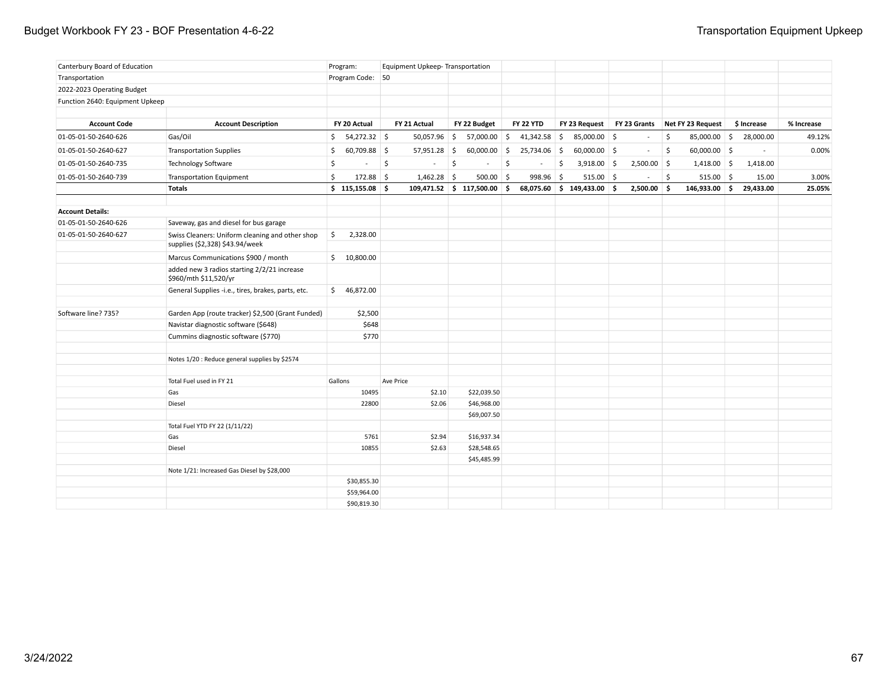### Budget Workbook FY 23 - BOF Presentation 4-6-22 **Transportation Equipment Upkeep**

| Canterbury Board of Education   |                                                                                    | Program:           |           | Equipment Upkeep-Transportation |              |                |                  |                            |               |                     |                                |             |            |
|---------------------------------|------------------------------------------------------------------------------------|--------------------|-----------|---------------------------------|--------------|----------------|------------------|----------------------------|---------------|---------------------|--------------------------------|-------------|------------|
| Transportation                  |                                                                                    | Program Code: 50   |           |                                 |              |                |                  |                            |               |                     |                                |             |            |
| 2022-2023 Operating Budget      |                                                                                    |                    |           |                                 |              |                |                  |                            |               |                     |                                |             |            |
| Function 2640: Equipment Upkeep |                                                                                    |                    |           |                                 |              |                |                  |                            |               |                     |                                |             |            |
| <b>Account Code</b>             | <b>Account Description</b>                                                         | FY 20 Actual       |           | FY 21 Actual                    |              | FY 22 Budget   | <b>FY 22 YTD</b> | FY 23 Request              |               |                     | FY 23 Grants Net FY 23 Request | \$ Increase | % Increase |
|                                 |                                                                                    |                    |           |                                 |              |                |                  |                            |               |                     |                                |             |            |
| 01-05-01-50-2640-626            | Gas/Oil                                                                            | \$54,272.32        |           | $50,057.96$ \$                  |              | 57,000.00 \$   | $41,342.58$ \$   | 85,000.00 \$               | $\sim$        | $\ddot{\mathsf{S}}$ | 85,000.00 \$                   | 28,000.00   | 49.12%     |
| 01-05-01-50-2640-627            | <b>Transportation Supplies</b>                                                     | 60,709.88 \$<br>S. |           | $57,951.28$ \$                  |              | $60,000.00$ \$ | 25,734.06 \$     | $60,000.00$ \$             | $\sim$        | \$                  | $60,000.00$ \$                 | $\sim$      | 0.00%      |
| 01-05-01-50-2640-735            | <b>Technology Software</b>                                                         | \$<br>$\sim$       | 5         |                                 | $\mathsf{S}$ |                | \$<br>$\sim$     | \$<br>$3,918.00$ \$        | $2,500.00$ \$ |                     | $1,418.00$ \$                  | 1,418.00    |            |
| 01-05-01-50-2640-739            | <b>Transportation Equipment</b>                                                    | \$<br>$172.88$ \$  |           | $1,462.28$ \$                   |              | $500.00$ \$    | 998.96 \$        | $515.00$ \$                | $\sim$        | $\frac{1}{2}$       | $515.00$ \$                    | 15.00       | 3.00%      |
|                                 | <b>Totals</b>                                                                      | \$115,155.08       |           | $109,471.52$ \$ 117,500.00 \$   |              |                |                  | 68,075.60 \$ 149,433.00 \$ | $2,500.00$ \$ |                     | $146,933.00$ \$                | 29,433.00   | 25.05%     |
|                                 |                                                                                    |                    |           |                                 |              |                |                  |                            |               |                     |                                |             |            |
| <b>Account Details:</b>         |                                                                                    |                    |           |                                 |              |                |                  |                            |               |                     |                                |             |            |
| 01-05-01-50-2640-626            | Saveway, gas and diesel for bus garage                                             |                    |           |                                 |              |                |                  |                            |               |                     |                                |             |            |
| 01-05-01-50-2640-627            | Swiss Cleaners: Uniform cleaning and other shop<br>supplies (\$2,328) \$43.94/week | \$<br>2,328.00     |           |                                 |              |                |                  |                            |               |                     |                                |             |            |
|                                 | Marcus Communications \$900 / month                                                | \$10,800.00        |           |                                 |              |                |                  |                            |               |                     |                                |             |            |
|                                 | added new 3 radios starting 2/2/21 increase<br>\$960/mth \$11,520/yr               |                    |           |                                 |              |                |                  |                            |               |                     |                                |             |            |
|                                 | General Supplies -i.e., tires, brakes, parts, etc.                                 | \$46,872.00        |           |                                 |              |                |                  |                            |               |                     |                                |             |            |
| Software line? 735?             | Garden App (route tracker) \$2,500 (Grant Funded)                                  | \$2,500            |           |                                 |              |                |                  |                            |               |                     |                                |             |            |
|                                 | Navistar diagnostic software (\$648)                                               | \$648              |           |                                 |              |                |                  |                            |               |                     |                                |             |            |
|                                 | Cummins diagnostic software (\$770)                                                | \$770              |           |                                 |              |                |                  |                            |               |                     |                                |             |            |
|                                 | Notes 1/20 : Reduce general supplies by \$2574                                     |                    |           |                                 |              |                |                  |                            |               |                     |                                |             |            |
|                                 | Total Fuel used in FY 21                                                           | Gallons            | Ave Price |                                 |              |                |                  |                            |               |                     |                                |             |            |
|                                 | Gas                                                                                | 10495              |           | \$2.10                          |              | \$22,039.50    |                  |                            |               |                     |                                |             |            |
|                                 | Diesel                                                                             | 22800              |           | \$2.06                          |              | \$46,968.00    |                  |                            |               |                     |                                |             |            |
|                                 |                                                                                    |                    |           |                                 |              | \$69,007.50    |                  |                            |               |                     |                                |             |            |
|                                 | Total Fuel YTD FY 22 (1/11/22)                                                     |                    |           |                                 |              |                |                  |                            |               |                     |                                |             |            |
|                                 | Gas                                                                                | 5761               |           | \$2.94                          |              | \$16,937.34    |                  |                            |               |                     |                                |             |            |
|                                 | Diesel                                                                             | 10855              |           | \$2.63                          |              | \$28,548.65    |                  |                            |               |                     |                                |             |            |
|                                 |                                                                                    |                    |           |                                 |              | \$45,485.99    |                  |                            |               |                     |                                |             |            |
|                                 | Note 1/21: Increased Gas Diesel by \$28,000                                        | \$30,855.30        |           |                                 |              |                |                  |                            |               |                     |                                |             |            |
|                                 |                                                                                    | \$59,964.00        |           |                                 |              |                |                  |                            |               |                     |                                |             |            |
|                                 |                                                                                    | \$90,819.30        |           |                                 |              |                |                  |                            |               |                     |                                |             |            |
|                                 |                                                                                    |                    |           |                                 |              |                |                  |                            |               |                     |                                |             |            |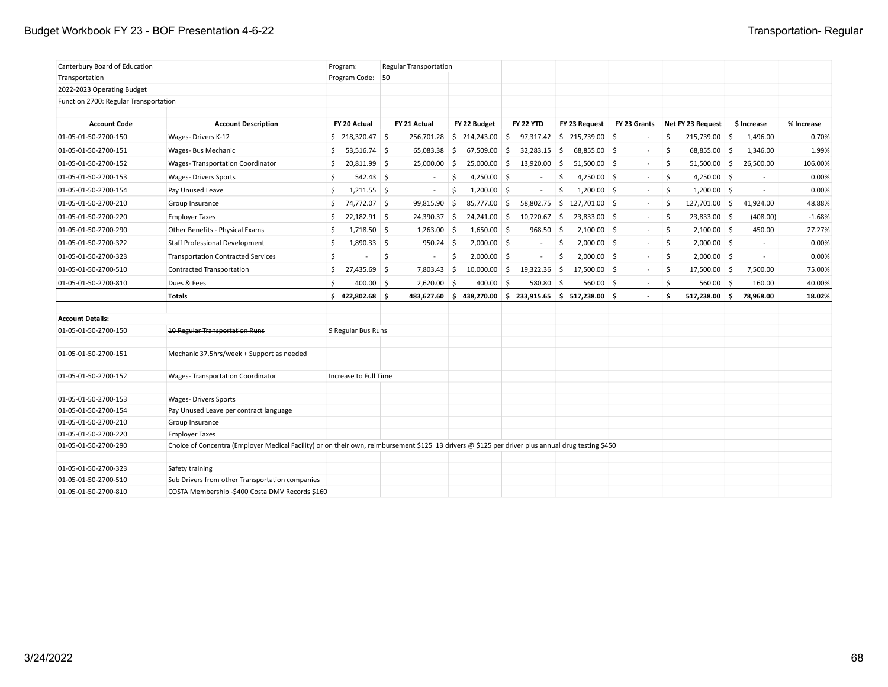### Budget Workbook FY 23 - BOF Presentation 4-6-22 Transportation- Regular

| Canterbury Board of Education                |                                                                                                                                                   | Program:              | <b>Regular Transportation</b> |                               |                          |                                                      |              |                                   |                          |            |
|----------------------------------------------|---------------------------------------------------------------------------------------------------------------------------------------------------|-----------------------|-------------------------------|-------------------------------|--------------------------|------------------------------------------------------|--------------|-----------------------------------|--------------------------|------------|
| Transportation                               |                                                                                                                                                   | Program Code: 50      |                               |                               |                          |                                                      |              |                                   |                          |            |
| 2022-2023 Operating Budget                   |                                                                                                                                                   |                       |                               |                               |                          |                                                      |              |                                   |                          |            |
| Function 2700: Regular Transportation        |                                                                                                                                                   |                       |                               |                               |                          |                                                      |              |                                   |                          |            |
|                                              |                                                                                                                                                   |                       |                               |                               |                          |                                                      |              |                                   |                          |            |
| <b>Account Code</b>                          | <b>Account Description</b>                                                                                                                        | FY 20 Actual          | FY 21 Actual                  | FY 22 Budget                  | <b>FY 22 YTD</b>         | FY 23 Request                                        | FY 23 Grants | Net FY 23 Request                 | \$ Increase              | % Increase |
| 01-05-01-50-2700-150                         | Wages-Drivers K-12                                                                                                                                | $$218,320.47$ \$      |                               | $256,701.28$ \$ 214,243.00 \$ |                          | $97,317.42$ \$ 215,739.00 \$                         |              | \$<br>215,739.00 \$               | 1,496.00                 | 0.70%      |
| 01-05-01-50-2700-151                         | Wages- Bus Mechanic                                                                                                                               | $53,516.74$ \$<br>Ŝ.  | $65,083.38$ \$                | $67,509.00$ \$                | 32,283.15                | 5<br>68,855.00 \$                                    |              | \$<br>$68,855.00$ \$              | 1,346.00                 | 1.99%      |
| 01-05-01-50-2700-152                         | <b>Wages-Transportation Coordinator</b>                                                                                                           | \$<br>$20,811.99$ \$  | 25,000.00                     | 5<br>25,000.00                | 5<br>13,920.00           | 5<br>$51,500.00$ \$                                  | $\sim$       | \$<br>$51,500.00$ \$              | 26,500.00                | 106.00%    |
| 01-05-01-50-2700-153                         | <b>Wages- Drivers Sports</b>                                                                                                                      | \$<br>$542.43$ \$     |                               | 4,250.00 \$<br>\$             |                          | \$<br>4,250.00 \$                                    | $\sim$       | -\$<br>$4,250.00$ \$              |                          | 0.00%      |
| 01-05-01-50-2700-154                         | Pay Unused Leave                                                                                                                                  | \$<br>$1,211.55$ \$   | $\sim$                        | \$<br>$1,200.00$ \$           | $\overline{\phantom{a}}$ | \$<br>$1,200.00$ \$                                  | $\sim$       | \$<br>$1,200.00$ \$               | $\overline{\phantom{a}}$ | 0.00%      |
| 01-05-01-50-2700-210                         | Group Insurance                                                                                                                                   | \$<br>74,772.07 \$    | 99,815.90                     | 85,777.00<br>5                | 5<br>58,802.75           | $\mathsf{S}$<br>127,701.00 \$                        | $\sim$       | \$<br>127,701.00 \$               | 41,924.00                | 48.88%     |
| 01-05-01-50-2700-220                         | <b>Employer Taxes</b>                                                                                                                             | $22,182.91$ \$<br>\$  | 24,390.37 \$                  | 24,241.00 \$                  | $10,720.67$ \$           | $23,833.00$ \$                                       | $\sim$       | \$<br>23,833.00 \$                | (408.00)                 | $-1.68%$   |
| 01-05-01-50-2700-290                         | Other Benefits - Physical Exams                                                                                                                   | $1,718.50$ \$<br>S.   | $1,263.00$ \$                 | $1,650.00$ \$                 | 968.50                   | $2,100.00$ \$<br>S.                                  | $\sim$       | \$<br>$2,100.00$ \$               | 450.00                   | 27.27%     |
| 01-05-01-50-2700-322                         | Staff Professional Development                                                                                                                    | $1,890.33$ \$<br>\$   | $950.24$ \$                   | $2,000.00$ \$                 | $\sim$                   | $2,000.00$ \$<br>\$                                  | $\sim$       | \$<br>$2,000.00$ \$               | $\overline{\phantom{a}}$ | 0.00%      |
| 01-05-01-50-2700-323                         | <b>Transportation Contracted Services</b>                                                                                                         | \$                    | \$                            | \$<br>$2,000.00$ \$           | $\sim$                   | \$<br>$2,000.00$ \$                                  | $\sim$       | \$<br>$2,000.00$ \$               | $\sim$                   | 0.00%      |
| 01-05-01-50-2700-510                         | Contracted Transportation                                                                                                                         | $27,435.69$ \$<br>S.  | 7,803.43                      | 5<br>10,000.00                | 5<br>19,322.36           | 5<br>$17,500.00$ \$                                  |              | -\$<br>$17,500.00$ \$             | 7,500.00                 | 75.00%     |
| 01-05-01-50-2700-810                         | Dues & Fees                                                                                                                                       | Ś<br>$400.00$ \$      | $2,620.00$ \$                 | $400.00$ \$                   | 580.80 \$                | $560.00$ \$                                          | $\sim$       | $\mathsf{\hat{S}}$<br>$560.00$ \$ | 160.00                   | 40.00%     |
|                                              | <b>Totals</b>                                                                                                                                     | \$422,802.68          |                               |                               |                          | 483,627.60 \$438,270.00 \$233,915.65 \$517,238.00 \$ |              | 517,238.00<br>\$                  | ا \$<br>78,968.00        | 18.02%     |
|                                              |                                                                                                                                                   |                       |                               |                               |                          |                                                      |              |                                   |                          |            |
| <b>Account Details:</b>                      |                                                                                                                                                   |                       |                               |                               |                          |                                                      |              |                                   |                          |            |
| 01-05-01-50-2700-150                         | <b>10 Regular Transportation Runs</b>                                                                                                             | 9 Regular Bus Runs    |                               |                               |                          |                                                      |              |                                   |                          |            |
| 01-05-01-50-2700-151                         | Mechanic 37.5hrs/week + Support as needed                                                                                                         |                       |                               |                               |                          |                                                      |              |                                   |                          |            |
| 01-05-01-50-2700-152                         | <b>Wages-Transportation Coordinator</b>                                                                                                           | Increase to Full Time |                               |                               |                          |                                                      |              |                                   |                          |            |
| 01-05-01-50-2700-153                         | <b>Wages- Drivers Sports</b>                                                                                                                      |                       |                               |                               |                          |                                                      |              |                                   |                          |            |
| 01-05-01-50-2700-154                         | Pay Unused Leave per contract language                                                                                                            |                       |                               |                               |                          |                                                      |              |                                   |                          |            |
| 01-05-01-50-2700-210                         | Group Insurance                                                                                                                                   |                       |                               |                               |                          |                                                      |              |                                   |                          |            |
| 01-05-01-50-2700-220                         | <b>Employer Taxes</b>                                                                                                                             |                       |                               |                               |                          |                                                      |              |                                   |                          |            |
| 01-05-01-50-2700-290                         | Choice of Concentra (Employer Medical Facility) or on their own, reimbursement \$125 13 drivers @ \$125 per driver plus annual drug testing \$450 |                       |                               |                               |                          |                                                      |              |                                   |                          |            |
|                                              |                                                                                                                                                   |                       |                               |                               |                          |                                                      |              |                                   |                          |            |
| 01-05-01-50-2700-323<br>01-05-01-50-2700-510 | Safety training<br>Sub Drivers from other Transportation companies                                                                                |                       |                               |                               |                          |                                                      |              |                                   |                          |            |
| 01-05-01-50-2700-810                         | COSTA Membership -\$400 Costa DMV Records \$160                                                                                                   |                       |                               |                               |                          |                                                      |              |                                   |                          |            |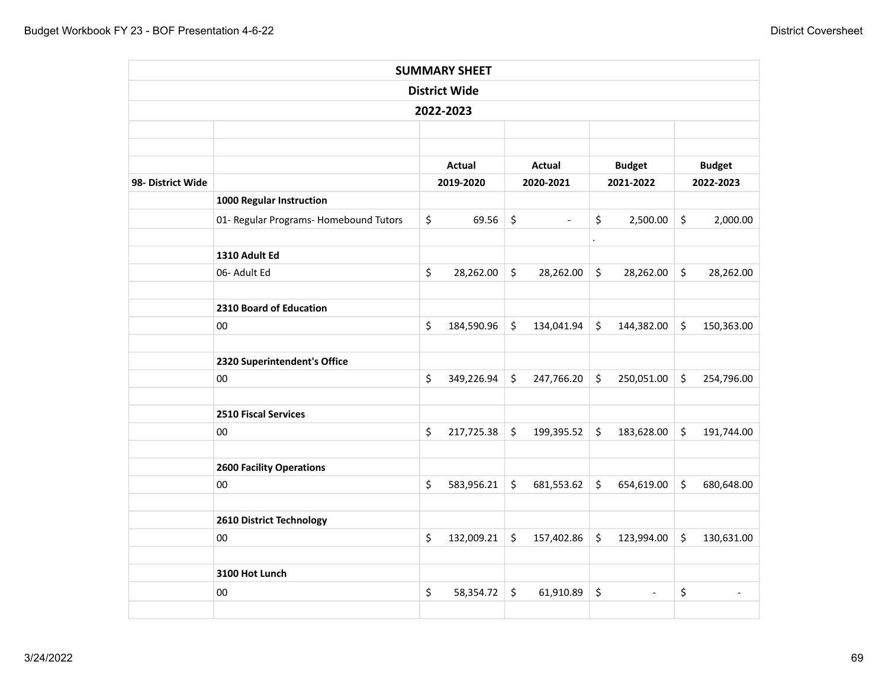|                   |                                        |         | <b>SUMMARY SHEET</b> |         |                          |           |                          |         |               |
|-------------------|----------------------------------------|---------|----------------------|---------|--------------------------|-----------|--------------------------|---------|---------------|
|                   |                                        |         | <b>District Wide</b> |         |                          |           |                          |         |               |
|                   |                                        |         | 2022-2023            |         |                          |           |                          |         |               |
|                   |                                        |         |                      |         |                          |           |                          |         |               |
|                   |                                        |         |                      |         |                          |           |                          |         |               |
|                   |                                        |         | Actual               |         | <b>Actual</b>            |           | <b>Budget</b>            |         | <b>Budget</b> |
| 98- District Wide |                                        |         | 2019-2020            |         | 2020-2021                |           | 2021-2022                |         | 2022-2023     |
|                   | 1000 Regular Instruction               |         |                      |         |                          |           |                          |         |               |
|                   | 01- Regular Programs- Homebound Tutors | \$      | 69.56                | $\zeta$ | $\overline{\phantom{a}}$ | \$        | 2,500.00                 | $\zeta$ | 2,000.00      |
|                   | 1310 Adult Ed                          |         |                      |         |                          | $\bullet$ |                          |         |               |
|                   | 06- Adult Ed                           | $\zeta$ | 28,262.00            | $\zeta$ | 28,262.00                | $\zeta$   | 28,262.00                | \$      | 28,262.00     |
|                   | 2310 Board of Education                |         |                      |         |                          |           |                          |         |               |
|                   | $00\,$                                 | \$      | 184,590.96           | $\zeta$ | 134,041.94               | $\zeta$   | 144,382.00               | \$      | 150,363.00    |
|                   |                                        |         |                      |         |                          |           |                          |         |               |
|                   | 2320 Superintendent's Office           |         |                      |         |                          |           |                          |         |               |
|                   | 00                                     | \$      | 349,226.94           | \$      | 247,766.20               | \$        | 250,051.00               | \$      | 254,796.00    |
|                   | <b>2510 Fiscal Services</b>            |         |                      |         |                          |           |                          |         |               |
|                   | 00                                     | \$      | 217,725.38           | $\zeta$ | 199,395.52               | \$        | 183,628.00               | \$      | 191,744.00    |
|                   | <b>2600 Facility Operations</b>        |         |                      |         |                          |           |                          |         |               |
|                   | $00\,$                                 | \$      | 583,956.21           | $\zeta$ | 681,553.62               | \$        | 654,619.00               | \$      | 680,648.00    |
|                   | 2610 District Technology               |         |                      |         |                          |           |                          |         |               |
|                   | $00\,$                                 | \$      | 132,009.21           | $\zeta$ | 157,402.86               | $\zeta$   | 123,994.00               | \$      | 130,631.00    |
|                   | 3100 Hot Lunch                         |         |                      |         |                          |           |                          |         |               |
|                   |                                        |         |                      |         |                          |           |                          |         |               |
|                   | 00                                     | \$      | 58,354.72            | \$      | 61,910.89                | \$        | $\overline{\phantom{a}}$ | \$      |               |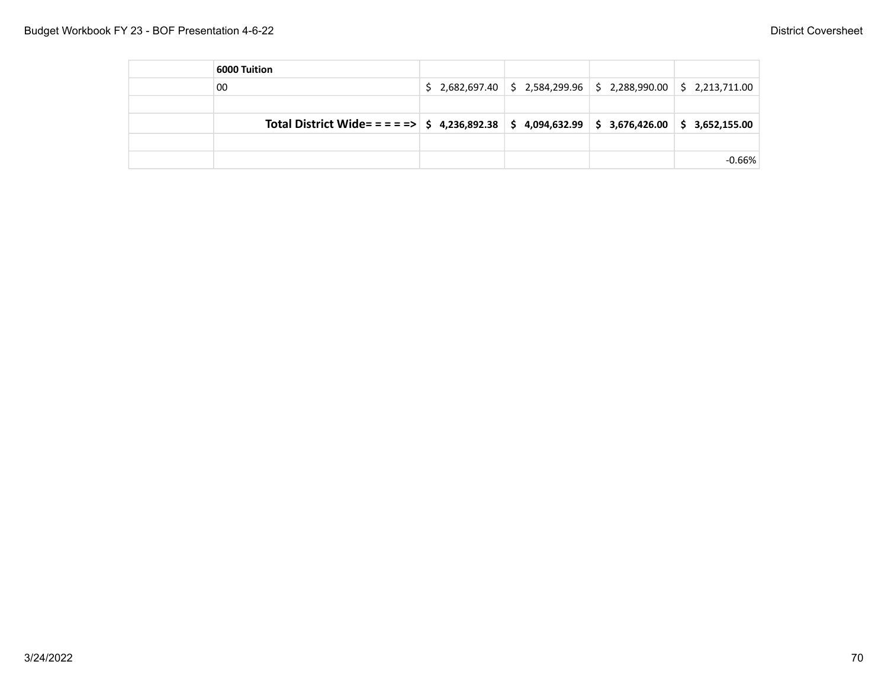| 6000 Tuition                                                                                          |                                                                                                                     |          |
|-------------------------------------------------------------------------------------------------------|---------------------------------------------------------------------------------------------------------------------|----------|
| 00                                                                                                    | $\frac{1}{2}$ , 2,682,697.40 $\frac{1}{2}$ , 2,584,299.96 $\frac{1}{2}$ , 2,288,990.00 $\frac{1}{2}$ , 2,213,711.00 |          |
|                                                                                                       |                                                                                                                     |          |
| Total District Wide= = = = =>   \$ 4,236,892.38   \$ 4,094,632.99   \$ 3,676,426.00   \$ 3,652,155.00 |                                                                                                                     |          |
|                                                                                                       |                                                                                                                     |          |
|                                                                                                       |                                                                                                                     | $-0.66%$ |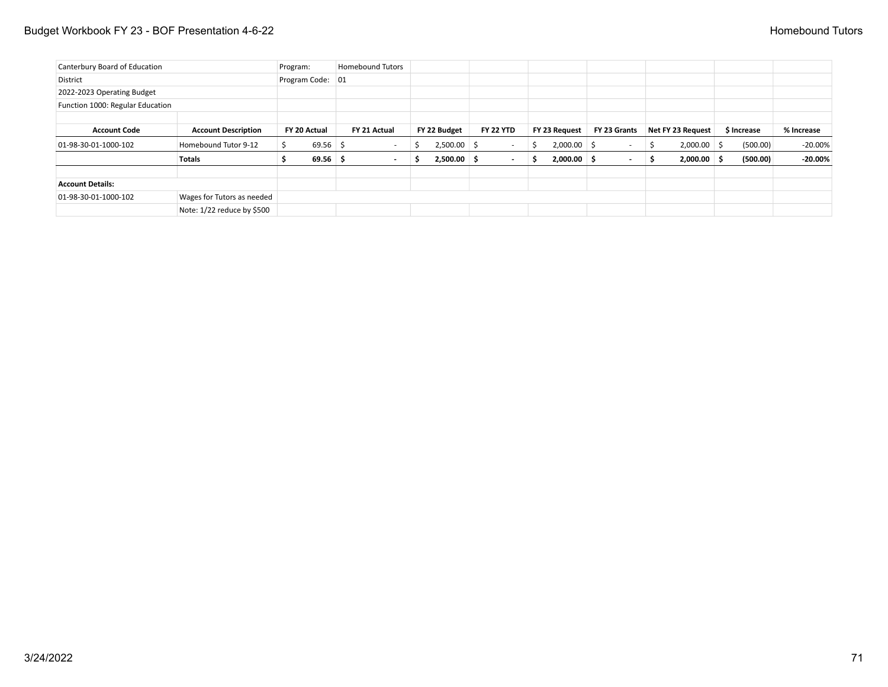# Budget Workbook FY 23 - BOF Presentation 4-6-22 **Homebound Tutors Homebound Tutors Homebound Tutors**

| Canterbury Board of Education    |                            | Program: |                  | <b>Homebound Tutors</b>  |               |    |                  |               |                          |                   |             |            |
|----------------------------------|----------------------------|----------|------------------|--------------------------|---------------|----|------------------|---------------|--------------------------|-------------------|-------------|------------|
| District                         |                            |          | Program Code: 01 |                          |               |    |                  |               |                          |                   |             |            |
| 2022-2023 Operating Budget       |                            |          |                  |                          |               |    |                  |               |                          |                   |             |            |
| Function 1000: Regular Education |                            |          |                  |                          |               |    |                  |               |                          |                   |             |            |
|                                  |                            |          |                  |                          |               |    |                  |               |                          |                   |             |            |
| <b>Account Code</b>              | <b>Account Description</b> |          | FY 20 Actual     | FY 21 Actual             | FY 22 Budget  |    | <b>FY 22 YTD</b> | FY 23 Request | FY 23 Grants             | Net FY 23 Request | \$ Increase | % Increase |
| $01-98-30-01-1000-102$           | Homebound Tutor 9-12       |          | $69.56$ \$       |                          | 2,500.00      | -S | ۰                | $2,000.00$ \$ | $\sim$                   | $2,000.00$ \$     | (500.00)    | $-20.00\%$ |
|                                  | <b>Totals</b>              |          | $69.56$ \$       | $\overline{\phantom{0}}$ | $2,500.00$ \$ |    | $\sim$           | $2,000.00$ \$ | $\overline{\phantom{a}}$ | $2,000.00$ \$     | (500.00)    | $-20.00\%$ |
| <b>Account Details:</b>          |                            |          |                  |                          |               |    |                  |               |                          |                   |             |            |
| $01-98-30-01-1000-102$           | Wages for Tutors as needed |          |                  |                          |               |    |                  |               |                          |                   |             |            |
|                                  | Note: 1/22 reduce by \$500 |          |                  |                          |               |    |                  |               |                          |                   |             |            |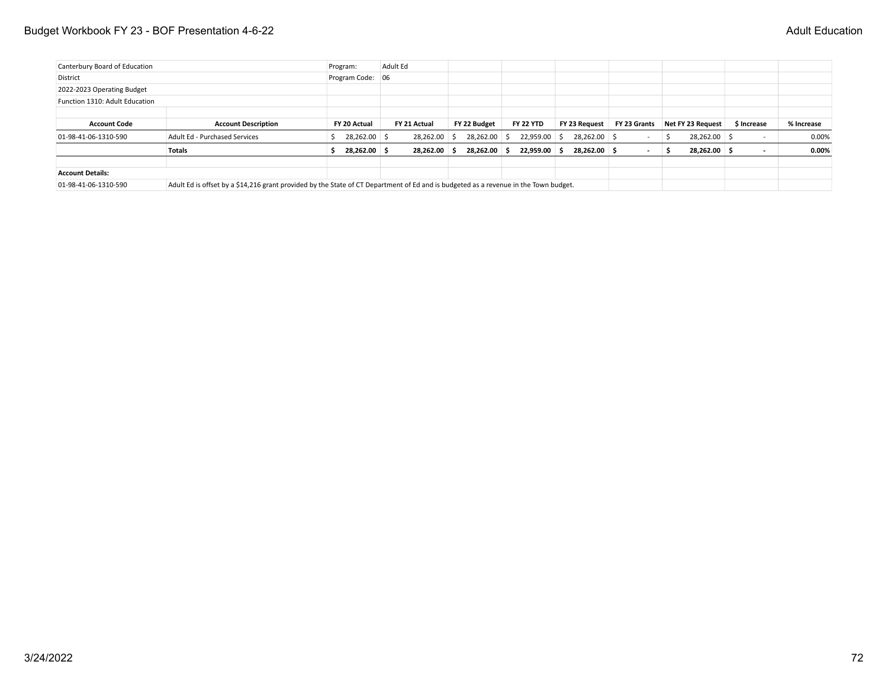### Budget Workbook FY 23 - BOF Presentation 4-6-22 **Adult Education** 3-6-22

| Canterbury Board of Education  |                                                                                                                                      | Program:         | Adult Ed     |              |                  |               |              |                     |                          |            |
|--------------------------------|--------------------------------------------------------------------------------------------------------------------------------------|------------------|--------------|--------------|------------------|---------------|--------------|---------------------|--------------------------|------------|
| District                       |                                                                                                                                      | Program Code: 06 |              |              |                  |               |              |                     |                          |            |
| 2022-2023 Operating Budget     |                                                                                                                                      |                  |              |              |                  |               |              |                     |                          |            |
| Function 1310: Adult Education |                                                                                                                                      |                  |              |              |                  |               |              |                     |                          |            |
|                                |                                                                                                                                      |                  |              |              |                  |               |              |                     |                          |            |
| <b>Account Code</b>            | <b>Account Description</b>                                                                                                           | FY 20 Actual     | FY 21 Actual | FY 22 Budget | <b>FY 22 YTD</b> | FY 23 Reauest | FY 23 Grants | Net FY 23 Request   | \$ Increase              | % Increase |
| $01-98-41-06-1310-590$         | Adult Ed - Purchased Services                                                                                                        | 28,262.00 \$     | 28,262.00 \$ | 28,262.00 \$ | 22,959.00 \$     | 28,262.00 \$  |              | 28,262.00 \$<br>- S | $\overline{\phantom{0}}$ | 0.00%      |
|                                | <b>Totals</b>                                                                                                                        | 28.262.00 \$     | 28.262.00 \$ | 28,262.00 \$ | $22.959.00$ \$   | 28.262.00 \$  |              | 28,262.00 \$<br>- 5 |                          | $0.00\%$   |
| <b>Account Details:</b>        |                                                                                                                                      |                  |              |              |                  |               |              |                     |                          |            |
| 01-98-41-06-1310-590           | Adult Ed is offset by a \$14,216 grant provided by the State of CT Department of Ed and is budgeted as a revenue in the Town budget. |                  |              |              |                  |               |              |                     |                          |            |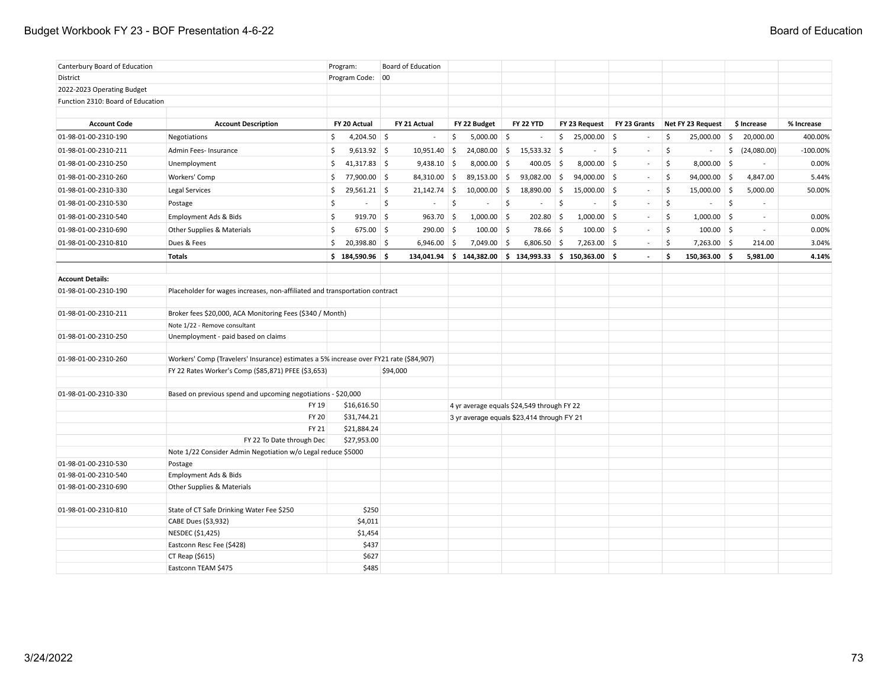## Budget Workbook FY 23 - BOF Presentation 4-6-22 **Board of Education** Board of Education

| Canterbury Board of Education     |                                                                                        | Program:             | Board of Education |                           |                                            |                                                                 |              |                                |                                             |             |
|-----------------------------------|----------------------------------------------------------------------------------------|----------------------|--------------------|---------------------------|--------------------------------------------|-----------------------------------------------------------------|--------------|--------------------------------|---------------------------------------------|-------------|
| District                          |                                                                                        | Program Code: 00     |                    |                           |                                            |                                                                 |              |                                |                                             |             |
| 2022-2023 Operating Budget        |                                                                                        |                      |                    |                           |                                            |                                                                 |              |                                |                                             |             |
| Function 2310: Board of Education |                                                                                        |                      |                    |                           |                                            |                                                                 |              |                                |                                             |             |
|                                   |                                                                                        |                      |                    |                           |                                            |                                                                 |              |                                |                                             |             |
| <b>Account Code</b>               | <b>Account Description</b>                                                             | FY 20 Actual         | FY 21 Actual       | FY 22 Budget              | FY 22 YTD                                  | FY 23 Request                                                   | FY 23 Grants | Net FY 23 Request              | \$ Increase                                 | % Increase  |
| 01-98-01-00-2310-190              | Negotiations                                                                           | $4,204.50$ \$<br>\$  | $\sim$             | \$<br>$5,000.00$ \$       |                                            | \$<br>25,000.00 \$                                              | $\sim$       | \$<br>25,000.00                | 20,000.00<br>\$                             | 400.00%     |
| 01-98-01-00-2310-211              | Admin Fees- Insurance                                                                  | $9,613.92$ \$<br>\$  | $10,951.40$ \$     | 24,080.00 \$              | $15,533.32$ \$                             | $\overline{\phantom{a}}$                                        | \$<br>$\sim$ | \$<br>$\sim$                   | \$ (24,080.00)                              | $-100.00\%$ |
| 01-98-01-00-2310-250              | Unemployment                                                                           | \$<br>$41,317.83$ \$ | $9,438.10$ \$      | 8,000.00 \$               | 400.05 \$                                  | $8,000.00$ \$                                                   | $\sim$       | \$<br>$8,000.00$ \$            |                                             | 0.00%       |
| 01-98-01-00-2310-260              | Workers' Comp                                                                          | \$<br>77,900.00 \$   | $84,310.00$ \$     | 89,153.00 \$              | 93,082.00                                  | $\vert\; \mathsf{S} \vert$<br>$94,000.00$ \$                    | $\sim$       | \$<br>94,000.00 \$             | 4,847.00                                    | 5.44%       |
| 01-98-01-00-2310-330              | Legal Services                                                                         | \$<br>$29,561.21$ \$ | $21,142.74$ \$     | $10,000.00$ \$            | 18,890.00                                  | $\frac{1}{2}$<br>$15,000.00$ \$                                 | $\sim$       | $\mathsf{S}$<br>$15,000.00$ \$ | 5,000.00                                    | 50.00%      |
| 01-98-01-00-2310-530              | Postage                                                                                | \$                   | $\mathsf{S}$       | $\zeta$<br>$\overline{a}$ | \$<br>$\sim$                               | $\mathsf{S}$<br>$\overline{a}$                                  | Ŝ.<br>$\sim$ | $\mathsf{S}$<br>$\sim$         | $\mathsf{S}$<br>$\mathcal{L}^{\mathcal{A}}$ |             |
| 01-98-01-00-2310-540              | Employment Ads & Bids                                                                  | $919.70$ \$<br>\$    | $963.70$ \$        | $1,000.00$ \$             | $202.80$ \$                                | $1,000.00$ \$                                                   | $\sim$       | $1,000.00$ \$<br>\$            | $\sim$                                      | 0.00%       |
| 01-98-01-00-2310-690              | Other Supplies & Materials                                                             | \$<br>$675.00$ \$    | 290.00 \$          | $100.00$ \$               | 78.66 \$                                   | $100.00$ \$                                                     | $\sim$       | \$<br>$100.00$ \$              | $\sim$                                      | 0.00%       |
| 01-98-01-00-2310-810              | Dues & Fees                                                                            | Ś.<br>20,398.80 \$   | $6,946.00$ \$      | 7,049.00                  | $6,806.50$ \$<br>5                         | $7,263.00$ \$                                                   | $\sim$       | \$<br>7,263.00 \$              | 214.00                                      | 3.04%       |
|                                   | <b>Totals</b>                                                                          | \$184,590.96         |                    |                           |                                            | $134,041.94$ \$ $144,382.00$ \$ $134,993.33$ \$ $150,363.00$ \$ |              | \$<br>$150,363.00$ \$          | 5,981.00                                    | 4.14%       |
|                                   |                                                                                        |                      |                    |                           |                                            |                                                                 |              |                                |                                             |             |
| <b>Account Details:</b>           |                                                                                        |                      |                    |                           |                                            |                                                                 |              |                                |                                             |             |
| 01-98-01-00-2310-190              | Placeholder for wages increases, non-affiliated and transportation contract            |                      |                    |                           |                                            |                                                                 |              |                                |                                             |             |
| 01-98-01-00-2310-211              | Broker fees \$20,000, ACA Monitoring Fees (\$340 / Month)                              |                      |                    |                           |                                            |                                                                 |              |                                |                                             |             |
|                                   | Note 1/22 - Remove consultant                                                          |                      |                    |                           |                                            |                                                                 |              |                                |                                             |             |
| 01-98-01-00-2310-250              | Unemployment - paid based on claims                                                    |                      |                    |                           |                                            |                                                                 |              |                                |                                             |             |
|                                   |                                                                                        |                      |                    |                           |                                            |                                                                 |              |                                |                                             |             |
| 01-98-01-00-2310-260              | Workers' Comp (Travelers' Insurance) estimates a 5% increase over FY21 rate (\$84,907) |                      |                    |                           |                                            |                                                                 |              |                                |                                             |             |
|                                   | FY 22 Rates Worker's Comp (\$85,871) PFEE (\$3,653)                                    |                      | \$94,000           |                           |                                            |                                                                 |              |                                |                                             |             |
| 01-98-01-00-2310-330              | Based on previous spend and upcoming negotiations - \$20,000                           |                      |                    |                           |                                            |                                                                 |              |                                |                                             |             |
|                                   | FY 19                                                                                  | \$16,616.50          |                    |                           | 4 yr average equals \$24,549 through FY 22 |                                                                 |              |                                |                                             |             |
|                                   | <b>FY 20</b>                                                                           | \$31,744.21          |                    |                           | 3 yr average equals \$23,414 through FY 21 |                                                                 |              |                                |                                             |             |
|                                   | <b>FY 21</b>                                                                           | \$21,884.24          |                    |                           |                                            |                                                                 |              |                                |                                             |             |
|                                   | FY 22 To Date through Dec                                                              | \$27,953.00          |                    |                           |                                            |                                                                 |              |                                |                                             |             |
|                                   | Note 1/22 Consider Admin Negotiation w/o Legal reduce \$5000                           |                      |                    |                           |                                            |                                                                 |              |                                |                                             |             |
| 01-98-01-00-2310-530              | Postage                                                                                |                      |                    |                           |                                            |                                                                 |              |                                |                                             |             |
| 01-98-01-00-2310-540              | Employment Ads & Bids                                                                  |                      |                    |                           |                                            |                                                                 |              |                                |                                             |             |
| 01-98-01-00-2310-690              | Other Supplies & Materials                                                             |                      |                    |                           |                                            |                                                                 |              |                                |                                             |             |
| 01-98-01-00-2310-810              | State of CT Safe Drinking Water Fee \$250                                              | \$250                |                    |                           |                                            |                                                                 |              |                                |                                             |             |
|                                   | CABE Dues (\$3,932)                                                                    | \$4,011              |                    |                           |                                            |                                                                 |              |                                |                                             |             |
|                                   | NESDEC (\$1,425)                                                                       | \$1,454              |                    |                           |                                            |                                                                 |              |                                |                                             |             |
|                                   | Eastconn Resc Fee (\$428)                                                              | \$437                |                    |                           |                                            |                                                                 |              |                                |                                             |             |
|                                   | CT Reap (\$615)                                                                        | \$627                |                    |                           |                                            |                                                                 |              |                                |                                             |             |
|                                   | Eastconn TEAM \$475                                                                    | \$485                |                    |                           |                                            |                                                                 |              |                                |                                             |             |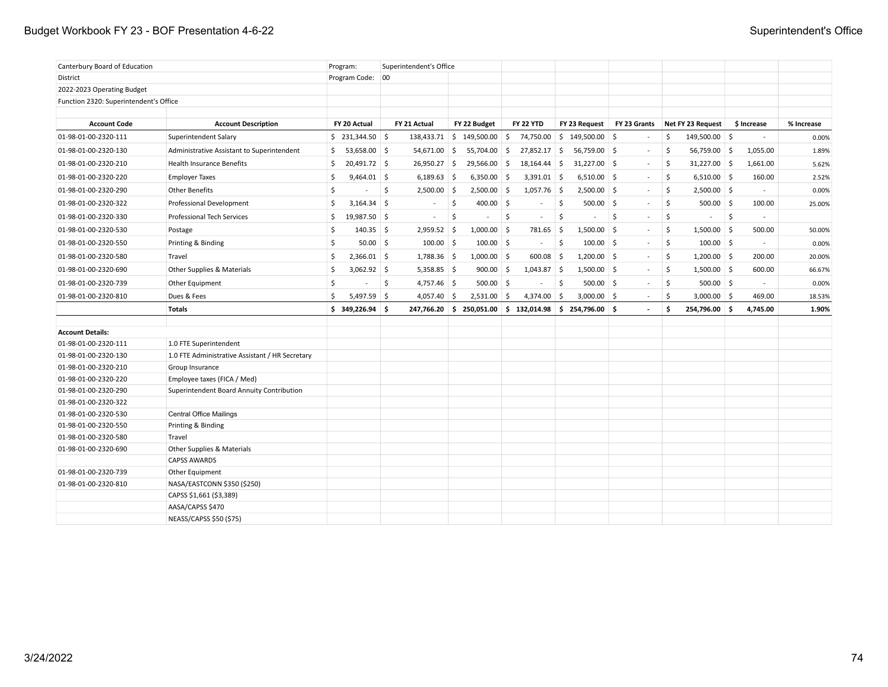# Budget Workbook FY 23 - BOF Presentation 4-6-22 Superintendent's Office

| Canterbury Board of Education          |                                                 | Program:                        |                     | Superintendent's Office  |                          |                                                           |                     |                             |                          |                      |                     |                          |            |
|----------------------------------------|-------------------------------------------------|---------------------------------|---------------------|--------------------------|--------------------------|-----------------------------------------------------------|---------------------|-----------------------------|--------------------------|----------------------|---------------------|--------------------------|------------|
| District                               |                                                 | Program Code: 00                |                     |                          |                          |                                                           |                     |                             |                          |                      |                     |                          |            |
| 2022-2023 Operating Budget             |                                                 |                                 |                     |                          |                          |                                                           |                     |                             |                          |                      |                     |                          |            |
| Function 2320: Superintendent's Office |                                                 |                                 |                     |                          |                          |                                                           |                     |                             |                          |                      |                     |                          |            |
|                                        |                                                 |                                 |                     |                          |                          |                                                           |                     |                             |                          |                      |                     |                          |            |
| <b>Account Code</b>                    | <b>Account Description</b>                      | FY 20 Actual                    |                     | FY 21 Actual             | FY 22 Budget             | <b>FY 22 YTD</b>                                          |                     | FY 23 Request               | FY 23 Grants             | Net FY 23 Request    |                     | \$ Increase              | % Increase |
| 01-98-01-00-2320-111                   | Superintendent Salary                           | \$231,344.50                    |                     |                          | 138,433.71 \$ 149,500.00 | $\frac{1}{2}$<br>74,750.00                                |                     | $\frac{1}{2}$ 149,500.00 \$ | $\sim$                   | \$<br>149,500.00 \$  |                     | $\overline{\phantom{a}}$ | 0.00%      |
| 01-98-01-00-2320-130                   | Administrative Assistant to Superintendent      | \$<br>$53,658.00$ \$            |                     | $54,671.00$ \$           | 55,704.00                | -\$<br>27,852.17                                          | 5                   | $56,759.00$ \$              | $\sim$                   | \$<br>56,759.00 \$   |                     | 1,055.00                 | 1.89%      |
| 01-98-01-00-2320-210                   | <b>Health Insurance Benefits</b>                | 20,491.72 \$<br>\$              |                     | $26,950.27$ \$           | 29,566.00                | 18,164.44 \$<br>5                                         |                     | $31,227.00$ \$              | $\sim$                   | \$<br>$31,227.00$ \$ |                     | 1,661.00                 | 5.62%      |
| 01-98-01-00-2320-220                   | <b>Employer Taxes</b>                           | \$<br>$9,464.01$ \$             |                     | $6,189.63$ \$            | 6,350.00                 | $\vert$ \$<br>$3,391.01$ \$                               |                     | $6,510.00$ \$               | $\sim$                   | \$<br>$6,510.00$ \$  |                     | 160.00                   | 2.52%      |
| 01-98-01-00-2320-290                   | <b>Other Benefits</b>                           | -\$<br>$\overline{\phantom{a}}$ | 5                   | $2,500.00$ \$            | $2,500.00$ \$            | $1,057.76$ \$                                             |                     | $2,500.00$ \$               | $\sim$                   | \$<br>$2,500.00$ \$  |                     | $\sim$                   | 0.00%      |
| 01-98-01-00-2320-322                   | Professional Development                        | $3,164.34$ \$<br>\$             |                     | $\overline{\phantom{a}}$ | \$<br>400.00             | <b>S</b><br>$\overline{\phantom{a}}$                      | <b>S</b>            | $500.00$ \$                 | $\sim$                   | \$<br>$500.00$ \$    |                     | 100.00                   | 25.00%     |
| 01-98-01-00-2320-330                   | <b>Professional Tech Services</b>               | 19,987.50 \$<br>Ŝ.              |                     | $\overline{\phantom{a}}$ | \$<br>$\sim$             | -\$<br>$\blacksquare$                                     | $\ddot{\mathsf{S}}$ | $\sim$                      | \$<br>$\blacksquare$     | \$<br>$\sim$         | $\ddot{\mathsf{s}}$ | $\overline{\phantom{a}}$ |            |
| 01-98-01-00-2320-530                   | Postage                                         | S.<br>$140.35$ \$               |                     | $2,959.52$ \$            | $1,000.00$ \$            | 781.65                                                    | 5                   | $1,500.00$ \$               | $\sim$                   | \$<br>$1,500.00$ \$  |                     | 500.00                   | 50.00%     |
| 01-98-01-00-2320-550                   | Printing & Binding                              | S.<br>$50.00$ \$                |                     | $100.00$ \$              | $100.00$ \$              | $\blacksquare$                                            | \$                  | $100.00$ \$                 | $\sim$                   | \$<br>$100.00$ \$    |                     |                          | 0.00%      |
| 01-98-01-00-2320-580                   | Travel                                          | \$<br>$2,366.01$ \$             |                     | $1,788.36$ \$            | $1,000.00$ \$            | 600.08                                                    | ∣\$                 | $1,200.00$ \$               | $\sim$                   | \$<br>$1,200.00$ \$  |                     | 200.00                   | 20.00%     |
| 01-98-01-00-2320-690                   | Other Supplies & Materials                      | \$<br>$3,062.92$ \$             |                     | $5,358.85$ \$            | 900.00                   | $1,043.87$ \$<br>∣\$                                      |                     | $1,500.00$ \$               | $\sim$                   | \$<br>$1,500.00$ \$  |                     | 600.00                   | 66.67%     |
| 01-98-01-00-2320-739                   | Other Equipment                                 | \$<br>$\overline{a}$            | $\ddot{\mathsf{S}}$ | $4,757.46$ \$            | 500.00                   | <b>S</b><br>$\sim$                                        | $\ddot{\mathsf{S}}$ | $500.00$ \$                 | $\sim$                   | \$<br>$500.00$ \$    |                     | $\sim$                   | 0.00%      |
| 01-98-01-00-2320-810                   | Dues & Fees                                     | S.<br>$5,497.59$ \$             |                     | $4,057.40$ \$            | $2,531.00$ \$            | 4,374.00                                                  | 5                   | $3,000.00$ \$               | $\sim$                   | \$<br>$3,000.00$ \$  |                     | 469.00                   | 18.53%     |
|                                        | <b>Totals</b>                                   | $$349,226.94$ \$                |                     |                          |                          | $247,766.20$ \$ 250,051.00 \$ 132,014.98 \$ 254,796.00 \$ |                     |                             | $\overline{\phantom{a}}$ | \$<br>254,796.00 \$  |                     | 4,745.00                 | 1.90%      |
|                                        |                                                 |                                 |                     |                          |                          |                                                           |                     |                             |                          |                      |                     |                          |            |
| <b>Account Details:</b>                |                                                 |                                 |                     |                          |                          |                                                           |                     |                             |                          |                      |                     |                          |            |
| 01-98-01-00-2320-111                   | 1.0 FTE Superintendent                          |                                 |                     |                          |                          |                                                           |                     |                             |                          |                      |                     |                          |            |
| 01-98-01-00-2320-130                   | 1.0 FTE Administrative Assistant / HR Secretary |                                 |                     |                          |                          |                                                           |                     |                             |                          |                      |                     |                          |            |
| 01-98-01-00-2320-210                   | Group Insurance                                 |                                 |                     |                          |                          |                                                           |                     |                             |                          |                      |                     |                          |            |
| 01-98-01-00-2320-220                   | Employee taxes (FICA / Med)                     |                                 |                     |                          |                          |                                                           |                     |                             |                          |                      |                     |                          |            |
| 01-98-01-00-2320-290                   | Superintendent Board Annuity Contribution       |                                 |                     |                          |                          |                                                           |                     |                             |                          |                      |                     |                          |            |
| 01-98-01-00-2320-322                   |                                                 |                                 |                     |                          |                          |                                                           |                     |                             |                          |                      |                     |                          |            |
| 01-98-01-00-2320-530                   | <b>Central Office Mailings</b>                  |                                 |                     |                          |                          |                                                           |                     |                             |                          |                      |                     |                          |            |
| 01-98-01-00-2320-550                   | Printing & Binding                              |                                 |                     |                          |                          |                                                           |                     |                             |                          |                      |                     |                          |            |
| 01-98-01-00-2320-580                   | Travel                                          |                                 |                     |                          |                          |                                                           |                     |                             |                          |                      |                     |                          |            |
| 01-98-01-00-2320-690                   | Other Supplies & Materials                      |                                 |                     |                          |                          |                                                           |                     |                             |                          |                      |                     |                          |            |
|                                        | <b>CAPSS AWARDS</b>                             |                                 |                     |                          |                          |                                                           |                     |                             |                          |                      |                     |                          |            |
| 01-98-01-00-2320-739                   | Other Equipment                                 |                                 |                     |                          |                          |                                                           |                     |                             |                          |                      |                     |                          |            |
| 01-98-01-00-2320-810                   | NASA/EASTCONN \$350 (\$250)                     |                                 |                     |                          |                          |                                                           |                     |                             |                          |                      |                     |                          |            |
|                                        | CAPSS \$1,661 (\$3,389)                         |                                 |                     |                          |                          |                                                           |                     |                             |                          |                      |                     |                          |            |
|                                        | AASA/CAPSS \$470                                |                                 |                     |                          |                          |                                                           |                     |                             |                          |                      |                     |                          |            |
|                                        | NEASS/CAPSS \$50 (\$75)                         |                                 |                     |                          |                          |                                                           |                     |                             |                          |                      |                     |                          |            |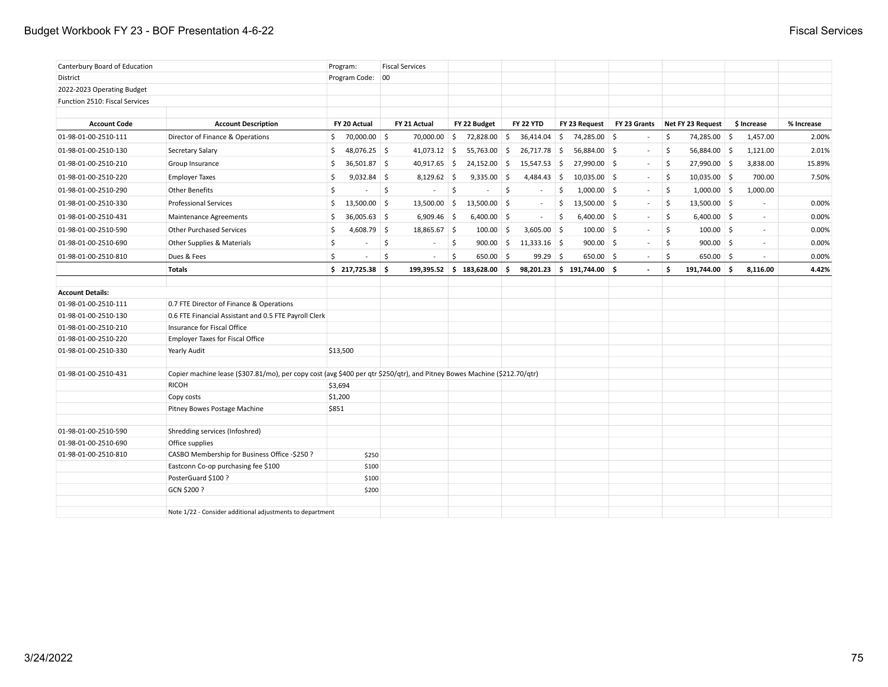# Budget Workbook FY 23 - BOF Presentation 4-6-22 **Fiscal Services** Fiscal Services

| Canterbury Board of Education  |                                                                                                                          | Program:                       |    | <b>Fiscal Services</b> |                    |                               |     |                |    |                              |                |                    |                   |                          |            |
|--------------------------------|--------------------------------------------------------------------------------------------------------------------------|--------------------------------|----|------------------------|--------------------|-------------------------------|-----|----------------|----|------------------------------|----------------|--------------------|-------------------|--------------------------|------------|
| District                       |                                                                                                                          | Program Code:                  | 00 |                        |                    |                               |     |                |    |                              |                |                    |                   |                          |            |
| 2022-2023 Operating Budget     |                                                                                                                          |                                |    |                        |                    |                               |     |                |    |                              |                |                    |                   |                          |            |
| Function 2510: Fiscal Services |                                                                                                                          |                                |    |                        |                    |                               |     |                |    |                              |                |                    |                   |                          |            |
| <b>Account Code</b>            | <b>Account Description</b>                                                                                               | FY 20 Actual                   |    | FY 21 Actual           |                    | FY 22 Budget                  |     | FY 22 YTD      |    | FY 23 Request                | FY 23 Grants   |                    | Net FY 23 Request | \$ Increase              | % Increase |
|                                |                                                                                                                          |                                |    |                        |                    |                               |     |                |    |                              |                |                    |                   |                          |            |
| 01-98-01-00-2510-111           | Director of Finance & Operations                                                                                         | \$<br>70,000.00 \$             |    | 70,000.00              | 5                  | 72,828.00                     | 5   | 36,414.04      | 5  | 74,285.00 \$                 | $\sim$         | \$                 | 74,285.00 \$      | 1,457.00                 | 2.00%      |
| 01-98-01-00-2510-130           | Secretary Salary                                                                                                         | 48,076.25 \$<br>S.             |    | $41,073.12$ \$         |                    | 55,763.00 \$                  |     | 26,717.78      | 5  | 56,884.00 \$                 | $\sim$         | - \$               | 56,884.00 \$      | 1,121.00                 | 2.01%      |
| 01-98-01-00-2510-210           | Group Insurance                                                                                                          | \$<br>$36,501.87$ \$           |    | 40,917.65 \$           |                    | $24,152.00$ \$                |     | 15,547.53      | 5  | 27,990.00 \$                 | $\sim$         | $\mathsf{\hat{S}}$ | 27,990.00 \$      | 3,838.00                 | 15.89%     |
| 01-98-01-00-2510-220           | <b>Employer Taxes</b>                                                                                                    | $9,032.84$ \$<br>\$            |    | $8,129.62$ \$          |                    | $9,335.00$ \$                 |     | 4,484.43       | 5  | $10,035.00$ \$               | $\sim$         | \$                 | $10,035.00$ \$    | 700.00                   | 7.50%      |
| 01-98-01-00-2510-290           | <b>Other Benefits</b>                                                                                                    | \$                             | \$ | $\sim$                 | \$                 |                               | \$  | $\sim$         | \$ | $1,000.00$ \$                | $\sim$         | \$                 | $1,000.00$ \$     | 1,000.00                 |            |
| 01-98-01-00-2510-330           | <b>Professional Services</b>                                                                                             | \$<br>13,500.00 \$             |    | $13,500.00$ \$         |                    | 13,500.00                     | ∣\$ | $\sim$         | \$ | $13,500.00$ \$               | $\sim$         | \$                 | $13,500.00$ \$    | $\sim$                   | 0.00%      |
| 01-98-01-00-2510-431           | <b>Maintenance Agreements</b>                                                                                            | $36,005.63$ \$<br>\$           |    | $6,909.46$ \$          |                    | $6,400.00$ \$                 |     | $\sim$         | \$ | $6,400.00$ \$                | $\sim$         | \$                 | $6,400.00$ \$     | $\sim$                   | 0.00%      |
| 01-98-01-00-2510-590           | <b>Other Purchased Services</b>                                                                                          | \$<br>$4,608.79$ \$            |    | 18,865.67 \$           |                    | 100.00                        | 5   | $3,605.00$ \$  |    | $100.00$ \$                  | $\sim$         | \$                 | $100.00$ \$       | $\sim$                   | 0.00%      |
| 01-98-01-00-2510-690           | Other Supplies & Materials                                                                                               | \$                             | \$ | $\sim$                 | $\ddot{\varsigma}$ | 900.00                        | 5   | $11,333.16$ \$ |    | $900.00$ \$                  | $\sim$         | \$                 | $900.00$ \$       | $\overline{\phantom{a}}$ | 0.00%      |
| 01-98-01-00-2510-810           | Dues & Fees                                                                                                              | Ŝ.<br>$\overline{\phantom{a}}$ | \$ | $\sim$                 | \$                 | $650.00$ \$                   |     | $99.29$ \$     |    | $650.00$ \$                  | $\blacksquare$ | Ś.                 | $650.00$ \$       | $\overline{\phantom{a}}$ | 0.00%      |
|                                | <b>Totals</b>                                                                                                            | $$217,725.38$ \$               |    |                        |                    | $199,395.52$ \$ 183,628.00 \$ |     |                |    | $98,201.23$ \$ 191,744.00 \$ |                | \$                 | 191,744.00 \$     | 8,116.00                 | 4.42%      |
|                                |                                                                                                                          |                                |    |                        |                    |                               |     |                |    |                              |                |                    |                   |                          |            |
| <b>Account Details:</b>        |                                                                                                                          |                                |    |                        |                    |                               |     |                |    |                              |                |                    |                   |                          |            |
| 01-98-01-00-2510-111           | 0.7 FTE Director of Finance & Operations                                                                                 |                                |    |                        |                    |                               |     |                |    |                              |                |                    |                   |                          |            |
| 01-98-01-00-2510-130           | 0.6 FTE Financial Assistant and 0.5 FTE Payroll Clerk                                                                    |                                |    |                        |                    |                               |     |                |    |                              |                |                    |                   |                          |            |
| 01-98-01-00-2510-210           | Insurance for Fiscal Office                                                                                              |                                |    |                        |                    |                               |     |                |    |                              |                |                    |                   |                          |            |
| 01-98-01-00-2510-220           | <b>Employer Taxes for Fiscal Office</b>                                                                                  |                                |    |                        |                    |                               |     |                |    |                              |                |                    |                   |                          |            |
| 01-98-01-00-2510-330           | Yearly Audit                                                                                                             | \$13,500                       |    |                        |                    |                               |     |                |    |                              |                |                    |                   |                          |            |
| 01-98-01-00-2510-431           | Copier machine lease (\$307.81/mo), per copy cost (avg \$400 per qtr \$250/qtr), and Pitney Bowes Machine (\$212.70/qtr) |                                |    |                        |                    |                               |     |                |    |                              |                |                    |                   |                          |            |
|                                | <b>RICOH</b>                                                                                                             | \$3,694                        |    |                        |                    |                               |     |                |    |                              |                |                    |                   |                          |            |
|                                | Copy costs                                                                                                               | \$1,200                        |    |                        |                    |                               |     |                |    |                              |                |                    |                   |                          |            |
|                                | Pitney Bowes Postage Machine                                                                                             | \$851                          |    |                        |                    |                               |     |                |    |                              |                |                    |                   |                          |            |
|                                |                                                                                                                          |                                |    |                        |                    |                               |     |                |    |                              |                |                    |                   |                          |            |
| 01-98-01-00-2510-590           | Shredding services (Infoshred)                                                                                           |                                |    |                        |                    |                               |     |                |    |                              |                |                    |                   |                          |            |
| 01-98-01-00-2510-690           | Office supplies                                                                                                          |                                |    |                        |                    |                               |     |                |    |                              |                |                    |                   |                          |            |
| 01-98-01-00-2510-810           | CASBO Membership for Business Office -\$250 ?                                                                            | \$250                          |    |                        |                    |                               |     |                |    |                              |                |                    |                   |                          |            |
|                                | Eastconn Co-op purchasing fee \$100                                                                                      | \$100                          |    |                        |                    |                               |     |                |    |                              |                |                    |                   |                          |            |
|                                | PosterGuard \$100 ?                                                                                                      | \$100                          |    |                        |                    |                               |     |                |    |                              |                |                    |                   |                          |            |
|                                | GCN \$200 ?                                                                                                              | \$200                          |    |                        |                    |                               |     |                |    |                              |                |                    |                   |                          |            |
|                                | Note 1/22 - Consider additional adjustments to department                                                                |                                |    |                        |                    |                               |     |                |    |                              |                |                    |                   |                          |            |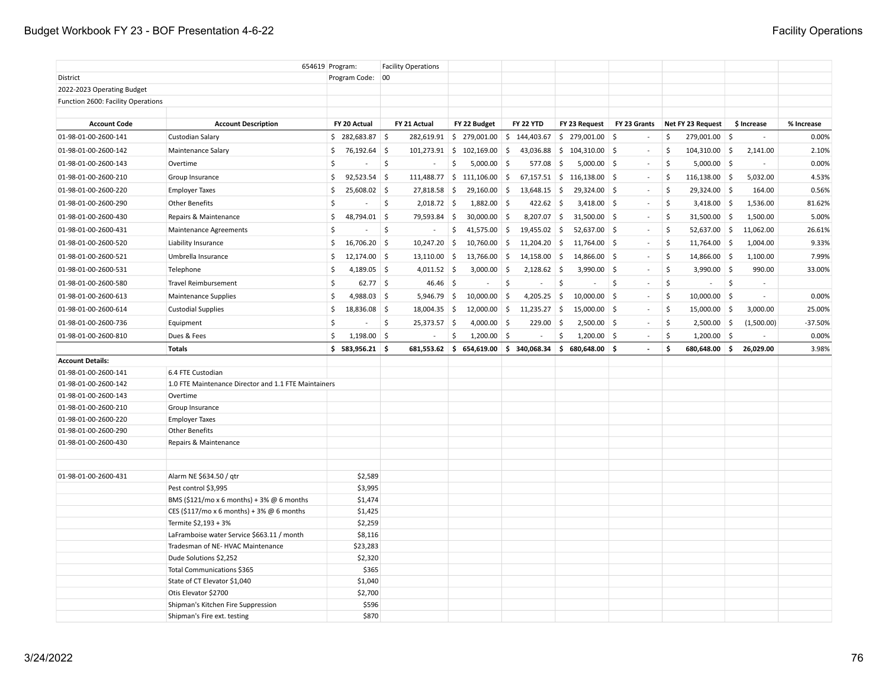|                                    |                                                      | 654619 Program:      | <b>Facility Operations</b>            |                              |                   |                                      |               |                                     |                                                    |            |
|------------------------------------|------------------------------------------------------|----------------------|---------------------------------------|------------------------------|-------------------|--------------------------------------|---------------|-------------------------------------|----------------------------------------------------|------------|
| District                           |                                                      | Program Code:        | 00                                    |                              |                   |                                      |               |                                     |                                                    |            |
| 2022-2023 Operating Budget         |                                                      |                      |                                       |                              |                   |                                      |               |                                     |                                                    |            |
| Function 2600: Facility Operations |                                                      |                      |                                       |                              |                   |                                      |               |                                     |                                                    |            |
|                                    |                                                      |                      |                                       |                              |                   |                                      |               |                                     |                                                    |            |
| <b>Account Code</b>                | <b>Account Description</b>                           | FY 20 Actual         | FY 21 Actual                          | FY 22 Budget                 | FY 22 YTD         | FY 23 Request                        | FY 23 Grants  | Net FY 23 Request                   | \$ Increase                                        | % Increase |
| 01-98-01-00-2600-141               | Custodian Salary                                     | $$282,683.87$ \$     | 282,619.91                            | \$279,001.00                 | \$144,403.67      | $\frac{1}{2}$ 279,001.00 \$          |               | \$<br>279,001.00 \$                 | $\overline{\phantom{a}}$                           | 0.00%      |
| 01-98-01-00-2600-142               | Maintenance Salary                                   | \$76,192.64          |                                       | $101,273.91$ \$ $102,169.00$ | - \$<br>43,036.88 | $$104,310.00$ \$                     | $\sim$        | -\$<br>$104,310.00$ \$              | 2,141.00                                           | 2.10%      |
| 01-98-01-00-2600-143               | Overtime                                             | \$                   | \$<br>$\sim$                          | \$<br>$5,000.00$ \$          | 577.08            | \$<br>$5,000.00$ \$                  | $\sim$        | $\mathsf{\hat{S}}$<br>$5,000.00$ \$ | $\sim$                                             | 0.00%      |
| 01-98-01-00-2600-210               | Group Insurance                                      | $92,523.54$ \$<br>\$ | 111,488.77                            | \$111,106.00                 | 67,157.51<br>\$   | $$116,138.00$ \$                     | $\sim$        | \$<br>$116,138.00$ \$               | 5,032.00                                           | 4.53%      |
| 01-98-01-00-2600-220               | <b>Employer Taxes</b>                                | \$<br>25,608.02 \$   | 27,818.58                             | $29,160.00$ \$<br>\$         | 13,648.15         | $\frac{1}{2}$<br>29,324.00 \$        | $\sim$        | \$<br>29,324.00 \$                  | 164.00                                             | 0.56%      |
| 01-98-01-00-2600-290               | <b>Other Benefits</b>                                | Ŝ                    | Ŝ.<br>$2,018.72$ \$                   | 1,882.00                     | 422.62<br>5       | S.<br>$3,418.00$ \$                  | $\sim$        | \$<br>$3,418.00$ \$                 | 1,536.00                                           | 81.62%     |
| 01-98-01-00-2600-430               | Repairs & Maintenance                                | 48,794.01 \$<br>\$   | 79,593.84                             | ∣\$<br>$30,000.00$ \$        | 8,207.07          | 5<br>$31,500.00$ \$                  | $\sim$        | \$<br>$31,500.00$ \$                | 1,500.00                                           | 5.00%      |
| 01-98-01-00-2600-431               | Maintenance Agreements                               | $\mathsf{\hat{S}}$   | $\ddot{\mathsf{S}}$<br>$\blacksquare$ | \$<br>$41,575.00$ \$         | 19,455.02         | 5<br>$52,637.00$ \$                  | $\sim$        | \$<br>$52,637.00$ \$                | 11,062.00                                          | 26.61%     |
| 01-98-01-00-2600-520               | Liability Insurance                                  | \$<br>16,706.20 \$   | 10,247.20                             | -\$<br>10,760.00             | - \$<br>11,204.20 | 5<br>11,764.00 \$                    |               | \$<br>$11,764.00$ \$                | 1,004.00                                           | 9.33%      |
| 01-98-01-00-2600-521               | Umbrella Insurance                                   | \$<br>$12,174.00$ \$ | 13,110.00                             | 5<br>13,766.00               | 5<br>14,158.00    | $\vert$ \$<br>14,866.00 \$           | $\sim$        | Š.<br>14,866.00 \$                  | 1,100.00                                           | 7.99%      |
| 01-98-01-00-2600-531               | Telephone                                            | 4,189.05 \$<br>\$    | 4,011.52 \$                           | 3,000.00                     | ∣\$<br>2,128.62   | $\frac{1}{2}$<br>3,990.00 \$         | $\sim$        | $\mathsf{\hat{S}}$<br>$3,990.00$ \$ | 990.00                                             | 33.00%     |
| 01-98-01-00-2600-580               | <b>Travel Reimbursement</b>                          | \$<br>$62.77$ \$     | $46.46$ \$                            | $\overline{\phantom{a}}$     | \$<br>$\sim$      | \$<br>$\mathcal{L}_{\mathcal{A}}$    | -\$<br>$\sim$ | \$<br>$\sim$                        | $\ddot{\mathsf{S}}$<br>$\mathcal{L}_{\mathcal{A}}$ |            |
| 01-98-01-00-2600-613               | <b>Maintenance Supplies</b>                          | \$<br>$4,988.03$ \$  | $5,946.79$ \$                         | 10,000.00                    | 5<br>4,205.25     | 5<br>$10,000.00$ \$                  |               | -\$<br>$10,000.00$ \$               | $\sim$                                             | 0.00%      |
| 01-98-01-00-2600-614               | <b>Custodial Supplies</b>                            | \$<br>18,836.08 \$   | $18,004.35$ \$                        | $12,000.00$ \$               | 11,235.27         | $\frac{1}{2}$<br>$15,000.00$ \$      | $\sim$        | Š.<br>$15,000.00$ \$                | 3,000.00                                           | 25.00%     |
| 01-98-01-00-2600-736               | Equipment                                            | \$                   | $\ddot{\varsigma}$<br>25,373.57 \$    | 4,000.00                     | 229.00<br>-\$     | $2,500.00$ \$<br>$\ddot{\mathsf{s}}$ | $\sim$        | \$<br>$2,500.00$ \$                 | (1,500.00)                                         | $-37.50%$  |
| 01-98-01-00-2600-810               | Dues & Fees                                          | \$<br>$1,198.00$ \$  | $\sim$                                | \$<br>$1,200.00$ \$          | $\sim$            | \$<br>$1,200.00$ \$                  |               | \$<br>$1,200.00$ \$                 |                                                    | 0.00%      |
|                                    | <b>Totals</b>                                        | $$583,956.21$ \$     | 681,553.62                            | 5.<br>654,619.00             | \$340,068.34      | \$680,648.00\$                       | $\sim$        | \$<br>680,648.00                    | 26,029.00<br>\$                                    | 3.98%      |
| <b>Account Details:</b>            |                                                      |                      |                                       |                              |                   |                                      |               |                                     |                                                    |            |
| 01-98-01-00-2600-141               | 6.4 FTE Custodian                                    |                      |                                       |                              |                   |                                      |               |                                     |                                                    |            |
| 01-98-01-00-2600-142               | 1.0 FTE Maintenance Director and 1.1 FTE Maintainers |                      |                                       |                              |                   |                                      |               |                                     |                                                    |            |
| 01-98-01-00-2600-143               | Overtime                                             |                      |                                       |                              |                   |                                      |               |                                     |                                                    |            |
| 01-98-01-00-2600-210               | Group Insurance                                      |                      |                                       |                              |                   |                                      |               |                                     |                                                    |            |
| 01-98-01-00-2600-220               | <b>Employer Taxes</b>                                |                      |                                       |                              |                   |                                      |               |                                     |                                                    |            |
| 01-98-01-00-2600-290               | <b>Other Benefits</b>                                |                      |                                       |                              |                   |                                      |               |                                     |                                                    |            |
| 01-98-01-00-2600-430               | Repairs & Maintenance                                |                      |                                       |                              |                   |                                      |               |                                     |                                                    |            |
|                                    |                                                      |                      |                                       |                              |                   |                                      |               |                                     |                                                    |            |
|                                    |                                                      |                      |                                       |                              |                   |                                      |               |                                     |                                                    |            |
|                                    |                                                      |                      |                                       |                              |                   |                                      |               |                                     |                                                    |            |
| 01-98-01-00-2600-431               | Alarm NE \$634.50 / qtr                              | \$2,589              |                                       |                              |                   |                                      |               |                                     |                                                    |            |
|                                    | Pest control \$3,995                                 | \$3,995              |                                       |                              |                   |                                      |               |                                     |                                                    |            |
|                                    | BMS (\$121/mo x 6 months) + 3% $@$ 6 months          | \$1,474              |                                       |                              |                   |                                      |               |                                     |                                                    |            |
|                                    | CES (\$117/mo x 6 months) + 3% @ 6 months            | \$1,425              |                                       |                              |                   |                                      |               |                                     |                                                    |            |
|                                    | Termite \$2,193 + 3%                                 | \$2,259              |                                       |                              |                   |                                      |               |                                     |                                                    |            |
|                                    | LaFramboise water Service \$663.11 / month           | \$8,116              |                                       |                              |                   |                                      |               |                                     |                                                    |            |
|                                    | Tradesman of NE- HVAC Maintenance                    | \$23,283             |                                       |                              |                   |                                      |               |                                     |                                                    |            |
|                                    | Dude Solutions \$2,252                               | \$2,320              |                                       |                              |                   |                                      |               |                                     |                                                    |            |
|                                    | Total Communications \$365                           | \$365                |                                       |                              |                   |                                      |               |                                     |                                                    |            |
|                                    | State of CT Elevator \$1,040                         | \$1,040              |                                       |                              |                   |                                      |               |                                     |                                                    |            |
|                                    | Otis Elevator \$2700                                 | \$2,700              |                                       |                              |                   |                                      |               |                                     |                                                    |            |
|                                    | Shipman's Kitchen Fire Suppression                   | \$596                |                                       |                              |                   |                                      |               |                                     |                                                    |            |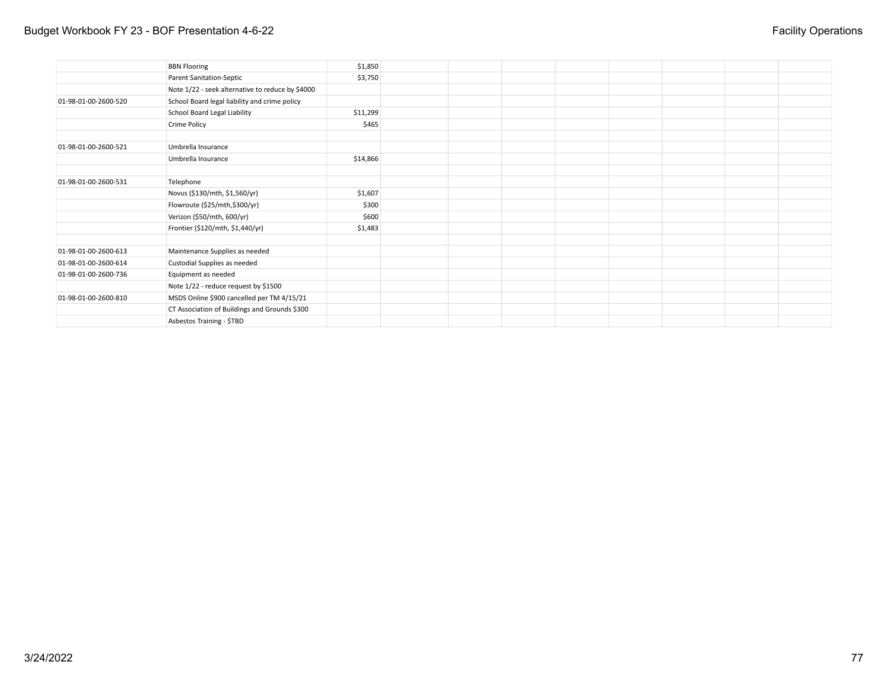## Budget Workbook FY 23 - BOF Presentation 4-6-22 **Facility Operations**

|                      | <b>BBN Flooring</b>                              | \$1,850  |  |  |  |  |
|----------------------|--------------------------------------------------|----------|--|--|--|--|
|                      | <b>Parent Sanitation-Septic</b>                  | \$3,750  |  |  |  |  |
|                      | Note 1/22 - seek alternative to reduce by \$4000 |          |  |  |  |  |
| 01-98-01-00-2600-520 | School Board legal liability and crime policy    |          |  |  |  |  |
|                      | School Board Legal Liability                     | \$11,299 |  |  |  |  |
|                      | <b>Crime Policy</b>                              | \$465    |  |  |  |  |
|                      |                                                  |          |  |  |  |  |
| 01-98-01-00-2600-521 | Umbrella Insurance                               |          |  |  |  |  |
|                      | Umbrella Insurance                               | \$14,866 |  |  |  |  |
|                      |                                                  |          |  |  |  |  |
| 01-98-01-00-2600-531 | Telephone                                        |          |  |  |  |  |
|                      | Novus (\$130/mth, \$1,560/yr)                    | \$1,607  |  |  |  |  |
|                      | Flowroute (\$25/mth,\$300/yr)                    | \$300    |  |  |  |  |
|                      | Verizon (\$50/mth, 600/yr)                       | \$600    |  |  |  |  |
|                      | Frontier (\$120/mth, \$1,440/yr)                 | \$1,483  |  |  |  |  |
|                      |                                                  |          |  |  |  |  |
| 01-98-01-00-2600-613 | Maintenance Supplies as needed                   |          |  |  |  |  |
| 01-98-01-00-2600-614 | Custodial Supplies as needed                     |          |  |  |  |  |
| 01-98-01-00-2600-736 | Equipment as needed                              |          |  |  |  |  |
|                      | Note 1/22 - reduce request by \$1500             |          |  |  |  |  |
| 01-98-01-00-2600-810 | MSDS Online \$900 cancelled per TM 4/15/21       |          |  |  |  |  |
|                      | CT Association of Buildings and Grounds \$300    |          |  |  |  |  |
|                      | Asbestos Training - \$TBD                        |          |  |  |  |  |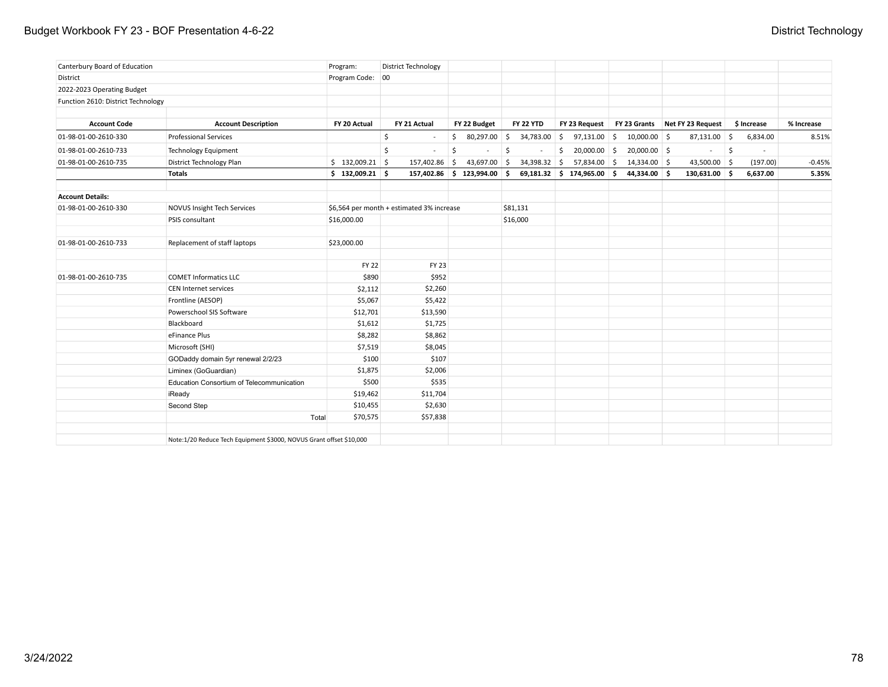## Budget Workbook FY 23 - BOF Presentation 4-6-22 **District Technology**

| Canterbury Board of Education      |                                                                     | Program:                                  | District Technology |                            |                  |                              |                |                                              |                     |             |            |          |
|------------------------------------|---------------------------------------------------------------------|-------------------------------------------|---------------------|----------------------------|------------------|------------------------------|----------------|----------------------------------------------|---------------------|-------------|------------|----------|
| District                           |                                                                     | Program Code: 00                          |                     |                            |                  |                              |                |                                              |                     |             |            |          |
| 2022-2023 Operating Budget         |                                                                     |                                           |                     |                            |                  |                              |                |                                              |                     |             |            |          |
| Function 2610: District Technology |                                                                     |                                           |                     |                            |                  |                              |                |                                              |                     |             |            |          |
|                                    |                                                                     |                                           |                     |                            |                  |                              |                |                                              |                     |             |            |          |
| <b>Account Code</b>                | <b>Account Description</b>                                          | FY 20 Actual                              | FY 21 Actual        | FY 22 Budget               | <b>FY 22 YTD</b> |                              |                | FY 23 Request FY 23 Grants Net FY 23 Request |                     | \$ Increase | % Increase |          |
| 01-98-01-00-2610-330               | <b>Professional Services</b>                                        |                                           | \$<br>$\sim$        | $$80,297.00$ \$            |                  | $34,783.00$ \$ 97,131.00 \$  | $10,000.00$ \$ | $87,131.00$ \$                               |                     | 6,834.00    |            | 8.51%    |
| 01-98-01-00-2610-733               | <b>Technology Equipment</b>                                         |                                           | \$<br>$\sim$        | \$                         | \$               | \$<br>$20,000.00$ \$         | $20,000.00$ \$ | $\sim$                                       | $\ddot{\mathsf{s}}$ |             |            |          |
| 01-98-01-00-2610-735               | District Technology Plan                                            | $$132,009.21$ \$                          | 157,402.86 \$       | 43,697.00 \$               | $34,398.32$ \$   | $57,834.00$ \$               | 14,334.00 \$   | 43,500.00 \$                                 |                     | (197.00)    |            | $-0.45%$ |
|                                    | <b>Totals</b>                                                       | $$132,009.21$ \$                          |                     | 157,402.86 \$123,994.00 \$ |                  | $69,181.32$ \$ 174,965.00 \$ | 44,334.00 \$   | 130,631.00 \$                                |                     | 6,637.00    |            | 5.35%    |
| <b>Account Details:</b>            |                                                                     |                                           |                     |                            |                  |                              |                |                                              |                     |             |            |          |
| 01-98-01-00-2610-330               | <b>NOVUS Insight Tech Services</b>                                  | \$6,564 per month + estimated 3% increase |                     |                            | \$81,131         |                              |                |                                              |                     |             |            |          |
|                                    | PSIS consultant                                                     | \$16,000.00                               |                     |                            | \$16,000         |                              |                |                                              |                     |             |            |          |
|                                    |                                                                     |                                           |                     |                            |                  |                              |                |                                              |                     |             |            |          |
| 01-98-01-00-2610-733               | Replacement of staff laptops                                        | \$23,000.00                               |                     |                            |                  |                              |                |                                              |                     |             |            |          |
|                                    |                                                                     | <b>FY 22</b>                              | <b>FY 23</b>        |                            |                  |                              |                |                                              |                     |             |            |          |
| 01-98-01-00-2610-735               | <b>COMET Informatics LLC</b>                                        | \$890                                     | \$952               |                            |                  |                              |                |                                              |                     |             |            |          |
|                                    | <b>CEN Internet services</b>                                        | \$2,112                                   | \$2,260             |                            |                  |                              |                |                                              |                     |             |            |          |
|                                    | Frontline (AESOP)                                                   | \$5,067                                   | \$5,422             |                            |                  |                              |                |                                              |                     |             |            |          |
|                                    | Powerschool SIS Software                                            | \$12,701                                  | \$13,590            |                            |                  |                              |                |                                              |                     |             |            |          |
|                                    | Blackboard                                                          | \$1,612                                   | \$1,725             |                            |                  |                              |                |                                              |                     |             |            |          |
|                                    | eFinance Plus                                                       | \$8,282                                   | \$8,862             |                            |                  |                              |                |                                              |                     |             |            |          |
|                                    | Microsoft (SHI)                                                     | \$7,519                                   | \$8,045             |                            |                  |                              |                |                                              |                     |             |            |          |
|                                    | GODaddy domain 5yr renewal 2/2/23                                   | \$100                                     | \$107               |                            |                  |                              |                |                                              |                     |             |            |          |
|                                    | Liminex (GoGuardian)                                                | \$1,875                                   | \$2,006             |                            |                  |                              |                |                                              |                     |             |            |          |
|                                    | Education Consortium of Telecommunication                           | \$500                                     | \$535               |                            |                  |                              |                |                                              |                     |             |            |          |
|                                    | iReady                                                              | \$19,462                                  | \$11,704            |                            |                  |                              |                |                                              |                     |             |            |          |
|                                    | Second Step                                                         | \$10,455                                  | \$2,630             |                            |                  |                              |                |                                              |                     |             |            |          |
|                                    | Total                                                               | \$70,575                                  | \$57,838            |                            |                  |                              |                |                                              |                     |             |            |          |
|                                    | Note:1/20 Reduce Tech Equipment \$3000, NOVUS Grant offset \$10,000 |                                           |                     |                            |                  |                              |                |                                              |                     |             |            |          |
|                                    |                                                                     |                                           |                     |                            |                  |                              |                |                                              |                     |             |            |          |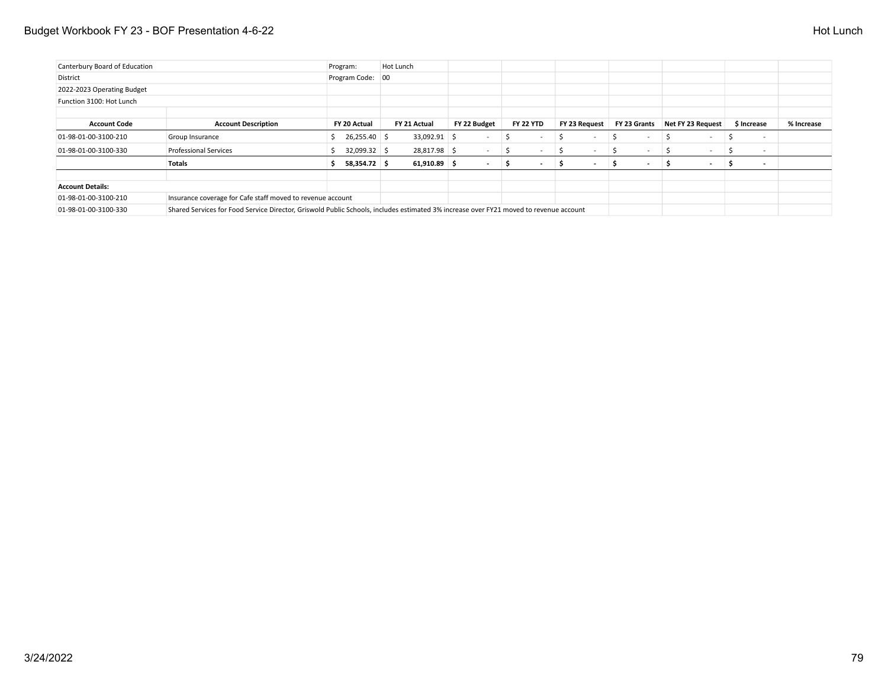## Budget Workbook FY 23 - BOF Presentation 4-6-22 **Hot Lunch** Budget Workbook FY 23 - BOF Presentation 4-6-22

| Canterbury Board of Education |                                                                                                                                       | Program:           | Hot Lunch      |                          |                          |                               |                          |                          |                          |            |
|-------------------------------|---------------------------------------------------------------------------------------------------------------------------------------|--------------------|----------------|--------------------------|--------------------------|-------------------------------|--------------------------|--------------------------|--------------------------|------------|
| District                      |                                                                                                                                       | Program Code: 00   |                |                          |                          |                               |                          |                          |                          |            |
| 2022-2023 Operating Budget    |                                                                                                                                       |                    |                |                          |                          |                               |                          |                          |                          |            |
| Function 3100: Hot Lunch      |                                                                                                                                       |                    |                |                          |                          |                               |                          |                          |                          |            |
| <b>Account Code</b>           | <b>Account Description</b>                                                                                                            | FY 20 Actual       | FY 21 Actual   | FY 22 Budget             | <b>FY 22 YTD</b>         | FY 23 Request                 | FY 23 Grants             | Net FY 23 Request        | \$ Increase              | % Increase |
| 01-98-01-00-3100-210          | Group Insurance                                                                                                                       | $$26,255.40$ \ \$  | 33,092.91 \$   | $\overline{\phantom{a}}$ | $\overline{\phantom{0}}$ | $\overline{\phantom{a}}$<br>' | $\sim$                   | $\sim$                   | $\overline{\phantom{a}}$ |            |
| 01-98-01-00-3100-330          | <b>Professional Services</b>                                                                                                          | 32,099.32 \$       | 28,817.98 \$   | $\overline{\phantom{a}}$ |                          |                               |                          | $\overline{\phantom{0}}$ | $\overline{\phantom{a}}$ |            |
|                               | <b>Totals</b>                                                                                                                         | 58,354.72 \$<br>s. | $61,910.89$ \$ | $\sim$                   | $\sim$                   | $\overline{\phantom{a}}$      | $\overline{\phantom{a}}$ | $\sim$                   | $\overline{\phantom{a}}$ |            |
| <b>Account Details:</b>       |                                                                                                                                       |                    |                |                          |                          |                               |                          |                          |                          |            |
| 01-98-01-00-3100-210          | Insurance coverage for Cafe staff moved to revenue account                                                                            |                    |                |                          |                          |                               |                          |                          |                          |            |
| 01-98-01-00-3100-330          | Shared Services for Food Service Director, Griswold Public Schools, includes estimated 3% increase over FY21 moved to revenue account |                    |                |                          |                          |                               |                          |                          |                          |            |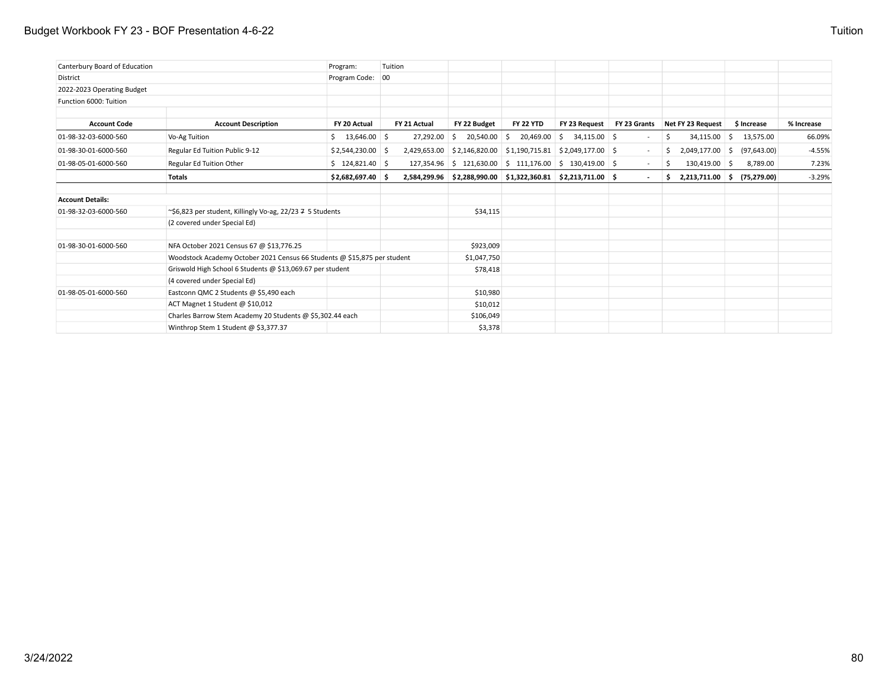## Budget Workbook FY 23 - BOF Presentation 4-6-22 Tuition

| Canterbury Board of Education |                                                                          | Program:             | Tuition |              |                         |                  |                                                                                            |        |    |                                                        |              |            |
|-------------------------------|--------------------------------------------------------------------------|----------------------|---------|--------------|-------------------------|------------------|--------------------------------------------------------------------------------------------|--------|----|--------------------------------------------------------|--------------|------------|
| District                      |                                                                          | Program Code: 00     |         |              |                         |                  |                                                                                            |        |    |                                                        |              |            |
| 2022-2023 Operating Budget    |                                                                          |                      |         |              |                         |                  |                                                                                            |        |    |                                                        |              |            |
| Function 6000: Tuition        |                                                                          |                      |         |              |                         |                  |                                                                                            |        |    |                                                        |              |            |
| <b>Account Code</b>           | <b>Account Description</b>                                               | FY 20 Actual         |         | FY 21 Actual | FY 22 Budget            | <b>FY 22 YTD</b> | FY 23 Request FY 23 Grants                                                                 |        |    | Net FY 23 Request                                      | \$ Increase  | % Increase |
| 01-98-32-03-6000-560          | Vo-Ag Tuition                                                            | $$13,646.00$ \$      |         | 27,292.00    | 20,540.00 \$<br>5       |                  | $20,469.00$ \$ 34,115.00 \$                                                                | $\sim$ | S. | $34,115.00$ \$                                         | 13,575.00    | 66.09%     |
| 01-98-30-01-6000-560          | Regular Ed Tuition Public 9-12                                           | $$2,544,230.00$ \ \$ |         |              |                         |                  | $2,429,653.00$   \$2,146,820.00   \$1,190,715.81   \$2,049,177.00   \$                     | $\sim$ | S. | $2,049,177.00$ \$                                      | (97, 643.00) | $-4.55%$   |
| 01-98-05-01-6000-560          | Regular Ed Tuition Other                                                 | \$124,821.40         |         |              | 127,354.96 \$121,630.00 |                  | $\frac{1}{2}$ \$ 111,176.00 \$ 130,419.00 \$                                               | $\sim$ | Ŝ. | 130,419.00 \$                                          | 8,789.00     | 7.23%      |
|                               | Totals                                                                   | $$2,682,697.40$ \$   |         |              |                         |                  | $2,584,299.96$ $\mid$ \$2,288,990.00 $\mid$ \$1,322,360.81 $\mid$ \$2,213,711.00 $\mid$ \$ |        |    | $\frac{1}{2}$ , 2,213,711.00 $\frac{1}{2}$ (75,279.00) |              | $-3.29%$   |
| <b>Account Details:</b>       |                                                                          |                      |         |              |                         |                  |                                                                                            |        |    |                                                        |              |            |
| 01-98-32-03-6000-560          | ~\$6,823 per student, Killingly Vo-ag, 22/23 $\overline{7}$ 5 Students   |                      |         |              | \$34,115                |                  |                                                                                            |        |    |                                                        |              |            |
|                               | (2 covered under Special Ed)                                             |                      |         |              |                         |                  |                                                                                            |        |    |                                                        |              |            |
| 01-98-30-01-6000-560          | NFA October 2021 Census 67 @ \$13,776.25                                 |                      |         |              | \$923,009               |                  |                                                                                            |        |    |                                                        |              |            |
|                               | Woodstock Academy October 2021 Census 66 Students @ \$15,875 per student |                      |         |              | \$1,047,750             |                  |                                                                                            |        |    |                                                        |              |            |
|                               | Griswold High School 6 Students @ \$13,069.67 per student                |                      |         |              | \$78,418                |                  |                                                                                            |        |    |                                                        |              |            |
|                               | (4 covered under Special Ed)                                             |                      |         |              |                         |                  |                                                                                            |        |    |                                                        |              |            |
| 01-98-05-01-6000-560          | Eastconn QMC 2 Students @ \$5,490 each                                   |                      |         |              | \$10,980                |                  |                                                                                            |        |    |                                                        |              |            |
|                               | ACT Magnet 1 Student @ \$10,012                                          |                      |         |              | \$10,012                |                  |                                                                                            |        |    |                                                        |              |            |
|                               | Charles Barrow Stem Academy 20 Students @ \$5,302.44 each                |                      |         |              | \$106,049               |                  |                                                                                            |        |    |                                                        |              |            |
|                               | Winthrop Stem 1 Student @ \$3,377.37                                     |                      |         |              | \$3,378                 |                  |                                                                                            |        |    |                                                        |              |            |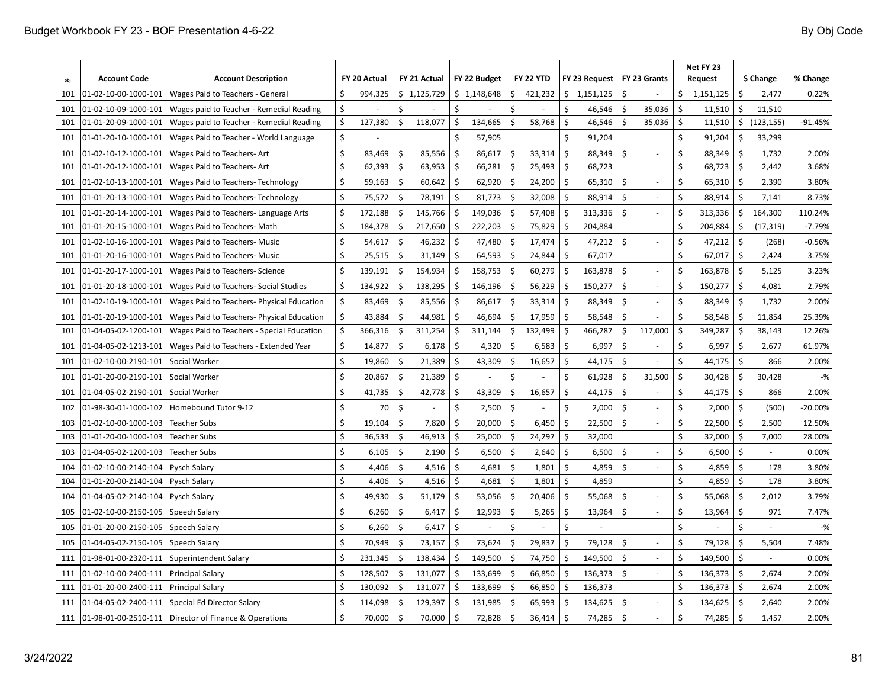| obj | <b>Account Code</b>  | <b>Account Description</b>                            |    | FY 20 Actual |    | FY 21 Actual |                     | FY 22 Budget |                    | <b>FY 22 YTD</b> |                    | FY 23 Request |                    | FY 23 Grants   |    | Net FY 23<br><b>Request</b> |                      | \$ Change  | % Change  |
|-----|----------------------|-------------------------------------------------------|----|--------------|----|--------------|---------------------|--------------|--------------------|------------------|--------------------|---------------|--------------------|----------------|----|-----------------------------|----------------------|------------|-----------|
| 101 | 01-02-10-00-1000-101 | Wages Paid to Teachers - General                      | \$ | 994,325      |    | \$1,125,729  |                     | \$1,148,648  | \$                 | 421,232          |                    | \$1,151,125   | $\ddot{\zeta}$     |                | \$ | 1,151,125                   | \$                   | 2,477      | 0.22%     |
| 101 | 01-02-10-09-1000-101 | Wages paid to Teacher - Remedial Reading              | \$ |              | \$ |              | \$                  |              | \$                 |                  | \$                 | 46,546        | \$                 | 35,036         | \$ | 11,510                      | \$                   | 11,510     |           |
| 101 | 01-01-20-09-1000-101 | Wages paid to Teacher - Remedial Reading              | \$ | 127,380      | \$ | 118,077      | $\zeta$             | 134,665      | \$                 | 58,768           | $\mathsf{\hat{S}}$ | 46,546        | $\zeta$            | 35,036         | \$ | 11,510                      | $\boldsymbol{\zeta}$ | (123, 155) | $-91.45%$ |
| 101 | 01-01-20-10-1000-101 | Wages Paid to Teacher - World Language                | Ś  |              |    |              | Ŝ.                  | 57,905       |                    |                  | Ś                  | 91,204        |                    |                | \$ | 91,204                      | $\zeta$              | 33,299     |           |
| 101 | 01-02-10-12-1000-101 | Wages Paid to Teachers-Art                            | Ś. | 83,469       | Ś. | 85,556       | Ŝ.                  | 86,617       | Ś.                 | 33,314           | Ś.                 | 88,349        | \$                 |                | \$ | 88,349                      | $\dot{\mathsf{S}}$   | 1,732      | 2.00%     |
| 101 | 01-01-20-12-1000-101 | Wages Paid to Teachers-Art                            | \$ | 62,393       | \$ | 63,953       | $\ddot{\mathsf{S}}$ | 66,281       | Ś.                 | 25,493           | \$                 | 68,723        |                    |                | \$ | 68,723                      | $\zeta$              | 2,442      | 3.68%     |
| 101 | 01-02-10-13-1000-101 | Wages Paid to Teachers- Technology                    | \$ | 59,163       | \$ | 60,642       | $\ddot{\mathsf{S}}$ | 62,920       | \$                 | 24,200           | \$                 | 65,310        | \$                 | ÷              | \$ | 65,310                      | $\zeta$              | 2,390      | 3.80%     |
| 101 | 01-01-20-13-1000-101 | Wages Paid to Teachers- Technology                    | \$ | 75,572       | \$ | 78,191       | \$                  | 81,773       | \$                 | 32,008           | Ś                  | 88,914        | \$                 | ÷              | \$ | 88,914                      | $\zeta$              | 7,141      | 8.73%     |
| 101 | 01-01-20-14-1000-101 | Wages Paid to Teachers-Language Arts                  | \$ | 172,188      | Ś  | 145,766      | Ŝ.                  | 149,036      | Ś                  | 57,408           | Ś.                 | 313,336       | \$                 | $\blacksquare$ | \$ | 313,336                     | \$                   | 164,300    | 110.24%   |
| 101 | 01-01-20-15-1000-101 | Wages Paid to Teachers- Math                          | \$ | 184,378      | Ś  | 217,650      | \$                  | 222,203      | Ś                  | 75,829           | Ś                  | 204,884       |                    |                | Ś  | 204,884                     | \$                   | (17, 319)  | $-7.79%$  |
| 101 | 01-02-10-16-1000-101 | Wages Paid to Teachers- Music                         | \$ | 54,617       | \$ | 46,232       | \$                  | 47,480       | -S                 | 17,474           | \$                 | 47,212        | \$                 |                | \$ | 47,212                      | \$                   | (268)      | $-0.56%$  |
| 101 | 01-01-20-16-1000-101 | Wages Paid to Teachers- Music                         | \$ | 25,515       | \$ | 31,149       | $\ddot{\mathsf{S}}$ | 64,593       | $\mathsf{\hat{S}}$ | 24,844           | \$                 | 67,017        |                    |                | \$ | 67,017                      | \$                   | 2,424      | 3.75%     |
| 101 | 01-01-20-17-1000-101 | Wages Paid to Teachers-Science                        | \$ | 139,191      | \$ | 154,934      | $\zeta$             | 158,753      | \$                 | 60,279           | Ś.                 | 163,878       | \$                 |                | Ś  | 163,878                     | $\zeta$              | 5,125      | 3.23%     |
| 101 | 01-01-20-18-1000-101 | Wages Paid to Teachers- Social Studies                | \$ | 134,922      | \$ | 138,295      | $\zeta$             | 146,196      | Ś.                 | 56,229           | \$                 | 150,277       | \$                 |                | \$ | 150,277                     | $\zeta$              | 4,081      | 2.79%     |
| 101 | 01-02-10-19-1000-101 | Wages Paid to Teachers- Physical Education            | \$ | 83,469       | \$ | 85,556       | $\zeta$             | 86,617       | Ś                  | 33,314           | \$                 | 88,349        | \$                 |                | \$ | 88,349                      | $\zeta$              | 1,732      | 2.00%     |
| 101 | 01-01-20-19-1000-101 | Wages Paid to Teachers- Physical Education            | \$ | 43,884       | \$ | 44,981       | $\zeta$             | 46,694       | Ś                  | 17,959           | Ś.                 | 58,548        | \$                 |                | \$ | 58,548                      | \$                   | 11,854     | 25.39%    |
| 101 | 01-04-05-02-1200-101 | Wages Paid to Teachers - Special Education            | \$ | 366,316      | \$ | 311,254      | \$                  | 311,144      | \$                 | 132,499          | \$                 | 466,287       | \$                 | 117,000        | \$ | 349,287                     | \$                   | 38,143     | 12.26%    |
| 101 | 01-04-05-02-1213-101 | Wages Paid to Teachers - Extended Year                | \$ | 14,877       | \$ | 6,178        | \$                  | 4,320        | S.                 | 6,583            | \$                 | 6,997         | \$                 |                | \$ | 6,997                       | $\zeta$              | 2,677      | 61.97%    |
| 101 | 01-02-10-00-2190-101 | Social Worker                                         | \$ | 19,860       | \$ | 21,389       | \$                  | 43,309       | \$                 | 16,657           | \$                 | 44,175        | \$                 |                | \$ | 44,175                      | $\boldsymbol{\zeta}$ | 866        | 2.00%     |
| 101 | 01-01-20-00-2190-101 | Social Worker                                         | \$ | 20,867       | \$ | 21,389       | $\zeta$             |              | \$                 |                  | \$                 | 61,928        | \$                 | 31,500         | \$ | 30,428                      | \$                   | 30,428     | $-$ %     |
| 101 | 01-04-05-02-2190-101 | Social Worker                                         | \$ | 41,735       | \$ | 42,778       | $\zeta$             | 43,309       | Ś                  | 16,657           | \$                 | 44,175        | \$                 |                | \$ | 44,175                      | \$                   | 866        | 2.00%     |
| 102 | 01-98-30-01-1000-102 | Homebound Tutor 9-12                                  | \$ | 70           | \$ |              | $\zeta$             | 2,500        | \$                 |                  | \$                 | 2,000         | \$                 |                | \$ | 2,000                       | \$                   | (500)      | $-20.00%$ |
| 103 | 01-02-10-00-1000-103 | <b>Teacher Subs</b>                                   | \$ | 19,104       | \$ | 7,820        | Ŝ.                  | 20,000       | \$                 | 6,450            | \$                 | 22,500        | \$                 |                | \$ | 22,500                      | \$                   | 2,500      | 12.50%    |
| 103 | 01-01-20-00-1000-103 | <b>Teacher Subs</b>                                   | \$ | 36,533       | \$ | 46,913       | \$                  | 25,000       | \$                 | 24,297           | Ś.                 | 32,000        |                    |                | \$ | 32,000                      | \$                   | 7,000      | 28.00%    |
| 103 | 01-04-05-02-1200-103 | <b>Teacher Subs</b>                                   | Ś  | 6,105        | \$ | 2,190        | $\mathsf{S}$        | 6,500        | $\zeta$            | 2,640            | Ś.                 | 6,500         | \$                 |                | \$ | 6,500                       | $\boldsymbol{\zeta}$ |            | 0.00%     |
| 104 | 01-02-10-00-2140-104 | Pysch Salary                                          | \$ | 4,406        | Ś. | 4,516        | \$                  | 4,681        | \$                 | 1,801            | Ś.                 | 4,859         | $\mathsf{\hat{S}}$ |                | \$ | 4,859                       | \$                   | 178        | 3.80%     |
| 104 | 01-01-20-00-2140-104 | Pysch Salary                                          | \$ | 4,406        | \$ | 4,516        | \$                  | 4,681        | $\zeta$            | 1,801            | \$                 | 4,859         |                    |                | \$ | 4,859                       | \$                   | 178        | 3.80%     |
| 104 | 01-04-05-02-2140-104 | Pysch Salary                                          | \$ | 49,930       | \$ | 51,179       | -\$                 | 53,056       | S.                 | 20,406           | \$                 | 55,068        | \$                 |                | \$ | 55,068                      | \$                   | 2,012      | 3.79%     |
| 105 | 01-02-10-00-2150-105 | Speech Salary                                         | \$ | 6,260        | \$ | 6,417        | -\$                 | 12,993       | S.                 | 5,265            | \$                 | 13,964        | \$                 | $\blacksquare$ | \$ | 13,964                      | $\zeta$              | 971        | 7.47%     |
| 105 | 01-01-20-00-2150-105 | Speech Salary                                         | \$ | 6,260        | \$ | 6,417        | $\mathsf{S}$        |              | \$                 |                  | Ś                  |               |                    |                | \$ |                             | $\zeta$              |            | $-$ %     |
| 105 | 01-04-05-02-2150-105 | Speech Salary                                         | \$ | 70,949       | Ś. | 73,157       | $\mathsf{S}$        | 73,624       | Ŝ.                 | 29,837           | Ś.                 | 79,128        | Ś.                 |                | \$ | 79,128                      | $\zeta$              | 5,504      | 7.48%     |
| 111 | 01-98-01-00-2320-111 | Superintendent Salary                                 | \$ | 231,345      | \$ | 138,434      | \$                  | 149,500      | $\mathsf{\hat{S}}$ | 74,750           | Ś.                 | 149,500       | $\zeta$            |                | \$ | 149,500                     | $\boldsymbol{\zeta}$ |            | 0.00%     |
| 111 | 01-02-10-00-2400-111 | <b>Principal Salary</b>                               | \$ | 128,507      | \$ | 131,077      | \$                  | 133,699      | \$                 | 66,850           | Ś.                 | 136,373       | $\zeta$            |                | \$ | 136,373                     | $\zeta$              | 2,674      | 2.00%     |
| 111 | 01-01-20-00-2400-111 | <b>Principal Salary</b>                               | \$ | 130,092      | \$ | 131,077      | $\zeta$             | 133,699      | \$                 | 66,850           | \$                 | 136,373       |                    |                | Ś  | 136,373                     | $\zeta$              | 2,674      | 2.00%     |
| 111 | 01-04-05-02-2400-111 | Special Ed Director Salary                            | \$ | 114,098      | \$ | 129,397      | Ŝ.                  | 131,985      | S.                 | 65,993           | Ś                  | 134,625       | $\mathsf{\hat{S}}$ |                | Ś  | 134,625                     | \$                   | 2,640      | 2.00%     |
| 111 |                      | 01-98-01-00-2510-111 Director of Finance & Operations | \$ | 70,000       | \$ | 70,000       | -\$                 | 72,828       | S.                 | 36,414           | \$                 | 74,285        | $\mathsf{\hat{S}}$ |                | Ś  | 74,285                      | $\zeta$              | 1,457      | 2.00%     |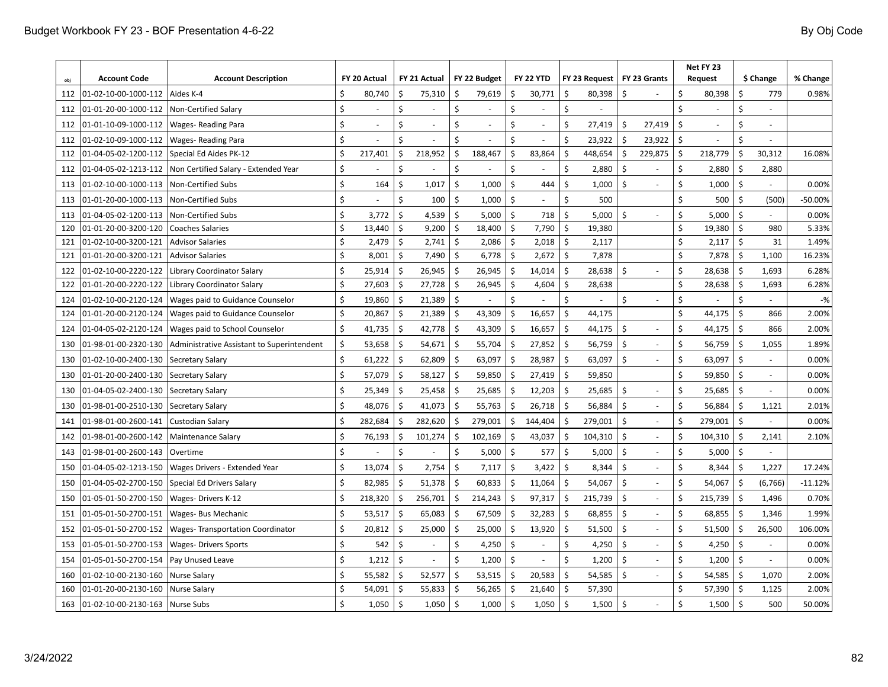|            | <b>Account Code</b>                          | <b>Account Description</b>                          |          | FY 20 Actual    |                    | FY 21 Actual   |               | FY 22 Budget             |                          | <b>FY 22 YTD</b> |          | FY 23 Request    |                    | FY 23 Grants |         | Net FY 23<br><b>Request</b> |               | \$ Change | % Change       |
|------------|----------------------------------------------|-----------------------------------------------------|----------|-----------------|--------------------|----------------|---------------|--------------------------|--------------------------|------------------|----------|------------------|--------------------|--------------|---------|-----------------------------|---------------|-----------|----------------|
| obj<br>112 | 01-02-10-00-1000-112                         | Aides K-4                                           | Ś        | 80,740          | \$                 | 75,310         | Ś             | 79,619                   | \$                       | 30,771           | \$       | 80,398           | Ś                  |              | \$      | 80,398                      | \$            | 779       | 0.98%          |
| 112        | 01-01-20-00-1000-112                         | Non-Certified Salary                                | \$       |                 | \$                 |                | \$            |                          | \$                       |                  | \$       |                  |                    |              | \$      |                             | $\zeta$       |           |                |
|            |                                              |                                                     | \$       |                 | \$                 | $\sim$         | Ś             | $\overline{\phantom{a}}$ | Ś                        |                  | Ś        |                  | Ś                  | 27,419       | \$      |                             | $\zeta$       |           |                |
| 112        | 01-01-10-09-1000-112<br>01-02-10-09-1000-112 | <b>Wages-Reading Para</b>                           | Ś        |                 | Ś                  | $\sim$         | Ś             |                          | \$                       |                  | Ś.       | 27,419<br>23,922 | S.                 | 23,922       | \$      |                             | $\zeta$       |           |                |
| 112<br>112 | 01-04-05-02-1200-112                         | <b>Wages-Reading Para</b><br>Special Ed Aides PK-12 | \$       | 217,401         | \$                 | 218,952        | \$            | 188,467                  | \$                       | 83,864           | Ś        | 448,654          | \$                 | 229,875      | \$      | 218,779                     | $\zeta$       | 30,312    | 16.08%         |
| 112        | 01-04-05-02-1213-112                         | Non Certified Salary - Extended Year                | \$       |                 | \$                 |                | \$            |                          | \$                       |                  | \$       | 2,880            | \$                 |              | \$      | 2,880                       | \$            | 2,880     |                |
|            | 01-02-10-00-1000-113                         | Non-Certified Subs                                  | Ś        | 164             | Ś.                 | 1,017          | \$            | 1,000                    | \$                       | 444              | Ś.       | 1,000            | Ś.                 |              | Ś       | 1,000                       | $\zeta$       |           | 0.00%          |
| 113        |                                              |                                                     | Ś        |                 | \$                 |                |               |                          | Ś.                       |                  | Ś.       |                  |                    |              |         |                             |               |           |                |
| 113        | 01-01-20-00-1000-113                         | <b>Non-Certified Subs</b>                           |          |                 |                    | 100            | \$            | 1,000                    |                          |                  |          | 500              |                    |              | \$      | 500                         | $\zeta$       | (500)     | $-50.00%$      |
| 113<br>120 | 01-04-05-02-1200-113<br>01-01-20-00-3200-120 | Non-Certified Subs<br><b>Coaches Salaries</b>       | \$<br>\$ | 3,772<br>13,440 | \$<br>Ś            | 4,539<br>9,200 | \$<br>$\zeta$ | 5,000<br>18,400          | \$<br>$\mathsf{\hat{S}}$ | 718<br>7,790     | \$<br>Ś. | 5,000<br>19,380  | \$                 |              | \$<br>Ś | 5,000<br>19,380             | \$<br>$\zeta$ | 980       | 0.00%<br>5.33% |
| 121        | 01-02-10-00-3200-121                         | <b>Advisor Salaries</b>                             | \$       | 2,479           | $\mathsf{\hat{S}}$ | 2,741          | \$            | 2,086                    | \$                       | 2,018            | \$       | 2,117            |                    |              | Ś       | 2,117                       | \$            | 31        | 1.49%          |
| 121        | 01-01-20-00-3200-121                         | <b>Advisor Salaries</b>                             | Ś        | 8,001           | $\mathsf{\hat{S}}$ | 7,490          | \$            | 6,778                    | -\$                      | 2,672            | \$       | 7,878            |                    |              | Ś       | 7,878                       | \$            | 1,100     | 16.23%         |
| 122        | 01-02-10-00-2220-122                         | Library Coordinator Salary                          | \$       | 25,914          | Ŝ.                 | 26,945         | \$            | 26,945                   | \$                       | 14,014           | Ś.       | 28,638           | Ś.                 |              | \$      | 28,638                      | \$            | 1,693     | 6.28%          |
| 122        | 01-01-20-00-2220-122                         | Library Coordinator Salary                          | Ś        | 27,603          | Ŝ.                 | 27,728         | \$            | 26,945                   | \$                       | 4,604            | Ŝ.       | 28,638           |                    |              | Ś       | 28,638                      | \$            | 1,693     | 6.28%          |
| 124        | 01-02-10-00-2120-124                         | Wages paid to Guidance Counselor                    | Ś.       | 19,860          | Ś.                 | 21,389         | \$            |                          | \$                       |                  | Ś.       |                  | \$                 |              | \$      |                             | $\zeta$       |           | $-$ %          |
| 124        | 01-01-20-00-2120-124                         | Wages paid to Guidance Counselor                    | Ś        | 20,867          | \$                 | 21,389         | $\zeta$       | 43,309                   | \$                       | 16,657           | Ś.       | 44,175           |                    |              | \$      | 44,175                      | $\zeta$       | 866       | 2.00%          |
| 124        | 01-04-05-02-2120-124                         | Wages paid to School Counselor                      | Ś.       | 41,735          | \$                 | 42,778         | \$            | 43,309                   | \$                       | 16,657           | Ŝ.       | 44,175           | \$                 |              | \$      | 44,175                      | $\zeta$       | 866       | 2.00%          |
| 130        | 01-98-01-00-2320-130                         | Administrative Assistant to Superintendent          | \$       | 53,658          | Ŝ.                 | 54,671         | \$            | 55,704                   | \$                       | 27,852           | Ŝ.       | 56,759           | \$                 |              | \$      | 56,759                      | \$            | 1,055     | 1.89%          |
| 130        | 01-02-10-00-2400-130                         | Secretary Salary                                    | \$       | 61,222          | \$                 | 62,809         | \$            | 63,097                   | \$                       | 28,987           | \$       | 63,097           | \$                 |              | Ś       | 63,097                      | $\zeta$       |           | 0.00%          |
| 130        | 01-01-20-00-2400-130                         | Secretary Salary                                    | \$       | 57,079          | \$                 | 58,127         | \$            | 59,850                   | \$                       | 27,419           | \$       | 59,850           |                    |              | Ś       | 59,850                      | $\zeta$       |           | 0.00%          |
| 130        | 01-04-05-02-2400-130                         | Secretary Salary                                    | \$       | 25,349          | \$                 | 25,458         | $\zeta$       | 25,685                   | \$                       | 12,203           | \$       | 25,685           | $\mathsf{\hat{S}}$ |              | \$      | 25,685                      | $\zeta$       |           | 0.00%          |
| 130        | 01-98-01-00-2510-130                         | Secretary Salary                                    | \$       | 48,076          | \$                 | 41,073         | \$            | 55,763                   | $\zeta$                  | 26,718           | Ś.       | 56,884           | $\mathsf{\hat{S}}$ |              | \$      | 56,884                      | \$            | 1,121     | 2.01%          |
| 141        | 01-98-01-00-2600-141                         | Custodian Salary                                    | \$       | 282,684         | Ś.                 | 282,620        | \$            | 279,001                  | Ś                        | 144,404          | Ŝ.       | 279,001          | \$                 |              | \$      | 279,001                     | $\zeta$       |           | 0.00%          |
| 142        | 01-98-01-00-2600-142                         | Maintenance Salary                                  | \$       | 76,193          | Ś                  | 101,274        | \$            | 102,169                  | Ś                        | 43,037           | Ŝ.       | 104,310          | \$                 |              | Ś       | 104,310                     | \$            | 2,141     | 2.10%          |
| 143        | 01-98-01-00-2600-143                         | Overtime                                            | Ś.       |                 | Ś                  |                | Ś             | 5,000                    | \$                       | 577              | Ś.       | 5,000            | \$                 | $\sim$       | \$      | 5,000                       | $\zeta$       |           |                |
| 150        | 01-04-05-02-1213-150                         | Wages Drivers - Extended Year                       | \$       | 13,074          | \$                 | 2,754          | \$            | 7,117                    | \$                       | 3,422            | \$       | 8,344            | \$                 | $\sim$       | \$      | 8,344                       | $\zeta$       | 1,227     | 17.24%         |
| 150        | 01-04-05-02-2700-150                         | Special Ed Drivers Salary                           | Ś        | 82,985          | Ŝ.                 | 51,378         | \$            | 60,833                   | \$                       | 11,064           | Ś.       | 54,067           | \$                 |              | \$      | 54,067                      | $\zeta$       | (6, 766)  | $-11.12%$      |
| 150        | 01-05-01-50-2700-150                         | Wages-Drivers K-12                                  | Ś.       | 218,320         | \$                 | 256,701        | \$            | 214,243                  | Ś                        | 97,317           | \$       | 215,739          | \$                 |              | Ś       | 215,739                     | \$            | 1,496     | 0.70%          |
| 151        | 01-05-01-50-2700-151                         | Wages- Bus Mechanic                                 | \$       | 53,517          | Ś.                 | 65,083         | \$            | 67,509                   | Ś                        | 32,283           | Ŝ.       | 68,855           | \$                 | ÷,           | Ś       | 68,855                      | Ś.            | 1,346     | 1.99%          |
| 152        | 01-05-01-50-2700-152                         | <b>Wages-Transportation Coordinator</b>             | \$       | 20,812          | Ś.                 | 25,000         | \$            | 25,000                   | \$                       | 13,920           | Ś.       | 51,500           | \$                 |              | Ś       | 51,500                      | \$            | 26,500    | 106.00%        |
| 153        | 01-05-01-50-2700-153                         | <b>Wages- Drivers Sports</b>                        | \$       | 542             | \$                 | $\sim$         | \$            | 4,250                    | \$                       |                  | \$       | 4,250            | \$                 |              | Ś       | 4,250                       | $\zeta$       |           | 0.00%          |
| 154        | 01-05-01-50-2700-154                         | Pay Unused Leave                                    | \$       | 1,212           | Ś.                 |                | \$            | 1,200                    | \$                       |                  | Ś        | 1,200            | $\mathsf{\hat{S}}$ |              | \$      | 1,200                       | $\zeta$       |           | 0.00%          |
| 160        | 01-02-10-00-2130-160                         | <b>Nurse Salary</b>                                 | \$       | 55,582          | \$                 | 52,577         | \$            | 53,515                   | -\$                      | 20,583           | Ś.       | 54,585           | $\mathsf{\hat{S}}$ |              | \$      | 54,585                      | $\zeta$       | 1,070     | 2.00%          |
| 160        | 01-01-20-00-2130-160                         | Nurse Salary                                        | \$       | 54,091          | \$                 | 55,833         | $\zeta$       | 56,265                   | \$                       | 21,640           | \$       | 57,390           |                    |              | \$      | 57,390                      | $\zeta$       | 1,125     | 2.00%          |
| 163        | 01-02-10-00-2130-163 Nurse Subs              |                                                     | Ś        | 1,050           | $\mathsf{S}$       | 1,050          | \$            | 1,000                    | $\zeta$                  | 1,050            | \$       | 1,500            | $\mathsf{\hat{S}}$ |              | Ś       | 1,500                       | $\zeta$       | 500       | 50.00%         |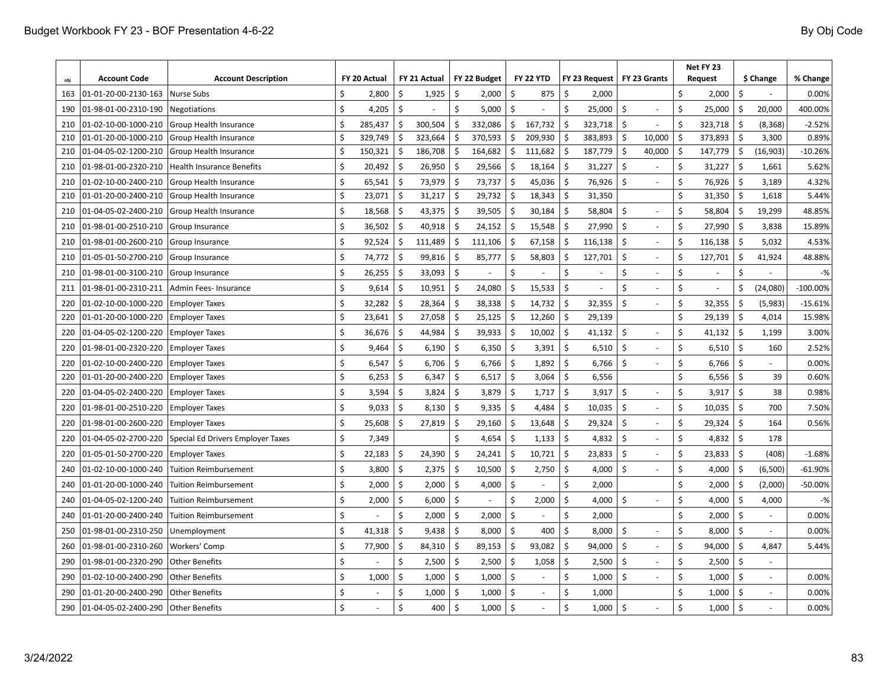| obi | <b>Account Code</b>  | <b>Account Description</b>        |    | FY 20 Actual |                           | FY 21 Actual |         | FY 22 Budget |    | <b>FY 22 YTD</b> |                    | FY 23 Request |                    | FY 23 Grants   |                    | Net FY 23<br><b>Request</b> |                    | \$ Change | % Change   |
|-----|----------------------|-----------------------------------|----|--------------|---------------------------|--------------|---------|--------------|----|------------------|--------------------|---------------|--------------------|----------------|--------------------|-----------------------------|--------------------|-----------|------------|
| 163 | 01-01-20-00-2130-163 | <b>Nurse Subs</b>                 | Ś  | 2,800        | \$                        | 1,925        | \$      | 2,000        | Ś  | 875              | \$                 | 2,000         |                    |                | Ś                  | 2,000                       | Ś                  |           | 0.00%      |
| 190 | 01-98-01-00-2310-190 | Negotiations                      | Ś  | 4,205        | Ś.                        |              | Ś.      | 5,000        | Ś  |                  | Ś.                 | 25,000        | \$                 |                | \$                 | 25,000                      | \$                 | 20,000    | 400.00%    |
| 210 | 01-02-10-00-1000-210 | Group Health Insurance            | \$ | 285,437      | $\mathsf{\hat{S}}$        | 300,504      | \$      | 332,086      | \$ | 167,732          | \$                 | 323,718       | $\mathsf{\hat{S}}$ |                | $\mathsf{\hat{S}}$ | 323,718                     | \$                 | (8, 368)  | $-2.52%$   |
| 210 | 01-01-20-00-1000-210 | Group Health Insurance            | Ś  | 329,749      | \$                        | 323,664      | \$      | 370,593      | Ŝ. | 209,930          | Ś.                 | 383,893       | $\zeta$            | 10,000         | \$                 | 373,893                     | Ś                  | 3,300     | 0.89%      |
| 210 | 01-04-05-02-1200-210 | <b>Group Health Insurance</b>     | \$ | 150,321      | \$                        | 186,708      | $\zeta$ | 164,682      | \$ | 111,682          | \$                 | 187,779       | $\zeta$            | 40,000         | \$                 | 147,779                     | -\$                | (16, 903) | $-10.26%$  |
| 210 | 01-98-01-00-2320-210 | <b>Health Insurance Benefits</b>  | Ś  | 20,492       | \$                        | 26,950       | Ŝ.      | 29,566       | Ś. | 18,164           | Ŝ.                 | 31,227        | \$                 |                | Ŝ.                 | 31,227                      | -\$                | 1,661     | 5.62%      |
| 210 | 01-02-10-00-2400-210 | Group Health Insurance            | \$ | 65,541       | $\mathsf{\hat{S}}$        | 73,979       | $\zeta$ | 73,737       | \$ | 45,036           | \$                 | 76,926        | Ś                  |                | \$                 | 76,926                      | -\$                | 3,189     | 4.32%      |
| 210 | 01-01-20-00-2400-210 | <b>Group Health Insurance</b>     | Ś  | 23,071       | $\mathsf{\hat{S}}$        | 31,217       | \$      | 29,732       | \$ | 18,343           | $\mathsf{\hat{S}}$ | 31,350        |                    |                | $\mathsf{\hat{S}}$ | 31,350                      | -\$                | 1,618     | 5.44%      |
| 210 | 01-04-05-02-2400-210 | Group Health Insurance            | Ś  | 18,568       | \$                        | 43,375       | -\$     | 39,505       | Ś  | 30,184           | Ŝ.                 | 58,804        | \$                 |                | Ś.                 | 58,804                      | \$                 | 19,299    | 48.85%     |
| 210 | 01-98-01-00-2510-210 | Group Insurance                   | \$ | 36,502       | \$                        | 40,918       | $\zeta$ | 24,152       | \$ | 15,548           | \$                 | 27,990        | \$                 |                | $\mathsf{\hat{S}}$ | 27,990                      | -\$                | 3,838     | 15.89%     |
| 210 | 01-98-01-00-2600-210 | Group Insurance                   | Ś  | 92,524       | \$                        | 111,489      | \$      | 111,106      | Ŝ  | 67,158           | Ŝ.                 | 116,138       | \$                 |                | \$                 | 116,138                     | -S                 | 5,032     | 4.53%      |
| 210 | 01-05-01-50-2700-210 | Group Insurance                   | Ś  | 74,772       | \$                        | 99,816       | \$      | 85,777       | Ś  | 58,803           | Ŝ.                 | 127,701       | \$                 |                | Ś.                 | 127,701                     | \$                 | 41,924    | 48.88%     |
| 210 | 01-98-01-00-3100-210 | <b>Group Insurance</b>            | \$ | 26,255       | $\mathsf{\hat{S}}$        | 33,093       | $\zeta$ |              | \$ |                  | \$                 |               | \$                 | $\sim$         | \$                 | $\sim$                      | \$                 |           | $-$ %      |
| 211 | 01-98-01-00-2310-211 | Admin Fees- Insurance             | Ś  | 9,614        | $\mathsf{\hat{S}}$        | 10,951       | \$      | 24,080       | Ś  | 15,533           | \$                 |               | Ś                  |                | \$                 | $\sim$                      | Ś                  | (24,080)  | $-100.00%$ |
| 220 | 01-02-10-00-1000-220 | <b>Employer Taxes</b>             | Ś  | 32,282       | $\mathsf{\hat{S}}$        | 28,364       | \$      | 38,338       | \$ | 14,732           | $\mathsf{\hat{S}}$ | 32,355        | \$                 |                | \$                 | 32,355                      | \$                 | (5,983)   | $-15.61%$  |
| 220 | 01-01-20-00-1000-220 | <b>Employer Taxes</b>             | Ś  | 23,641       | \$                        | 27,058       | \$      | 25,125       | \$ | 12,260           | \$                 | 29,139        |                    |                | \$                 | 29,139                      | \$                 | 4,014     | 15.98%     |
| 220 | 01-04-05-02-1200-220 | <b>Employer Taxes</b>             | \$ | 36,676       | $\mathsf{\hat{S}}$        | 44,984       | \$      | 39,933       | Ŝ  | 10,002           | \$                 | 41,132        | \$                 |                | \$                 | 41,132                      | \$                 | 1,199     | 3.00%      |
| 220 | 01-98-01-00-2320-220 | <b>Employer Taxes</b>             | Ś  | 9,464        | Ś.                        | 6,190        | \$      | 6,350        | \$ | 3,391            | Ŝ.                 | 6,510         | \$                 |                | Ś.                 | 6,510                       | -\$                | 160       | 2.52%      |
| 220 | 01-02-10-00-2400-220 | <b>Employer Taxes</b>             | Ś. | 6,547        | $\mathsf{\hat{S}}$        | 6,706        | \$      | 6,766        | \$ | 1,892            | \$                 | 6,766         | \$                 |                | \$                 | 6,766                       | \$                 |           | 0.00%      |
| 220 | 01-01-20-00-2400-220 | <b>Employer Taxes</b>             | \$ | 6,253        | $\boldsymbol{\mathsf{S}}$ | 6,347        | \$      | 6,517        | \$ | 3,064            | \$                 | 6,556         |                    |                | \$                 | 6,556                       | \$                 | 39        | 0.60%      |
| 220 | 01-04-05-02-2400-220 | <b>Employer Taxes</b>             | Ś  | 3,594        | $\boldsymbol{\mathsf{S}}$ | 3,824        | -\$     | 3,879        | \$ | 1,717            | \$                 | 3,917         | \$                 |                | \$                 | 3,917                       | -\$                | 38        | 0.98%      |
| 220 | 01-98-01-00-2510-220 | <b>Employer Taxes</b>             | \$ | 9,033        | $\mathsf{\hat{S}}$        | 8,130        | \$      | 9,335        | \$ | 4,484            | \$                 | 10,035        | \$                 |                | \$                 | 10,035                      | \$                 | 700       | 7.50%      |
| 220 | 01-98-01-00-2600-220 | <b>Employer Taxes</b>             | \$ | 25,608       | Ś                         | 27,819       | $\zeta$ | 29,160       | \$ | 13,648           | \$                 | 29,324        | \$                 |                | \$                 | 29,324                      | $\zeta$            | 164       | 0.56%      |
| 220 | 01-04-05-02-2700-220 | Special Ed Drivers Employer Taxes | \$ | 7,349        |                           |              | \$      | 4,654        | Ś  | 1,133            | Ś.                 | 4,832         | \$                 |                | \$                 | 4,832                       | \$                 | 178       |            |
| 220 | 01-05-01-50-2700-220 | <b>Employer Taxes</b>             | \$ | 22,183       | \$                        | 24,390       | $\zeta$ | 24,241       | Ś  | 10,721           | \$                 | 23,833        | \$                 |                | \$                 | 23,833                      | \$                 | (408)     | $-1.68%$   |
| 240 | 01-02-10-00-1000-240 | Tuition Reimbursement             | Ś  | 3,800        | \$                        | 2,375        | \$      | 10,500       | Ś  | 2,750            | \$                 | 4,000         | \$                 |                | \$                 | 4,000                       | \$                 | (6,500)   | $-61.90%$  |
| 240 | 01-01-20-00-1000-240 | <b>Tuition Reimbursement</b>      | \$ | 2,000        | \$                        | 2,000        | \$      | 4,000        | \$ |                  | \$                 | 2,000         |                    |                | \$                 | 2,000                       | \$                 | (2,000)   | $-50.00%$  |
| 240 | 01-04-05-02-1200-240 | <b>Tuition Reimbursement</b>      | Ś  | 2,000        | \$                        | 6,000        | Ś       |              | Ś  | 2,000            | Ś.                 | 4,000         | \$                 | $\overline{a}$ | Ś                  | 4,000                       | \$                 | 4,000     | $-$ %      |
| 240 | 01-01-20-00-2400-240 | <b>Tuition Reimbursement</b>      | Ś. |              | \$                        | 2,000        | Ŝ.      | 2,000        | Ś. |                  | Ś.                 | 2,000         |                    |                | Ś.                 | 2,000                       | Ś.                 |           | 0.00%      |
| 250 | 01-98-01-00-2310-250 | Unemployment                      | Ś  | 41,318       | \$                        | 9,438        | \$      | 8,000        | \$ | 400              | \$                 | 8,000         | \$                 |                | \$                 | 8,000                       | \$                 |           | 0.00%      |
| 260 | 01-98-01-00-2310-260 | Workers' Comp                     | Ś  | 77,900       | \$                        | 84,310       | \$      | 89,153       | \$ | 93,082           | Ŝ.                 | 94,000        | \$                 |                | \$                 | 94,000                      | Ś                  | 4,847     | 5.44%      |
| 290 | 01-98-01-00-2320-290 | <b>Other Benefits</b>             | \$ |              | \$                        | 2,500        | \$      | 2,500        | \$ | 1,058            | \$                 | 2,500         | \$                 |                | \$                 | 2,500                       | \$                 |           |            |
| 290 | 01-02-10-00-2400-290 | <b>Other Benefits</b>             | \$ | 1,000        | \$                        | 1,000        | \$      | 1,000        | \$ |                  | \$                 | 1,000         | \$                 |                | \$                 | 1,000                       | \$                 |           | 0.00%      |
| 290 | 01-01-20-00-2400-290 | <b>Other Benefits</b>             | Ś  |              | \$                        | 1,000        | Ś       | 1,000        | \$ |                  | \$                 | 1,000         |                    |                | Ś                  | 1,000                       | \$                 |           | 0.00%      |
| 290 | 01-04-05-02-2400-290 | <b>Other Benefits</b>             | Ś  |              | \$                        | 400          | $\zeta$ | 1,000        | \$ |                  | Ś.                 | 1,000         | \$                 |                | Ś                  | 1,000                       | $\mathsf{\hat{S}}$ |           | 0.00%      |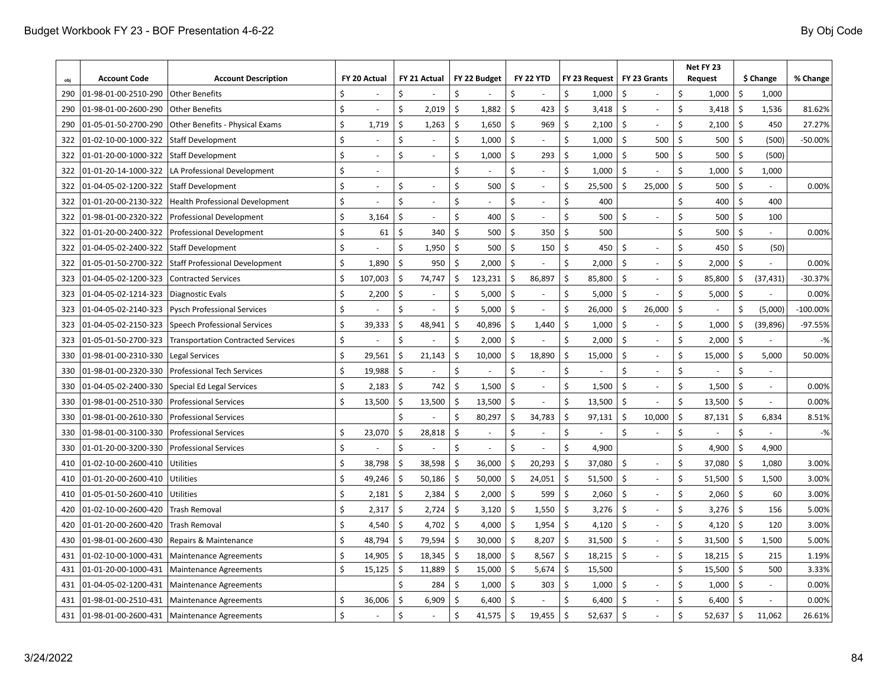|     | <b>Account Code</b>  | <b>Account Description</b>                |    | FY 20 Actual             |    | FY 21 Actual             |         | FY 22 Budget |                     | <b>FY 22 YTD</b> |                           | FY 23 Request |                    | FY 23 Grants |         | Net FY 23<br><b>Request</b> |                     | \$ Change | % Change   |
|-----|----------------------|-------------------------------------------|----|--------------------------|----|--------------------------|---------|--------------|---------------------|------------------|---------------------------|---------------|--------------------|--------------|---------|-----------------------------|---------------------|-----------|------------|
| 290 | 01-98-01-00-2510-290 | <b>Other Benefits</b>                     | Ś  |                          | \$ |                          | \$      |              | Ś                   |                  | \$                        | 1,000         | \$                 |              | \$      | 1,000                       | Ś.                  | 1,000     |            |
| 290 | 01-98-01-00-2600-290 | <b>Other Benefits</b>                     | Ś  |                          | \$ | 2,019                    | $\zeta$ | 1,882        | \$                  | 423              | \$                        | 3,418         | $\mathsf{\hat{S}}$ |              | \$      | 3,418                       | \$                  | 1,536     | 81.62%     |
| 290 | 01-05-01-50-2700-290 | Other Benefits - Physical Exams           | \$ | 1,719                    | \$ | 1,263                    | Ŝ.      | 1,650        | \$                  | 969              | $\mathsf{\hat{S}}$        | 2,100         | \$                 |              | \$      | 2,100                       | \$                  | 450       | 27.27%     |
| 322 | 01-02-10-00-1000-322 | <b>Staff Development</b>                  | Ś  |                          | \$ |                          | \$      | 1,000        | \$                  |                  | Ś.                        | 1,000         | \$                 | 500          | Ś.      | 500                         | \$                  | (500)     | $-50.00%$  |
| 322 | 01-01-20-00-1000-322 | Staff Development                         | \$ |                          | \$ |                          | \$      | 1,000        | \$                  | 293              | \$                        | 1,000         | \$                 | 500          | \$      | 500                         | \$                  | (500)     |            |
| 322 | 01-01-20-14-1000-322 | LA Professional Development               | \$ | $\sim$                   |    |                          | \$      |              | \$                  |                  | \$                        | 1,000         | $\zeta$            |              | \$      | 1,000                       | \$                  | 1,000     |            |
| 322 | 01-04-05-02-1200-322 | <b>Staff Development</b>                  | \$ | $\overline{\phantom{a}}$ | Ś  | $\overline{\phantom{a}}$ | Ś       | 500          | \$                  |                  | \$                        | 25,500        | Ś.                 | 25,000       | \$      | 500                         | \$                  |           | 0.00%      |
| 322 | 01-01-20-00-2130-322 | <b>Health Professional Development</b>    | \$ |                          | Ś  | $\sim$                   | \$      |              | \$                  |                  | \$                        | 400           |                    |              | \$      | 400                         | \$                  | 400       |            |
| 322 | 01-98-01-00-2320-322 | <b>Professional Development</b>           | \$ | 3,164                    | \$ | $\overline{\phantom{a}}$ | \$      | 400          | \$                  |                  | \$                        | 500           | \$                 |              | Ś       | 500                         | \$                  | 100       |            |
| 322 | 01-01-20-00-2400-322 | <b>Professional Development</b>           | Ś  | 61                       | Ś. | 340                      | Ŝ.      | 500          | \$                  | 350              | Ś                         | 500           |                    |              | Ś       | 500                         | \$                  |           | 0.00%      |
| 322 | 01-04-05-02-2400-322 | <b>Staff Development</b>                  | Ś  |                          | \$ | 1,950                    | Ś       | 500          | Ś.                  | 150              | \$                        | 450           | Ś                  |              | \$      | 450                         | \$                  | (50)      |            |
| 322 | 01-05-01-50-2700-322 | <b>Staff Professional Development</b>     | \$ | 1,890                    | \$ | 950                      | $\zeta$ | 2,000        | \$                  |                  | \$                        | 2,000         | \$                 |              | \$      | 2,000                       | Ś                   |           | 0.00%      |
| 323 | 01-04-05-02-1200-323 | <b>Contracted Services</b>                | \$ | 107,003                  | \$ | 74,747                   | $\zeta$ | 123,231      | \$                  | 86,897           | \$                        | 85,800        | \$                 |              | \$      | 85,800                      | Ś                   | (37, 431) | $-30.37%$  |
| 323 | 01-04-05-02-1214-323 | <b>Diagnostic Evals</b>                   | \$ | 2,200                    | \$ |                          | \$      | 5,000        | \$                  |                  | \$                        | 5,000         | \$                 |              | \$      | 5,000                       | Ś                   |           | 0.00%      |
| 323 | 01-04-05-02-2140-323 | <b>Pysch Professional Services</b>        | \$ |                          | \$ | $\overline{\phantom{a}}$ | Ś       | 5,000        | \$                  |                  | \$                        | 26,000        | \$                 | 26,000       | \$      | $\sim$                      | Ś                   | (5,000)   | $-100.00%$ |
| 323 | 01-04-05-02-2150-323 | <b>Speech Professional Services</b>       | \$ | 39,333                   | \$ | 48,941                   | \$      | 40,896       | Ś                   | 1,440            | \$                        | 1,000         | Ś.                 |              | \$      | 1,000                       | Ś                   | (39, 896) | $-97.55%$  |
| 323 | 01-05-01-50-2700-323 | <b>Transportation Contracted Services</b> | \$ |                          | Ś  |                          | Ś       | 2,000        | \$                  |                  | \$                        | 2,000         | \$                 | $\sim$       | \$      | 2,000                       | Ś                   |           | $-$ %      |
| 330 | 01-98-01-00-2310-330 | <b>Legal Services</b>                     | \$ | 29,561                   | Ś  | 21,143                   | \$      | 10,000       | \$                  | 18,890           | \$                        | 15,000        | \$                 | ÷.           | \$      | 15,000                      | \$                  | 5,000     | 50.00%     |
| 330 | 01-98-01-00-2320-330 | <b>Professional Tech Services</b>         | Ś  | 19,988                   | \$ |                          | \$      |              | Ś                   |                  | Ś                         |               | Ś                  |              | \$      |                             | Ś                   |           |            |
| 330 | 01-04-05-02-2400-330 | Special Ed Legal Services                 | Ś  | 2,183                    | Ś. | 742                      | Ŝ.      | 1,500        | Ś.                  |                  | \$                        | 1,500         | Ś.                 |              | Ś.      | 1,500                       | Ś.                  |           | 0.00%      |
| 330 | 01-98-01-00-2510-330 | <b>Professional Services</b>              | Ś  | 13,500                   | Ś. | 13,500                   | $\zeta$ | 13,500       | Ś.                  |                  | Ś                         | 13,500        | $\mathsf{\hat{S}}$ |              | \$      | 13,500                      | \$                  |           | 0.00%      |
| 330 | 01-98-01-00-2610-330 | <b>Professional Services</b>              |    |                          | Ś  |                          | Ś       | 80,297       | Ś                   | 34,783           | \$                        | 97,131        | \$                 | 10,000       | \$      | 87,131                      | \$                  | 6,834     | 8.51%      |
| 330 | 01-98-01-00-3100-330 | <b>Professional Services</b>              | \$ | 23,070                   | \$ | 28,818                   | $\zeta$ |              | \$                  |                  | \$                        |               | \$                 |              | \$      |                             | \$                  |           | $-$ %      |
| 330 | 01-01-20-00-3200-330 | <b>Professional Services</b>              | \$ |                          | \$ |                          | \$      |              | Ś                   |                  | \$                        | 4,900         |                    |              | \$      | 4,900                       | \$                  | 4,900     |            |
| 410 | 01-02-10-00-2600-410 | Utilities                                 | \$ | 38,798                   | Ś. | 38,598                   | $\zeta$ | 36,000       | Ŝ.                  | 20,293           | \$                        | 37,080        | \$                 |              | \$      | 37,080                      | \$                  | 1,080     | 3.00%      |
| 410 | 01-01-20-00-2600-410 | Utilities                                 | \$ | 49,246                   | \$ | 50,186                   | $\zeta$ | 50,000       | $\mathsf{\hat{S}}$  | 24,051           | $\mathsf{\hat{S}}$        | 51,500        | $\zeta$            |              | \$      | 51,500                      | \$                  | 1,500     | 3.00%      |
| 410 | 01-05-01-50-2600-410 | Utilities                                 | \$ | 2,181                    | \$ | 2,384                    | -\$     | 2,000        | $\mathsf{\hat{S}}$  | 599              | $\mathsf{\hat{S}}$        | 2,060         | $\zeta$            |              | \$      | 2,060                       | \$                  | 60        | 3.00%      |
| 420 | 01-02-10-00-2600-420 | <b>Trash Removal</b>                      | \$ | 2,317                    | \$ | 2,724                    | Ŝ.      | 3,120        | $\mathsf{\hat{S}}$  | 1,550            | $\mathsf{\hat{S}}$        | 3,276         | \$                 |              | \$      | 3,276                       | \$                  | 156       | 5.00%      |
| 420 | 01-01-20-00-2600-420 | <b>Trash Removal</b>                      | Ś  | 4,540                    | \$ | 4,702                    | \$      | 4,000        | \$                  | 1,954            | \$                        | 4,120         | \$                 |              | \$      | 4,120                       | \$                  | 120       | 3.00%      |
| 430 | 01-98-01-00-2600-430 | Repairs & Maintenance                     | \$ | 48,794                   | Ś. | 79,594                   | $\zeta$ | 30,000       | $\ddot{\mathsf{S}}$ | 8,207            | Ŝ.                        | 31,500        | Ś.                 |              | \$      | 31,500                      | \$                  | 1,500     | 5.00%      |
| 431 | 01-02-10-00-1000-431 | <b>Maintenance Agreements</b>             | \$ | 14,905                   | \$ | 18,345                   | $\zeta$ | 18,000       | \$                  | 8,567            | \$                        | 18,215        | $\zeta$            |              | \$      | 18,215                      | $\zeta$             | 215       | 1.19%      |
| 431 | 01-01-20-00-1000-431 | <b>Maintenance Agreements</b>             | Ś  | 15,125                   | \$ | 11,889                   | \$      | 15,000       | \$                  | 5,674            | \$                        | 15,500        |                    |              | \$      | 15,500                      | $\ddot{\mathsf{S}}$ | 500       | 3.33%      |
| 431 | 01-04-05-02-1200-431 | <b>Maintenance Agreements</b>             |    |                          | Ś  | 284                      | Ŝ.      | 1,000        | \$                  | 303              | \$                        | 1,000         | \$                 |              | Ś.      | 1,000                       | \$                  |           | 0.00%      |
| 431 | 01-98-01-00-2510-431 | <b>Maintenance Agreements</b>             | \$ | 36,006                   | \$ | 6,909                    | $\zeta$ | 6,400        | $\zeta$             |                  | \$                        | 6,400         | $\mathsf{\hat{S}}$ |              | \$      | 6,400                       | \$                  |           | 0.00%      |
| 431 | 01-98-01-00-2600-431 | Maintenance Agreements                    | Ś  |                          | \$ |                          | \$      | 41,575       | $\zeta$             | 19,455           | $\boldsymbol{\mathsf{S}}$ | 52,637        | Ŝ.                 |              | $\zeta$ | 52,637                      | \$                  | 11,062    | 26.61%     |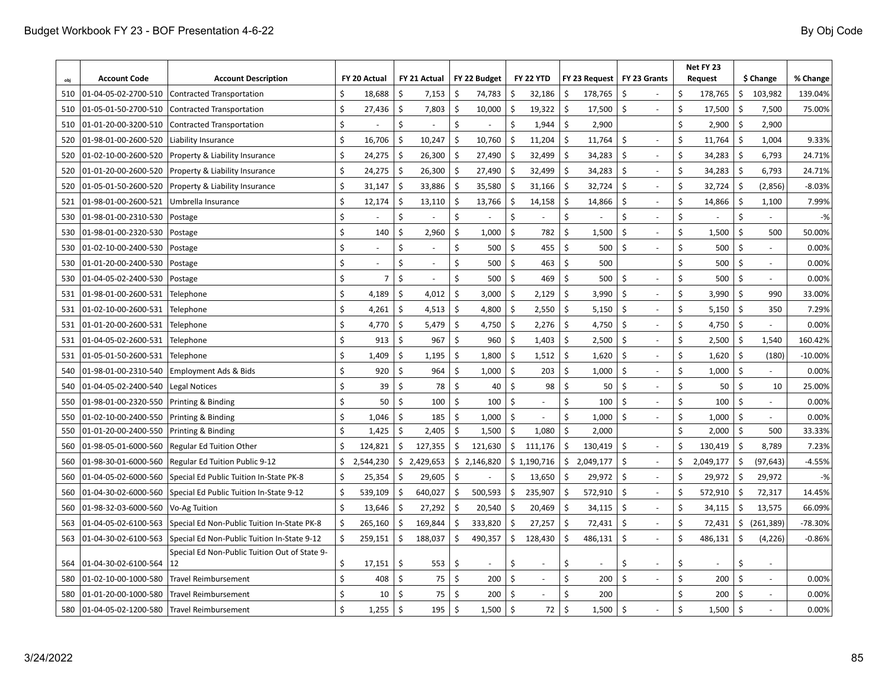|            | <b>Account Code</b>  | <b>Account Description</b>                    |    | FY 20 Actual   |                           | FY 21 Actual   |         | FY 22 Budget |                    | <b>FY 22 YTD</b>         |                    | FY 23 Request   |                    | FY 23 Grants             | Net FY 23<br><b>Request</b> |                 |         | \$ Change  | % Change  |
|------------|----------------------|-----------------------------------------------|----|----------------|---------------------------|----------------|---------|--------------|--------------------|--------------------------|--------------------|-----------------|--------------------|--------------------------|-----------------------------|-----------------|---------|------------|-----------|
| obi<br>510 | 01-04-05-02-2700-510 | Contracted Transportation                     | Ś. | 18,688         | Ś.                        | 7,153          | \$      | 74,783       | \$                 | 32,186                   | Ŝ.                 | 178,765         | \$                 |                          | Ś                           | 178,765         | \$      | 103,982    | 139.04%   |
| 510        | 01-05-01-50-2700-510 | Contracted Transportation                     | \$ | 27,436         | \$                        | 7,803          | \$      | 10,000       | \$                 | 19,322                   | \$                 | 17,500          | \$                 |                          | Ś                           | 17,500          | \$      | 7,500      | 75.00%    |
|            | 01-01-20-00-3200-510 | Contracted Transportation                     | \$ |                | \$                        |                | \$      |              | \$                 |                          | Ś.                 |                 |                    |                          | Ś                           |                 | \$      | 2,900      |           |
| 510<br>520 | 01-98-01-00-2600-520 | Liability Insurance                           | \$ | 16,706         | \$                        | 10,247         | $\zeta$ | 10,760       | \$                 | 1,944<br>11,204          | \$                 | 2,900<br>11,764 | \$                 |                          | \$                          | 2,900<br>11,764 | $\zeta$ | 1,004      | 9.33%     |
|            |                      |                                               | \$ |                | Ŝ.                        |                | \$      | 27,490       | \$                 |                          | Ŝ.                 |                 | Ŝ.                 |                          | \$                          | 34,283          | $\zeta$ |            |           |
| 520        | 01-02-10-00-2600-520 | Property & Liability Insurance                |    | 24,275         |                           | 26,300         |         |              |                    | 32,499                   |                    | 34,283          |                    |                          |                             |                 |         | 6,793      | 24.71%    |
| 520        | 01-01-20-00-2600-520 | Property & Liability Insurance                | \$ | 24,275         | $\mathsf{\hat{S}}$        | 26,300         | \$      | 27,490       | \$                 | 32,499                   | \$                 | 34,283          | \$                 |                          | \$                          | 34,283          | $\zeta$ | 6,793      | 24.71%    |
| 520        | 01-05-01-50-2600-520 | Property & Liability Insurance                | \$ | 31,147         | \$                        | 33,886         | \$      | 35,580       | -\$                | 31,166                   | Ŝ.                 | 32,724          | $\mathsf{\hat{S}}$ |                          | \$                          | 32,724          | $\zeta$ | (2,856)    | $-8.03%$  |
| 521        | 01-98-01-00-2600-521 | Umbrella Insurance                            | \$ | 12,174         | \$                        | 13,110         | \$      | 13,766       | Ś.                 | 14,158                   | \$                 | 14,866          | \$                 |                          | \$                          | 14,866          | \$      | 1,100      | 7.99%     |
| 530        | 01-98-01-00-2310-530 | Postage                                       | \$ |                | \$                        |                | \$      |              | \$                 |                          | \$                 |                 | \$                 |                          | \$                          |                 | \$      |            | $-$ %     |
| 530        | 01-98-01-00-2320-530 | Postage                                       | \$ | 140            | \$                        | 2,960          | \$      | 1,000        | \$                 | 782                      | \$                 | 1,500           | \$                 | $\overline{\phantom{a}}$ | \$                          | 1,500           | $\zeta$ | 500        | 50.00%    |
| 530        | 01-02-10-00-2400-530 | Postage                                       | \$ | ä,             | \$                        | $\blacksquare$ | Ś       | 500          | \$                 | 455                      | \$                 | 500             | \$                 | ÷,                       | \$                          | 500             | $\zeta$ | $\sim$     | 0.00%     |
| 530        | 01-01-20-00-2400-530 | Postage                                       | \$ | $\blacksquare$ | Ś                         | $\sim$         | Ś       | 500          | \$                 | 463                      | \$                 | 500             |                    |                          | \$                          | 500             | $\zeta$ | $\sim$     | 0.00%     |
| 530        | 01-04-05-02-2400-530 | Postage                                       | Ś. | 7              | Ŝ.                        | $\sim$         | Ś       | 500          | Ś.                 | 469                      | Ŝ.                 | 500             | \$                 | ÷,                       | \$                          | 500             | \$      |            | 0.00%     |
| 531        | 01-98-01-00-2600-531 | Telephone                                     | Ś  | 4,189          | \$                        | 4,012          | Ś       | 3,000        | \$                 | 2,129                    | \$                 | 3,990           | \$                 |                          | \$                          | 3,990           | $\zeta$ | 990        | 33.00%    |
| 531        | 01-02-10-00-2600-531 | Telephone                                     | Ś  | 4,261          | \$                        | 4,513          | Ŝ       | 4,800        | -S                 | 2,550                    | \$                 | 5,150           | \$                 |                          | \$                          | 5,150           | \$      | 350        | 7.29%     |
| 531        | 01-01-20-00-2600-531 | Telephone                                     | \$ | 4,770          | \$                        | 5,479          | \$      | 4,750        | \$                 | 2,276                    | \$                 | 4,750           | \$                 |                          | \$                          | 4,750           | \$      |            | 0.00%     |
| 531        | 01-04-05-02-2600-531 | Telephone                                     | \$ | 913            | \$                        | 967            | \$      | 960          | -\$                | 1,403                    | \$                 | 2,500           | \$                 | $\overline{\phantom{a}}$ | Ś                           | 2,500           | \$      | 1,540      | 160.42%   |
| 531        | 01-05-01-50-2600-531 | Telephone                                     | \$ | 1,409          | \$                        | 1,195          | \$      | 1,800        | \$                 | 1,512                    | \$                 | 1,620           | \$                 | ÷,                       | \$                          | 1,620           | \$      | (180)      | $-10.00%$ |
| 540        | 01-98-01-00-2310-540 | Employment Ads & Bids                         | \$ | 920            | \$                        | 964            | \$      | 1,000        | $\zeta$            | 203                      | \$                 | 1,000           | $\mathsf{\hat{S}}$ |                          | \$                          | 1,000           | $\zeta$ |            | 0.00%     |
| 540        | 01-04-05-02-2400-540 | <b>Legal Notices</b>                          | \$ | 39             | $\mathsf{\hat{S}}$        | 78             | \$      | 40           | $\mathsf{\hat{S}}$ | 98                       | \$                 | 50              | \$                 |                          | \$                          | 50              | $\zeta$ | 10         | 25.00%    |
| 550        | 01-98-01-00-2320-550 | Printing & Binding                            | Ś  | 50             | $\boldsymbol{\mathsf{S}}$ | 100            | \$      | 100          | \$                 |                          | \$                 | 100             | \$                 |                          | \$                          | 100             | $\zeta$ |            | 0.00%     |
| 550        | 01-02-10-00-2400-550 | Printing & Binding                            | \$ | 1,046          | \$                        | 185            | \$      | 1,000        | \$                 |                          | \$                 | 1,000           | \$                 |                          | \$                          | 1,000           | \$      |            | 0.00%     |
| 550        | 01-01-20-00-2400-550 | Printing & Binding                            | \$ | 1,425          | \$                        | 2,405          | \$      | 1,500        | \$                 | 1,080                    | \$                 | 2,000           |                    |                          | \$                          | 2,000           | \$      | 500        | 33.33%    |
| 560        | 01-98-05-01-6000-560 | <b>Regular Ed Tuition Other</b>               | \$ | 124,821        | \$                        | 127,355        | \$      | 121,630      | \$                 | 111,176                  | Ś.                 | 130,419         | \$                 |                          |                             | 130,419         | $\zeta$ | 8,789      | 7.23%     |
| 560        | 01-98-30-01-6000-560 | Regular Ed Tuition Public 9-12                | Ś. | 2,544,230      |                           | \$2,429,653    |         | \$2,146,820  |                    | \$1,190,716              | \$                 | 2,049,177       | \$                 | $\overline{a}$           | Ŝ                           | 2,049,177       | \$      | (97, 643)  | $-4.55%$  |
| 560        | 01-04-05-02-6000-560 | Special Ed Public Tuition In-State PK-8       | Ś. | 25,354         | Ś.                        | 29,605         | \$      |              | Ś                  | 13,650                   | \$                 | 29,972          | \$                 | $\overline{\phantom{a}}$ | \$                          | 29,972          | Ś       | 29,972     | $-$ %     |
| 560        | 01-04-30-02-6000-560 | Special Ed Public Tuition In-State 9-12       | \$ | 539,109        | \$                        | 640,027        | \$      | 500,593      | \$                 | 235,907                  | \$                 | 572,910         | \$                 | $\sim$                   | \$                          | 572,910         | \$      | 72,317     | 14.45%    |
| 560        | 01-98-32-03-6000-560 | Vo-Ag Tuition                                 | Ś  | 13,646         | \$                        | 27,292         | \$      | 20,540       | -S                 | 20,469                   | \$                 | 34,115          | $\mathsf{\hat{S}}$ | $\sim$                   | \$                          | 34,115          | $\zeta$ | 13,575     | 66.09%    |
| 563        | 01-04-05-02-6100-563 | Special Ed Non-Public Tuition In-State PK-8   | Ś. | 265,160        | Ś.                        | 169,844        | Ŝ.      | 333,820      | \$                 | 27,257                   | Ś.                 | 72,431          | Ś.                 | $\sim$                   | Ś.                          | 72,431          | \$      | (261, 389) | -78.30%   |
| 563        | 01-04-30-02-6100-563 | Special Ed Non-Public Tuition In-State 9-12   | \$ | 259,151        | \$                        | 188,037        | \$      | 490,357      | \$                 | 128,430                  | Ś.                 | 486,131         | $\mathsf{\hat{S}}$ | ÷.                       | \$                          | 486,131         | $\zeta$ | (4, 226)   | $-0.86%$  |
|            |                      | Special Ed Non-Public Tuition Out of State 9- |    |                |                           |                |         |              |                    |                          |                    |                 |                    |                          |                             |                 |         |            |           |
| 564        | 01-04-30-02-6100-564 | 12                                            | \$ | 17,151         | \$                        | 553            | \$      |              | Ś                  | $\overline{\phantom{a}}$ | \$                 |                 | \$                 |                          | \$                          |                 | \$      |            |           |
| 580        | 01-02-10-00-1000-580 | <b>Travel Reimbursement</b>                   | Ś  | 408            | $\boldsymbol{\mathsf{S}}$ | 75             | \$      | 200          | \$                 | $\sim$                   | \$                 | 200             | \$                 |                          | \$                          | 200             | $\zeta$ |            | 0.00%     |
| 580        | 01-01-20-00-1000-580 | <b>Travel Reimbursement</b>                   | Ś  | 10             | Ś.                        | 75             | \$      | 200          | \$                 |                          | Ś.                 | 200             |                    |                          | Ś.                          | 200             | $\zeta$ |            | 0.00%     |
| 580        | 01-04-05-02-1200-580 | Travel Reimbursement                          | Ś. | 1,255          | $\zeta$                   | 195            | $\zeta$ | 1,500        | $\mathsf{\hat{S}}$ | 72                       | $\mathsf{\hat{S}}$ | 1,500           | $\mathsf{\hat{S}}$ |                          | Ś                           | 1,500           | $\zeta$ |            | 0.00%     |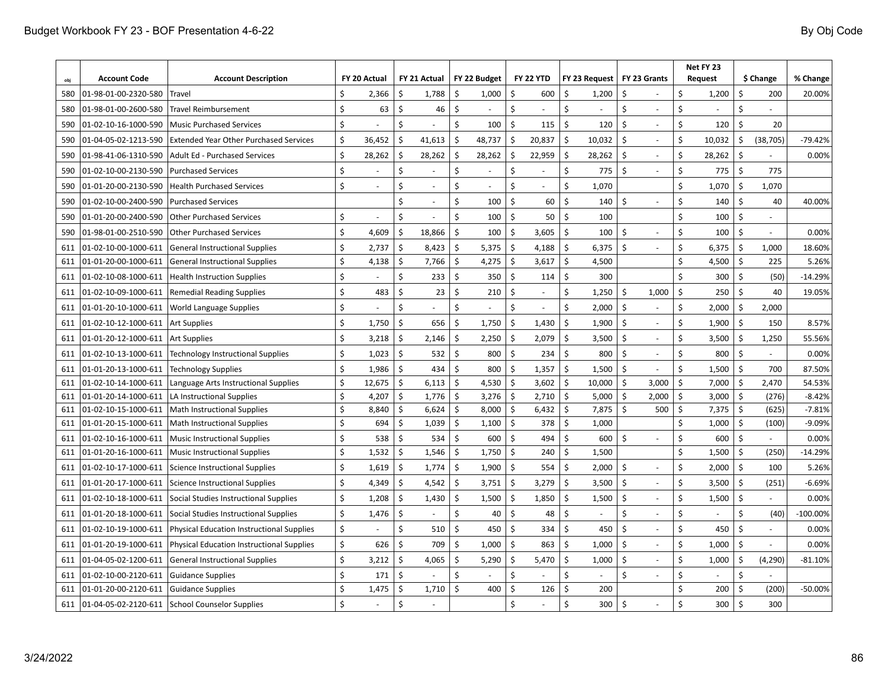| obi | <b>Account Code</b>  | <b>Account Description</b>                       |                    | FY 20 Actual |                           | FY 21 Actual             |    | FY 22 Budget |                    | <b>FY 22 YTD</b> |                           | FY 23 Request |                    | FY 23 Grants             | Net FY 23<br><b>Request</b> |        |                      | \$ Change | % Change   |
|-----|----------------------|--------------------------------------------------|--------------------|--------------|---------------------------|--------------------------|----|--------------|--------------------|------------------|---------------------------|---------------|--------------------|--------------------------|-----------------------------|--------|----------------------|-----------|------------|
| 580 | 01-98-01-00-2320-580 | <b>Travel</b>                                    | Ś                  | 2,366        | Ś.                        | 1,788                    | \$ | 1,000        | Ś                  | 600              | Ŝ.                        | 1,200         | \$                 |                          | Ś                           | 1,200  | \$                   | 200       | 20.00%     |
| 580 | 01-98-01-00-2600-580 | Travel Reimbursement                             | \$                 | 63           | \$                        | 46                       | \$ |              | \$                 |                  | \$                        |               | \$                 |                          | \$                          |        | \$                   |           |            |
|     | 01-02-10-16-1000-590 | <b>Music Purchased Services</b>                  | Ś                  |              | \$                        |                          | \$ | 100          | Ś                  | 115              | \$                        | 120           | \$                 | ÷.                       | \$                          | 120    | $\zeta$              | 20        |            |
| 590 |                      |                                                  | \$                 |              | \$                        |                          | \$ | 48,737       | \$                 | 20,837           | \$                        |               | \$                 |                          | \$                          | 10,032 | $\zeta$              |           | $-79.42%$  |
| 590 | 01-04-05-02-1213-590 | <b>Extended Year Other Purchased Services</b>    |                    | 36,452       |                           | 41,613                   |    |              |                    |                  |                           | 10,032        |                    |                          |                             |        |                      | (38, 705) |            |
| 590 | 01-98-41-06-1310-590 | Adult Ed - Purchased Services                    | \$                 | 28,262       | \$                        | 28,262                   | \$ | 28,262       | \$                 | 22,959           | \$                        | 28,262        | \$                 |                          | \$                          | 28,262 | $\boldsymbol{\zeta}$ |           | 0.00%      |
| 590 | 01-02-10-00-2130-590 | <b>Purchased Services</b>                        | Ś                  |              | \$                        |                          | \$ |              | \$                 |                  | \$                        | 775           | Ś                  |                          | \$                          | 775    | $\zeta$              | 775       |            |
| 590 | 01-01-20-00-2130-590 | <b>Health Purchased Services</b>                 | \$                 |              | \$                        |                          | Ś  |              | Ś                  |                  | \$                        | 1,070         |                    |                          | \$                          | 1,070  | \$                   | 1,070     |            |
| 590 | 01-02-10-00-2400-590 | <b>Purchased Services</b>                        |                    |              | \$                        | $\overline{\phantom{a}}$ | Ś  | 100          | \$                 | 60               | \$                        | 140           | Ś                  | $\overline{\phantom{a}}$ | \$                          | 140    | $\zeta$              | 40        | 40.00%     |
| 590 | 01-01-20-00-2400-590 | <b>Other Purchased Services</b>                  | Ś                  | L,           | Ś                         | ä,                       | Ś  | 100          | Ś                  | 50               | Ś.                        | 100           |                    |                          | Ś                           | 100    | Ś                    |           |            |
| 590 | 01-98-01-00-2510-590 | <b>Other Purchased Services</b>                  | Ś                  | 4,609        | \$                        | 18,866                   | Ś  | 100          | \$                 | 3,605            | \$                        | 100           | \$                 | L.                       | \$                          | 100    | $\zeta$              |           | 0.00%      |
| 611 | 01-02-10-00-1000-611 | <b>General Instructional Supplies</b>            | Ś                  | 2,737        | \$                        | 8,423                    | Ś  | 5,375        | \$                 | 4,188            | \$                        | 6,375         | \$                 |                          | \$                          | 6,375  | $\zeta$              | 1,000     | 18.60%     |
| 611 | 01-01-20-00-1000-611 | <b>General Instructional Supplies</b>            | Ś                  | 4,138        | \$                        | 7,766                    | \$ | 4,275        | \$                 | 3,617            | Ś.                        | 4,500         |                    |                          | Ś                           | 4,500  | $\zeta$              | 225       | 5.26%      |
| 611 | 01-02-10-08-1000-611 | <b>Health Instruction Supplies</b>               | Ś                  |              | Ś                         | 233                      | Ś  | 350          | \$                 | 114              | \$                        | 300           |                    |                          | \$                          | 300    | $\zeta$              | (50)      | $-14.29%$  |
| 611 | 01-02-10-09-1000-611 | <b>Remedial Reading Supplies</b>                 | Ś                  | 483          | \$                        | 23                       | Ś  | 210          | Ś                  |                  | \$                        | 1,250         | \$                 | 1,000                    | \$                          | 250    | $\zeta$              | 40        | 19.05%     |
| 611 | 01-01-20-10-1000-611 | <b>World Language Supplies</b>                   | \$                 |              | \$                        |                          | Ś  |              | Ś                  |                  | Ś.                        | 2,000         | \$                 |                          | \$                          | 2,000  | \$                   | 2,000     |            |
| 611 | 01-02-10-12-1000-611 | Art Supplies                                     | \$                 | 1,750        | \$                        | 656                      | \$ | 1,750        | Ś                  | 1,430            | \$                        | 1,900         | \$                 | $\overline{\phantom{a}}$ | \$                          | 1,900  | \$                   | 150       | 8.57%      |
| 611 | 01-01-20-12-1000-611 | <b>Art Supplies</b>                              | \$                 | 3,218        | \$                        | 2,146                    | \$ | 2,250        | \$                 | 2,079            | \$                        | 3,500         | \$                 | $\sim$                   | \$                          | 3,500  | \$                   | 1,250     | 55.56%     |
| 611 | 01-02-10-13-1000-611 | Technology Instructional Supplies                | Ś                  | 1,023        | \$                        | 532                      | \$ | 800          | Ś.                 | 234              | Ś.                        | 800           | Ś.                 |                          | \$                          | 800    | $\zeta$              |           | 0.00%      |
| 611 | 01-01-20-13-1000-611 | <b>Technology Supplies</b>                       | Ś                  | 1,986        | \$                        | 434                      | Ś. | 800          | Ś                  | 1,357            | \$                        | 1,500         | \$                 |                          | \$                          | 1,500  | \$                   | 700       | 87.50%     |
| 611 | 01-02-10-14-1000-611 | Language Arts Instructional Supplies             | Ś                  | 12,675       | \$                        | 6,113                    | \$ | 4,530        | $\mathsf{\hat{S}}$ | 3,602            | $\mathsf{\dot{S}}$        | 10,000        | $\mathsf{\hat{S}}$ | 3,000                    | Ś                           | 7,000  | $\zeta$              | 2,470     | 54.53%     |
| 611 | 01-01-20-14-1000-611 | LA Instructional Supplies                        | Ś                  | 4,207        | \$                        | 1,776                    | \$ | 3,276        | \$                 | 2,710            | \$                        | 5,000         | \$                 | 2,000                    | \$                          | 3,000  | \$                   | (276)     | $-8.42%$   |
| 611 | 01-02-10-15-1000-611 | <b>Math Instructional Supplies</b>               | Ś                  | 8,840        | \$                        | 6,624                    | Ś  | 8,000        | \$                 | 6,432            | \$                        | 7,875         | \$                 | 500                      | \$                          | 7,375  | \$                   | (625)     | $-7.81%$   |
| 611 | 01-01-20-15-1000-611 | <b>Math Instructional Supplies</b>               | Ś                  | 694          | Ś.                        | 1,039                    | \$ | 1,100        | \$                 | 378              | Ś.                        | 1,000         |                    |                          | Ś                           | 1,000  | $\boldsymbol{\zeta}$ | (100)     | $-9.09%$   |
| 611 | 01-02-10-16-1000-611 | <b>Music Instructional Supplies</b>              | Ś                  | 538          | Ś.                        | 534                      | Ś  | 600          | Ś.                 | 494              | Ś.                        | 600           | \$                 |                          | \$                          | 600    | $\dot{\mathsf{S}}$   |           | 0.00%      |
| 611 | 01-01-20-16-1000-611 | <b>Music Instructional Supplies</b>              | Ś                  | 1,532        | Ś.                        | 1,546                    | \$ | 1,750        | \$                 | 240              | \$                        | 1,500         |                    |                          | \$                          | 1,500  | $\zeta$              | (250)     | $-14.29%$  |
| 611 | 01-02-10-17-1000-611 | Science Instructional Supplies                   | Ś                  | 1,619        | Ś.                        | 1,774                    | Ś  | 1,900        | Ś.                 | 554              | Ś.                        | 2,000         | Ś.                 | ÷.                       | \$                          | 2,000  | Ś                    | 100       | 5.26%      |
| 611 | 01-01-20-17-1000-611 | <b>Science Instructional Supplies</b>            | Ś                  | 4,349        | Ś.                        | 4,542                    | Ś  | 3,751        | Ś                  | 3,279            | $\boldsymbol{\mathsf{S}}$ | 3,500         | Ś.                 |                          | \$                          | 3,500  | Ś                    | (251)     | $-6.69%$   |
| 611 | 01-02-10-18-1000-611 | Social Studies Instructional Supplies            | Ś                  | 1,208        | \$                        | 1,430                    | \$ | 1,500        | Ś                  | 1,850            | \$                        | 1,500         | \$                 |                          | \$                          | 1,500  | $\zeta$              |           | 0.00%      |
| 611 | 01-01-20-18-1000-611 | Social Studies Instructional Supplies            | \$                 | 1,476        | $\boldsymbol{\mathsf{S}}$ |                          | \$ | 40           | \$                 | 48               | \$                        |               | \$                 | $\sim$                   | \$                          |        | $\zeta$              | (40)      | $-100.00%$ |
| 611 | 01-02-10-19-1000-611 | <b>Physical Education Instructional Supplies</b> | \$                 |              | \$                        | 510                      | \$ | 450          | $\zeta$            | 334              | \$                        | 450           | \$                 | $\overline{\phantom{a}}$ | \$                          | 450    | $\zeta$              |           | 0.00%      |
| 611 | 01-01-20-19-1000-611 | <b>Physical Education Instructional Supplies</b> | Ś.                 | 626          | Ś.                        | 709                      | \$ | 1,000        | \$                 | 863              | \$                        | 1,000         | \$                 |                          | \$                          | 1,000  | $\zeta$              |           | 0.00%      |
| 611 | 01-04-05-02-1200-611 | <b>General Instructional Supplies</b>            | Ś                  | 3,212        | \$                        | 4,065                    | \$ | 5,290        | \$                 | 5,470            | \$                        | 1,000         | \$                 |                          | \$                          | 1,000  | $\zeta$              | (4, 290)  | $-81.10%$  |
| 611 | 01-02-10-00-2120-611 | <b>Guidance Supplies</b>                         | Ś.                 | 171          | \$                        |                          | \$ |              | Ś.                 |                  | \$                        |               | \$                 |                          | \$                          |        | \$                   |           |            |
| 611 | 01-01-20-00-2120-611 | <b>Guidance Supplies</b>                         | $\zeta$            | 1,475        | \$                        | 1,710                    | Ś  | 400          | \$                 | 126              | \$                        | 200           |                    |                          | \$                          | 200    | \$                   | (200)     | $-50.00%$  |
| 611 | 01-04-05-02-2120-611 | <b>School Counselor Supplies</b>                 | $\mathsf{\hat{S}}$ |              | Ś.                        |                          |    |              | Ś.                 |                  | Ś.                        | 300           | Ś.                 |                          | Ś.                          | 300    | $\zeta$              | 300       |            |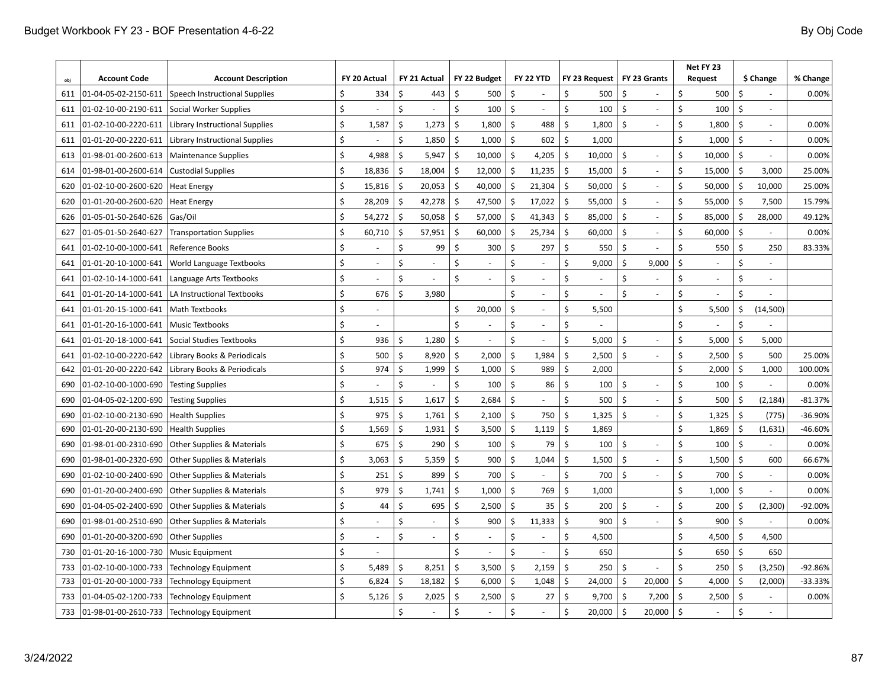| obi | <b>Account Code</b>  | <b>Account Description</b>            |         | FY 20 Actual             |                           | FY 21 Actual |                           | FY 22 Budget |         | <b>FY 22 YTD</b>         |                       | FY 23 Request            |                    | FY 23 Grants   |         | Net FY 23<br><b>Request</b> |                    | \$ Change      | % Change  |
|-----|----------------------|---------------------------------------|---------|--------------------------|---------------------------|--------------|---------------------------|--------------|---------|--------------------------|-----------------------|--------------------------|--------------------|----------------|---------|-----------------------------|--------------------|----------------|-----------|
| 611 | 01-04-05-02-2150-611 | Speech Instructional Supplies         | Ś       | 334                      | \$                        | 443          | \$                        | 500          | Ś       |                          | \$                    | 500                      | \$                 |                | \$      | 500                         | Ś                  |                | 0.00%     |
| 611 | 01-02-10-00-2190-611 | Social Worker Supplies                | $\zeta$ |                          | Ś.                        |              | Ś.                        | 100          | Ś       |                          | \$                    | 100                      | Ś.                 |                | \$      | 100                         | Ś                  |                |           |
| 611 | 01-02-10-00-2220-611 | Library Instructional Supplies        | \$      | 1,587                    | \$                        | 1,273        | \$                        | 1,800        | \$      | 488                      | \$                    | 1,800                    | \$                 |                | \$      | 1,800                       | \$                 |                | 0.00%     |
| 611 | 01-01-20-00-2220-611 | Library Instructional Supplies        | \$      |                          | \$                        | 1,850        | \$                        | 1,000        | \$      | 602                      | \$                    | 1,000                    |                    |                | \$      | 1,000                       | \$                 |                | 0.00%     |
| 613 | 01-98-01-00-2600-613 | <b>Maintenance Supplies</b>           | \$      | 4,988                    | Ś.                        | 5,947        | $\zeta$                   | 10,000       | \$      | 4,205                    | \$                    | 10,000                   | Ś.                 |                | \$      | 10,000                      | $\mathsf{\hat{S}}$ |                | 0.00%     |
| 614 | 01-98-01-00-2600-614 | <b>Custodial Supplies</b>             | \$      | 18,836                   | $\mathsf{\hat{S}}$        | 18,004       | $\zeta$                   | 12,000       | \$      | 11,235                   | $\mathsf{\hat{S}}$    | 15,000                   | $\mathsf{\hat{S}}$ |                | \$      | 15,000                      | -\$                | 3,000          | 25.00%    |
| 620 | 01-02-10-00-2600-620 | <b>Heat Energy</b>                    | \$      | 15,816                   | $\mathsf{\hat{S}}$        | 20,053       | \$                        | 40,000       | \$      | 21,304                   | $\mathsf{\hat{S}}$    | 50,000                   | \$                 |                | \$      | 50,000                      | \$                 | 10,000         | 25.00%    |
| 620 | 01-01-20-00-2600-620 | <b>Heat Energy</b>                    | \$      | 28,209                   | $\mathsf{\hat{S}}$        | 42,278       | -\$                       | 47,500       | \$      | 17,022                   | Ŝ.                    | 55,000                   | \$                 |                | \$      | 55,000                      | -\$                | 7,500          | 15.79%    |
| 626 | 01-05-01-50-2640-626 | Gas/Oil                               | \$      | 54,272                   | $\boldsymbol{\mathsf{S}}$ | 50,058       | $\zeta$                   | 57,000       | \$      | 41,343                   | \$                    | 85,000                   | \$                 |                | \$      | 85,000                      | \$                 | 28,000         | 49.12%    |
| 627 | 01-05-01-50-2640-627 | <b>Transportation Supplies</b>        | \$      | 60,710                   | \$                        | 57,951       | $\zeta$                   | 60,000       | Ś       | 25,734                   | \$                    | 60,000                   | \$                 |                | \$      | 60,000                      | \$                 |                | 0.00%     |
| 641 | 01-02-10-00-1000-641 | Reference Books                       | Ś       |                          | \$                        | 99           | Ŝ.                        | 300          | Ś       | 297                      | \$                    | 550                      | \$                 |                | Ś.      | 550                         | \$                 | 250            | 83.33%    |
| 641 | 01-01-20-10-1000-641 | World Language Textbooks              | \$      |                          | \$                        |              | $\zeta$                   |              | Ś.      |                          | \$                    | 9,000                    | \$                 | 9,000          | \$      |                             | \$                 |                |           |
| 641 | 01-02-10-14-1000-641 | Language Arts Textbooks               | \$      | $\blacksquare$           | \$                        | ٠            | \$                        |              | Ś       | $\overline{\phantom{a}}$ | \$                    | $\blacksquare$           | \$                 |                | Ś       | $\overline{\phantom{a}}$    | \$                 | $\blacksquare$ |           |
| 641 | 01-01-20-14-1000-641 | LA Instructional Textbooks            | Ś       | 676                      | \$                        | 3,980        |                           |              | Ś       | $\sim$                   | Ś.                    | $\overline{\phantom{a}}$ | Ś                  | ä,             | Ś       | $\sim$                      | \$                 |                |           |
| 641 | 01-01-20-15-1000-641 | Math Textbooks                        | Ś       |                          |                           |              | \$                        | 20,000       | \$      | $\overline{\phantom{a}}$ | \$                    | 5,500                    |                    |                | \$      | 5,500                       | \$                 | (14,500)       |           |
| 641 | 01-01-20-16-1000-641 | <b>Music Textbooks</b>                | \$      |                          |                           |              | \$                        |              | Ś       |                          | \$                    |                          |                    |                | \$      |                             | \$                 |                |           |
| 641 | 01-01-20-18-1000-641 | Social Studies Textbooks              | Ś       | 936                      | Ś                         | 1,280        | $\boldsymbol{\mathsf{S}}$ |              | Ś       |                          | Ś.                    | 5,000                    | Ś.                 |                | \$      | 5,000                       | Ś.                 | 5,000          |           |
| 641 | 01-02-10-00-2220-642 | Library Books & Periodicals           | Ś       | 500                      | \$                        | 8,920        | \$                        | 2,000        | \$      | 1,984                    | \$                    | 2,500                    | Ś                  |                | \$      | 2,500                       | Ś.                 | 500            | 25.00%    |
| 642 | 01-01-20-00-2220-642 | Library Books & Periodicals           | Ś       | 974                      | \$                        | 1,999        | $\zeta$                   | 1,000        | \$      | 989                      | Ś.                    | 2,000                    |                    |                | Ś.      | 2,000                       | \$                 | 1,000          | 100.00%   |
| 690 | 01-02-10-00-1000-690 | <b>Testing Supplies</b>               | Ś.      |                          | \$                        | L.           | Ś                         | 100          | \$      | 86                       | $\mathsf{\hat{S}}$    | 100                      | \$                 | $\overline{a}$ | \$      | 100                         | \$                 |                | 0.00%     |
| 690 | 01-04-05-02-1200-690 | <b>Testing Supplies</b>               | Ś       | 1,515                    | Ŝ.                        | 1,617        | \$                        | 2,684        | Ś.      |                          | \$                    | 500                      | Ś.                 |                | Ś       | 500                         | Ŝ.                 | (2, 184)       | $-81.37%$ |
| 690 | 01-02-10-00-2130-690 | <b>Health Supplies</b>                | Ś       | 975                      | \$                        | 1,761        | \$                        | 2,100        | \$      | 750                      | \$                    | 1,325                    | Ś                  |                | \$      | 1,325                       | Ś.                 | (775)          | -36.90%   |
| 690 | 01-01-20-00-2130-690 | <b>Health Supplies</b>                | Ś       | 1,569                    | \$                        | 1,931        | Ś                         | 3,500        | \$      | 1,119                    | Ś.                    | 1,869                    |                    |                | Ś.      | 1,869                       | \$                 | (1,631)        | -46.60%   |
| 690 | 01-98-01-00-2310-690 | Other Supplies & Materials            | Ś.      | 675                      | \$                        | 290          | Ś                         | 100          | \$      | 79                       | Ś.                    | 100                      | \$                 |                | Ś       | 100                         | \$                 |                | 0.00%     |
| 690 | 01-98-01-00-2320-690 | <b>Other Supplies &amp; Materials</b> | \$      | 3,063                    | $\mathsf{\hat{S}}$        | 5,359        | \$                        | 900          | $\zeta$ | 1,044                    | \$                    | 1,500                    | \$                 |                | \$      | 1,500                       | Ŝ.                 | 600            | 66.67%    |
| 690 | 01-02-10-00-2400-690 | <b>Other Supplies &amp; Materials</b> | Ś       | 251                      | \$                        | 899          | \$                        | 700          | Ś       |                          | \$                    | 700                      | Ś.                 |                | Ś       | 700                         | Ś                  |                | 0.00%     |
| 690 | 01-01-20-00-2400-690 | <b>Other Supplies &amp; Materials</b> | Ś       | 979                      | \$                        | 1,741        | \$                        | 1,000        | Ś       | 769                      | \$                    | 1,000                    |                    |                | \$      | 1,000                       | Ś                  |                | 0.00%     |
| 690 | 01-04-05-02-2400-690 | <b>Other Supplies &amp; Materials</b> | Ś       | 44                       | \$                        | 695          | \$                        | 2,500        | Ś       | 35                       | \$                    | 200                      | \$                 |                | \$      | 200                         | Ś                  | (2, 300)       | $-92.00%$ |
| 690 | 01-98-01-00-2510-690 | <b>Other Supplies &amp; Materials</b> | \$      |                          | \$                        | ٠            | \$                        | 900          | Ś       | 11,333                   | $\mathsf{\mathsf{S}}$ | 900                      | Ś                  |                | \$      | 900                         | $\zeta$            |                | 0.00%     |
| 690 | 01-01-20-00-3200-690 | <b>Other Supplies</b>                 | \$      | $\overline{\phantom{a}}$ | \$                        | ÷.           | Ś                         |              | \$      |                          | \$                    | 4,500                    |                    |                | Ś       | 4,500                       | \$                 | 4,500          |           |
| 730 | 01-01-20-16-1000-730 | <b>Music Equipment</b>                | Ś       |                          |                           |              | $\mathsf{\hat{S}}$        |              | Ś       |                          | \$                    | 650                      |                    |                | Ś.      | 650                         | -\$                | 650            |           |
| 733 | 01-02-10-00-1000-733 | <b>Technology Equipment</b>           | Ś       | 5,489                    | \$                        | 8,251        | Ś                         | 3,500        | \$      | 2,159                    | Ś.                    | 250                      | \$                 |                | Ś       | 250                         | Ś                  | (3, 250)       | $-92.86%$ |
| 733 | 01-01-20-00-1000-733 | <b>Technology Equipment</b>           | \$      | 6,824                    | \$                        | 18,182       | \$                        | 6,000        | Ś.      | 1,048                    | \$                    | 24,000                   | Ś.                 | 20,000         | \$      | 4,000                       | \$                 | (2,000)        | -33.33%   |
| 733 | 01-04-05-02-1200-733 | <b>Technology Equipment</b>           | \$      | 5,126                    | \$                        | 2,025        | $\zeta$                   | 2,500        | \$      | 27                       | \$                    | 9,700                    | \$                 | 7,200          | \$      | 2,500                       | $\zeta$            |                | 0.00%     |
| 733 | 01-98-01-00-2610-733 | Technology Equipment                  |         |                          | Ś                         | ٠            | \$                        |              | \$      |                          | \$                    | 20,000                   | \$                 | 20,000         | $\zeta$ |                             | Ś                  |                |           |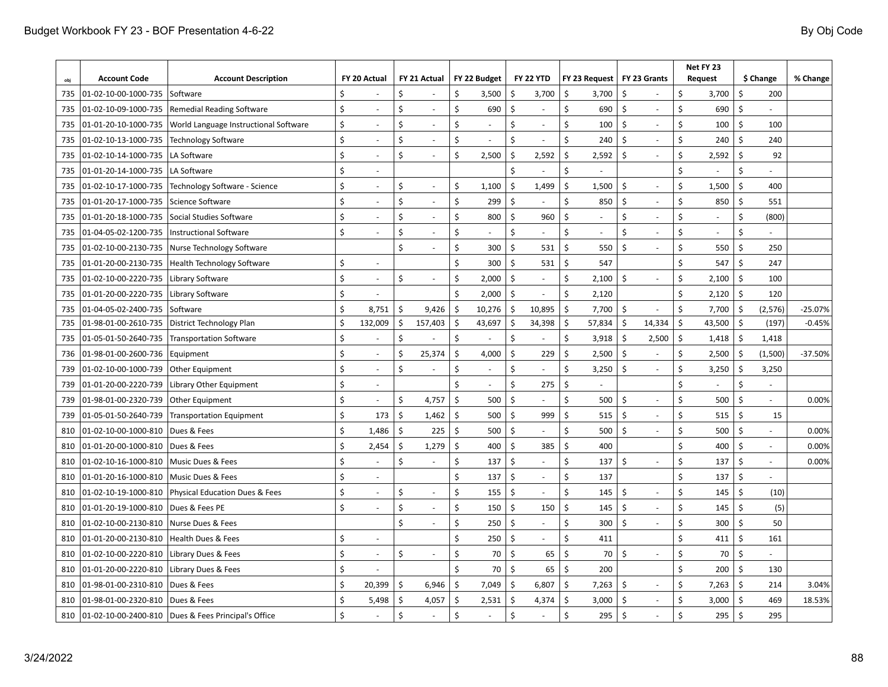| obj | <b>Account Code</b>  | <b>Account Description</b>                            |         | FY 20 Actual             |              | FY 21 Actual             |                           | FY 22 Budget   |    | <b>FY 22 YTD</b> | FY 23 Request                  |    | FY 23 Grants   | Net FY 23<br><b>Request</b>         |                    | \$ Change | % Change  |
|-----|----------------------|-------------------------------------------------------|---------|--------------------------|--------------|--------------------------|---------------------------|----------------|----|------------------|--------------------------------|----|----------------|-------------------------------------|--------------------|-----------|-----------|
| 735 | 01-02-10-00-1000-735 | Software                                              | Ś       |                          | \$           |                          | Ś                         | 3,500          | Ś  | 3,700            | \$<br>3,700                    | \$ |                | Ś<br>3,700                          | \$                 | 200       |           |
| 735 | 01-02-10-09-1000-735 | Remedial Reading Software                             | Ś       |                          | \$           | $\overline{a}$           | $\boldsymbol{\mathsf{S}}$ | 690            | Ś. |                  | \$<br>690                      | \$ | ÷,             | Ś<br>690                            | \$                 |           |           |
| 735 | 01-01-20-10-1000-735 | World Language Instructional Software                 | \$      |                          | \$           | ÷,                       | \$                        |                | \$ |                  | \$<br>100                      | \$ |                | \$<br>100                           | \$                 | 100       |           |
| 735 | 01-02-10-13-1000-735 | <b>Technology Software</b>                            | \$      |                          | \$           | ÷,                       | $\zeta$                   |                | \$ |                  | \$<br>240                      | \$ |                | \$<br>240                           | Ś                  | 240       |           |
| 735 | 01-02-10-14-1000-735 | LA Software                                           | \$      | $\blacksquare$           | \$           | ÷,                       | $\zeta$                   | 2,500          | Ś. | 2,592            | \$<br>2,592                    | Ś  |                | \$<br>2,592                         | \$                 | 92        |           |
| 735 | 01-01-20-14-1000-735 | LA Software                                           | Ś       | $\overline{\phantom{a}}$ |              |                          |                           |                | Ś  |                  | $\boldsymbol{\mathsf{S}}$      |    |                | \$                                  | \$                 |           |           |
| 735 | 01-02-10-17-1000-735 | Technology Software - Science                         | \$      | $\sim$                   | \$           | $\sim$                   | \$                        | 1,100          | \$ | 1,499            | \$<br>1,500                    | \$ |                | \$<br>1,500                         | \$                 | 400       |           |
| 735 | 01-01-20-17-1000-735 | Science Software                                      | \$      |                          | \$           | ÷,                       | \$                        | 299            | \$ |                  | \$<br>850                      | \$ |                | \$<br>850                           | \$                 | 551       |           |
| 735 | 01-01-20-18-1000-735 | Social Studies Software                               | \$      |                          | \$           | L.                       | $\zeta$                   | 800            | \$ | 960              | $\boldsymbol{\mathsf{S}}$      | \$ |                | \$                                  | \$                 | (800)     |           |
| 735 | 01-04-05-02-1200-735 | <b>Instructional Software</b>                         | Ś       |                          | Ś.           | L.                       | \$                        |                | Ś  |                  | \$                             | Ś  |                | \$                                  | \$                 |           |           |
| 735 | 01-02-10-00-2130-735 | Nurse Technology Software                             |         |                          | Ś.           |                          | $\boldsymbol{\mathsf{S}}$ | 300            | \$ | 531              | \$<br>550                      | Ś  |                | \$<br>550                           | \$                 | 250       |           |
| 735 | 01-01-20-00-2130-735 | <b>Health Technology Software</b>                     | \$      |                          |              |                          | \$                        | 300            | \$ | 531              | \$<br>547                      |    |                | \$<br>547                           | \$                 | 247       |           |
| 735 | 01-02-10-00-2220-735 | Library Software                                      | \$      |                          | \$           | ÷,                       | \$                        | 2,000          | \$ |                  | \$<br>2,100                    | \$ |                | \$<br>2,100                         | \$                 | 100       |           |
| 735 | 01-01-20-00-2220-735 | Library Software                                      | \$      | $\blacksquare$           |              |                          | \$                        | 2,000          | \$ |                  | \$<br>2,120                    |    |                | \$<br>2,120                         | \$                 | 120       |           |
| 735 | 01-04-05-02-2400-735 | Software                                              | \$      | 8,751                    | \$           | 9,426                    | \$                        | 10,276         | Ś. | 10,895           | \$<br>7,700                    | \$ |                | \$<br>7,700                         | \$                 | (2, 576)  | $-25.07%$ |
| 735 | 01-98-01-00-2610-735 | District Technology Plan                              | \$      | 132,009                  | \$           | 157,403                  | \$                        | 43,697         | \$ | 34,398           | \$<br>57,834                   | \$ | 14,334         | $\boldsymbol{\mathsf{S}}$<br>43,500 | \$                 | (197)     | $-0.45%$  |
| 735 | 01-05-01-50-2640-735 | <b>Transportation Software</b>                        | Ś       |                          | \$           |                          | \$                        |                | \$ |                  | \$<br>3,918                    | \$ | 2,500          | \$<br>1,418                         | \$                 | 1,418     |           |
| 736 | 01-98-01-00-2600-736 | Equipment                                             | \$      |                          | Ś.           | 25,374                   | Ŝ.                        | 4,000          | Ś. | 229              | Ś.<br>2,500                    | \$ |                | \$<br>2,500                         | \$                 | (1,500)   | $-37.50%$ |
| 739 | 01-02-10-00-1000-739 | Other Equipment                                       | \$      | $\blacksquare$           | \$           | ٠                        | \$                        | $\blacksquare$ | \$ |                  | \$<br>3,250                    | Ś  | $\blacksquare$ | Ś<br>3,250                          | \$                 | 3,250     |           |
| 739 | 01-01-20-00-2220-739 | Library Other Equipment                               | \$      | $\overline{\phantom{a}}$ |              |                          | $\zeta$                   |                | \$ | 275              | \$<br>$\overline{\phantom{a}}$ |    |                | \$                                  | \$                 |           |           |
| 739 | 01-98-01-00-2320-739 | Other Equipment                                       | \$      | $\overline{\phantom{a}}$ | \$           | 4,757                    | \$                        | 500            | \$ |                  | Ś<br>500                       | Ś  | $\overline{a}$ | Ś<br>500                            | \$                 | ÷,        | 0.00%     |
| 739 | 01-05-01-50-2640-739 | <b>Transportation Equipment</b>                       | \$      | 173                      | \$           | 1,462                    | \$                        | 500            | Ś  | 999              | \$<br>515                      | Ś  | ÷.             | Ś<br>515                            | \$                 | 15        |           |
| 810 | 01-02-10-00-1000-810 | Dues & Fees                                           | Ś.      | 1,486                    | \$           | 225                      | Ŝ.                        | 500            | \$ |                  | Ś.<br>500                      | Ś. | ÷.             | Ś<br>500                            | Ś                  | ÷,        | 0.00%     |
| 810 | 01-01-20-00-1000-810 | Dues & Fees                                           | Ś       | 2,454                    | \$           | 1,279                    | \$                        | 400            | Ś  | 385              | \$<br>400                      |    |                | \$<br>400                           | Ś                  |           | 0.00%     |
| 810 | 01-02-10-16-1000-810 | Music Dues & Fees                                     | \$      |                          | \$           |                          | \$                        | 137            | \$ |                  | \$<br>137                      | \$ |                | \$<br>137                           | Ś                  |           | 0.00%     |
| 810 | 01-01-20-16-1000-810 | Music Dues & Fees                                     | \$      |                          |              |                          | Ś.                        | 137            | Ś  |                  | \$<br>137                      |    |                | Ś<br>137                            | Ś                  |           |           |
| 810 | 01-02-10-19-1000-810 | Physical Education Dues & Fees                        | \$      |                          | \$           | $\overline{\phantom{a}}$ | \$                        | 155            | \$ |                  | \$<br>145                      | \$ |                | Ś<br>145                            | Ś                  | (10)      |           |
| 810 | 01-01-20-19-1000-810 | <b>Dues &amp; Fees PE</b>                             | \$      |                          | \$           | ÷,                       | $\zeta$                   | 150            | \$ | 150              | \$<br>145                      | \$ |                | \$<br>145                           | Ś                  | (5)       |           |
| 810 | 01-02-10-00-2130-810 | Nurse Dues & Fees                                     |         |                          | \$           | ÷,                       | $\zeta$                   | 250            | \$ |                  | \$<br>300                      | Ś  |                | Ś<br>300                            | \$                 | 50        |           |
| 810 | 01-01-20-00-2130-810 | Health Dues & Fees                                    | \$      | $\overline{\phantom{a}}$ |              |                          | $\zeta$                   | 250            | \$ |                  | \$<br>411                      |    |                | Ś<br>411                            | \$                 | 161       |           |
| 810 | 01-02-10-00-2220-810 | Library Dues & Fees                                   | \$      | $\sim$                   | \$           | ÷,                       | \$                        | 70             | \$ | 65               | $\mathsf{\hat{S}}$<br>70       | \$ |                | Ś<br>70                             | -\$                |           |           |
| 810 | 01-01-20-00-2220-810 | Library Dues & Fees                                   | \$      |                          |              |                          | Ś                         | 70             | \$ | 65               | $\mathsf{\hat{S}}$<br>200      |    |                | Ś<br>200                            | \$                 | 130       |           |
| 810 | 01-98-01-00-2310-810 | Dues & Fees                                           | Ś.      | 20,399                   | \$           | 6,946                    | Ŝ.                        | 7,049          | Ś. | 6,807            | Ś.<br>7,263                    | \$ |                | \$<br>7,263                         | \$                 | 214       | 3.04%     |
| 810 | 01-98-01-00-2320-810 | Dues & Fees                                           | \$      | 5,498                    | $\mathsf{S}$ | 4,057                    | \$                        | 2,531          | \$ | 4,374            | \$<br>3,000                    | \$ |                | \$<br>3,000                         | $\zeta$            | 469       | 18.53%    |
| 810 |                      | 01-02-10-00-2400-810   Dues & Fees Principal's Office | $\zeta$ |                          | \$           |                          | Ś                         |                | \$ |                  | $\mathsf{\hat{S}}$<br>295      | Ś. |                | Ś<br>295                            | $\mathsf{\hat{S}}$ | 295       |           |